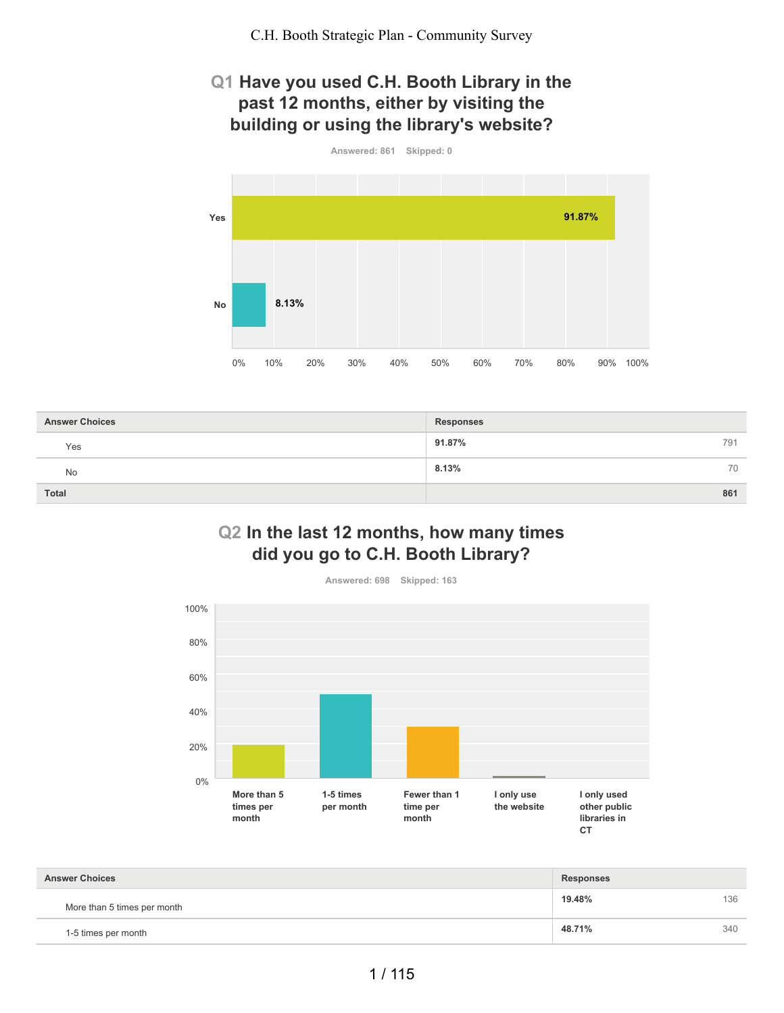# **Q1 Have you used C.H. Booth Library in the past 12 months, either by visiting the building or using the library's website?**



| <b>Answer Choices</b> | <b>Responses</b> |
|-----------------------|------------------|
| Yes                   | 91.87%<br>791    |
| <b>No</b>             | 8.13%<br>70      |
| Total                 | 861              |

# **Q2 In the last 12 months, how many times did you go to C.H. Booth Library?**



| <b>Answer Choices</b>       | <b>Responses</b> |     |
|-----------------------------|------------------|-----|
| More than 5 times per month | 19.48%           | 136 |
| 1-5 times per month         | 48.71%           | 340 |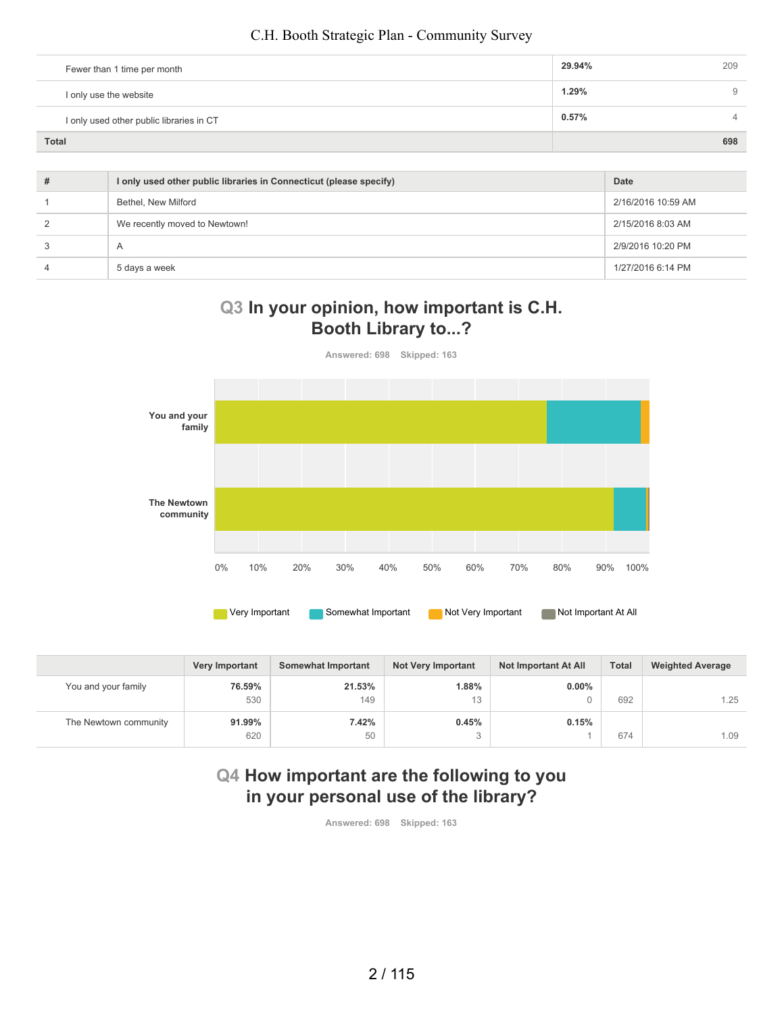| Fewer than 1 time per month              | 29.94% | 209      |
|------------------------------------------|--------|----------|
| I only use the website                   | 1.29%  | 9        |
| I only used other public libraries in CT | 0.57%  | $\Delta$ |
| <b>Total</b>                             |        | 698      |

| # | I only used other public libraries in Connecticut (please specify) | Date               |
|---|--------------------------------------------------------------------|--------------------|
|   | Bethel, New Milford                                                | 2/16/2016 10:59 AM |
|   | We recently moved to Newtown!                                      | 2/15/2016 8:03 AM  |
|   | $\overline{A}$                                                     | 2/9/2016 10:20 PM  |
|   | 5 days a week                                                      | 1/27/2016 6:14 PM  |

## **Q3 In your opinion, how important is C.H. Booth Library to...?**



|                       | <b>Very Important</b> | Somewhat Important | <b>Not Very Important</b> | Not Important At All | <b>Total</b> | <b>Weighted Average</b> |
|-----------------------|-----------------------|--------------------|---------------------------|----------------------|--------------|-------------------------|
| You and your family   | 76.59%                | 21.53%             | 1.88%                     | $0.00\%$             |              |                         |
|                       | 530                   | 149                | 13                        |                      | 692          | 1.25                    |
| The Newtown community | 91.99%                | 7.42%              | 0.45%                     | 0.15%                |              |                         |
|                       | 620                   | 50                 |                           |                      | 674          | 1.09                    |

# **Q4 How important are the following to you in your personal use of the library?**

**Answered: 698 Skipped: 163**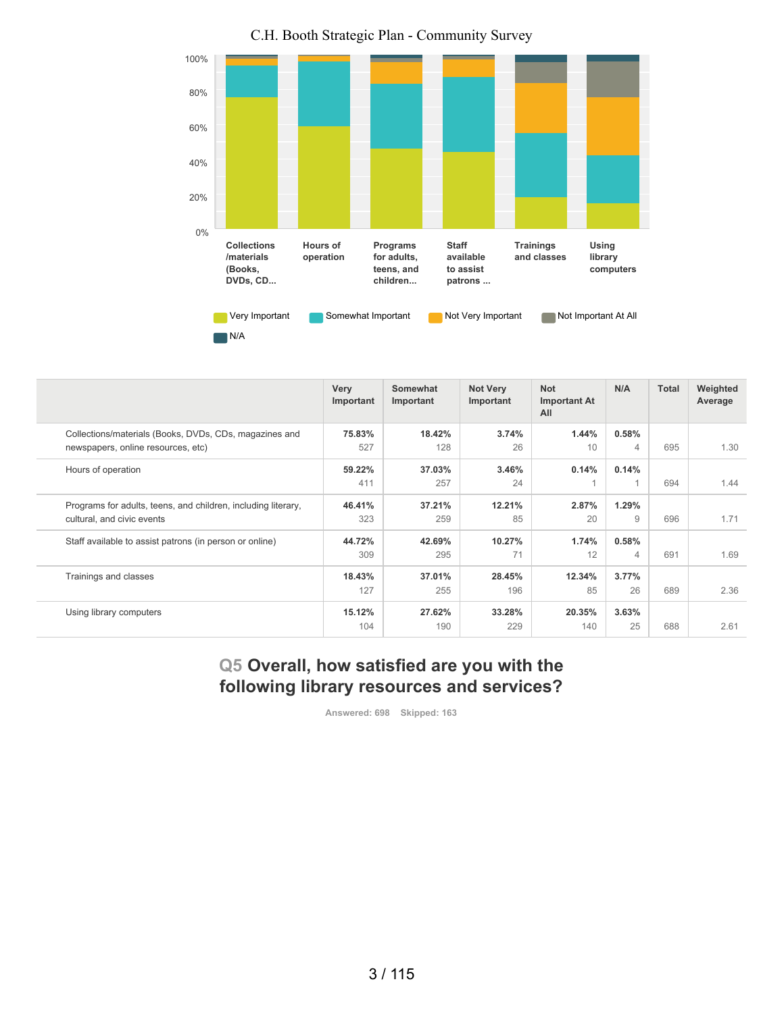

| C.H. Booth Strategic Plan - Community Survey |  |
|----------------------------------------------|--|
|----------------------------------------------|--|

|                                                               | Very<br>Important | Somewhat<br>Important | <b>Not Very</b><br>Important | <b>Not</b><br><b>Important At</b><br>All | N/A   | Total | Weighted<br>Average |
|---------------------------------------------------------------|-------------------|-----------------------|------------------------------|------------------------------------------|-------|-------|---------------------|
| Collections/materials (Books, DVDs, CDs, magazines and        | 75.83%            | 18.42%                | 3.74%                        | 1.44%                                    | 0.58% |       |                     |
| newspapers, online resources, etc)                            | 527               | 128                   | 26                           | 10                                       | 4     | 695   | 1.30                |
| Hours of operation                                            | 59.22%            | 37.03%                | 3.46%                        | 0.14%                                    | 0.14% |       |                     |
|                                                               | 411               | 257                   | 24                           |                                          |       | 694   | 1.44                |
| Programs for adults, teens, and children, including literary, | 46.41%            | 37.21%                | 12.21%                       | 2.87%                                    | 1.29% |       |                     |
| cultural, and civic events                                    | 323               | 259                   | 85                           | 20                                       | 9     | 696   | 1.71                |
| Staff available to assist patrons (in person or online)       | 44.72%            | 42.69%                | 10.27%                       | 1.74%                                    | 0.58% |       |                     |
|                                                               | 309               | 295                   | 71                           | 12                                       | 4     | 691   | 1.69                |
| Trainings and classes                                         | 18.43%            | 37.01%                | 28.45%                       | 12.34%                                   | 3.77% |       |                     |
|                                                               | 127               | 255                   | 196                          | 85                                       | 26    | 689   | 2.36                |
| Using library computers                                       | 15.12%            | 27.62%                | 33.28%                       | 20.35%                                   | 3.63% |       |                     |
|                                                               | 104               | 190                   | 229                          | 140                                      | 25    | 688   | 2.61                |

# **Q5 Overall, how satisfied are you with the following library resources and services?**

**Answered: 698 Skipped: 163**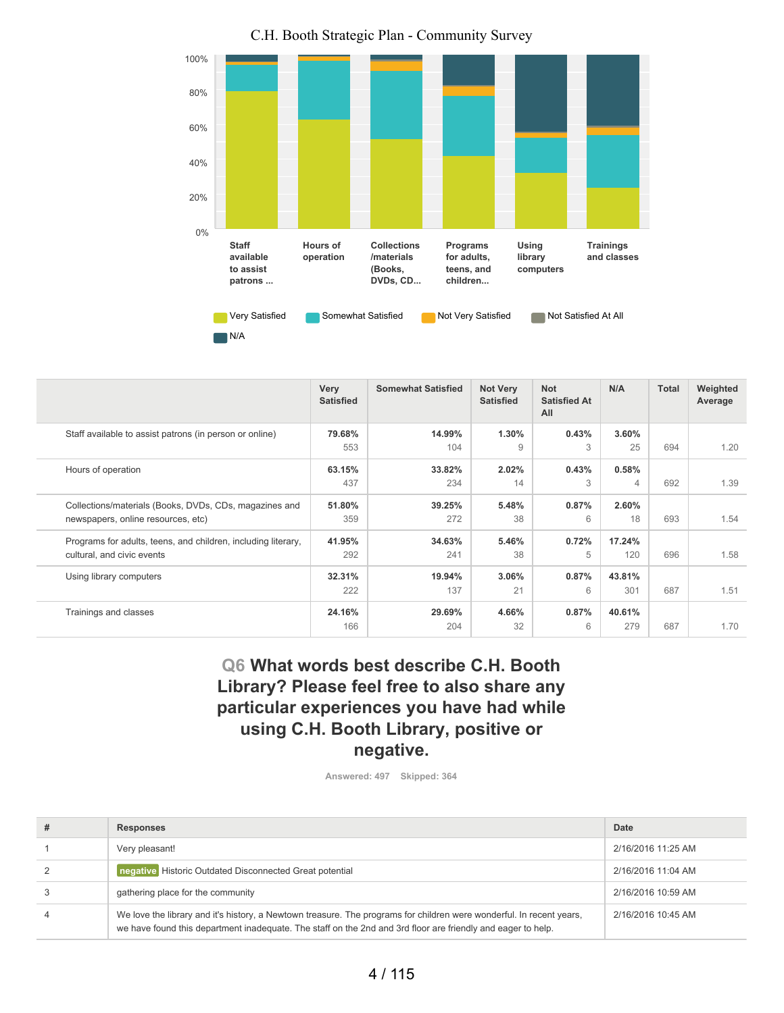

| C.H. Booth Strategic Plan - Community Survey |  |  |  |  |  |  |  |
|----------------------------------------------|--|--|--|--|--|--|--|
|----------------------------------------------|--|--|--|--|--|--|--|

|                                                               | Very<br><b>Satisfied</b> | <b>Somewhat Satisfied</b> | <b>Not Very</b><br><b>Satisfied</b> | <b>Not</b><br><b>Satisfied At</b><br>All | N/A    | Total | Weighted<br>Average |
|---------------------------------------------------------------|--------------------------|---------------------------|-------------------------------------|------------------------------------------|--------|-------|---------------------|
| Staff available to assist patrons (in person or online)       | 79.68%                   | 14.99%                    | 1.30%                               | 0.43%                                    | 3.60%  |       |                     |
|                                                               | 553                      | 104                       | 9                                   | 3                                        | 25     | 694   | 1.20                |
| Hours of operation                                            | 63.15%                   | 33.82%                    | 2.02%                               | 0.43%                                    | 0.58%  |       |                     |
|                                                               | 437                      | 234                       | 14                                  | 3                                        | 4      | 692   | 1.39                |
| Collections/materials (Books, DVDs, CDs, magazines and        | 51.80%                   | 39.25%                    | 5.48%                               | 0.87%                                    | 2.60%  |       |                     |
| newspapers, online resources, etc)                            | 359                      | 272                       | 38                                  | 6                                        | 18     | 693   | 1.54                |
| Programs for adults, teens, and children, including literary, | 41.95%                   | 34.63%                    | 5.46%                               | 0.72%                                    | 17.24% |       |                     |
| cultural, and civic events                                    | 292                      | 241                       | 38                                  | 5                                        | 120    | 696   | 1.58                |
| Using library computers                                       | 32.31%                   | 19.94%                    | 3.06%                               | 0.87%                                    | 43.81% |       |                     |
|                                                               | 222                      | 137                       | 21                                  | 6                                        | 301    | 687   | 1.51                |
| Trainings and classes                                         | 24.16%                   | 29.69%                    | 4.66%                               | 0.87%                                    | 40.61% |       |                     |
|                                                               | 166                      | 204                       | 32                                  | 6                                        | 279    | 687   | 1.70                |

# **Q6 What words best describe C.H. Booth Library? Please feel free to also share any particular experiences you have had while using C.H. Booth Library, positive or negative.**

**Answered: 497 Skipped: 364**

| # | <b>Responses</b>                                                                                                                                                                                                                     | Date               |
|---|--------------------------------------------------------------------------------------------------------------------------------------------------------------------------------------------------------------------------------------|--------------------|
|   | Very pleasant!                                                                                                                                                                                                                       | 2/16/2016 11:25 AM |
|   | negative Historic Outdated Disconnected Great potential                                                                                                                                                                              | 2/16/2016 11:04 AM |
|   | gathering place for the community                                                                                                                                                                                                    | 2/16/2016 10:59 AM |
| 4 | We love the library and it's history, a Newtown treasure. The programs for children were wonderful. In recent years,<br>we have found this department inadequate. The staff on the 2nd and 3rd floor are friendly and eager to help. | 2/16/2016 10:45 AM |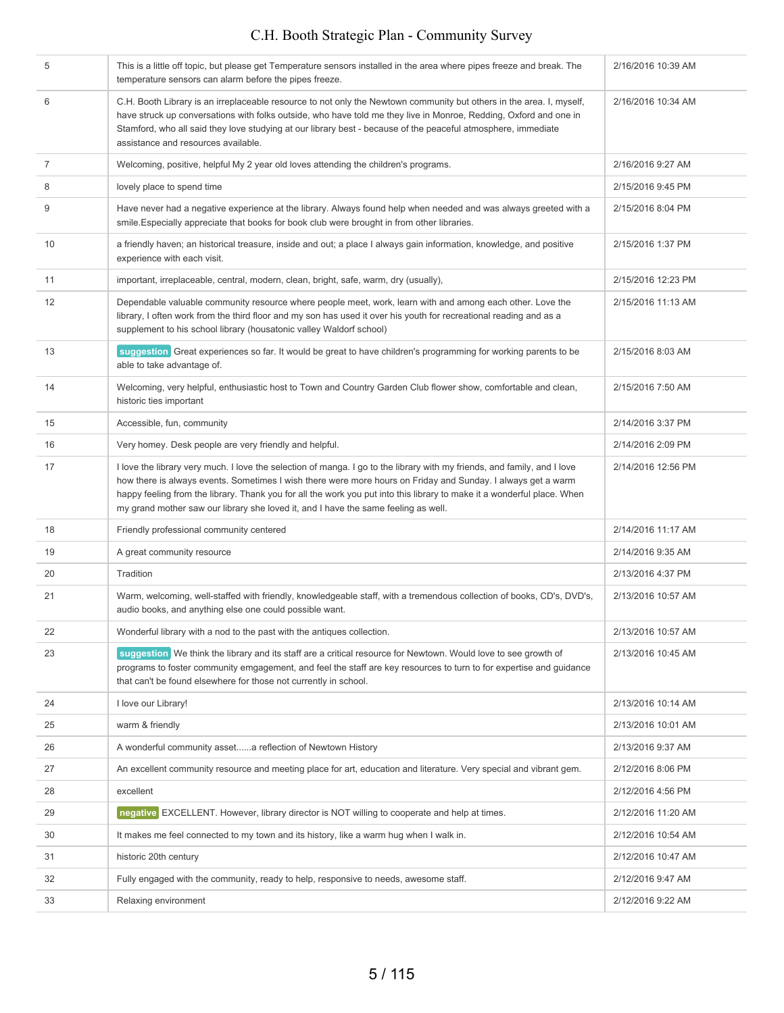| 5              | This is a little off topic, but please get Temperature sensors installed in the area where pipes freeze and break. The<br>temperature sensors can alarm before the pipes freeze.                                                                                                                                                                                                                                                                          | 2/16/2016 10:39 AM |
|----------------|-----------------------------------------------------------------------------------------------------------------------------------------------------------------------------------------------------------------------------------------------------------------------------------------------------------------------------------------------------------------------------------------------------------------------------------------------------------|--------------------|
| 6              | C.H. Booth Library is an irreplaceable resource to not only the Newtown community but others in the area. I, myself,<br>have struck up conversations with folks outside, who have told me they live in Monroe, Redding, Oxford and one in<br>Stamford, who all said they love studying at our library best - because of the peaceful atmosphere, immediate<br>assistance and resources available.                                                         | 2/16/2016 10:34 AM |
| $\overline{7}$ | Welcoming, positive, helpful My 2 year old loves attending the children's programs.                                                                                                                                                                                                                                                                                                                                                                       | 2/16/2016 9:27 AM  |
| 8              | lovely place to spend time                                                                                                                                                                                                                                                                                                                                                                                                                                | 2/15/2016 9:45 PM  |
| 9              | Have never had a negative experience at the library. Always found help when needed and was always greeted with a<br>smile. Especially appreciate that books for book club were brought in from other libraries.                                                                                                                                                                                                                                           | 2/15/2016 8:04 PM  |
| 10             | a friendly haven; an historical treasure, inside and out; a place I always gain information, knowledge, and positive<br>experience with each visit.                                                                                                                                                                                                                                                                                                       | 2/15/2016 1:37 PM  |
| 11             | important, irreplaceable, central, modern, clean, bright, safe, warm, dry (usually),                                                                                                                                                                                                                                                                                                                                                                      | 2/15/2016 12:23 PM |
| 12             | Dependable valuable community resource where people meet, work, learn with and among each other. Love the<br>library, I often work from the third floor and my son has used it over his youth for recreational reading and as a<br>supplement to his school library (housatonic valley Waldorf school)                                                                                                                                                    | 2/15/2016 11:13 AM |
| 13             | suggestion Great experiences so far. It would be great to have children's programming for working parents to be<br>able to take advantage of.                                                                                                                                                                                                                                                                                                             | 2/15/2016 8:03 AM  |
| 14             | Welcoming, very helpful, enthusiastic host to Town and Country Garden Club flower show, comfortable and clean,<br>historic ties important                                                                                                                                                                                                                                                                                                                 | 2/15/2016 7:50 AM  |
| 15             | Accessible, fun, community                                                                                                                                                                                                                                                                                                                                                                                                                                | 2/14/2016 3:37 PM  |
| 16             | Very homey. Desk people are very friendly and helpful.                                                                                                                                                                                                                                                                                                                                                                                                    | 2/14/2016 2:09 PM  |
| 17             | I love the library very much. I love the selection of manga. I go to the library with my friends, and family, and I love<br>how there is always events. Sometimes I wish there were more hours on Friday and Sunday. I always get a warm<br>happy feeling from the library. Thank you for all the work you put into this library to make it a wonderful place. When<br>my grand mother saw our library she loved it, and I have the same feeling as well. | 2/14/2016 12:56 PM |
| 18             | Friendly professional community centered                                                                                                                                                                                                                                                                                                                                                                                                                  | 2/14/2016 11:17 AM |
| 19             | A great community resource                                                                                                                                                                                                                                                                                                                                                                                                                                | 2/14/2016 9:35 AM  |
| 20             | Tradition                                                                                                                                                                                                                                                                                                                                                                                                                                                 | 2/13/2016 4:37 PM  |
| 21             | Warm, welcoming, well-staffed with friendly, knowledgeable staff, with a tremendous collection of books, CD's, DVD's,<br>audio books, and anything else one could possible want.                                                                                                                                                                                                                                                                          | 2/13/2016 10:57 AM |
| 22             | Wonderful library with a nod to the past with the antiques collection.                                                                                                                                                                                                                                                                                                                                                                                    | 2/13/2016 10:57 AM |
| 23             | suggestion We think the library and its staff are a critical resource for Newtown. Would love to see growth of<br>programs to foster community emgagement, and feel the staff are key resources to turn to for expertise and quidance<br>that can't be found elsewhere for those not currently in school.                                                                                                                                                 | 2/13/2016 10:45 AM |
| 24             | I love our Library!                                                                                                                                                                                                                                                                                                                                                                                                                                       | 2/13/2016 10:14 AM |
| 25             | warm & friendly                                                                                                                                                                                                                                                                                                                                                                                                                                           | 2/13/2016 10:01 AM |
| 26             | A wonderful community asseta reflection of Newtown History                                                                                                                                                                                                                                                                                                                                                                                                | 2/13/2016 9:37 AM  |
| 27             | An excellent community resource and meeting place for art, education and literature. Very special and vibrant gem.                                                                                                                                                                                                                                                                                                                                        | 2/12/2016 8:06 PM  |
| 28             | excellent                                                                                                                                                                                                                                                                                                                                                                                                                                                 | 2/12/2016 4:56 PM  |
| 29             | negative EXCELLENT. However, library director is NOT willing to cooperate and help at times.                                                                                                                                                                                                                                                                                                                                                              | 2/12/2016 11:20 AM |
| 30             | It makes me feel connected to my town and its history, like a warm hug when I walk in.                                                                                                                                                                                                                                                                                                                                                                    | 2/12/2016 10:54 AM |
| 31             | historic 20th century                                                                                                                                                                                                                                                                                                                                                                                                                                     | 2/12/2016 10:47 AM |
| 32             | Fully engaged with the community, ready to help, responsive to needs, awesome staff.                                                                                                                                                                                                                                                                                                                                                                      | 2/12/2016 9:47 AM  |
| 33             | Relaxing environment                                                                                                                                                                                                                                                                                                                                                                                                                                      | 2/12/2016 9:22 AM  |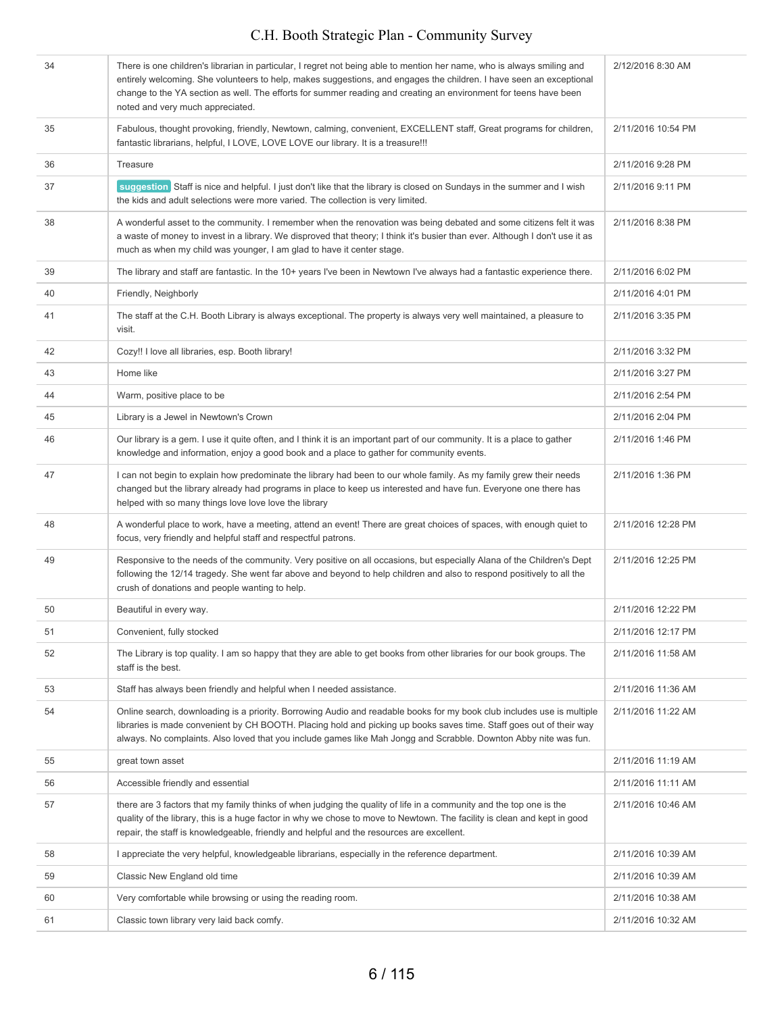| 34 | There is one children's librarian in particular, I regret not being able to mention her name, who is always smiling and<br>entirely welcoming. She volunteers to help, makes suggestions, and engages the children. I have seen an exceptional<br>change to the YA section as well. The efforts for summer reading and creating an environment for teens have been<br>noted and very much appreciated. | 2/12/2016 8:30 AM  |
|----|--------------------------------------------------------------------------------------------------------------------------------------------------------------------------------------------------------------------------------------------------------------------------------------------------------------------------------------------------------------------------------------------------------|--------------------|
| 35 | Fabulous, thought provoking, friendly, Newtown, calming, convenient, EXCELLENT staff, Great programs for children,<br>fantastic librarians, helpful, I LOVE, LOVE LOVE our library. It is a treasure!!!                                                                                                                                                                                                | 2/11/2016 10:54 PM |
| 36 | Treasure                                                                                                                                                                                                                                                                                                                                                                                               | 2/11/2016 9:28 PM  |
| 37 | suggestion Staff is nice and helpful. I just don't like that the library is closed on Sundays in the summer and I wish<br>the kids and adult selections were more varied. The collection is very limited.                                                                                                                                                                                              | 2/11/2016 9:11 PM  |
| 38 | A wonderful asset to the community. I remember when the renovation was being debated and some citizens felt it was<br>a waste of money to invest in a library. We disproved that theory; I think it's busier than ever. Although I don't use it as<br>much as when my child was younger, I am glad to have it center stage.                                                                            | 2/11/2016 8:38 PM  |
| 39 | The library and staff are fantastic. In the 10+ years I've been in Newtown I've always had a fantastic experience there.                                                                                                                                                                                                                                                                               | 2/11/2016 6:02 PM  |
| 40 | Friendly, Neighborly                                                                                                                                                                                                                                                                                                                                                                                   | 2/11/2016 4:01 PM  |
| 41 | The staff at the C.H. Booth Library is always exceptional. The property is always very well maintained, a pleasure to<br>visit.                                                                                                                                                                                                                                                                        | 2/11/2016 3:35 PM  |
| 42 | Cozy!! I love all libraries, esp. Booth library!                                                                                                                                                                                                                                                                                                                                                       | 2/11/2016 3:32 PM  |
| 43 | Home like                                                                                                                                                                                                                                                                                                                                                                                              | 2/11/2016 3:27 PM  |
| 44 | Warm, positive place to be                                                                                                                                                                                                                                                                                                                                                                             | 2/11/2016 2:54 PM  |
| 45 | Library is a Jewel in Newtown's Crown                                                                                                                                                                                                                                                                                                                                                                  | 2/11/2016 2:04 PM  |
| 46 | Our library is a gem. I use it quite often, and I think it is an important part of our community. It is a place to gather<br>knowledge and information, enjoy a good book and a place to gather for community events.                                                                                                                                                                                  | 2/11/2016 1:46 PM  |
| 47 | I can not begin to explain how predominate the library had been to our whole family. As my family grew their needs<br>changed but the library already had programs in place to keep us interested and have fun. Everyone one there has<br>helped with so many things love love love the library                                                                                                        | 2/11/2016 1:36 PM  |
| 48 | A wonderful place to work, have a meeting, attend an event! There are great choices of spaces, with enough quiet to<br>focus, very friendly and helpful staff and respectful patrons.                                                                                                                                                                                                                  | 2/11/2016 12:28 PM |
| 49 | Responsive to the needs of the community. Very positive on all occasions, but especially Alana of the Children's Dept<br>following the 12/14 tragedy. She went far above and beyond to help children and also to respond positively to all the<br>crush of donations and people wanting to help.                                                                                                       | 2/11/2016 12:25 PM |
| 50 | Beautiful in every way.                                                                                                                                                                                                                                                                                                                                                                                | 2/11/2016 12:22 PM |
| 51 | Convenient, fully stocked                                                                                                                                                                                                                                                                                                                                                                              | 2/11/2016 12:17 PM |
| 52 | The Library is top quality. I am so happy that they are able to get books from other libraries for our book groups. The<br>staff is the best.                                                                                                                                                                                                                                                          | 2/11/2016 11:58 AM |
| 53 | Staff has always been friendly and helpful when I needed assistance.                                                                                                                                                                                                                                                                                                                                   | 2/11/2016 11:36 AM |
| 54 | Online search, downloading is a priority. Borrowing Audio and readable books for my book club includes use is multiple<br>libraries is made convenient by CH BOOTH. Placing hold and picking up books saves time. Staff goes out of their way<br>always. No complaints. Also loved that you include games like Mah Jongg and Scrabble. Downton Abby nite was fun.                                      | 2/11/2016 11:22 AM |
| 55 | great town asset                                                                                                                                                                                                                                                                                                                                                                                       | 2/11/2016 11:19 AM |
| 56 | Accessible friendly and essential                                                                                                                                                                                                                                                                                                                                                                      | 2/11/2016 11:11 AM |
| 57 | there are 3 factors that my family thinks of when judging the quality of life in a community and the top one is the<br>quality of the library, this is a huge factor in why we chose to move to Newtown. The facility is clean and kept in good<br>repair, the staff is knowledgeable, friendly and helpful and the resources are excellent.                                                           | 2/11/2016 10:46 AM |
| 58 | I appreciate the very helpful, knowledgeable librarians, especially in the reference department.                                                                                                                                                                                                                                                                                                       | 2/11/2016 10:39 AM |
| 59 | Classic New England old time                                                                                                                                                                                                                                                                                                                                                                           | 2/11/2016 10:39 AM |
| 60 | Very comfortable while browsing or using the reading room.                                                                                                                                                                                                                                                                                                                                             | 2/11/2016 10:38 AM |
| 61 | Classic town library very laid back comfy.                                                                                                                                                                                                                                                                                                                                                             | 2/11/2016 10:32 AM |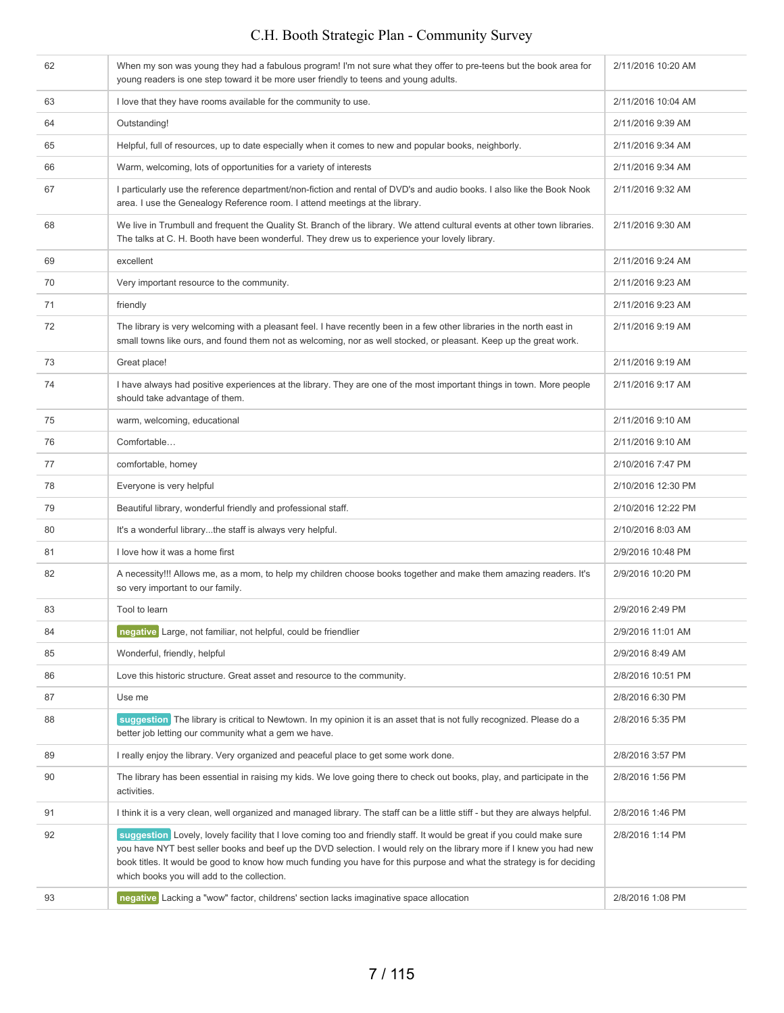| 62 | When my son was young they had a fabulous program! I'm not sure what they offer to pre-teens but the book area for<br>young readers is one step toward it be more user friendly to teens and young adults.                                                                                                                                                                                                              | 2/11/2016 10:20 AM |
|----|-------------------------------------------------------------------------------------------------------------------------------------------------------------------------------------------------------------------------------------------------------------------------------------------------------------------------------------------------------------------------------------------------------------------------|--------------------|
| 63 | I love that they have rooms available for the community to use.                                                                                                                                                                                                                                                                                                                                                         | 2/11/2016 10:04 AM |
| 64 | Outstanding!                                                                                                                                                                                                                                                                                                                                                                                                            | 2/11/2016 9:39 AM  |
| 65 | Helpful, full of resources, up to date especially when it comes to new and popular books, neighborly.                                                                                                                                                                                                                                                                                                                   | 2/11/2016 9:34 AM  |
| 66 | Warm, welcoming, lots of opportunities for a variety of interests                                                                                                                                                                                                                                                                                                                                                       | 2/11/2016 9:34 AM  |
| 67 | I particularly use the reference department/non-fiction and rental of DVD's and audio books. I also like the Book Nook<br>area. I use the Genealogy Reference room. I attend meetings at the library.                                                                                                                                                                                                                   | 2/11/2016 9:32 AM  |
| 68 | We live in Trumbull and frequent the Quality St. Branch of the library. We attend cultural events at other town libraries.<br>The talks at C. H. Booth have been wonderful. They drew us to experience your lovely library.                                                                                                                                                                                             | 2/11/2016 9:30 AM  |
| 69 | excellent                                                                                                                                                                                                                                                                                                                                                                                                               | 2/11/2016 9:24 AM  |
| 70 | Very important resource to the community.                                                                                                                                                                                                                                                                                                                                                                               | 2/11/2016 9:23 AM  |
| 71 | friendly                                                                                                                                                                                                                                                                                                                                                                                                                | 2/11/2016 9:23 AM  |
| 72 | The library is very welcoming with a pleasant feel. I have recently been in a few other libraries in the north east in<br>small towns like ours, and found them not as welcoming, nor as well stocked, or pleasant. Keep up the great work.                                                                                                                                                                             | 2/11/2016 9:19 AM  |
| 73 | Great place!                                                                                                                                                                                                                                                                                                                                                                                                            | 2/11/2016 9:19 AM  |
| 74 | I have always had positive experiences at the library. They are one of the most important things in town. More people<br>should take advantage of them.                                                                                                                                                                                                                                                                 | 2/11/2016 9:17 AM  |
| 75 | warm, welcoming, educational                                                                                                                                                                                                                                                                                                                                                                                            | 2/11/2016 9:10 AM  |
| 76 | Comfortable                                                                                                                                                                                                                                                                                                                                                                                                             | 2/11/2016 9:10 AM  |
| 77 | comfortable, homey                                                                                                                                                                                                                                                                                                                                                                                                      | 2/10/2016 7:47 PM  |
| 78 | Everyone is very helpful                                                                                                                                                                                                                                                                                                                                                                                                | 2/10/2016 12:30 PM |
| 79 | Beautiful library, wonderful friendly and professional staff.                                                                                                                                                                                                                                                                                                                                                           | 2/10/2016 12:22 PM |
| 80 | It's a wonderful librarythe staff is always very helpful.                                                                                                                                                                                                                                                                                                                                                               | 2/10/2016 8:03 AM  |
| 81 | I love how it was a home first                                                                                                                                                                                                                                                                                                                                                                                          | 2/9/2016 10:48 PM  |
| 82 | A necessity!!! Allows me, as a mom, to help my children choose books together and make them amazing readers. It's<br>so very important to our family.                                                                                                                                                                                                                                                                   | 2/9/2016 10:20 PM  |
| 83 | Tool to learn                                                                                                                                                                                                                                                                                                                                                                                                           | 2/9/2016 2:49 PM   |
| 84 | negative Large, not familiar, not helpful, could be friendlier                                                                                                                                                                                                                                                                                                                                                          | 2/9/2016 11:01 AM  |
| 85 | Wonderful, friendly, helpful                                                                                                                                                                                                                                                                                                                                                                                            | 2/9/2016 8:49 AM   |
| 86 | Love this historic structure. Great asset and resource to the community.                                                                                                                                                                                                                                                                                                                                                | 2/8/2016 10:51 PM  |
| 87 | Use me                                                                                                                                                                                                                                                                                                                                                                                                                  | 2/8/2016 6:30 PM   |
| 88 | suggestion The library is critical to Newtown. In my opinion it is an asset that is not fully recognized. Please do a<br>better job letting our community what a gem we have.                                                                                                                                                                                                                                           | 2/8/2016 5:35 PM   |
| 89 | I really enjoy the library. Very organized and peaceful place to get some work done.                                                                                                                                                                                                                                                                                                                                    | 2/8/2016 3:57 PM   |
| 90 | The library has been essential in raising my kids. We love going there to check out books, play, and participate in the<br>activities.                                                                                                                                                                                                                                                                                  | 2/8/2016 1:56 PM   |
| 91 | I think it is a very clean, well organized and managed library. The staff can be a little stiff - but they are always helpful.                                                                                                                                                                                                                                                                                          | 2/8/2016 1:46 PM   |
| 92 | suggestion Lovely, lovely facility that I love coming too and friendly staff. It would be great if you could make sure<br>you have NYT best seller books and beef up the DVD selection. I would rely on the library more if I knew you had new<br>book titles. It would be good to know how much funding you have for this purpose and what the strategy is for deciding<br>which books you will add to the collection. | 2/8/2016 1:14 PM   |
| 93 | negative Lacking a "wow" factor, childrens' section lacks imaginative space allocation                                                                                                                                                                                                                                                                                                                                  | 2/8/2016 1:08 PM   |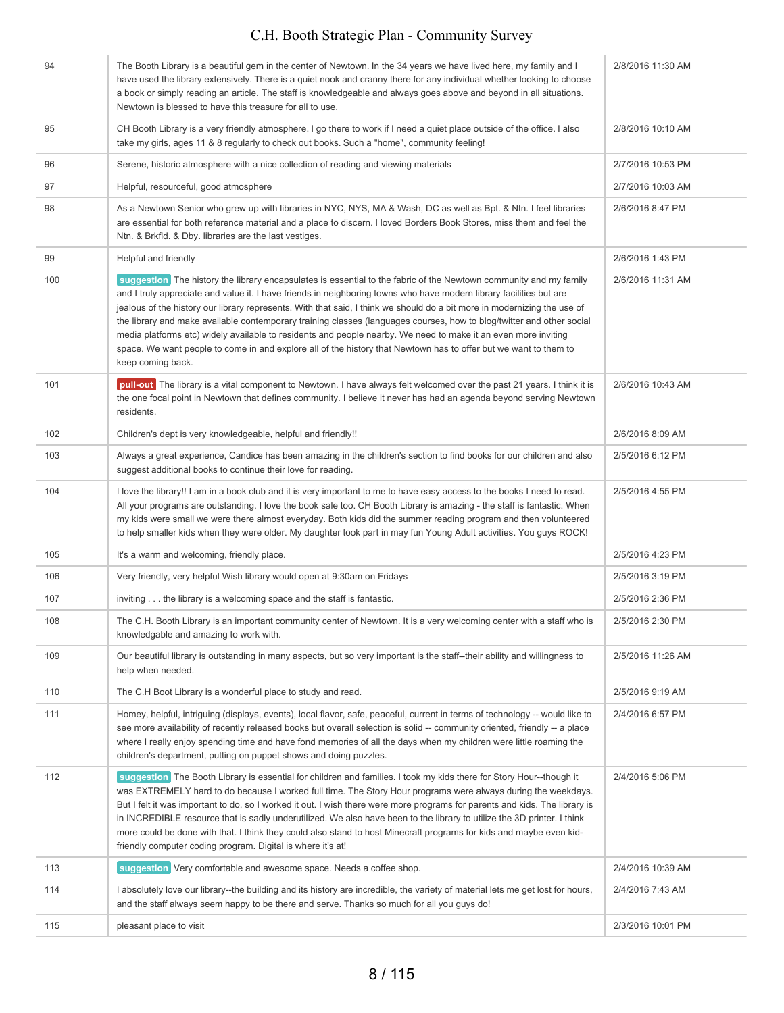| 94  | The Booth Library is a beautiful gem in the center of Newtown. In the 34 years we have lived here, my family and I<br>have used the library extensively. There is a quiet nook and cranny there for any individual whether looking to choose<br>a book or simply reading an article. The staff is knowledgeable and always goes above and beyond in all situations.<br>Newtown is blessed to have this treasure for all to use.                                                                                                                                                                                                                                                                                                                          | 2/8/2016 11:30 AM |
|-----|----------------------------------------------------------------------------------------------------------------------------------------------------------------------------------------------------------------------------------------------------------------------------------------------------------------------------------------------------------------------------------------------------------------------------------------------------------------------------------------------------------------------------------------------------------------------------------------------------------------------------------------------------------------------------------------------------------------------------------------------------------|-------------------|
| 95  | CH Booth Library is a very friendly atmosphere. I go there to work if I need a quiet place outside of the office. I also<br>take my girls, ages 11 & 8 regularly to check out books. Such a "home", community feeling!                                                                                                                                                                                                                                                                                                                                                                                                                                                                                                                                   | 2/8/2016 10:10 AM |
| 96  | Serene, historic atmosphere with a nice collection of reading and viewing materials                                                                                                                                                                                                                                                                                                                                                                                                                                                                                                                                                                                                                                                                      | 2/7/2016 10:53 PM |
| 97  | Helpful, resourceful, good atmosphere                                                                                                                                                                                                                                                                                                                                                                                                                                                                                                                                                                                                                                                                                                                    | 2/7/2016 10:03 AM |
| 98  | As a Newtown Senior who grew up with libraries in NYC, NYS, MA & Wash, DC as well as Bpt. & Ntn. I feel libraries<br>are essential for both reference material and a place to discern. I loved Borders Book Stores, miss them and feel the<br>Ntn. & Brkfld. & Dby. libraries are the last vestiges.                                                                                                                                                                                                                                                                                                                                                                                                                                                     | 2/6/2016 8:47 PM  |
| 99  | Helpful and friendly                                                                                                                                                                                                                                                                                                                                                                                                                                                                                                                                                                                                                                                                                                                                     | 2/6/2016 1:43 PM  |
| 100 | suggestion The history the library encapsulates is essential to the fabric of the Newtown community and my family<br>and I truly appreciate and value it. I have friends in neighboring towns who have modern library facilities but are<br>jealous of the history our library represents. With that said, I think we should do a bit more in modernizing the use of<br>the library and make available contemporary training classes (languages courses, how to blog/twitter and other social<br>media platforms etc) widely available to residents and people nearby. We need to make it an even more inviting<br>space. We want people to come in and explore all of the history that Newtown has to offer but we want to them to<br>keep coming back. | 2/6/2016 11:31 AM |
| 101 | pull-out The library is a vital component to Newtown. I have always felt welcomed over the past 21 years. I think it is<br>the one focal point in Newtown that defines community. I believe it never has had an agenda beyond serving Newtown<br>residents.                                                                                                                                                                                                                                                                                                                                                                                                                                                                                              | 2/6/2016 10:43 AM |
| 102 | Children's dept is very knowledgeable, helpful and friendly!!                                                                                                                                                                                                                                                                                                                                                                                                                                                                                                                                                                                                                                                                                            | 2/6/2016 8:09 AM  |
| 103 | Always a great experience, Candice has been amazing in the children's section to find books for our children and also<br>suggest additional books to continue their love for reading.                                                                                                                                                                                                                                                                                                                                                                                                                                                                                                                                                                    | 2/5/2016 6:12 PM  |
| 104 | I love the library!! I am in a book club and it is very important to me to have easy access to the books I need to read.<br>All your programs are outstanding. I love the book sale too. CH Booth Library is amazing - the staff is fantastic. When<br>my kids were small we were there almost everyday. Both kids did the summer reading program and then volunteered<br>to help smaller kids when they were older. My daughter took part in may fun Young Adult activities. You guys ROCK!                                                                                                                                                                                                                                                             | 2/5/2016 4:55 PM  |
| 105 | It's a warm and welcoming, friendly place.                                                                                                                                                                                                                                                                                                                                                                                                                                                                                                                                                                                                                                                                                                               | 2/5/2016 4:23 PM  |
| 106 | Very friendly, very helpful Wish library would open at 9:30am on Fridays                                                                                                                                                                                                                                                                                                                                                                                                                                                                                                                                                                                                                                                                                 | 2/5/2016 3:19 PM  |
| 107 | inviting the library is a welcoming space and the staff is fantastic.                                                                                                                                                                                                                                                                                                                                                                                                                                                                                                                                                                                                                                                                                    | 2/5/2016 2:36 PM  |
| 108 | The C.H. Booth Library is an important community center of Newtown. It is a very welcoming center with a staff who is<br>knowledgable and amazing to work with.                                                                                                                                                                                                                                                                                                                                                                                                                                                                                                                                                                                          | 2/5/2016 2:30 PM  |
| 109 | Our beautiful library is outstanding in many aspects, but so very important is the staff--their ability and willingness to<br>help when needed.                                                                                                                                                                                                                                                                                                                                                                                                                                                                                                                                                                                                          | 2/5/2016 11:26 AM |
| 110 | The C.H Boot Library is a wonderful place to study and read.                                                                                                                                                                                                                                                                                                                                                                                                                                                                                                                                                                                                                                                                                             | 2/5/2016 9:19 AM  |
| 111 | Homey, helpful, intriguing (displays, events), local flavor, safe, peaceful, current in terms of technology -- would like to<br>see more availability of recently released books but overall selection is solid -- community oriented, friendly -- a place<br>where I really enjoy spending time and have fond memories of all the days when my children were little roaming the<br>children's department, putting on puppet shows and doing puzzles.                                                                                                                                                                                                                                                                                                    | 2/4/2016 6:57 PM  |
| 112 | suggestion The Booth Library is essential for children and families. I took my kids there for Story Hour--though it<br>was EXTREMELY hard to do because I worked full time. The Story Hour programs were always during the weekdays.<br>But I felt it was important to do, so I worked it out. I wish there were more programs for parents and kids. The library is<br>in INCREDIBLE resource that is sadly underutilized. We also have been to the library to utilize the 3D printer. I think<br>more could be done with that. I think they could also stand to host Minecraft programs for kids and maybe even kid-<br>friendly computer coding program. Digital is where it's at!                                                                     | 2/4/2016 5:06 PM  |
| 113 | suggestion Very comfortable and awesome space. Needs a coffee shop.                                                                                                                                                                                                                                                                                                                                                                                                                                                                                                                                                                                                                                                                                      | 2/4/2016 10:39 AM |
| 114 | I absolutely love our library--the building and its history are incredible, the variety of material lets me get lost for hours,<br>and the staff always seem happy to be there and serve. Thanks so much for all you guys do!                                                                                                                                                                                                                                                                                                                                                                                                                                                                                                                            | 2/4/2016 7:43 AM  |
| 115 | pleasant place to visit                                                                                                                                                                                                                                                                                                                                                                                                                                                                                                                                                                                                                                                                                                                                  | 2/3/2016 10:01 PM |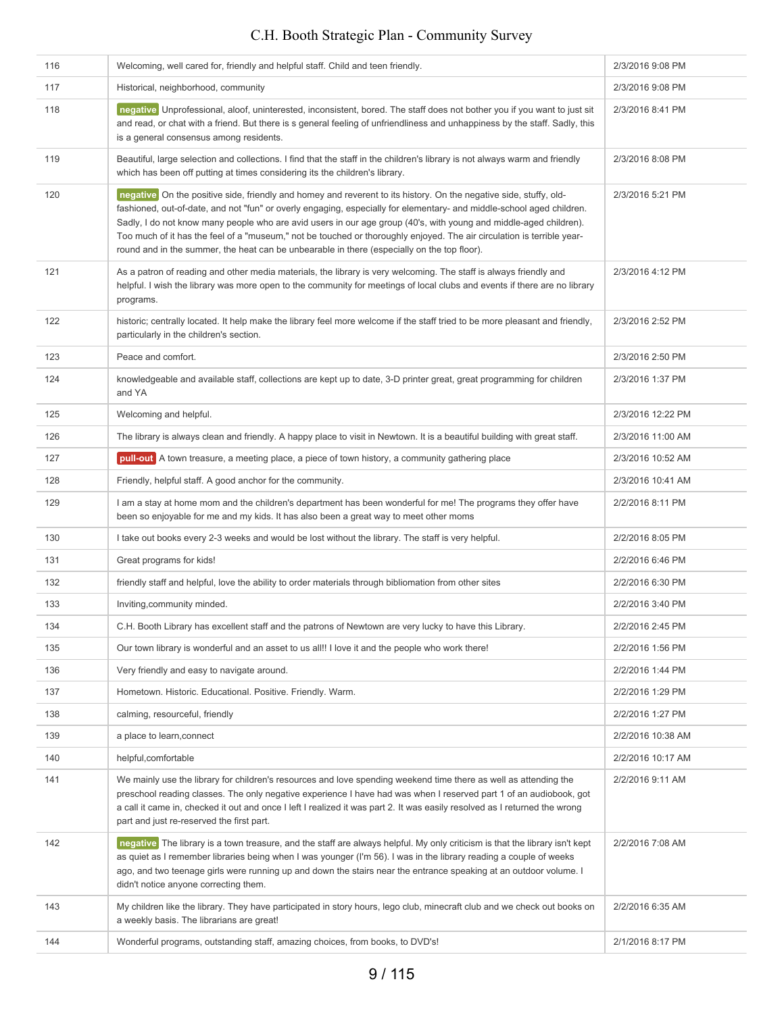| 116 | Welcoming, well cared for, friendly and helpful staff. Child and teen friendly.                                                                                                                                                                                                                                                                                                                                                                                                                                                                                                          | 2/3/2016 9:08 PM  |
|-----|------------------------------------------------------------------------------------------------------------------------------------------------------------------------------------------------------------------------------------------------------------------------------------------------------------------------------------------------------------------------------------------------------------------------------------------------------------------------------------------------------------------------------------------------------------------------------------------|-------------------|
| 117 | Historical, neighborhood, community                                                                                                                                                                                                                                                                                                                                                                                                                                                                                                                                                      | 2/3/2016 9:08 PM  |
| 118 | negative Unprofessional, aloof, uninterested, inconsistent, bored. The staff does not bother you if you want to just sit<br>and read, or chat with a friend. But there is s general feeling of unfriendliness and unhappiness by the staff. Sadly, this<br>is a general consensus among residents.                                                                                                                                                                                                                                                                                       | 2/3/2016 8:41 PM  |
| 119 | Beautiful, large selection and collections. I find that the staff in the children's library is not always warm and friendly<br>which has been off putting at times considering its the children's library.                                                                                                                                                                                                                                                                                                                                                                               | 2/3/2016 8:08 PM  |
| 120 | negative On the positive side, friendly and homey and reverent to its history. On the negative side, stuffy, old-<br>fashioned, out-of-date, and not "fun" or overly engaging, especially for elementary- and middle-school aged children.<br>Sadly, I do not know many people who are avid users in our age group (40's, with young and middle-aged children).<br>Too much of it has the feel of a "museum," not be touched or thoroughly enjoyed. The air circulation is terrible year-<br>round and in the summer, the heat can be unbearable in there (especially on the top floor). | 2/3/2016 5:21 PM  |
| 121 | As a patron of reading and other media materials, the library is very welcoming. The staff is always friendly and<br>helpful. I wish the library was more open to the community for meetings of local clubs and events if there are no library<br>programs.                                                                                                                                                                                                                                                                                                                              | 2/3/2016 4:12 PM  |
| 122 | historic; centrally located. It help make the library feel more welcome if the staff tried to be more pleasant and friendly,<br>particularly in the children's section.                                                                                                                                                                                                                                                                                                                                                                                                                  | 2/3/2016 2:52 PM  |
| 123 | Peace and comfort.                                                                                                                                                                                                                                                                                                                                                                                                                                                                                                                                                                       | 2/3/2016 2:50 PM  |
| 124 | knowledgeable and available staff, collections are kept up to date, 3-D printer great, great programming for children<br>and YA                                                                                                                                                                                                                                                                                                                                                                                                                                                          | 2/3/2016 1:37 PM  |
| 125 | Welcoming and helpful.                                                                                                                                                                                                                                                                                                                                                                                                                                                                                                                                                                   | 2/3/2016 12:22 PM |
| 126 | The library is always clean and friendly. A happy place to visit in Newtown. It is a beautiful building with great staff.                                                                                                                                                                                                                                                                                                                                                                                                                                                                | 2/3/2016 11:00 AM |
| 127 | pull-out A town treasure, a meeting place, a piece of town history, a community gathering place                                                                                                                                                                                                                                                                                                                                                                                                                                                                                          | 2/3/2016 10:52 AM |
| 128 | Friendly, helpful staff. A good anchor for the community.                                                                                                                                                                                                                                                                                                                                                                                                                                                                                                                                | 2/3/2016 10:41 AM |
| 129 | I am a stay at home mom and the children's department has been wonderful for me! The programs they offer have<br>been so enjoyable for me and my kids. It has also been a great way to meet other moms                                                                                                                                                                                                                                                                                                                                                                                   | 2/2/2016 8:11 PM  |
| 130 | I take out books every 2-3 weeks and would be lost without the library. The staff is very helpful.                                                                                                                                                                                                                                                                                                                                                                                                                                                                                       | 2/2/2016 8:05 PM  |
| 131 | Great programs for kids!                                                                                                                                                                                                                                                                                                                                                                                                                                                                                                                                                                 | 2/2/2016 6:46 PM  |
| 132 | friendly staff and helpful, love the ability to order materials through bibliomation from other sites                                                                                                                                                                                                                                                                                                                                                                                                                                                                                    | 2/2/2016 6:30 PM  |
| 133 | Inviting, community minded.                                                                                                                                                                                                                                                                                                                                                                                                                                                                                                                                                              | 2/2/2016 3:40 PM  |
| 134 | C.H. Booth Library has excellent staff and the patrons of Newtown are very lucky to have this Library.                                                                                                                                                                                                                                                                                                                                                                                                                                                                                   | 2/2/2016 2:45 PM  |
| 135 | Our town library is wonderful and an asset to us all!! I love it and the people who work there!                                                                                                                                                                                                                                                                                                                                                                                                                                                                                          | 2/2/2016 1:56 PM  |
| 136 | Very friendly and easy to navigate around.                                                                                                                                                                                                                                                                                                                                                                                                                                                                                                                                               | 2/2/2016 1:44 PM  |
| 137 | Hometown. Historic. Educational. Positive. Friendly. Warm.                                                                                                                                                                                                                                                                                                                                                                                                                                                                                                                               | 2/2/2016 1:29 PM  |
| 138 | calming, resourceful, friendly                                                                                                                                                                                                                                                                                                                                                                                                                                                                                                                                                           | 2/2/2016 1:27 PM  |
| 139 | a place to learn, connect                                                                                                                                                                                                                                                                                                                                                                                                                                                                                                                                                                | 2/2/2016 10:38 AM |
| 140 | helpful, comfortable                                                                                                                                                                                                                                                                                                                                                                                                                                                                                                                                                                     | 2/2/2016 10:17 AM |
| 141 | We mainly use the library for children's resources and love spending weekend time there as well as attending the<br>preschool reading classes. The only negative experience I have had was when I reserved part 1 of an audiobook, got<br>a call it came in, checked it out and once I left I realized it was part 2. It was easily resolved as I returned the wrong<br>part and just re-reserved the first part.                                                                                                                                                                        | 2/2/2016 9:11 AM  |
| 142 | negative The library is a town treasure, and the staff are always helpful. My only criticism is that the library isn't kept<br>as quiet as I remember libraries being when I was younger (I'm 56). I was in the library reading a couple of weeks<br>ago, and two teenage girls were running up and down the stairs near the entrance speaking at an outdoor volume. I<br>didn't notice anyone correcting them.                                                                                                                                                                          | 2/2/2016 7:08 AM  |
| 143 | My children like the library. They have participated in story hours, lego club, minecraft club and we check out books on<br>a weekly basis. The librarians are great!                                                                                                                                                                                                                                                                                                                                                                                                                    | 2/2/2016 6:35 AM  |
| 144 | Wonderful programs, outstanding staff, amazing choices, from books, to DVD's!                                                                                                                                                                                                                                                                                                                                                                                                                                                                                                            | 2/1/2016 8:17 PM  |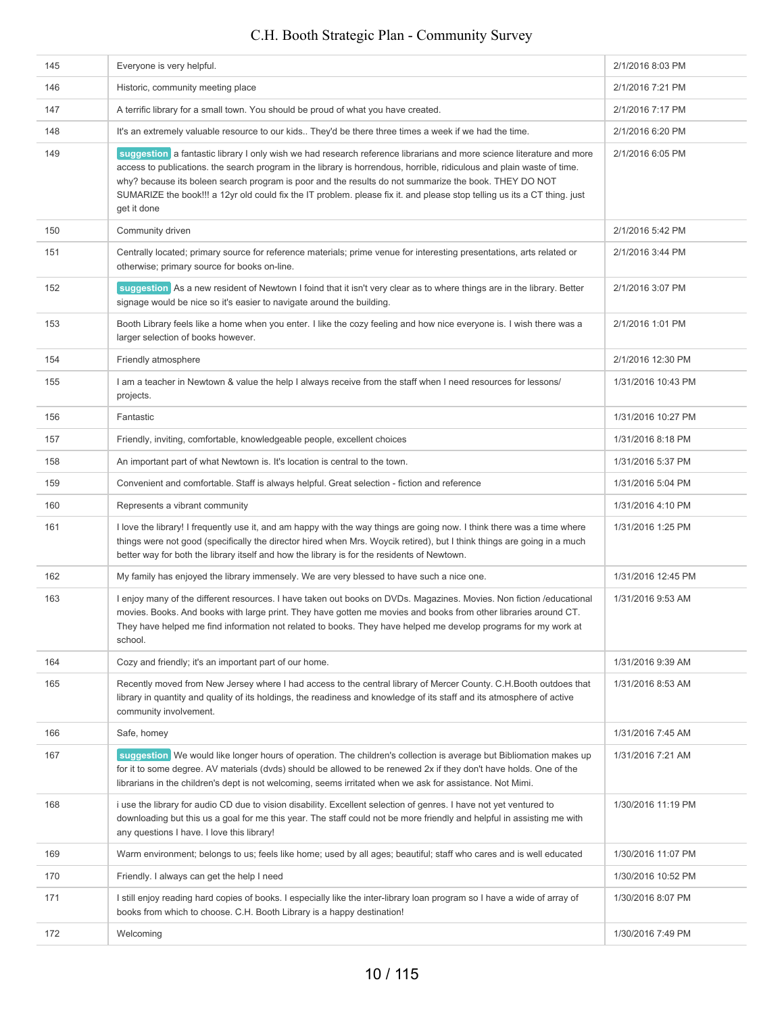| 145 | Everyone is very helpful.                                                                                                                                                                                                                                                                                                                                                                                                                                                                          | 2/1/2016 8:03 PM   |
|-----|----------------------------------------------------------------------------------------------------------------------------------------------------------------------------------------------------------------------------------------------------------------------------------------------------------------------------------------------------------------------------------------------------------------------------------------------------------------------------------------------------|--------------------|
| 146 | Historic, community meeting place                                                                                                                                                                                                                                                                                                                                                                                                                                                                  | 2/1/2016 7:21 PM   |
| 147 | A terrific library for a small town. You should be proud of what you have created.                                                                                                                                                                                                                                                                                                                                                                                                                 | 2/1/2016 7:17 PM   |
| 148 | It's an extremely valuable resource to our kids They'd be there three times a week if we had the time.                                                                                                                                                                                                                                                                                                                                                                                             | 2/1/2016 6:20 PM   |
| 149 | suggestion a fantastic library I only wish we had research reference librarians and more science literature and more<br>access to publications. the search program in the library is horrendous, horrible, ridiculous and plain waste of time.<br>why? because its boleen search program is poor and the results do not summarize the book. THEY DO NOT<br>SUMARIZE the book!!! a 12yr old could fix the IT problem. please fix it. and please stop telling us its a CT thing. just<br>get it done | 2/1/2016 6:05 PM   |
| 150 | Community driven                                                                                                                                                                                                                                                                                                                                                                                                                                                                                   | 2/1/2016 5:42 PM   |
| 151 | Centrally located; primary source for reference materials; prime venue for interesting presentations, arts related or<br>otherwise; primary source for books on-line.                                                                                                                                                                                                                                                                                                                              | 2/1/2016 3:44 PM   |
| 152 | suggestion As a new resident of Newtown I foind that it isn't very clear as to where things are in the library. Better<br>signage would be nice so it's easier to navigate around the building.                                                                                                                                                                                                                                                                                                    | 2/1/2016 3:07 PM   |
| 153 | Booth Library feels like a home when you enter. I like the cozy feeling and how nice everyone is. I wish there was a<br>larger selection of books however.                                                                                                                                                                                                                                                                                                                                         | 2/1/2016 1:01 PM   |
| 154 | Friendly atmosphere                                                                                                                                                                                                                                                                                                                                                                                                                                                                                | 2/1/2016 12:30 PM  |
| 155 | l am a teacher in Newtown & value the help I always receive from the staff when I need resources for lessons/<br>projects.                                                                                                                                                                                                                                                                                                                                                                         | 1/31/2016 10:43 PM |
| 156 | Fantastic                                                                                                                                                                                                                                                                                                                                                                                                                                                                                          | 1/31/2016 10:27 PM |
| 157 | Friendly, inviting, comfortable, knowledgeable people, excellent choices                                                                                                                                                                                                                                                                                                                                                                                                                           | 1/31/2016 8:18 PM  |
| 158 | An important part of what Newtown is. It's location is central to the town.                                                                                                                                                                                                                                                                                                                                                                                                                        | 1/31/2016 5:37 PM  |
| 159 | Convenient and comfortable. Staff is always helpful. Great selection - fiction and reference                                                                                                                                                                                                                                                                                                                                                                                                       | 1/31/2016 5:04 PM  |
| 160 | Represents a vibrant community                                                                                                                                                                                                                                                                                                                                                                                                                                                                     | 1/31/2016 4:10 PM  |
| 161 | I love the library! I frequently use it, and am happy with the way things are going now. I think there was a time where<br>things were not good (specifically the director hired when Mrs. Woycik retired), but I think things are going in a much<br>better way for both the library itself and how the library is for the residents of Newtown.                                                                                                                                                  | 1/31/2016 1:25 PM  |
| 162 | My family has enjoyed the library immensely. We are very blessed to have such a nice one.                                                                                                                                                                                                                                                                                                                                                                                                          | 1/31/2016 12:45 PM |
| 163 | I enjoy many of the different resources. I have taken out books on DVDs. Magazines. Movies. Non fiction /educational<br>movies. Books. And books with large print. They have gotten me movies and books from other libraries around CT.<br>They have helped me find information not related to books. They have helped me develop programs for my work at<br>school.                                                                                                                               | 1/31/2016 9:53 AM  |
| 164 | Cozy and friendly; it's an important part of our home.                                                                                                                                                                                                                                                                                                                                                                                                                                             | 1/31/2016 9:39 AM  |
| 165 | Recently moved from New Jersey where I had access to the central library of Mercer County. C.H.Booth outdoes that<br>library in quantity and quality of its holdings, the readiness and knowledge of its staff and its atmosphere of active<br>community involvement.                                                                                                                                                                                                                              | 1/31/2016 8:53 AM  |
| 166 | Safe, homey                                                                                                                                                                                                                                                                                                                                                                                                                                                                                        | 1/31/2016 7:45 AM  |
| 167 | suggestion We would like longer hours of operation. The children's collection is average but Bibliomation makes up<br>for it to some degree. AV materials (dvds) should be allowed to be renewed 2x if they don't have holds. One of the<br>librarians in the children's dept is not welcoming, seems irritated when we ask for assistance. Not Mimi.                                                                                                                                              | 1/31/2016 7:21 AM  |
| 168 | i use the library for audio CD due to vision disability. Excellent selection of genres. I have not yet ventured to<br>downloading but this us a goal for me this year. The staff could not be more friendly and helpful in assisting me with<br>any questions I have. I love this library!                                                                                                                                                                                                         | 1/30/2016 11:19 PM |
| 169 | Warm environment; belongs to us; feels like home; used by all ages; beautiful; staff who cares and is well educated                                                                                                                                                                                                                                                                                                                                                                                | 1/30/2016 11:07 PM |
| 170 | Friendly. I always can get the help I need                                                                                                                                                                                                                                                                                                                                                                                                                                                         | 1/30/2016 10:52 PM |
| 171 | I still enjoy reading hard copies of books. I especially like the inter-library loan program so I have a wide of array of<br>books from which to choose. C.H. Booth Library is a happy destination!                                                                                                                                                                                                                                                                                                | 1/30/2016 8:07 PM  |
| 172 | Welcoming                                                                                                                                                                                                                                                                                                                                                                                                                                                                                          | 1/30/2016 7:49 PM  |
|     |                                                                                                                                                                                                                                                                                                                                                                                                                                                                                                    |                    |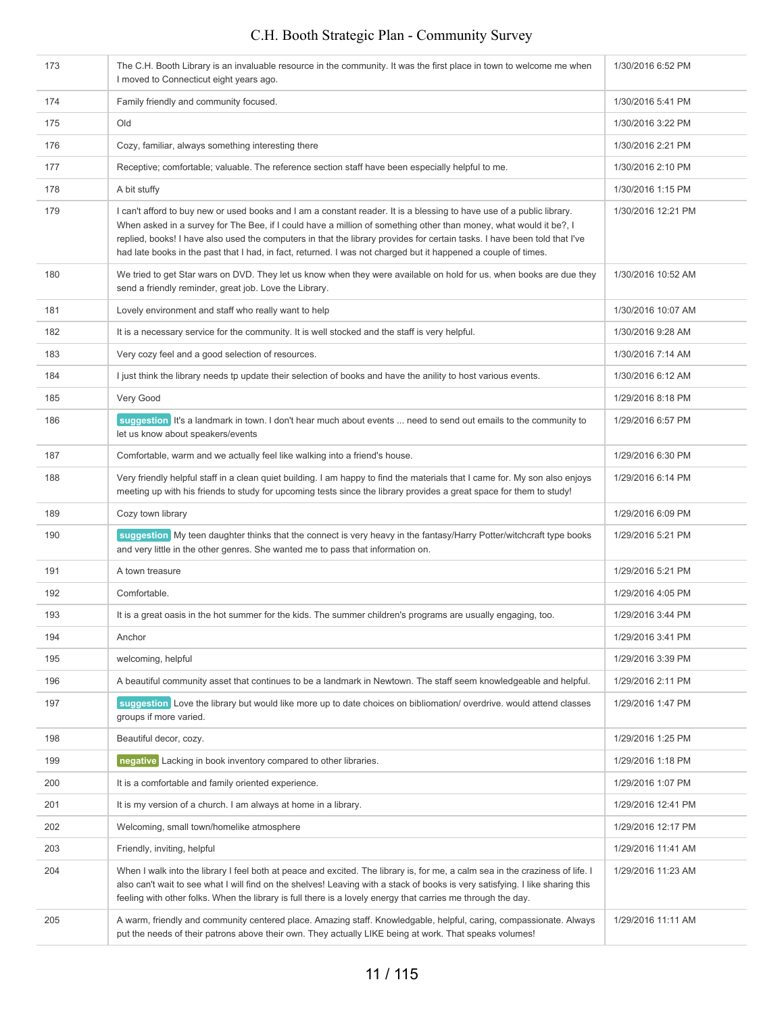| 173 | The C.H. Booth Library is an invaluable resource in the community. It was the first place in town to welcome me when<br>I moved to Connecticut eight years ago.                                                                                                                                                                                                                                                                                                                           | 1/30/2016 6:52 PM  |
|-----|-------------------------------------------------------------------------------------------------------------------------------------------------------------------------------------------------------------------------------------------------------------------------------------------------------------------------------------------------------------------------------------------------------------------------------------------------------------------------------------------|--------------------|
| 174 | Family friendly and community focused.                                                                                                                                                                                                                                                                                                                                                                                                                                                    | 1/30/2016 5:41 PM  |
| 175 | Old                                                                                                                                                                                                                                                                                                                                                                                                                                                                                       | 1/30/2016 3:22 PM  |
| 176 | Cozy, familiar, always something interesting there                                                                                                                                                                                                                                                                                                                                                                                                                                        | 1/30/2016 2:21 PM  |
| 177 | Receptive; comfortable; valuable. The reference section staff have been especially helpful to me.                                                                                                                                                                                                                                                                                                                                                                                         | 1/30/2016 2:10 PM  |
| 178 | A bit stuffy                                                                                                                                                                                                                                                                                                                                                                                                                                                                              | 1/30/2016 1:15 PM  |
| 179 | I can't afford to buy new or used books and I am a constant reader. It is a blessing to have use of a public library.<br>When asked in a survey for The Bee, if I could have a million of something other than money, what would it be?, I<br>replied, books! I have also used the computers in that the library provides for certain tasks. I have been told that I've<br>had late books in the past that I had, in fact, returned. I was not charged but it happened a couple of times. | 1/30/2016 12:21 PM |
| 180 | We tried to get Star wars on DVD. They let us know when they were available on hold for us. when books are due they<br>send a friendly reminder, great job. Love the Library.                                                                                                                                                                                                                                                                                                             | 1/30/2016 10:52 AM |
| 181 | Lovely environment and staff who really want to help                                                                                                                                                                                                                                                                                                                                                                                                                                      | 1/30/2016 10:07 AM |
| 182 | It is a necessary service for the community. It is well stocked and the staff is very helpful.                                                                                                                                                                                                                                                                                                                                                                                            | 1/30/2016 9:28 AM  |
| 183 | Very cozy feel and a good selection of resources.                                                                                                                                                                                                                                                                                                                                                                                                                                         | 1/30/2016 7:14 AM  |
| 184 | I just think the library needs tp update their selection of books and have the anility to host various events.                                                                                                                                                                                                                                                                                                                                                                            | 1/30/2016 6:12 AM  |
| 185 | Very Good                                                                                                                                                                                                                                                                                                                                                                                                                                                                                 | 1/29/2016 8:18 PM  |
| 186 | suggestion It's a landmark in town. I don't hear much about events  need to send out emails to the community to<br>let us know about speakers/events                                                                                                                                                                                                                                                                                                                                      | 1/29/2016 6:57 PM  |
| 187 | Comfortable, warm and we actually feel like walking into a friend's house.                                                                                                                                                                                                                                                                                                                                                                                                                | 1/29/2016 6:30 PM  |
| 188 | Very friendly helpful staff in a clean quiet building. I am happy to find the materials that I came for. My son also enjoys<br>meeting up with his friends to study for upcoming tests since the library provides a great space for them to study!                                                                                                                                                                                                                                        | 1/29/2016 6:14 PM  |
| 189 | Cozy town library                                                                                                                                                                                                                                                                                                                                                                                                                                                                         | 1/29/2016 6:09 PM  |
| 190 | suggestion My teen daughter thinks that the connect is very heavy in the fantasy/Harry Potter/witchcraft type books<br>and very little in the other genres. She wanted me to pass that information on.                                                                                                                                                                                                                                                                                    | 1/29/2016 5:21 PM  |
| 191 | A town treasure                                                                                                                                                                                                                                                                                                                                                                                                                                                                           | 1/29/2016 5:21 PM  |
| 192 | Comfortable.                                                                                                                                                                                                                                                                                                                                                                                                                                                                              | 1/29/2016 4:05 PM  |
| 193 | It is a great oasis in the hot summer for the kids. The summer children's programs are usually engaging, too.                                                                                                                                                                                                                                                                                                                                                                             | 1/29/2016 3:44 PM  |
| 194 | Anchor                                                                                                                                                                                                                                                                                                                                                                                                                                                                                    | 1/29/2016 3:41 PM  |
| 195 | welcoming, helpful                                                                                                                                                                                                                                                                                                                                                                                                                                                                        | 1/29/2016 3:39 PM  |
| 196 | A beautiful community asset that continues to be a landmark in Newtown. The staff seem knowledgeable and helpful.                                                                                                                                                                                                                                                                                                                                                                         | 1/29/2016 2:11 PM  |
| 197 | suggestion Love the library but would like more up to date choices on bibliomation/ overdrive. would attend classes<br>groups if more varied.                                                                                                                                                                                                                                                                                                                                             | 1/29/2016 1:47 PM  |
| 198 | Beautiful decor, cozy.                                                                                                                                                                                                                                                                                                                                                                                                                                                                    | 1/29/2016 1:25 PM  |
| 199 | negative Lacking in book inventory compared to other libraries.                                                                                                                                                                                                                                                                                                                                                                                                                           | 1/29/2016 1:18 PM  |
| 200 | It is a comfortable and family oriented experience.                                                                                                                                                                                                                                                                                                                                                                                                                                       | 1/29/2016 1:07 PM  |
| 201 | It is my version of a church. I am always at home in a library.                                                                                                                                                                                                                                                                                                                                                                                                                           | 1/29/2016 12:41 PM |
| 202 | Welcoming, small town/homelike atmosphere                                                                                                                                                                                                                                                                                                                                                                                                                                                 | 1/29/2016 12:17 PM |
| 203 | Friendly, inviting, helpful                                                                                                                                                                                                                                                                                                                                                                                                                                                               | 1/29/2016 11:41 AM |
| 204 | When I walk into the library I feel both at peace and excited. The library is, for me, a calm sea in the craziness of life. I<br>also can't wait to see what I will find on the shelves! Leaving with a stack of books is very satisfying. I like sharing this<br>feeling with other folks. When the library is full there is a lovely energy that carries me through the day.                                                                                                            | 1/29/2016 11:23 AM |
| 205 | A warm, friendly and community centered place. Amazing staff. Knowledgable, helpful, caring, compassionate. Always<br>put the needs of their patrons above their own. They actually LIKE being at work. That speaks volumes!                                                                                                                                                                                                                                                              | 1/29/2016 11:11 AM |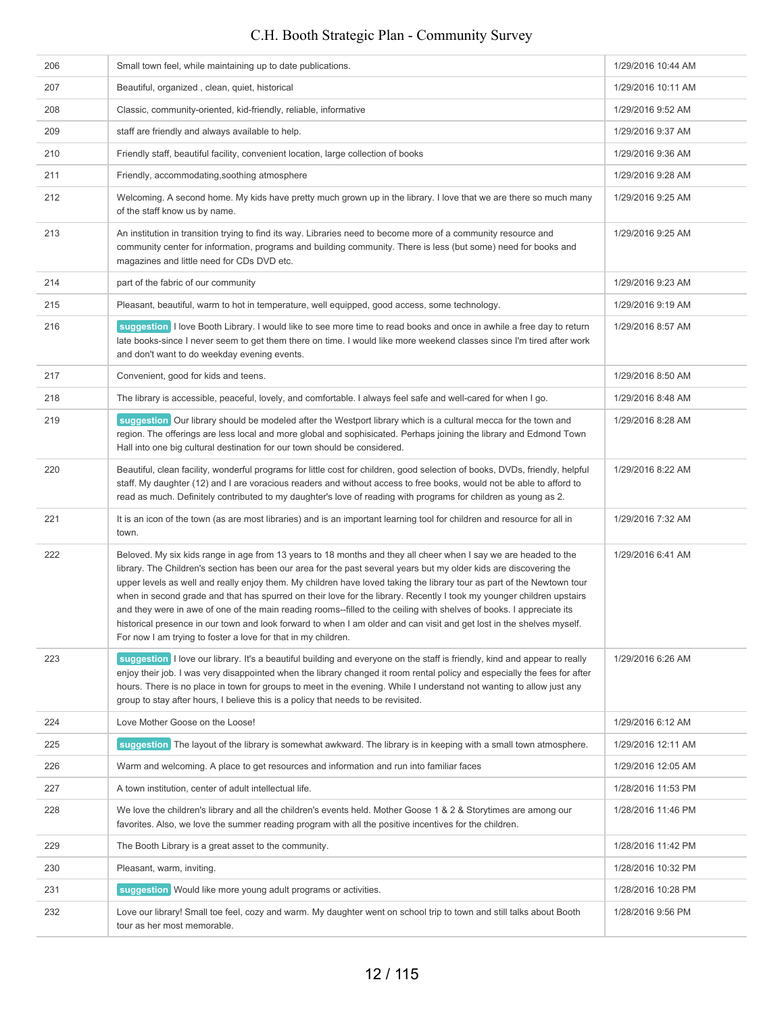| 206 | Small town feel, while maintaining up to date publications.                                                                                                                                                                                                                                                                                                                                                                                                                                                                                                                                                                                                                                                                                                                                                | 1/29/2016 10:44 AM |
|-----|------------------------------------------------------------------------------------------------------------------------------------------------------------------------------------------------------------------------------------------------------------------------------------------------------------------------------------------------------------------------------------------------------------------------------------------------------------------------------------------------------------------------------------------------------------------------------------------------------------------------------------------------------------------------------------------------------------------------------------------------------------------------------------------------------------|--------------------|
| 207 | Beautiful, organized, clean, quiet, historical                                                                                                                                                                                                                                                                                                                                                                                                                                                                                                                                                                                                                                                                                                                                                             | 1/29/2016 10:11 AM |
| 208 | Classic, community-oriented, kid-friendly, reliable, informative                                                                                                                                                                                                                                                                                                                                                                                                                                                                                                                                                                                                                                                                                                                                           | 1/29/2016 9:52 AM  |
| 209 | staff are friendly and always available to help.                                                                                                                                                                                                                                                                                                                                                                                                                                                                                                                                                                                                                                                                                                                                                           | 1/29/2016 9:37 AM  |
| 210 | Friendly staff, beautiful facility, convenient location, large collection of books                                                                                                                                                                                                                                                                                                                                                                                                                                                                                                                                                                                                                                                                                                                         | 1/29/2016 9:36 AM  |
| 211 | Friendly, accommodating, soothing atmosphere                                                                                                                                                                                                                                                                                                                                                                                                                                                                                                                                                                                                                                                                                                                                                               | 1/29/2016 9:28 AM  |
| 212 | Welcoming. A second home. My kids have pretty much grown up in the library. I love that we are there so much many<br>of the staff know us by name.                                                                                                                                                                                                                                                                                                                                                                                                                                                                                                                                                                                                                                                         | 1/29/2016 9:25 AM  |
| 213 | An institution in transition trying to find its way. Libraries need to become more of a community resource and<br>community center for information, programs and building community. There is less (but some) need for books and<br>magazines and little need for CDs DVD etc.                                                                                                                                                                                                                                                                                                                                                                                                                                                                                                                             | 1/29/2016 9:25 AM  |
| 214 | part of the fabric of our community                                                                                                                                                                                                                                                                                                                                                                                                                                                                                                                                                                                                                                                                                                                                                                        | 1/29/2016 9:23 AM  |
| 215 | Pleasant, beautiful, warm to hot in temperature, well equipped, good access, some technology.                                                                                                                                                                                                                                                                                                                                                                                                                                                                                                                                                                                                                                                                                                              | 1/29/2016 9:19 AM  |
| 216 | suggestion I love Booth Library. I would like to see more time to read books and once in awhile a free day to return<br>late books-since I never seem to get them there on time. I would like more weekend classes since I'm tired after work<br>and don't want to do weekday evening events.                                                                                                                                                                                                                                                                                                                                                                                                                                                                                                              | 1/29/2016 8:57 AM  |
| 217 | Convenient, good for kids and teens.                                                                                                                                                                                                                                                                                                                                                                                                                                                                                                                                                                                                                                                                                                                                                                       | 1/29/2016 8:50 AM  |
| 218 | The library is accessible, peaceful, lovely, and comfortable. I always feel safe and well-cared for when I go.                                                                                                                                                                                                                                                                                                                                                                                                                                                                                                                                                                                                                                                                                             | 1/29/2016 8:48 AM  |
| 219 | suggestion Our library should be modeled after the Westport library which is a cultural mecca for the town and<br>region. The offerings are less local and more global and sophisicated. Perhaps joining the library and Edmond Town<br>Hall into one big cultural destination for our town should be considered.                                                                                                                                                                                                                                                                                                                                                                                                                                                                                          | 1/29/2016 8:28 AM  |
| 220 | Beautiful, clean facility, wonderful programs for little cost for children, good selection of books, DVDs, friendly, helpful<br>staff. My daughter (12) and I are voracious readers and without access to free books, would not be able to afford to<br>read as much. Definitely contributed to my daughter's love of reading with programs for children as young as 2.                                                                                                                                                                                                                                                                                                                                                                                                                                    | 1/29/2016 8:22 AM  |
| 221 | It is an icon of the town (as are most libraries) and is an important learning tool for children and resource for all in<br>town.                                                                                                                                                                                                                                                                                                                                                                                                                                                                                                                                                                                                                                                                          | 1/29/2016 7:32 AM  |
| 222 | Beloved. My six kids range in age from 13 years to 18 months and they all cheer when I say we are headed to the<br>library. The Children's section has been our area for the past several years but my older kids are discovering the<br>upper levels as well and really enjoy them. My children have loved taking the library tour as part of the Newtown tour<br>when in second grade and that has spurred on their love for the library. Recently I took my younger children upstairs<br>and they were in awe of one of the main reading rooms--filled to the ceiling with shelves of books. I appreciate its<br>historical presence in our town and look forward to when I am older and can visit and get lost in the shelves myself.<br>For now I am trying to foster a love for that in my children. | 1/29/2016 6:41 AM  |
| 223 | suggestion I love our library. It's a beautiful building and everyone on the staff is friendly, kind and appear to really<br>enjoy their job. I was very disappointed when the library changed it room rental policy and especially the fees for after<br>hours. There is no place in town for groups to meet in the evening. While I understand not wanting to allow just any<br>group to stay after hours, I believe this is a policy that needs to be revisited.                                                                                                                                                                                                                                                                                                                                        | 1/29/2016 6:26 AM  |
| 224 | Love Mother Goose on the Loose!                                                                                                                                                                                                                                                                                                                                                                                                                                                                                                                                                                                                                                                                                                                                                                            | 1/29/2016 6:12 AM  |
| 225 | suggestion The layout of the library is somewhat awkward. The library is in keeping with a small town atmosphere.                                                                                                                                                                                                                                                                                                                                                                                                                                                                                                                                                                                                                                                                                          | 1/29/2016 12:11 AM |
| 226 | Warm and welcoming. A place to get resources and information and run into familiar faces                                                                                                                                                                                                                                                                                                                                                                                                                                                                                                                                                                                                                                                                                                                   | 1/29/2016 12:05 AM |
| 227 | A town institution, center of adult intellectual life.                                                                                                                                                                                                                                                                                                                                                                                                                                                                                                                                                                                                                                                                                                                                                     | 1/28/2016 11:53 PM |
| 228 | We love the children's library and all the children's events held. Mother Goose 1 & 2 & Storytimes are among our<br>favorites. Also, we love the summer reading program with all the positive incentives for the children.                                                                                                                                                                                                                                                                                                                                                                                                                                                                                                                                                                                 | 1/28/2016 11:46 PM |
| 229 | The Booth Library is a great asset to the community.                                                                                                                                                                                                                                                                                                                                                                                                                                                                                                                                                                                                                                                                                                                                                       | 1/28/2016 11:42 PM |
| 230 | Pleasant, warm, inviting.                                                                                                                                                                                                                                                                                                                                                                                                                                                                                                                                                                                                                                                                                                                                                                                  | 1/28/2016 10:32 PM |
| 231 | suggestion Would like more young adult programs or activities.                                                                                                                                                                                                                                                                                                                                                                                                                                                                                                                                                                                                                                                                                                                                             | 1/28/2016 10:28 PM |
| 232 | Love our library! Small toe feel, cozy and warm. My daughter went on school trip to town and still talks about Booth<br>tour as her most memorable.                                                                                                                                                                                                                                                                                                                                                                                                                                                                                                                                                                                                                                                        | 1/28/2016 9:56 PM  |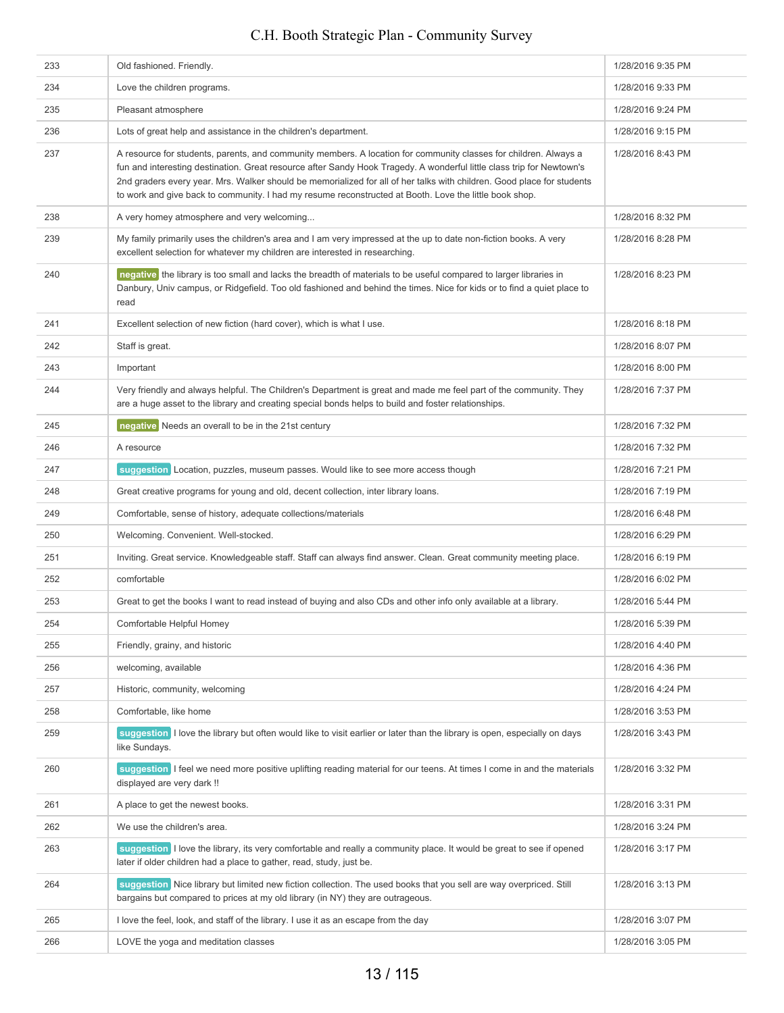| 233 | Old fashioned. Friendly.                                                                                                                                                                                                                                                                                                                                                                                                                                                      | 1/28/2016 9:35 PM |
|-----|-------------------------------------------------------------------------------------------------------------------------------------------------------------------------------------------------------------------------------------------------------------------------------------------------------------------------------------------------------------------------------------------------------------------------------------------------------------------------------|-------------------|
| 234 | Love the children programs.                                                                                                                                                                                                                                                                                                                                                                                                                                                   | 1/28/2016 9:33 PM |
| 235 | Pleasant atmosphere                                                                                                                                                                                                                                                                                                                                                                                                                                                           | 1/28/2016 9:24 PM |
| 236 | Lots of great help and assistance in the children's department.                                                                                                                                                                                                                                                                                                                                                                                                               | 1/28/2016 9:15 PM |
| 237 | A resource for students, parents, and community members. A location for community classes for children. Always a<br>fun and interesting destination. Great resource after Sandy Hook Tragedy. A wonderful little class trip for Newtown's<br>2nd graders every year. Mrs. Walker should be memorialized for all of her talks with children. Good place for students<br>to work and give back to community. I had my resume reconstructed at Booth. Love the little book shop. | 1/28/2016 8:43 PM |
| 238 | A very homey atmosphere and very welcoming                                                                                                                                                                                                                                                                                                                                                                                                                                    | 1/28/2016 8:32 PM |
| 239 | My family primarily uses the children's area and I am very impressed at the up to date non-fiction books. A very<br>excellent selection for whatever my children are interested in researching.                                                                                                                                                                                                                                                                               | 1/28/2016 8:28 PM |
| 240 | negative the library is too small and lacks the breadth of materials to be useful compared to larger libraries in<br>Danbury, Univ campus, or Ridgefield. Too old fashioned and behind the times. Nice for kids or to find a quiet place to<br>read                                                                                                                                                                                                                           | 1/28/2016 8:23 PM |
| 241 | Excellent selection of new fiction (hard cover), which is what I use.                                                                                                                                                                                                                                                                                                                                                                                                         | 1/28/2016 8:18 PM |
| 242 | Staff is great.                                                                                                                                                                                                                                                                                                                                                                                                                                                               | 1/28/2016 8:07 PM |
| 243 | Important                                                                                                                                                                                                                                                                                                                                                                                                                                                                     | 1/28/2016 8:00 PM |
| 244 | Very friendly and always helpful. The Children's Department is great and made me feel part of the community. They<br>are a huge asset to the library and creating special bonds helps to build and foster relationships.                                                                                                                                                                                                                                                      | 1/28/2016 7:37 PM |
| 245 | negative Needs an overall to be in the 21st century                                                                                                                                                                                                                                                                                                                                                                                                                           | 1/28/2016 7:32 PM |
| 246 | A resource                                                                                                                                                                                                                                                                                                                                                                                                                                                                    | 1/28/2016 7:32 PM |
| 247 | suggestion Location, puzzles, museum passes. Would like to see more access though                                                                                                                                                                                                                                                                                                                                                                                             | 1/28/2016 7:21 PM |
| 248 | Great creative programs for young and old, decent collection, inter library loans.                                                                                                                                                                                                                                                                                                                                                                                            | 1/28/2016 7:19 PM |
| 249 | Comfortable, sense of history, adequate collections/materials                                                                                                                                                                                                                                                                                                                                                                                                                 | 1/28/2016 6:48 PM |
| 250 | Welcoming. Convenient. Well-stocked.                                                                                                                                                                                                                                                                                                                                                                                                                                          | 1/28/2016 6:29 PM |
| 251 | Inviting. Great service. Knowledgeable staff. Staff can always find answer. Clean. Great community meeting place.                                                                                                                                                                                                                                                                                                                                                             | 1/28/2016 6:19 PM |
| 252 | comfortable                                                                                                                                                                                                                                                                                                                                                                                                                                                                   | 1/28/2016 6:02 PM |
| 253 | Great to get the books I want to read instead of buying and also CDs and other info only available at a library.                                                                                                                                                                                                                                                                                                                                                              | 1/28/2016 5:44 PM |
| 254 | Comfortable Helpful Homey                                                                                                                                                                                                                                                                                                                                                                                                                                                     | 1/28/2016 5:39 PM |
| 255 | Friendly, grainy, and historic                                                                                                                                                                                                                                                                                                                                                                                                                                                | 1/28/2016 4:40 PM |
| 256 | welcoming, available                                                                                                                                                                                                                                                                                                                                                                                                                                                          | 1/28/2016 4:36 PM |
| 257 | Historic, community, welcoming                                                                                                                                                                                                                                                                                                                                                                                                                                                | 1/28/2016 4:24 PM |
| 258 | Comfortable, like home                                                                                                                                                                                                                                                                                                                                                                                                                                                        | 1/28/2016 3:53 PM |
| 259 | suggestion I love the library but often would like to visit earlier or later than the library is open, especially on days<br>like Sundays.                                                                                                                                                                                                                                                                                                                                    | 1/28/2016 3:43 PM |
| 260 | suggestion I feel we need more positive uplifting reading material for our teens. At times I come in and the materials<br>displayed are very dark !!                                                                                                                                                                                                                                                                                                                          | 1/28/2016 3:32 PM |
| 261 | A place to get the newest books.                                                                                                                                                                                                                                                                                                                                                                                                                                              | 1/28/2016 3:31 PM |
| 262 | We use the children's area.                                                                                                                                                                                                                                                                                                                                                                                                                                                   | 1/28/2016 3:24 PM |
| 263 | suggestion I love the library, its very comfortable and really a community place. It would be great to see if opened<br>later if older children had a place to gather, read, study, just be.                                                                                                                                                                                                                                                                                  | 1/28/2016 3:17 PM |
| 264 | suggestion Nice library but limited new fiction collection. The used books that you sell are way overpriced. Still<br>bargains but compared to prices at my old library (in NY) they are outrageous.                                                                                                                                                                                                                                                                          | 1/28/2016 3:13 PM |
| 265 | I love the feel, look, and staff of the library. I use it as an escape from the day                                                                                                                                                                                                                                                                                                                                                                                           | 1/28/2016 3:07 PM |
| 266 | LOVE the yoga and meditation classes                                                                                                                                                                                                                                                                                                                                                                                                                                          | 1/28/2016 3:05 PM |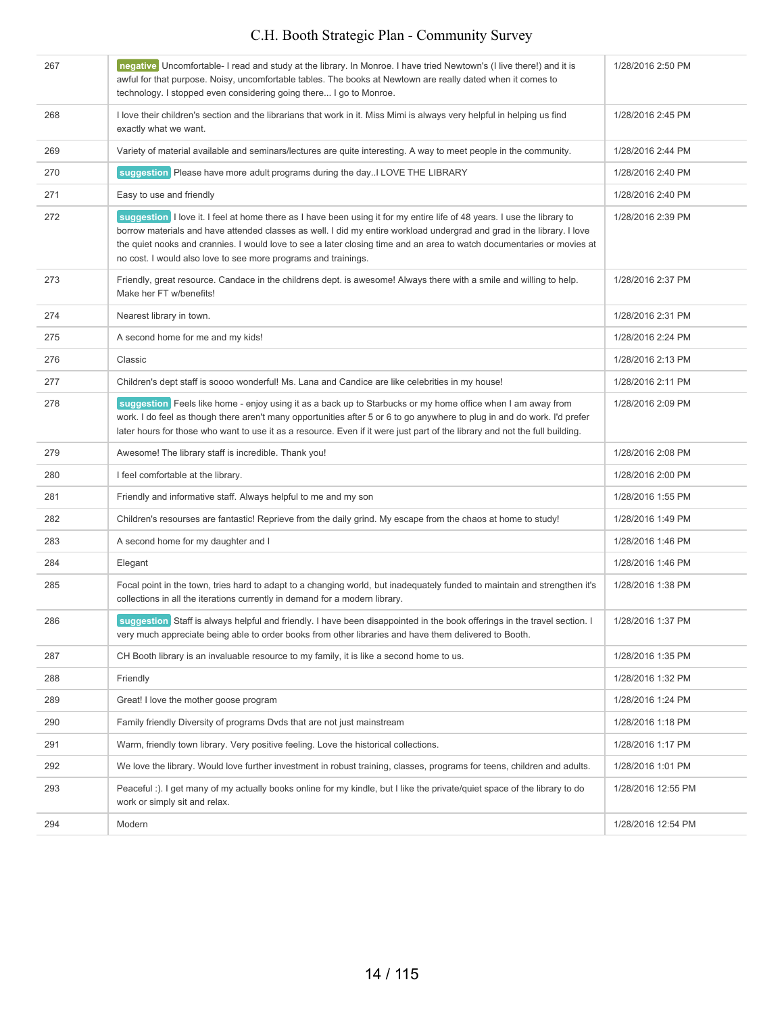| 267 | negative   Uncomfortable- I read and study at the library. In Monroe. I have tried Newtown's (I live there!) and it is<br>awful for that purpose. Noisy, uncomfortable tables. The books at Newtown are really dated when it comes to<br>technology. I stopped even considering going there I go to Monroe.                                                                                                                                   | 1/28/2016 2:50 PM  |
|-----|-----------------------------------------------------------------------------------------------------------------------------------------------------------------------------------------------------------------------------------------------------------------------------------------------------------------------------------------------------------------------------------------------------------------------------------------------|--------------------|
| 268 | I love their children's section and the librarians that work in it. Miss Mimi is always very helpful in helping us find<br>exactly what we want.                                                                                                                                                                                                                                                                                              | 1/28/2016 2:45 PM  |
| 269 | Variety of material available and seminars/lectures are quite interesting. A way to meet people in the community.                                                                                                                                                                                                                                                                                                                             | 1/28/2016 2:44 PM  |
| 270 | suggestion Please have more adult programs during the day. I LOVE THE LIBRARY                                                                                                                                                                                                                                                                                                                                                                 | 1/28/2016 2:40 PM  |
| 271 | Easy to use and friendly                                                                                                                                                                                                                                                                                                                                                                                                                      | 1/28/2016 2:40 PM  |
| 272 | suggestion I love it. I feel at home there as I have been using it for my entire life of 48 years. I use the library to<br>borrow materials and have attended classes as well. I did my entire workload undergrad and grad in the library. I love<br>the quiet nooks and crannies. I would love to see a later closing time and an area to watch documentaries or movies at<br>no cost. I would also love to see more programs and trainings. | 1/28/2016 2:39 PM  |
| 273 | Friendly, great resource. Candace in the childrens dept. is awesome! Always there with a smile and willing to help.<br>Make her FT w/benefits!                                                                                                                                                                                                                                                                                                | 1/28/2016 2:37 PM  |
| 274 | Nearest library in town.                                                                                                                                                                                                                                                                                                                                                                                                                      | 1/28/2016 2:31 PM  |
| 275 | A second home for me and my kids!                                                                                                                                                                                                                                                                                                                                                                                                             | 1/28/2016 2:24 PM  |
| 276 | Classic                                                                                                                                                                                                                                                                                                                                                                                                                                       | 1/28/2016 2:13 PM  |
| 277 | Children's dept staff is soooo wonderful! Ms. Lana and Candice are like celebrities in my house!                                                                                                                                                                                                                                                                                                                                              | 1/28/2016 2:11 PM  |
| 278 | suggestion Feels like home - enjoy using it as a back up to Starbucks or my home office when I am away from<br>work. I do feel as though there aren't many opportunities after 5 or 6 to go anywhere to plug in and do work. I'd prefer<br>later hours for those who want to use it as a resource. Even if it were just part of the library and not the full building.                                                                        | 1/28/2016 2:09 PM  |
| 279 | Awesome! The library staff is incredible. Thank you!                                                                                                                                                                                                                                                                                                                                                                                          | 1/28/2016 2:08 PM  |
| 280 | I feel comfortable at the library.                                                                                                                                                                                                                                                                                                                                                                                                            | 1/28/2016 2:00 PM  |
| 281 | Friendly and informative staff. Always helpful to me and my son                                                                                                                                                                                                                                                                                                                                                                               | 1/28/2016 1:55 PM  |
| 282 | Children's resourses are fantastic! Reprieve from the daily grind. My escape from the chaos at home to study!                                                                                                                                                                                                                                                                                                                                 | 1/28/2016 1:49 PM  |
| 283 | A second home for my daughter and I                                                                                                                                                                                                                                                                                                                                                                                                           | 1/28/2016 1:46 PM  |
| 284 | Elegant                                                                                                                                                                                                                                                                                                                                                                                                                                       | 1/28/2016 1:46 PM  |
| 285 | Focal point in the town, tries hard to adapt to a changing world, but inadequately funded to maintain and strengthen it's<br>collections in all the iterations currently in demand for a modern library.                                                                                                                                                                                                                                      | 1/28/2016 1:38 PM  |
| 286 | suggestion Staff is always helpful and friendly. I have been disappointed in the book offerings in the travel section. I<br>very much appreciate being able to order books from other libraries and have them delivered to Booth.                                                                                                                                                                                                             | 1/28/2016 1:37 PM  |
| 287 | CH Booth library is an invaluable resource to my family, it is like a second home to us.                                                                                                                                                                                                                                                                                                                                                      | 1/28/2016 1:35 PM  |
| 288 | Friendly                                                                                                                                                                                                                                                                                                                                                                                                                                      | 1/28/2016 1:32 PM  |
| 289 | Great! I love the mother goose program                                                                                                                                                                                                                                                                                                                                                                                                        | 1/28/2016 1:24 PM  |
| 290 | Family friendly Diversity of programs Dyds that are not just mainstream                                                                                                                                                                                                                                                                                                                                                                       | 1/28/2016 1:18 PM  |
| 291 | Warm, friendly town library. Very positive feeling. Love the historical collections.                                                                                                                                                                                                                                                                                                                                                          | 1/28/2016 1:17 PM  |
| 292 | We love the library. Would love further investment in robust training, classes, programs for teens, children and adults.                                                                                                                                                                                                                                                                                                                      | 1/28/2016 1:01 PM  |
| 293 | Peaceful :). I get many of my actually books online for my kindle, but I like the private/quiet space of the library to do<br>work or simply sit and relax.                                                                                                                                                                                                                                                                                   | 1/28/2016 12:55 PM |
| 294 | Modern                                                                                                                                                                                                                                                                                                                                                                                                                                        | 1/28/2016 12:54 PM |
|     |                                                                                                                                                                                                                                                                                                                                                                                                                                               |                    |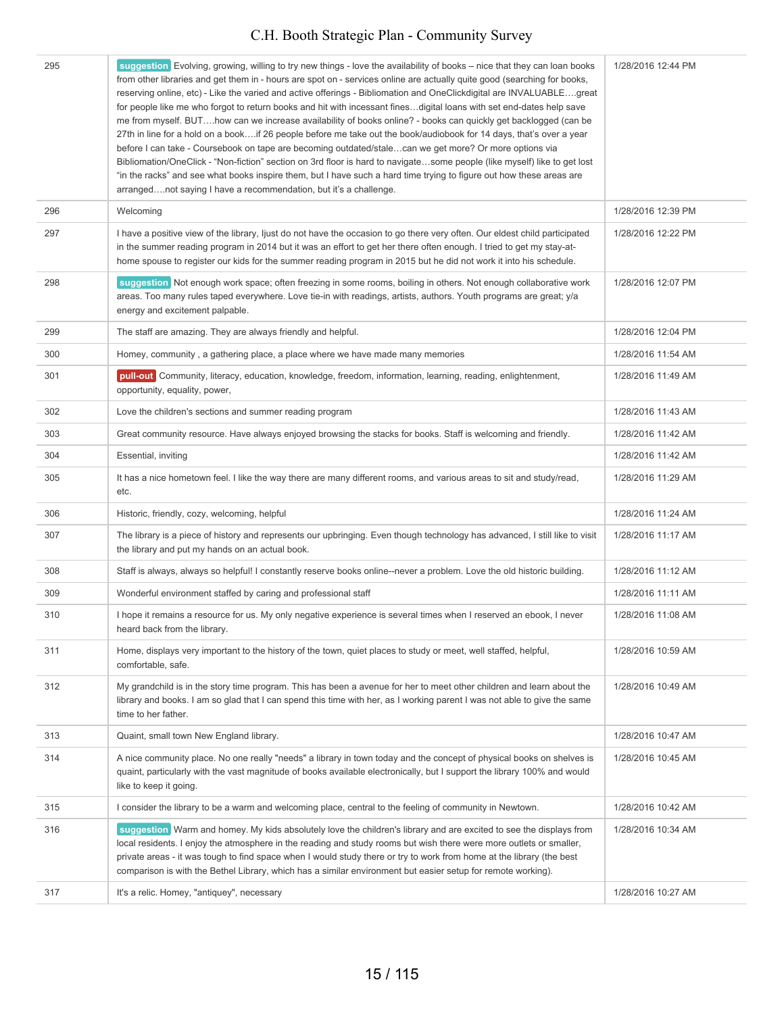| 295 | suggestion Evolving, growing, willing to try new things - love the availability of books – nice that they can loan books<br>from other libraries and get them in - hours are spot on - services online are actually quite good (searching for books,<br>reserving online, etc) - Like the varied and active offerings - Bibliomation and OneClickdigital are INVALUABLEgreat<br>for people like me who forgot to return books and hit with incessant finesdigital loans with set end-dates help save                                                                                                                                                                      | 1/28/2016 12:44 PM |
|-----|---------------------------------------------------------------------------------------------------------------------------------------------------------------------------------------------------------------------------------------------------------------------------------------------------------------------------------------------------------------------------------------------------------------------------------------------------------------------------------------------------------------------------------------------------------------------------------------------------------------------------------------------------------------------------|--------------------|
|     | me from myself. BUThow can we increase availability of books online? - books can quickly get backlogged (can be<br>27th in line for a hold on a bookif 26 people before me take out the book/audiobook for 14 days, that's over a year<br>before I can take - Coursebook on tape are becoming outdated/stalecan we get more? Or more options via<br>Bibliomation/OneClick - "Non-fiction" section on 3rd floor is hard to navigatesome people (like myself) like to get lost<br>"in the racks" and see what books inspire them, but I have such a hard time trying to figure out how these areas are<br>arrangednot saying I have a recommendation, but it's a challenge. |                    |
| 296 | Welcoming                                                                                                                                                                                                                                                                                                                                                                                                                                                                                                                                                                                                                                                                 | 1/28/2016 12:39 PM |
| 297 | I have a positive view of the library, ljust do not have the occasion to go there very often. Our eldest child participated<br>in the summer reading program in 2014 but it was an effort to get her there often enough. I tried to get my stay-at-<br>home spouse to register our kids for the summer reading program in 2015 but he did not work it into his schedule.                                                                                                                                                                                                                                                                                                  | 1/28/2016 12:22 PM |
| 298 | suggestion Not enough work space; often freezing in some rooms, boiling in others. Not enough collaborative work<br>areas. Too many rules taped everywhere. Love tie-in with readings, artists, authors. Youth programs are great; y/a<br>energy and excitement palpable.                                                                                                                                                                                                                                                                                                                                                                                                 | 1/28/2016 12:07 PM |
| 299 | The staff are amazing. They are always friendly and helpful.                                                                                                                                                                                                                                                                                                                                                                                                                                                                                                                                                                                                              | 1/28/2016 12:04 PM |
| 300 | Homey, community, a gathering place, a place where we have made many memories                                                                                                                                                                                                                                                                                                                                                                                                                                                                                                                                                                                             | 1/28/2016 11:54 AM |
| 301 | pull-out Community, literacy, education, knowledge, freedom, information, learning, reading, enlightenment,<br>opportunity, equality, power,                                                                                                                                                                                                                                                                                                                                                                                                                                                                                                                              | 1/28/2016 11:49 AM |
| 302 | Love the children's sections and summer reading program                                                                                                                                                                                                                                                                                                                                                                                                                                                                                                                                                                                                                   | 1/28/2016 11:43 AM |
| 303 | Great community resource. Have always enjoyed browsing the stacks for books. Staff is welcoming and friendly.                                                                                                                                                                                                                                                                                                                                                                                                                                                                                                                                                             | 1/28/2016 11:42 AM |
| 304 | Essential, inviting                                                                                                                                                                                                                                                                                                                                                                                                                                                                                                                                                                                                                                                       | 1/28/2016 11:42 AM |
| 305 | It has a nice hometown feel. I like the way there are many different rooms, and various areas to sit and study/read,<br>etc.                                                                                                                                                                                                                                                                                                                                                                                                                                                                                                                                              | 1/28/2016 11:29 AM |
| 306 | Historic, friendly, cozy, welcoming, helpful                                                                                                                                                                                                                                                                                                                                                                                                                                                                                                                                                                                                                              | 1/28/2016 11:24 AM |
| 307 | The library is a piece of history and represents our upbringing. Even though technology has advanced, I still like to visit<br>the library and put my hands on an actual book.                                                                                                                                                                                                                                                                                                                                                                                                                                                                                            | 1/28/2016 11:17 AM |
| 308 | Staff is always, always so helpful! I constantly reserve books online--never a problem. Love the old historic building.                                                                                                                                                                                                                                                                                                                                                                                                                                                                                                                                                   | 1/28/2016 11:12 AM |
| 309 | Wonderful environment staffed by caring and professional staff                                                                                                                                                                                                                                                                                                                                                                                                                                                                                                                                                                                                            | 1/28/2016 11:11 AM |
| 310 | I hope it remains a resource for us. My only negative experience is several times when I reserved an ebook, I never<br>heard back from the library.                                                                                                                                                                                                                                                                                                                                                                                                                                                                                                                       | 1/28/2016 11:08 AM |
| 311 | Home, displays very important to the history of the town, quiet places to study or meet, well staffed, helpful,<br>comfortable, safe.                                                                                                                                                                                                                                                                                                                                                                                                                                                                                                                                     | 1/28/2016 10:59 AM |
| 312 | My grandchild is in the story time program. This has been a avenue for her to meet other children and learn about the<br>library and books. I am so glad that I can spend this time with her, as I working parent I was not able to give the same<br>time to her father.                                                                                                                                                                                                                                                                                                                                                                                                  | 1/28/2016 10:49 AM |
| 313 | Quaint, small town New England library.                                                                                                                                                                                                                                                                                                                                                                                                                                                                                                                                                                                                                                   | 1/28/2016 10:47 AM |
| 314 | A nice community place. No one really "needs" a library in town today and the concept of physical books on shelves is<br>quaint, particularly with the vast magnitude of books available electronically, but I support the library 100% and would<br>like to keep it going.                                                                                                                                                                                                                                                                                                                                                                                               | 1/28/2016 10:45 AM |
| 315 | I consider the library to be a warm and welcoming place, central to the feeling of community in Newtown.                                                                                                                                                                                                                                                                                                                                                                                                                                                                                                                                                                  | 1/28/2016 10:42 AM |
| 316 | suggestion Warm and homey. My kids absolutely love the children's library and are excited to see the displays from<br>local residents. I enjoy the atmosphere in the reading and study rooms but wish there were more outlets or smaller,<br>private areas - it was tough to find space when I would study there or try to work from home at the library (the best<br>comparison is with the Bethel Library, which has a similar environment but easier setup for remote working).                                                                                                                                                                                        | 1/28/2016 10:34 AM |
| 317 | It's a relic. Homey, "antiquey", necessary                                                                                                                                                                                                                                                                                                                                                                                                                                                                                                                                                                                                                                | 1/28/2016 10:27 AM |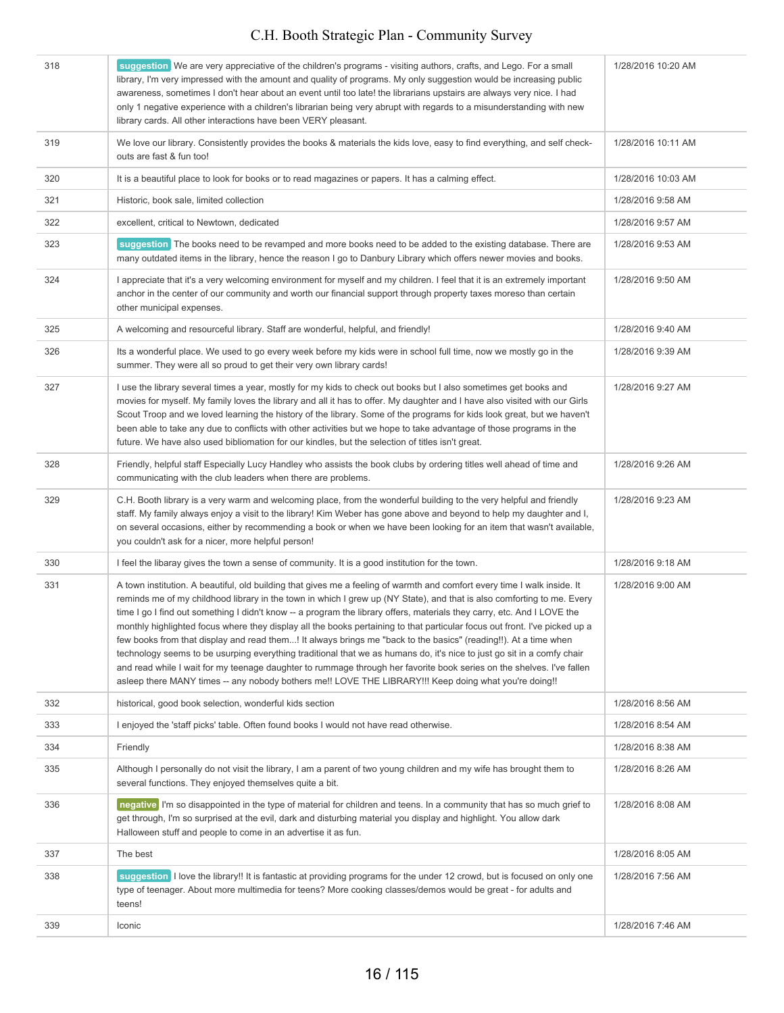| 318 | suggestion We are very appreciative of the children's programs - visiting authors, crafts, and Lego. For a small<br>library, I'm very impressed with the amount and quality of programs. My only suggestion would be increasing public<br>awareness, sometimes I don't hear about an event until too late! the librarians upstairs are always very nice. I had<br>only 1 negative experience with a children's librarian being very abrupt with regards to a misunderstanding with new<br>library cards. All other interactions have been VERY pleasant.                                                                                                                                                                                                                                                                                                                                                                                                                                   | 1/28/2016 10:20 AM |
|-----|--------------------------------------------------------------------------------------------------------------------------------------------------------------------------------------------------------------------------------------------------------------------------------------------------------------------------------------------------------------------------------------------------------------------------------------------------------------------------------------------------------------------------------------------------------------------------------------------------------------------------------------------------------------------------------------------------------------------------------------------------------------------------------------------------------------------------------------------------------------------------------------------------------------------------------------------------------------------------------------------|--------------------|
| 319 | We love our library. Consistently provides the books & materials the kids love, easy to find everything, and self check-<br>outs are fast & fun too!                                                                                                                                                                                                                                                                                                                                                                                                                                                                                                                                                                                                                                                                                                                                                                                                                                       | 1/28/2016 10:11 AM |
| 320 | It is a beautiful place to look for books or to read magazines or papers. It has a calming effect.                                                                                                                                                                                                                                                                                                                                                                                                                                                                                                                                                                                                                                                                                                                                                                                                                                                                                         | 1/28/2016 10:03 AM |
| 321 | Historic, book sale, limited collection                                                                                                                                                                                                                                                                                                                                                                                                                                                                                                                                                                                                                                                                                                                                                                                                                                                                                                                                                    | 1/28/2016 9:58 AM  |
| 322 | excellent, critical to Newtown, dedicated                                                                                                                                                                                                                                                                                                                                                                                                                                                                                                                                                                                                                                                                                                                                                                                                                                                                                                                                                  | 1/28/2016 9:57 AM  |
| 323 | suggestion The books need to be revamped and more books need to be added to the existing database. There are<br>many outdated items in the library, hence the reason I go to Danbury Library which offers newer movies and books.                                                                                                                                                                                                                                                                                                                                                                                                                                                                                                                                                                                                                                                                                                                                                          | 1/28/2016 9:53 AM  |
| 324 | I appreciate that it's a very welcoming environment for myself and my children. I feel that it is an extremely important<br>anchor in the center of our community and worth our financial support through property taxes moreso than certain<br>other municipal expenses.                                                                                                                                                                                                                                                                                                                                                                                                                                                                                                                                                                                                                                                                                                                  | 1/28/2016 9:50 AM  |
| 325 | A welcoming and resourceful library. Staff are wonderful, helpful, and friendly!                                                                                                                                                                                                                                                                                                                                                                                                                                                                                                                                                                                                                                                                                                                                                                                                                                                                                                           | 1/28/2016 9:40 AM  |
| 326 | Its a wonderful place. We used to go every week before my kids were in school full time, now we mostly go in the<br>summer. They were all so proud to get their very own library cards!                                                                                                                                                                                                                                                                                                                                                                                                                                                                                                                                                                                                                                                                                                                                                                                                    | 1/28/2016 9:39 AM  |
| 327 | I use the library several times a year, mostly for my kids to check out books but I also sometimes get books and<br>movies for myself. My family loves the library and all it has to offer. My daughter and I have also visited with our Girls<br>Scout Troop and we loved learning the history of the library. Some of the programs for kids look great, but we haven't<br>been able to take any due to conflicts with other activities but we hope to take advantage of those programs in the<br>future. We have also used bibliomation for our kindles, but the selection of titles isn't great.                                                                                                                                                                                                                                                                                                                                                                                        | 1/28/2016 9:27 AM  |
| 328 | Friendly, helpful staff Especially Lucy Handley who assists the book clubs by ordering titles well ahead of time and<br>communicating with the club leaders when there are problems.                                                                                                                                                                                                                                                                                                                                                                                                                                                                                                                                                                                                                                                                                                                                                                                                       | 1/28/2016 9:26 AM  |
| 329 | C.H. Booth library is a very warm and welcoming place, from the wonderful building to the very helpful and friendly<br>staff. My family always enjoy a visit to the library! Kim Weber has gone above and beyond to help my daughter and I,<br>on several occasions, either by recommending a book or when we have been looking for an item that wasn't available,<br>you couldn't ask for a nicer, more helpful person!                                                                                                                                                                                                                                                                                                                                                                                                                                                                                                                                                                   | 1/28/2016 9:23 AM  |
| 330 | I feel the libaray gives the town a sense of community. It is a good institution for the town.                                                                                                                                                                                                                                                                                                                                                                                                                                                                                                                                                                                                                                                                                                                                                                                                                                                                                             | 1/28/2016 9:18 AM  |
| 331 | A town institution. A beautiful, old building that gives me a feeling of warmth and comfort every time I walk inside. It<br>reminds me of my childhood library in the town in which I grew up (NY State), and that is also comforting to me. Every<br>time I go I find out something I didn't know -- a program the library offers, materials they carry, etc. And I LOVE the<br>monthly highlighted focus where they display all the books pertaining to that particular focus out front. I've picked up a<br>few books from that display and read them! It always brings me "back to the basics" (reading!!). At a time when<br>technology seems to be usurping everything traditional that we as humans do, it's nice to just go sit in a comfy chair<br>and read while I wait for my teenage daughter to rummage through her favorite book series on the shelves. I've fallen<br>asleep there MANY times -- any nobody bothers me!! LOVE THE LIBRARY!!! Keep doing what you're doing!! | 1/28/2016 9:00 AM  |
| 332 | historical, good book selection, wonderful kids section                                                                                                                                                                                                                                                                                                                                                                                                                                                                                                                                                                                                                                                                                                                                                                                                                                                                                                                                    | 1/28/2016 8:56 AM  |
| 333 | I enjoyed the 'staff picks' table. Often found books I would not have read otherwise.                                                                                                                                                                                                                                                                                                                                                                                                                                                                                                                                                                                                                                                                                                                                                                                                                                                                                                      | 1/28/2016 8:54 AM  |
| 334 | Friendly                                                                                                                                                                                                                                                                                                                                                                                                                                                                                                                                                                                                                                                                                                                                                                                                                                                                                                                                                                                   | 1/28/2016 8:38 AM  |
| 335 | Although I personally do not visit the library, I am a parent of two young children and my wife has brought them to<br>several functions. They enjoyed themselves quite a bit.                                                                                                                                                                                                                                                                                                                                                                                                                                                                                                                                                                                                                                                                                                                                                                                                             | 1/28/2016 8:26 AM  |
| 336 | negative I'm so disappointed in the type of material for children and teens. In a community that has so much grief to<br>get through, I'm so surprised at the evil, dark and disturbing material you display and highlight. You allow dark<br>Halloween stuff and people to come in an advertise it as fun.                                                                                                                                                                                                                                                                                                                                                                                                                                                                                                                                                                                                                                                                                | 1/28/2016 8:08 AM  |
| 337 | The best                                                                                                                                                                                                                                                                                                                                                                                                                                                                                                                                                                                                                                                                                                                                                                                                                                                                                                                                                                                   | 1/28/2016 8:05 AM  |
| 338 | suggestion I love the library!! It is fantastic at providing programs for the under 12 crowd, but is focused on only one<br>type of teenager. About more multimedia for teens? More cooking classes/demos would be great - for adults and<br>teens!                                                                                                                                                                                                                                                                                                                                                                                                                                                                                                                                                                                                                                                                                                                                        | 1/28/2016 7:56 AM  |
| 339 | Iconic                                                                                                                                                                                                                                                                                                                                                                                                                                                                                                                                                                                                                                                                                                                                                                                                                                                                                                                                                                                     | 1/28/2016 7:46 AM  |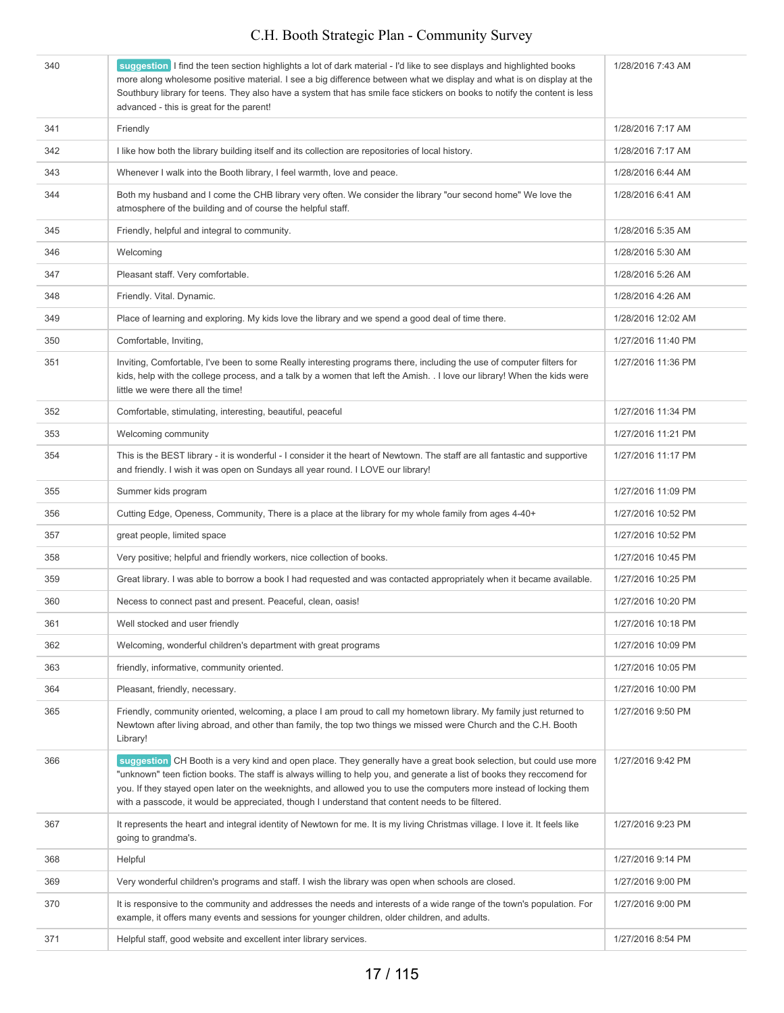| 340 | suggestion I find the teen section highlights a lot of dark material - I'd like to see displays and highlighted books<br>more along wholesome positive material. I see a big difference between what we display and what is on display at the<br>Southbury library for teens. They also have a system that has smile face stickers on books to notify the content is less<br>advanced - this is great for the parent!                                                  | 1/28/2016 7:43 AM  |
|-----|------------------------------------------------------------------------------------------------------------------------------------------------------------------------------------------------------------------------------------------------------------------------------------------------------------------------------------------------------------------------------------------------------------------------------------------------------------------------|--------------------|
| 341 | Friendly                                                                                                                                                                                                                                                                                                                                                                                                                                                               | 1/28/2016 7:17 AM  |
| 342 | I like how both the library building itself and its collection are repositories of local history.                                                                                                                                                                                                                                                                                                                                                                      | 1/28/2016 7:17 AM  |
| 343 | Whenever I walk into the Booth library, I feel warmth, love and peace.                                                                                                                                                                                                                                                                                                                                                                                                 | 1/28/2016 6:44 AM  |
| 344 | Both my husband and I come the CHB library very often. We consider the library "our second home" We love the<br>atmosphere of the building and of course the helpful staff.                                                                                                                                                                                                                                                                                            | 1/28/2016 6:41 AM  |
| 345 | Friendly, helpful and integral to community.                                                                                                                                                                                                                                                                                                                                                                                                                           | 1/28/2016 5:35 AM  |
| 346 | Welcoming                                                                                                                                                                                                                                                                                                                                                                                                                                                              | 1/28/2016 5:30 AM  |
| 347 | Pleasant staff. Very comfortable.                                                                                                                                                                                                                                                                                                                                                                                                                                      | 1/28/2016 5:26 AM  |
| 348 | Friendly. Vital. Dynamic.                                                                                                                                                                                                                                                                                                                                                                                                                                              | 1/28/2016 4:26 AM  |
| 349 | Place of learning and exploring. My kids love the library and we spend a good deal of time there.                                                                                                                                                                                                                                                                                                                                                                      | 1/28/2016 12:02 AM |
| 350 | Comfortable, Inviting,                                                                                                                                                                                                                                                                                                                                                                                                                                                 | 1/27/2016 11:40 PM |
| 351 | Inviting, Comfortable, I've been to some Really interesting programs there, including the use of computer filters for<br>kids, help with the college process, and a talk by a women that left the Amish. . I love our library! When the kids were<br>little we were there all the time!                                                                                                                                                                                | 1/27/2016 11:36 PM |
| 352 | Comfortable, stimulating, interesting, beautiful, peaceful                                                                                                                                                                                                                                                                                                                                                                                                             | 1/27/2016 11:34 PM |
| 353 | Welcoming community                                                                                                                                                                                                                                                                                                                                                                                                                                                    | 1/27/2016 11:21 PM |
| 354 | This is the BEST library - it is wonderful - I consider it the heart of Newtown. The staff are all fantastic and supportive<br>and friendly. I wish it was open on Sundays all year round. I LOVE our library!                                                                                                                                                                                                                                                         | 1/27/2016 11:17 PM |
| 355 | Summer kids program                                                                                                                                                                                                                                                                                                                                                                                                                                                    | 1/27/2016 11:09 PM |
| 356 | Cutting Edge, Openess, Community, There is a place at the library for my whole family from ages 4-40+                                                                                                                                                                                                                                                                                                                                                                  | 1/27/2016 10:52 PM |
| 357 | great people, limited space                                                                                                                                                                                                                                                                                                                                                                                                                                            | 1/27/2016 10:52 PM |
| 358 | Very positive; helpful and friendly workers, nice collection of books.                                                                                                                                                                                                                                                                                                                                                                                                 | 1/27/2016 10:45 PM |
| 359 | Great library. I was able to borrow a book I had requested and was contacted appropriately when it became available.                                                                                                                                                                                                                                                                                                                                                   | 1/27/2016 10:25 PM |
| 360 | Necess to connect past and present. Peaceful, clean, oasis!                                                                                                                                                                                                                                                                                                                                                                                                            | 1/27/2016 10:20 PM |
| 361 | Well stocked and user friendly                                                                                                                                                                                                                                                                                                                                                                                                                                         | 1/27/2016 10:18 PM |
| 362 | Welcoming, wonderful children's department with great programs                                                                                                                                                                                                                                                                                                                                                                                                         | 1/27/2016 10:09 PM |
| 363 | friendly, informative, community oriented.                                                                                                                                                                                                                                                                                                                                                                                                                             | 1/27/2016 10:05 PM |
| 364 | Pleasant, friendly, necessary.                                                                                                                                                                                                                                                                                                                                                                                                                                         | 1/27/2016 10:00 PM |
| 365 | Friendly, community oriented, welcoming, a place I am proud to call my hometown library. My family just returned to<br>Newtown after living abroad, and other than family, the top two things we missed were Church and the C.H. Booth<br>Library!                                                                                                                                                                                                                     | 1/27/2016 9:50 PM  |
| 366 | suggestion CH Booth is a very kind and open place. They generally have a great book selection, but could use more<br>"unknown" teen fiction books. The staff is always willing to help you, and generate a list of books they reccomend for<br>you. If they stayed open later on the weeknights, and allowed you to use the computers more instead of locking them<br>with a passcode, it would be appreciated, though I understand that content needs to be filtered. | 1/27/2016 9:42 PM  |
| 367 | It represents the heart and integral identity of Newtown for me. It is my living Christmas village. I love it. It feels like<br>going to grandma's.                                                                                                                                                                                                                                                                                                                    | 1/27/2016 9:23 PM  |
| 368 | Helpful                                                                                                                                                                                                                                                                                                                                                                                                                                                                | 1/27/2016 9:14 PM  |
| 369 | Very wonderful children's programs and staff. I wish the library was open when schools are closed.                                                                                                                                                                                                                                                                                                                                                                     | 1/27/2016 9:00 PM  |
| 370 | It is responsive to the community and addresses the needs and interests of a wide range of the town's population. For<br>example, it offers many events and sessions for younger children, older children, and adults.                                                                                                                                                                                                                                                 | 1/27/2016 9:00 PM  |
| 371 | Helpful staff, good website and excellent inter library services.                                                                                                                                                                                                                                                                                                                                                                                                      | 1/27/2016 8:54 PM  |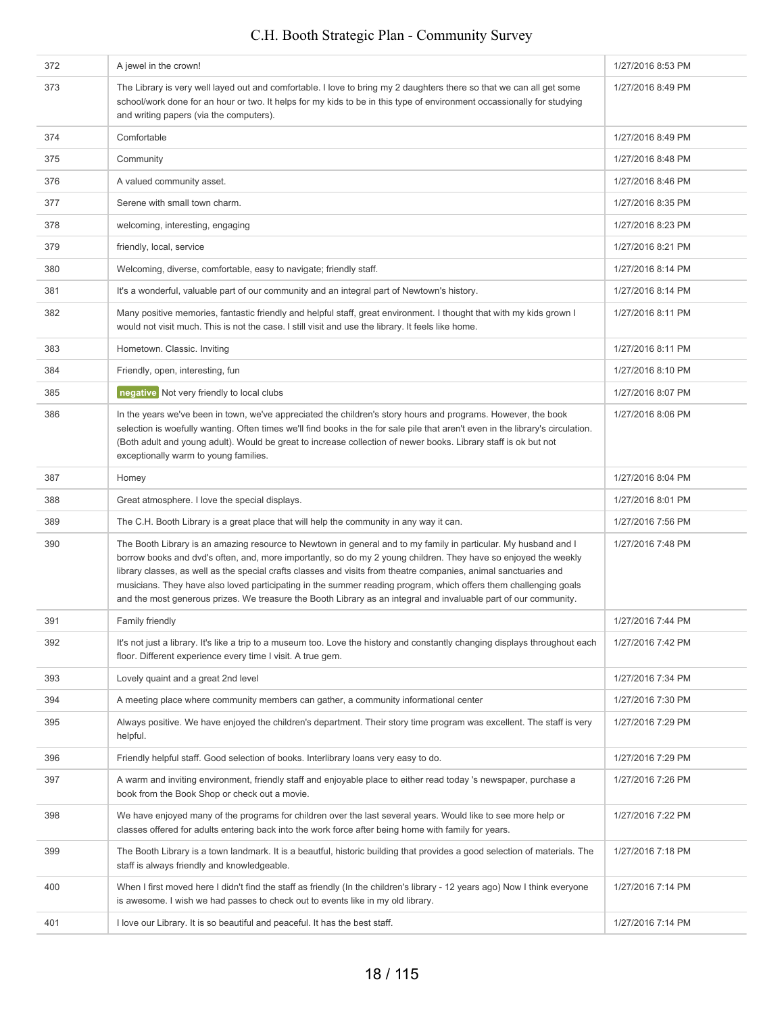#### 372 A jewel in the crown! 1/27/2016 8:53 PM 373 The Library is very well layed out and comfortable. I love to bring my 2 daughters there so that we can all get some school/work done for an hour or two. It helps for my kids to be in this type of environment occassionally for studying and writing papers (via the computers). 1/27/2016 8:49 PM 374 Comfortable 1/27/2016 8:49 PM 375 Community 1/27/2016 8:48 PM 376 A valued community asset. A valued community asset. 377 Serene with small town charm. 1/27/2016 8:35 PM 378 welcoming, interesting, engaging 1/27/2016 8:23 PM 379 friendly, local, service the control of the control of the control of the control of the control of the control of the control of the control of the control of the control of the control of the control of the control o 380 Welcoming, diverse, comfortable, easy to navigate; friendly staff. 1/27/2016 8:14 PM 127/2016 8:14 PM It's a wonderful, valuable part of our community and an integral part of Newtown's history. 382 Many positive memories, fantastic friendly and helpful staff, great environment. I thought that with my kids grown I would not visit much. This is not the case. I still visit and use the library. It feels like home. 1/27/2016 8:11 PM 383 Hometown. Classic. Inviting 1/27/2016 8:11 PM 384 Friendly, open, interesting, function of the state of the state of the state of the state of the state of the state of the state of the state of the state of the state of the state of the state of the state of the stat **1/27/2016 8:07 PM negative** Not very friendly to local clubs 1/27/2016 8:07 PM 386 In the years we've been in town, we've appreciated the children's story hours and programs. However, the book selection is woefully wanting. Often times we'll find books in the for sale pile that aren't even in the library's circulation. (Both adult and young adult). Would be great to increase collection of newer books. Library staff is ok but not exceptionally warm to young families. 1/27/2016 8:06 PM 387 Homey 1/27/2016 8:04 PM 388 Great atmosphere. I love the special displays. 1/27/2016 8:01 PM 389 The C.H. Booth Library is a great place that will help the community in any way it can. 1/27/2016 7:56 PM 390 The Booth Library is an amazing resource to Newtown in general and to my family in particular. My husband and I borrow books and dvd's often, and, more importantly, so do my 2 young children. They have so enjoyed the weekly library classes, as well as the special crafts classes and visits from theatre companies, animal sanctuaries and musicians. They have also loved participating in the summer reading program, which offers them challenging goals and the most generous prizes. We treasure the Booth Library as an integral and invaluable part of our community. 1/27/2016 7:48 PM 391 Family friendly 1/27/2016 7:44 PM 392 It's not just a library. It's like a trip to a museum too. Love the history and constantly changing displays throughout each floor. Different experience every time I visit. A true gem. 1/27/2016 7:42 PM 393 Lovely quaint and a great 2nd level 1/27/2016 7:34 PM and the state of the state 1/27/2016 7:34 PM 394 A meeting place where community members can gather, a community informational center 1/27/2016 7:30 PM 395 Always positive. We have enjoyed the children's department. Their story time program was excellent. The staff is very helpful. 1/27/2016 7:29 PM 396 Friendly helpful staff. Good selection of books. Interlibrary loans very easy to do. 1/27/2016 7:29 PM 397 A warm and inviting environment, friendly staff and enjoyable place to either read today 's newspaper, purchase a book from the Book Shop or check out a movie. 1/27/2016 7:26 PM 398 We have enjoyed many of the programs for children over the last several years. Would like to see more help or classes offered for adults entering back into the work force after being home with family for years. 1/27/2016 7:22 PM 399 The Booth Library is a town landmark. It is a beautful, historic building that provides a good selection of materials. The staff is always friendly and knowledgeable. 1/27/2016 7:18 PM 400 When I first moved here I didn't find the staff as friendly (In the children's library - 12 years ago) Now I think everyone is awesome. I wish we had passes to check out to events like in my old library. 1/27/2016 7:14 PM 401 I love our Library. It is so beautiful and peaceful. It has the best staff.  $\blacksquare$  1/27/2016 7:14 PM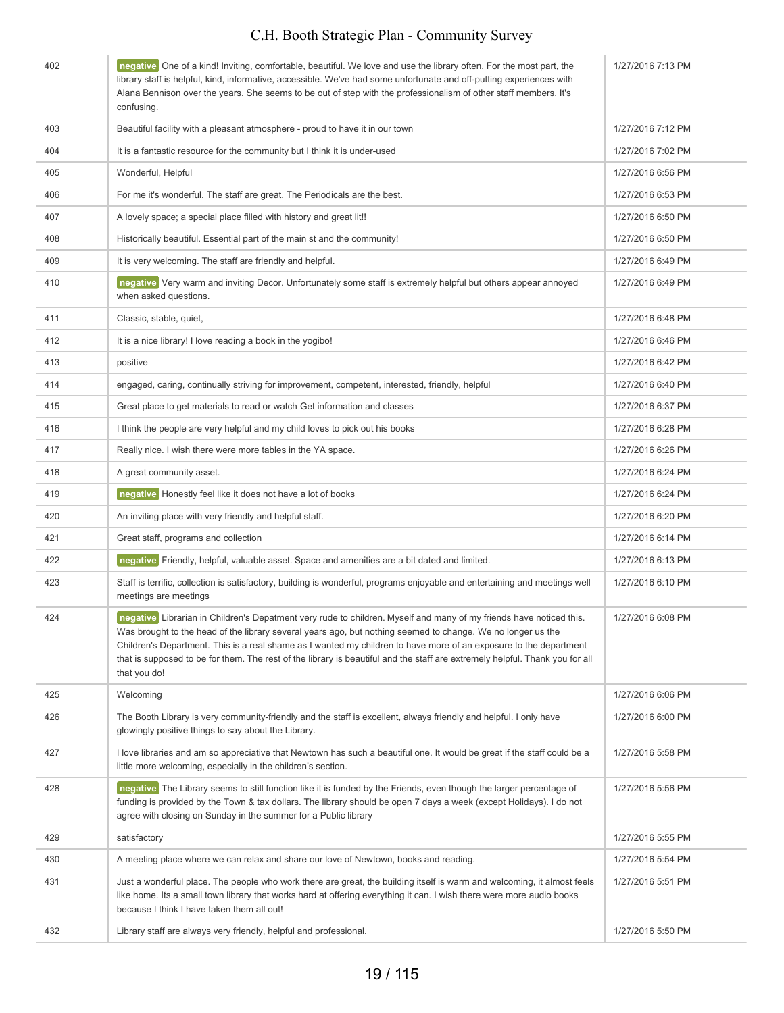| 402 | negative One of a kind! Inviting, comfortable, beautiful. We love and use the library often. For the most part, the<br>library staff is helpful, kind, informative, accessible. We've had some unfortunate and off-putting experiences with<br>Alana Bennison over the years. She seems to be out of step with the professionalism of other staff members. It's<br>confusing.                                                                                                                          | 1/27/2016 7:13 PM |
|-----|--------------------------------------------------------------------------------------------------------------------------------------------------------------------------------------------------------------------------------------------------------------------------------------------------------------------------------------------------------------------------------------------------------------------------------------------------------------------------------------------------------|-------------------|
| 403 | Beautiful facility with a pleasant atmosphere - proud to have it in our town                                                                                                                                                                                                                                                                                                                                                                                                                           | 1/27/2016 7:12 PM |
| 404 | It is a fantastic resource for the community but I think it is under-used                                                                                                                                                                                                                                                                                                                                                                                                                              | 1/27/2016 7:02 PM |
| 405 | Wonderful, Helpful                                                                                                                                                                                                                                                                                                                                                                                                                                                                                     | 1/27/2016 6:56 PM |
| 406 | For me it's wonderful. The staff are great. The Periodicals are the best.                                                                                                                                                                                                                                                                                                                                                                                                                              | 1/27/2016 6:53 PM |
| 407 | A lovely space; a special place filled with history and great lit!!                                                                                                                                                                                                                                                                                                                                                                                                                                    | 1/27/2016 6:50 PM |
| 408 | Historically beautiful. Essential part of the main st and the community!                                                                                                                                                                                                                                                                                                                                                                                                                               | 1/27/2016 6:50 PM |
| 409 | It is very welcoming. The staff are friendly and helpful.                                                                                                                                                                                                                                                                                                                                                                                                                                              | 1/27/2016 6:49 PM |
| 410 | negative Very warm and inviting Decor. Unfortunately some staff is extremely helpful but others appear annoyed<br>when asked questions.                                                                                                                                                                                                                                                                                                                                                                | 1/27/2016 6:49 PM |
| 411 | Classic, stable, quiet,                                                                                                                                                                                                                                                                                                                                                                                                                                                                                | 1/27/2016 6:48 PM |
| 412 | It is a nice library! I love reading a book in the yogibo!                                                                                                                                                                                                                                                                                                                                                                                                                                             | 1/27/2016 6:46 PM |
| 413 | positive                                                                                                                                                                                                                                                                                                                                                                                                                                                                                               | 1/27/2016 6:42 PM |
| 414 | engaged, caring, continually striving for improvement, competent, interested, friendly, helpful                                                                                                                                                                                                                                                                                                                                                                                                        | 1/27/2016 6:40 PM |
| 415 | Great place to get materials to read or watch Get information and classes                                                                                                                                                                                                                                                                                                                                                                                                                              | 1/27/2016 6:37 PM |
| 416 | I think the people are very helpful and my child loves to pick out his books                                                                                                                                                                                                                                                                                                                                                                                                                           | 1/27/2016 6:28 PM |
| 417 | Really nice. I wish there were more tables in the YA space.                                                                                                                                                                                                                                                                                                                                                                                                                                            | 1/27/2016 6:26 PM |
| 418 | A great community asset.                                                                                                                                                                                                                                                                                                                                                                                                                                                                               | 1/27/2016 6:24 PM |
| 419 | negative Honestly feel like it does not have a lot of books                                                                                                                                                                                                                                                                                                                                                                                                                                            | 1/27/2016 6:24 PM |
| 420 | An inviting place with very friendly and helpful staff.                                                                                                                                                                                                                                                                                                                                                                                                                                                | 1/27/2016 6:20 PM |
| 421 | Great staff, programs and collection                                                                                                                                                                                                                                                                                                                                                                                                                                                                   | 1/27/2016 6:14 PM |
| 422 | negative Friendly, helpful, valuable asset. Space and amenities are a bit dated and limited.                                                                                                                                                                                                                                                                                                                                                                                                           | 1/27/2016 6:13 PM |
| 423 | Staff is terrific, collection is satisfactory, building is wonderful, programs enjoyable and entertaining and meetings well<br>meetings are meetings                                                                                                                                                                                                                                                                                                                                                   | 1/27/2016 6:10 PM |
| 424 | negative Librarian in Children's Depatment very rude to children. Myself and many of my friends have noticed this.<br>Was brought to the head of the library several years ago, but nothing seemed to change. We no longer us the<br>Children's Department. This is a real shame as I wanted my children to have more of an exposure to the department<br>that is supposed to be for them. The rest of the library is beautiful and the staff are extremely helpful. Thank you for all<br>that you do! | 1/27/2016 6:08 PM |
| 425 | Welcoming                                                                                                                                                                                                                                                                                                                                                                                                                                                                                              | 1/27/2016 6:06 PM |
| 426 | The Booth Library is very community-friendly and the staff is excellent, always friendly and helpful. I only have<br>glowingly positive things to say about the Library.                                                                                                                                                                                                                                                                                                                               | 1/27/2016 6:00 PM |
| 427 | I love libraries and am so appreciative that Newtown has such a beautiful one. It would be great if the staff could be a<br>little more welcoming, especially in the children's section.                                                                                                                                                                                                                                                                                                               | 1/27/2016 5:58 PM |
| 428 | negative The Library seems to still function like it is funded by the Friends, even though the larger percentage of<br>funding is provided by the Town & tax dollars. The library should be open 7 days a week (except Holidays). I do not<br>agree with closing on Sunday in the summer for a Public library                                                                                                                                                                                          | 1/27/2016 5:56 PM |
| 429 | satisfactory                                                                                                                                                                                                                                                                                                                                                                                                                                                                                           | 1/27/2016 5:55 PM |
| 430 | A meeting place where we can relax and share our love of Newtown, books and reading.                                                                                                                                                                                                                                                                                                                                                                                                                   | 1/27/2016 5:54 PM |
| 431 | Just a wonderful place. The people who work there are great, the building itself is warm and welcoming, it almost feels<br>like home. Its a small town library that works hard at offering everything it can. I wish there were more audio books<br>because I think I have taken them all out!                                                                                                                                                                                                         | 1/27/2016 5:51 PM |
| 432 | Library staff are always very friendly, helpful and professional.                                                                                                                                                                                                                                                                                                                                                                                                                                      | 1/27/2016 5:50 PM |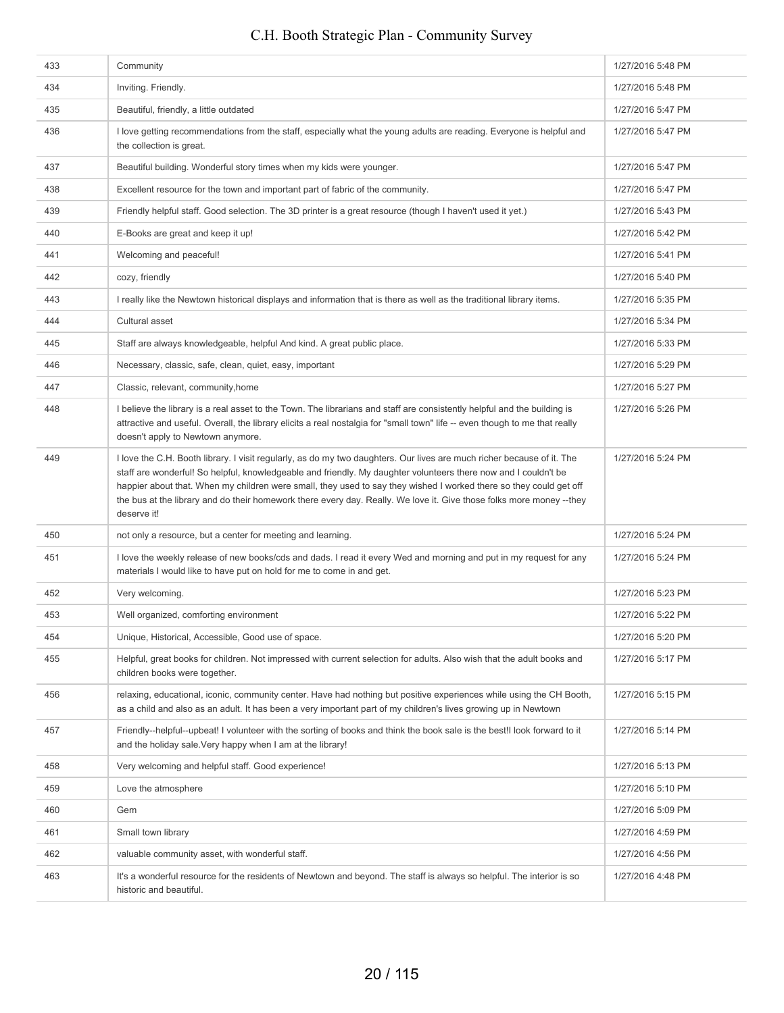# 433 Community **Community** 1/27/2016 5:48 PM C.H. Booth Strategic Plan - Community Survey

| 434 | Inviting. Friendly.                                                                                                                                                                                                                                                                                                                                                                                                                                                                                    | 1/27/2016 5:48 PM |
|-----|--------------------------------------------------------------------------------------------------------------------------------------------------------------------------------------------------------------------------------------------------------------------------------------------------------------------------------------------------------------------------------------------------------------------------------------------------------------------------------------------------------|-------------------|
| 435 | Beautiful, friendly, a little outdated                                                                                                                                                                                                                                                                                                                                                                                                                                                                 | 1/27/2016 5:47 PM |
| 436 | I love getting recommendations from the staff, especially what the young adults are reading. Everyone is helpful and<br>the collection is great.                                                                                                                                                                                                                                                                                                                                                       | 1/27/2016 5:47 PM |
| 437 | Beautiful building. Wonderful story times when my kids were younger.                                                                                                                                                                                                                                                                                                                                                                                                                                   | 1/27/2016 5:47 PM |
| 438 | Excellent resource for the town and important part of fabric of the community.                                                                                                                                                                                                                                                                                                                                                                                                                         | 1/27/2016 5:47 PM |
| 439 | Friendly helpful staff. Good selection. The 3D printer is a great resource (though I haven't used it yet.)                                                                                                                                                                                                                                                                                                                                                                                             | 1/27/2016 5:43 PM |
| 440 | E-Books are great and keep it up!                                                                                                                                                                                                                                                                                                                                                                                                                                                                      | 1/27/2016 5:42 PM |
| 441 | Welcoming and peaceful!                                                                                                                                                                                                                                                                                                                                                                                                                                                                                | 1/27/2016 5:41 PM |
| 442 | cozy, friendly                                                                                                                                                                                                                                                                                                                                                                                                                                                                                         | 1/27/2016 5:40 PM |
| 443 | I really like the Newtown historical displays and information that is there as well as the traditional library items.                                                                                                                                                                                                                                                                                                                                                                                  | 1/27/2016 5:35 PM |
| 444 | Cultural asset                                                                                                                                                                                                                                                                                                                                                                                                                                                                                         | 1/27/2016 5:34 PM |
| 445 | Staff are always knowledgeable, helpful And kind. A great public place.                                                                                                                                                                                                                                                                                                                                                                                                                                | 1/27/2016 5:33 PM |
| 446 | Necessary, classic, safe, clean, quiet, easy, important                                                                                                                                                                                                                                                                                                                                                                                                                                                | 1/27/2016 5:29 PM |
| 447 | Classic, relevant, community, home                                                                                                                                                                                                                                                                                                                                                                                                                                                                     | 1/27/2016 5:27 PM |
| 448 | I believe the library is a real asset to the Town. The librarians and staff are consistently helpful and the building is<br>attractive and useful. Overall, the library elicits a real nostalgia for "small town" life -- even though to me that really<br>doesn't apply to Newtown anymore.                                                                                                                                                                                                           | 1/27/2016 5:26 PM |
| 449 | I love the C.H. Booth library. I visit regularly, as do my two daughters. Our lives are much richer because of it. The<br>staff are wonderful! So helpful, knowledgeable and friendly. My daughter volunteers there now and I couldn't be<br>happier about that. When my children were small, they used to say they wished I worked there so they could get off<br>the bus at the library and do their homework there every day. Really. We love it. Give those folks more money --they<br>deserve it! | 1/27/2016 5:24 PM |
| 450 | not only a resource, but a center for meeting and learning.                                                                                                                                                                                                                                                                                                                                                                                                                                            | 1/27/2016 5:24 PM |
| 451 | I love the weekly release of new books/cds and dads. I read it every Wed and morning and put in my request for any<br>materials I would like to have put on hold for me to come in and get.                                                                                                                                                                                                                                                                                                            | 1/27/2016 5:24 PM |
| 452 | Very welcoming.                                                                                                                                                                                                                                                                                                                                                                                                                                                                                        | 1/27/2016 5:23 PM |
| 453 | Well organized, comforting environment                                                                                                                                                                                                                                                                                                                                                                                                                                                                 | 1/27/2016 5:22 PM |
| 454 | Unique, Historical, Accessible, Good use of space.                                                                                                                                                                                                                                                                                                                                                                                                                                                     | 1/27/2016 5:20 PM |
| 455 | Helpful, great books for children. Not impressed with current selection for adults. Also wish that the adult books and<br>children books were together.                                                                                                                                                                                                                                                                                                                                                | 1/27/2016 5:17 PM |
| 456 | relaxing, educational, iconic, community center. Have had nothing but positive experiences while using the CH Booth,<br>as a child and also as an adult. It has been a very important part of my children's lives growing up in Newtown                                                                                                                                                                                                                                                                | 1/27/2016 5:15 PM |
| 457 | Friendly--helpful--upbeat! I volunteer with the sorting of books and think the book sale is the best!I look forward to it<br>and the holiday sale. Very happy when I am at the library!                                                                                                                                                                                                                                                                                                                | 1/27/2016 5:14 PM |
| 458 | Very welcoming and helpful staff. Good experience!                                                                                                                                                                                                                                                                                                                                                                                                                                                     | 1/27/2016 5:13 PM |
| 459 | Love the atmosphere                                                                                                                                                                                                                                                                                                                                                                                                                                                                                    | 1/27/2016 5:10 PM |
| 460 | Gem                                                                                                                                                                                                                                                                                                                                                                                                                                                                                                    | 1/27/2016 5:09 PM |
| 461 | Small town library                                                                                                                                                                                                                                                                                                                                                                                                                                                                                     | 1/27/2016 4:59 PM |
| 462 | valuable community asset, with wonderful staff.                                                                                                                                                                                                                                                                                                                                                                                                                                                        | 1/27/2016 4:56 PM |
| 463 | It's a wonderful resource for the residents of Newtown and beyond. The staff is always so helpful. The interior is so<br>historic and beautiful.                                                                                                                                                                                                                                                                                                                                                       | 1/27/2016 4:48 PM |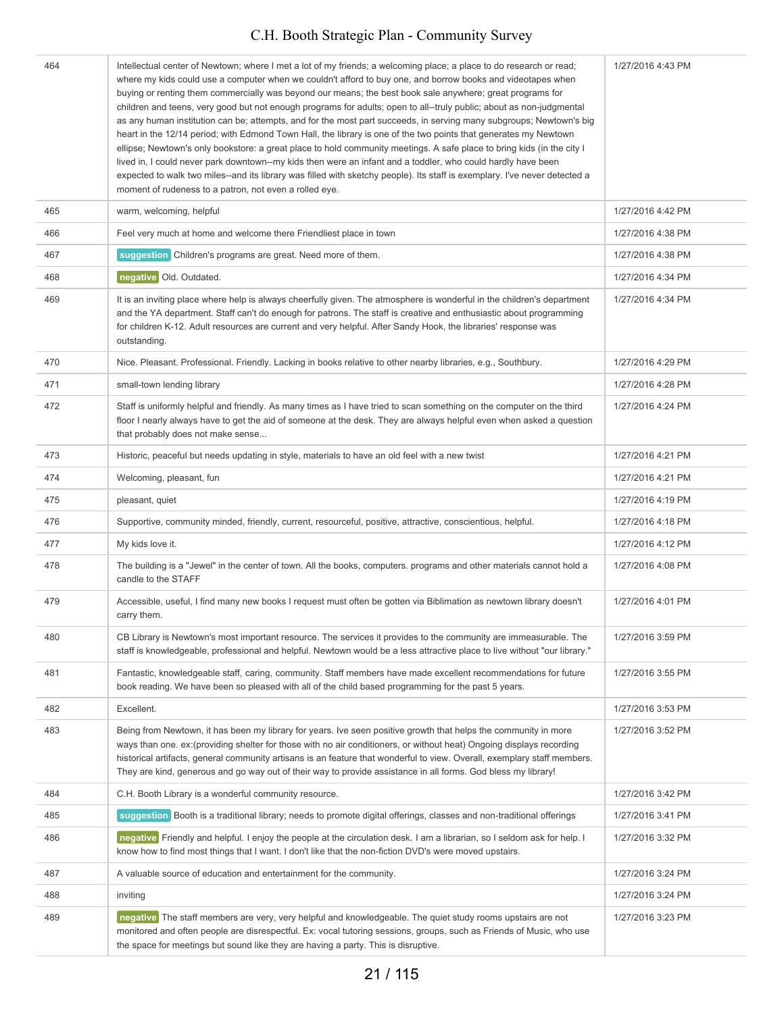| 464 | Intellectual center of Newtown; where I met a lot of my friends; a welcoming place; a place to do research or read;<br>where my kids could use a computer when we couldn't afford to buy one, and borrow books and videotapes when<br>buying or renting them commercially was beyond our means; the best book sale anywhere; great programs for<br>children and teens, very good but not enough programs for adults; open to all--truly public; about as non-judgmental<br>as any human institution can be; attempts, and for the most part succeeds, in serving many subgroups; Newtown's big<br>heart in the 12/14 period; with Edmond Town Hall, the library is one of the two points that generates my Newtown<br>ellipse; Newtown's only bookstore: a great place to hold community meetings. A safe place to bring kids (in the city I<br>lived in, I could never park downtown--my kids then were an infant and a toddler, who could hardly have been<br>expected to walk two miles--and its library was filled with sketchy people). Its staff is exemplary. I've never detected a<br>moment of rudeness to a patron, not even a rolled eye. | 1/27/2016 4:43 PM |
|-----|------------------------------------------------------------------------------------------------------------------------------------------------------------------------------------------------------------------------------------------------------------------------------------------------------------------------------------------------------------------------------------------------------------------------------------------------------------------------------------------------------------------------------------------------------------------------------------------------------------------------------------------------------------------------------------------------------------------------------------------------------------------------------------------------------------------------------------------------------------------------------------------------------------------------------------------------------------------------------------------------------------------------------------------------------------------------------------------------------------------------------------------------------|-------------------|
| 465 | warm, welcoming, helpful                                                                                                                                                                                                                                                                                                                                                                                                                                                                                                                                                                                                                                                                                                                                                                                                                                                                                                                                                                                                                                                                                                                             | 1/27/2016 4:42 PM |
| 466 | Feel very much at home and welcome there Friendliest place in town                                                                                                                                                                                                                                                                                                                                                                                                                                                                                                                                                                                                                                                                                                                                                                                                                                                                                                                                                                                                                                                                                   | 1/27/2016 4:38 PM |
| 467 | suggestion Children's programs are great. Need more of them.                                                                                                                                                                                                                                                                                                                                                                                                                                                                                                                                                                                                                                                                                                                                                                                                                                                                                                                                                                                                                                                                                         | 1/27/2016 4:38 PM |
| 468 | negative Old. Outdated.                                                                                                                                                                                                                                                                                                                                                                                                                                                                                                                                                                                                                                                                                                                                                                                                                                                                                                                                                                                                                                                                                                                              | 1/27/2016 4:34 PM |
| 469 | It is an inviting place where help is always cheerfully given. The atmosphere is wonderful in the children's department<br>and the YA department. Staff can't do enough for patrons. The staff is creative and enthusiastic about programming<br>for children K-12. Adult resources are current and very helpful. After Sandy Hook, the libraries' response was<br>outstanding.                                                                                                                                                                                                                                                                                                                                                                                                                                                                                                                                                                                                                                                                                                                                                                      | 1/27/2016 4:34 PM |
| 470 | Nice. Pleasant. Professional. Friendly. Lacking in books relative to other nearby libraries, e.g., Southbury.                                                                                                                                                                                                                                                                                                                                                                                                                                                                                                                                                                                                                                                                                                                                                                                                                                                                                                                                                                                                                                        | 1/27/2016 4:29 PM |
| 471 | small-town lending library                                                                                                                                                                                                                                                                                                                                                                                                                                                                                                                                                                                                                                                                                                                                                                                                                                                                                                                                                                                                                                                                                                                           | 1/27/2016 4:28 PM |
| 472 | Staff is uniformly helpful and friendly. As many times as I have tried to scan something on the computer on the third<br>floor I nearly always have to get the aid of someone at the desk. They are always helpful even when asked a question<br>that probably does not make sense                                                                                                                                                                                                                                                                                                                                                                                                                                                                                                                                                                                                                                                                                                                                                                                                                                                                   | 1/27/2016 4:24 PM |
| 473 | Historic, peaceful but needs updating in style, materials to have an old feel with a new twist                                                                                                                                                                                                                                                                                                                                                                                                                                                                                                                                                                                                                                                                                                                                                                                                                                                                                                                                                                                                                                                       | 1/27/2016 4:21 PM |
| 474 | Welcoming, pleasant, fun                                                                                                                                                                                                                                                                                                                                                                                                                                                                                                                                                                                                                                                                                                                                                                                                                                                                                                                                                                                                                                                                                                                             | 1/27/2016 4:21 PM |
| 475 | pleasant, quiet                                                                                                                                                                                                                                                                                                                                                                                                                                                                                                                                                                                                                                                                                                                                                                                                                                                                                                                                                                                                                                                                                                                                      | 1/27/2016 4:19 PM |
| 476 | Supportive, community minded, friendly, current, resourceful, positive, attractive, conscientious, helpful.                                                                                                                                                                                                                                                                                                                                                                                                                                                                                                                                                                                                                                                                                                                                                                                                                                                                                                                                                                                                                                          | 1/27/2016 4:18 PM |
| 477 | My kids love it.                                                                                                                                                                                                                                                                                                                                                                                                                                                                                                                                                                                                                                                                                                                                                                                                                                                                                                                                                                                                                                                                                                                                     | 1/27/2016 4:12 PM |
| 478 | The building is a "Jewel" in the center of town. All the books, computers. programs and other materials cannot hold a<br>candle to the STAFF                                                                                                                                                                                                                                                                                                                                                                                                                                                                                                                                                                                                                                                                                                                                                                                                                                                                                                                                                                                                         | 1/27/2016 4:08 PM |
| 479 | Accessible, useful, I find many new books I request must often be gotten via Biblimation as newtown library doesn't<br>carry them.                                                                                                                                                                                                                                                                                                                                                                                                                                                                                                                                                                                                                                                                                                                                                                                                                                                                                                                                                                                                                   | 1/27/2016 4:01 PM |
| 480 | CB Library is Newtown's most important resource. The services it provides to the community are immeasurable. The<br>staff is knowledgeable, professional and helpful. Newtown would be a less attractive place to live without "our library."                                                                                                                                                                                                                                                                                                                                                                                                                                                                                                                                                                                                                                                                                                                                                                                                                                                                                                        | 1/27/2016 3:59 PM |
| 481 | Fantastic, knowledgeable staff, caring, community. Staff members have made excellent recommendations for future<br>book reading. We have been so pleased with all of the child based programming for the past 5 years.                                                                                                                                                                                                                                                                                                                                                                                                                                                                                                                                                                                                                                                                                                                                                                                                                                                                                                                               | 1/27/2016 3:55 PM |
| 482 | Excellent.                                                                                                                                                                                                                                                                                                                                                                                                                                                                                                                                                                                                                                                                                                                                                                                                                                                                                                                                                                                                                                                                                                                                           | 1/27/2016 3:53 PM |
| 483 | Being from Newtown, it has been my library for years. Ive seen positive growth that helps the community in more<br>ways than one. ex: (providing shelter for those with no air conditioners, or without heat) Ongoing displays recording<br>historical artifacts, general community artisans is an feature that wonderful to view. Overall, exemplary staff members.<br>They are kind, generous and go way out of their way to provide assistance in all forms. God bless my library!                                                                                                                                                                                                                                                                                                                                                                                                                                                                                                                                                                                                                                                                | 1/27/2016 3:52 PM |
| 484 | C.H. Booth Library is a wonderful community resource.                                                                                                                                                                                                                                                                                                                                                                                                                                                                                                                                                                                                                                                                                                                                                                                                                                                                                                                                                                                                                                                                                                | 1/27/2016 3:42 PM |
| 485 | suggestion Booth is a traditional library; needs to promote digital offerings, classes and non-traditional offerings                                                                                                                                                                                                                                                                                                                                                                                                                                                                                                                                                                                                                                                                                                                                                                                                                                                                                                                                                                                                                                 | 1/27/2016 3:41 PM |
| 486 | negative Friendly and helpful. I enjoy the people at the circulation desk. I am a librarian, so I seldom ask for help. I<br>know how to find most things that I want. I don't like that the non-fiction DVD's were moved upstairs.                                                                                                                                                                                                                                                                                                                                                                                                                                                                                                                                                                                                                                                                                                                                                                                                                                                                                                                   | 1/27/2016 3:32 PM |
| 487 | A valuable source of education and entertainment for the community.                                                                                                                                                                                                                                                                                                                                                                                                                                                                                                                                                                                                                                                                                                                                                                                                                                                                                                                                                                                                                                                                                  | 1/27/2016 3:24 PM |
| 488 | inviting                                                                                                                                                                                                                                                                                                                                                                                                                                                                                                                                                                                                                                                                                                                                                                                                                                                                                                                                                                                                                                                                                                                                             | 1/27/2016 3:24 PM |
| 489 | negative The staff members are very, very helpful and knowledgeable. The quiet study rooms upstairs are not<br>monitored and often people are disrespectful. Ex: vocal tutoring sessions, groups, such as Friends of Music, who use<br>the space for meetings but sound like they are having a party. This is disruptive.                                                                                                                                                                                                                                                                                                                                                                                                                                                                                                                                                                                                                                                                                                                                                                                                                            | 1/27/2016 3:23 PM |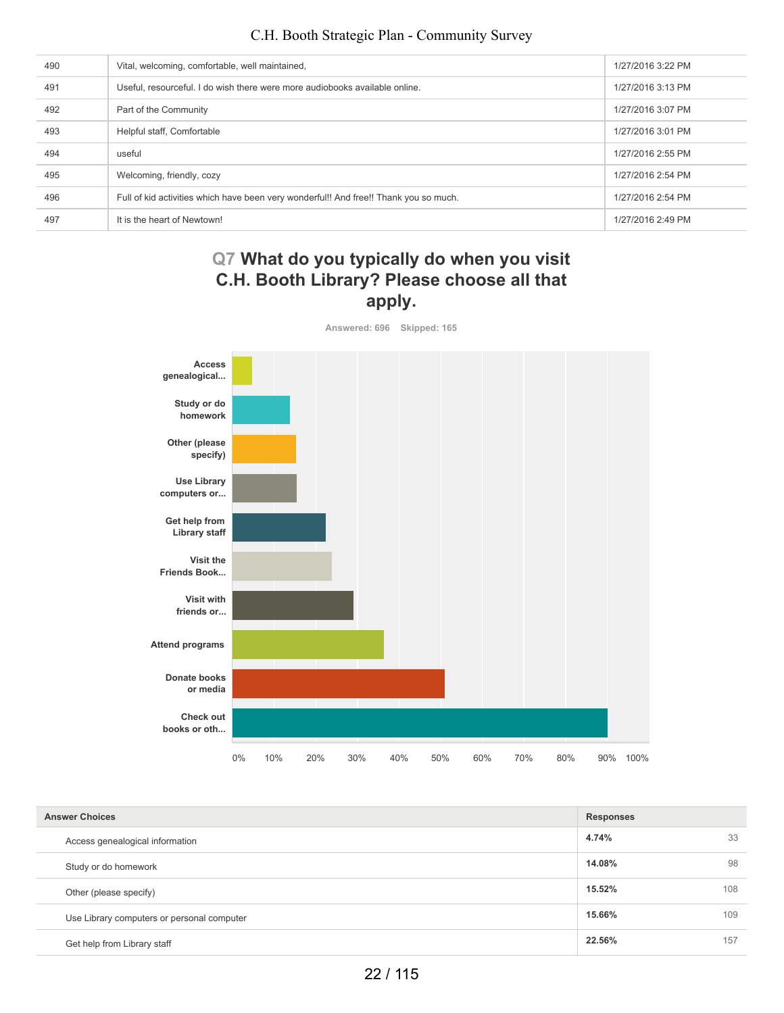| 490 | Vital, welcoming, comfortable, well maintained,                                       | 1/27/2016 3:22 PM |
|-----|---------------------------------------------------------------------------------------|-------------------|
| 491 | Useful, resourceful. I do wish there were more audiobooks available online.           | 1/27/2016 3:13 PM |
| 492 | Part of the Community                                                                 | 1/27/2016 3:07 PM |
| 493 | Helpful staff, Comfortable                                                            | 1/27/2016 3:01 PM |
| 494 | useful                                                                                | 1/27/2016 2:55 PM |
| 495 | Welcoming, friendly, cozy                                                             | 1/27/2016 2:54 PM |
| 496 | Full of kid activities which have been very wonderful!! And free!! Thank you so much. | 1/27/2016 2:54 PM |
| 497 | It is the heart of Newtown!                                                           | 1/27/2016 2:49 PM |

# **Q7 What do you typically do when you visit C.H. Booth Library? Please choose all that apply.**

**Answered: 696 Skipped: 165 Access genealogical... Study or do homework Other (please specify) Use Library computers or... Get help from Library staff Visit the Friends Book... Visit with friends or... Attend programs Donate books or media Check out books or oth...** 0% 10% 20% 30% 40% 50% 60% 70% 80% 90% 100%

| <b>Answer Choices</b>                      | <b>Responses</b> |     |
|--------------------------------------------|------------------|-----|
| Access genealogical information            | 4.74%            | 33  |
| Study or do homework                       | 14.08%           | 98  |
| Other (please specify)                     | 15.52%           | 108 |
| Use Library computers or personal computer | 15.66%           | 109 |
| Get help from Library staff                | 22.56%           | 157 |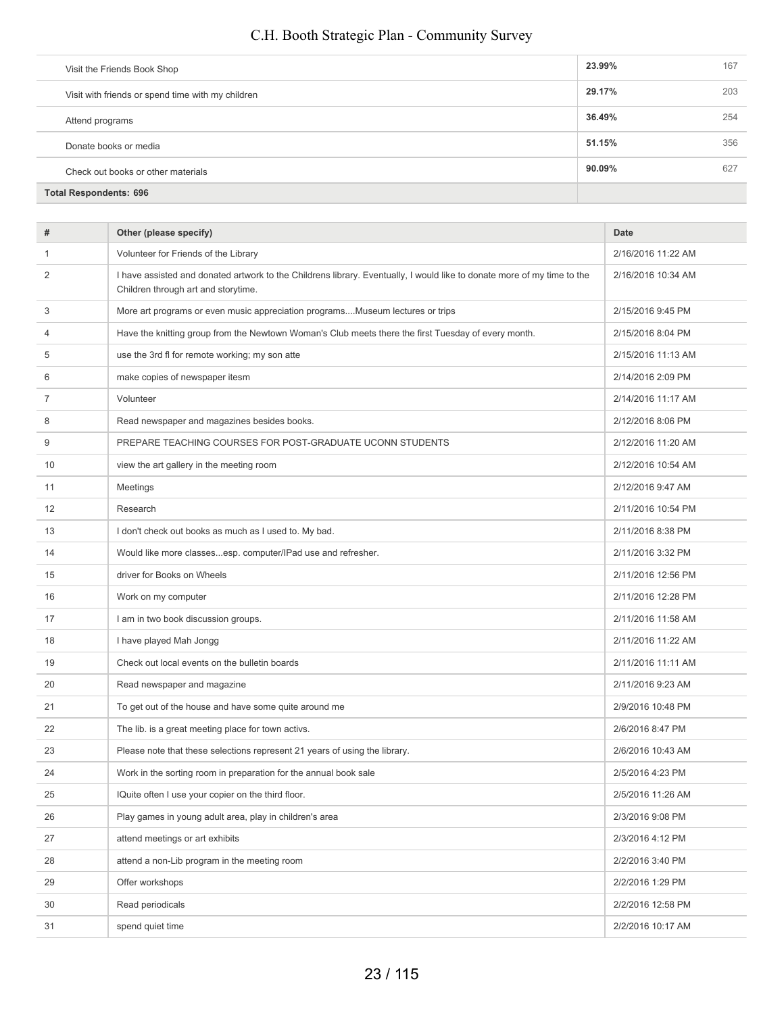| Visit the Friends Book Shop                       |  | 23.99% | 167 |
|---------------------------------------------------|--|--------|-----|
| Visit with friends or spend time with my children |  | 29.17% | 203 |
| Attend programs                                   |  | 36.49% | 254 |
| Donate books or media                             |  | 51.15% | 356 |
| Check out books or other materials                |  | 90.09% | 627 |
| <b>Total Respondents: 696</b>                     |  |        |     |

| #  | Other (please specify)                                                                                                                                         | Date               |
|----|----------------------------------------------------------------------------------------------------------------------------------------------------------------|--------------------|
| 1  | Volunteer for Friends of the Library                                                                                                                           | 2/16/2016 11:22 AM |
| 2  | I have assisted and donated artwork to the Childrens library. Eventually, I would like to donate more of my time to the<br>Children through art and storytime. | 2/16/2016 10:34 AM |
| 3  | More art programs or even music appreciation programsMuseum lectures or trips                                                                                  | 2/15/2016 9:45 PM  |
| 4  | Have the knitting group from the Newtown Woman's Club meets there the first Tuesday of every month.                                                            | 2/15/2016 8:04 PM  |
| 5  | use the 3rd fl for remote working; my son atte                                                                                                                 | 2/15/2016 11:13 AM |
| 6  | make copies of newspaper itesm                                                                                                                                 | 2/14/2016 2:09 PM  |
| 7  | Volunteer                                                                                                                                                      | 2/14/2016 11:17 AM |
| 8  | Read newspaper and magazines besides books.                                                                                                                    | 2/12/2016 8:06 PM  |
| 9  | PREPARE TEACHING COURSES FOR POST-GRADUATE UCONN STUDENTS                                                                                                      | 2/12/2016 11:20 AM |
| 10 | view the art gallery in the meeting room                                                                                                                       | 2/12/2016 10:54 AM |
| 11 | Meetings                                                                                                                                                       | 2/12/2016 9:47 AM  |
| 12 | Research                                                                                                                                                       | 2/11/2016 10:54 PM |
| 13 | I don't check out books as much as I used to. My bad.                                                                                                          | 2/11/2016 8:38 PM  |
| 14 | Would like more classesesp. computer/IPad use and refresher.                                                                                                   | 2/11/2016 3:32 PM  |
| 15 | driver for Books on Wheels                                                                                                                                     | 2/11/2016 12:56 PM |
| 16 | Work on my computer                                                                                                                                            | 2/11/2016 12:28 PM |
| 17 | I am in two book discussion groups.                                                                                                                            | 2/11/2016 11:58 AM |
| 18 | I have played Mah Jongg                                                                                                                                        | 2/11/2016 11:22 AM |
| 19 | Check out local events on the bulletin boards                                                                                                                  | 2/11/2016 11:11 AM |
| 20 | Read newspaper and magazine                                                                                                                                    | 2/11/2016 9:23 AM  |
| 21 | To get out of the house and have some quite around me                                                                                                          | 2/9/2016 10:48 PM  |
| 22 | The lib. is a great meeting place for town activs.                                                                                                             | 2/6/2016 8:47 PM   |
| 23 | Please note that these selections represent 21 years of using the library.                                                                                     | 2/6/2016 10:43 AM  |
| 24 | Work in the sorting room in preparation for the annual book sale                                                                                               | 2/5/2016 4:23 PM   |
| 25 | IQuite often I use your copier on the third floor.                                                                                                             | 2/5/2016 11:26 AM  |
| 26 | Play games in young adult area, play in children's area                                                                                                        | 2/3/2016 9:08 PM   |
| 27 | attend meetings or art exhibits                                                                                                                                | 2/3/2016 4:12 PM   |
| 28 | attend a non-Lib program in the meeting room                                                                                                                   | 2/2/2016 3:40 PM   |
| 29 | Offer workshops                                                                                                                                                | 2/2/2016 1:29 PM   |
| 30 | Read periodicals                                                                                                                                               | 2/2/2016 12:58 PM  |
| 31 | spend quiet time                                                                                                                                               | 2/2/2016 10:17 AM  |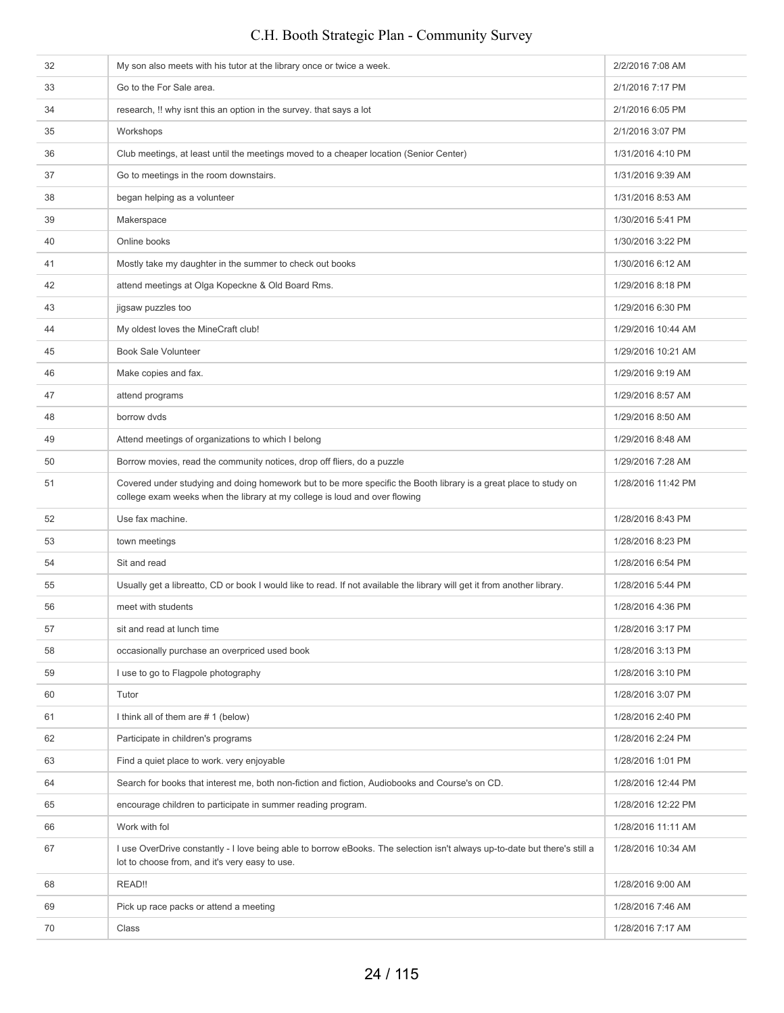## 32 My son also meets with his tutor at the library once or twice a week. 2/2/2016 7:08 AM 33 Go to the For Sale area. 2/1/2016 7:17 PM 34 research, !! why isnt this an option in the survey. that says a lot 2/1/2016 6:05 PM 35 Workshops 2/1/2016 3:07 PM 36 Club meetings, at least until the meetings moved to a cheaper location (Senior Center) 1/31/2016 4:10 PM 37 Go to meetings in the room downstairs. The room of the room of the room downstairs. **1/31/2016 8:53 AM** began helping as a volunteer 1/31/2016 8:53 AM 39 Makerspace **1/30/2016 5:41 PM** 40 Online books 1/30/2016 3:22 PM 41 Mostly take my daughter in the summer to check out books 1/30/2016 6:12 AM 42 attend meetings at Olga Kopeckne & Old Board Rms. 1/29/2016 8:18 PM 43 jigsaw puzzles too 1/29/2016 6:30 PM 44 My oldest loves the MineCraft club! 1/29/2016 10:44 AM 45 Book Sale Volunteer **1/29/2016 10:21 AM** 46 Make copies and fax. 1/29/2016 9:19 AM 47 attend programs 1/29/2016 8:57 AM 48 borrow dvds 1/29/2016 8:50 AM 49 Attend meetings of organizations to which I belong 1/29/2016 8:48 AM 50 Borrow movies, read the community notices, drop off fliers, do a puzzle 1/29/2016 7:28 AM 51 Covered under studying and doing homework but to be more specific the Booth library is a great place to study on college exam weeks when the library at my college is loud and over flowing 1/28/2016 11:42 PM 52 Use fax machine. 1/28/2016 8:43 PM 53 town meetings to the state of the state of the state of the state of the state of the state of the state of the state of the state of the state of the state of the state of the state of the state of the state of the sta 54 Sit and read 1/28/2016 6:54 PM 55 Usually get a libreatto, CD or book I would like to read. If not available the library will get it from another library. 1/28/2016 5:44 PM 56 meet with students **1/28/2016** 4:36 PM 57 sit and read at lunch time 1/28/2016 3:17 PM 58 occasionally purchase an overpriced used book 1/28/2016 3:13 PM 59 I use to go to Flagpole photography **1/28/2016 3:10 PM** 1/28/2016 3:10 PM 60 Tutor 1/28/2016 3:07 PM 61 I think all of them are # 1 (below) 1/28/2016 2:40 PM 62 Participate in children's programs 1/28/2016 2:24 PM 63 Find a quiet place to work. very enjoyable 1/28/2016 1:01 PM 64 Search for books that interest me, both non-fiction and fiction, Audiobooks and Course's on CD. 1/28/2016 12:44 PM 65 encourage children to participate in summer reading program. 1/28/2016 12:22 PM 66 Work with fol 1/28/2016 11:11 AM 67 I use OverDrive constantly - I love being able to borrow eBooks. The selection isn't always up-to-date but there's still a lot to choose from, and it's very easy to use. 1/28/2016 10:34 AM 68 READ!! 1/28/2016 9:00 AM 69 Pick up race packs or attend a meeting 1/28/2016 7:46 AM 70 Class Class Class Control of the Class Control of the Class Control of the Class Control of the Class Control of the Class Control of the Class Control of the Class Control of the Class Control of the Class Control of t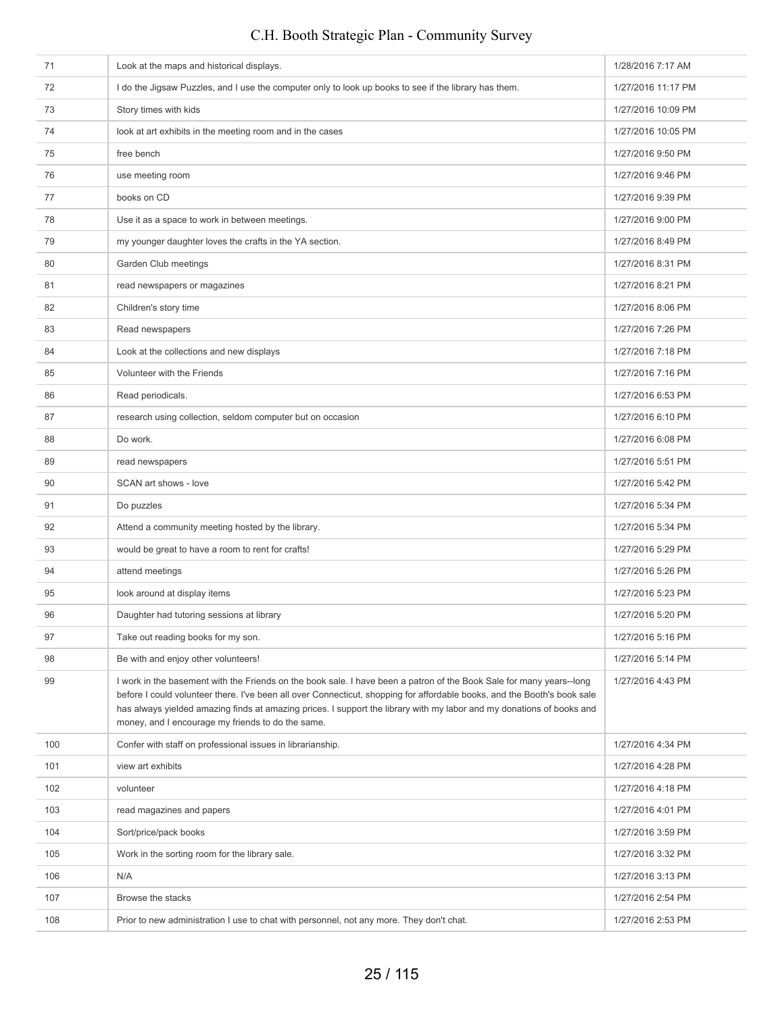| 71  | Look at the maps and historical displays.                                                                                                                                                                                                                                                                                                                                                                                      | 1/28/2016 7:17 AM  |
|-----|--------------------------------------------------------------------------------------------------------------------------------------------------------------------------------------------------------------------------------------------------------------------------------------------------------------------------------------------------------------------------------------------------------------------------------|--------------------|
| 72  | I do the Jigsaw Puzzles, and I use the computer only to look up books to see if the library has them.                                                                                                                                                                                                                                                                                                                          | 1/27/2016 11:17 PM |
| 73  | Story times with kids                                                                                                                                                                                                                                                                                                                                                                                                          | 1/27/2016 10:09 PM |
| 74  | look at art exhibits in the meeting room and in the cases                                                                                                                                                                                                                                                                                                                                                                      | 1/27/2016 10:05 PM |
| 75  | free bench                                                                                                                                                                                                                                                                                                                                                                                                                     | 1/27/2016 9:50 PM  |
| 76  | use meeting room                                                                                                                                                                                                                                                                                                                                                                                                               | 1/27/2016 9:46 PM  |
| 77  | books on CD                                                                                                                                                                                                                                                                                                                                                                                                                    | 1/27/2016 9:39 PM  |
| 78  | Use it as a space to work in between meetings.                                                                                                                                                                                                                                                                                                                                                                                 | 1/27/2016 9:00 PM  |
| 79  | my younger daughter loves the crafts in the YA section.                                                                                                                                                                                                                                                                                                                                                                        | 1/27/2016 8:49 PM  |
| 80  | Garden Club meetings                                                                                                                                                                                                                                                                                                                                                                                                           | 1/27/2016 8:31 PM  |
| 81  | read newspapers or magazines                                                                                                                                                                                                                                                                                                                                                                                                   | 1/27/2016 8:21 PM  |
| 82  | Children's story time                                                                                                                                                                                                                                                                                                                                                                                                          | 1/27/2016 8:06 PM  |
| 83  | Read newspapers                                                                                                                                                                                                                                                                                                                                                                                                                | 1/27/2016 7:26 PM  |
| 84  | Look at the collections and new displays                                                                                                                                                                                                                                                                                                                                                                                       | 1/27/2016 7:18 PM  |
| 85  | Volunteer with the Friends                                                                                                                                                                                                                                                                                                                                                                                                     | 1/27/2016 7:16 PM  |
| 86  | Read periodicals.                                                                                                                                                                                                                                                                                                                                                                                                              | 1/27/2016 6:53 PM  |
| 87  | research using collection, seldom computer but on occasion                                                                                                                                                                                                                                                                                                                                                                     | 1/27/2016 6:10 PM  |
| 88  | Do work.                                                                                                                                                                                                                                                                                                                                                                                                                       | 1/27/2016 6:08 PM  |
| 89  | read newspapers                                                                                                                                                                                                                                                                                                                                                                                                                | 1/27/2016 5:51 PM  |
| 90  | SCAN art shows - love                                                                                                                                                                                                                                                                                                                                                                                                          | 1/27/2016 5:42 PM  |
| 91  | Do puzzles                                                                                                                                                                                                                                                                                                                                                                                                                     | 1/27/2016 5:34 PM  |
| 92  | Attend a community meeting hosted by the library.                                                                                                                                                                                                                                                                                                                                                                              | 1/27/2016 5:34 PM  |
| 93  | would be great to have a room to rent for crafts!                                                                                                                                                                                                                                                                                                                                                                              | 1/27/2016 5:29 PM  |
| 94  | attend meetings                                                                                                                                                                                                                                                                                                                                                                                                                | 1/27/2016 5:26 PM  |
| 95  | look around at display items                                                                                                                                                                                                                                                                                                                                                                                                   | 1/27/2016 5:23 PM  |
| 96  | Daughter had tutoring sessions at library                                                                                                                                                                                                                                                                                                                                                                                      | 1/27/2016 5:20 PM  |
| 97  | Take out reading books for my son.                                                                                                                                                                                                                                                                                                                                                                                             | 1/27/2016 5:16 PM  |
| 98  | Be with and enjoy other volunteers!                                                                                                                                                                                                                                                                                                                                                                                            | 1/27/2016 5:14 PM  |
| 99  | I work in the basement with the Friends on the book sale. I have been a patron of the Book Sale for many years--long<br>before I could volunteer there. I've been all over Connecticut, shopping for affordable books, and the Booth's book sale<br>has always yielded amazing finds at amazing prices. I support the library with my labor and my donations of books and<br>money, and I encourage my friends to do the same. | 1/27/2016 4:43 PM  |
| 100 | Confer with staff on professional issues in librarianship.                                                                                                                                                                                                                                                                                                                                                                     | 1/27/2016 4:34 PM  |
| 101 | view art exhibits                                                                                                                                                                                                                                                                                                                                                                                                              | 1/27/2016 4:28 PM  |
| 102 | volunteer                                                                                                                                                                                                                                                                                                                                                                                                                      | 1/27/2016 4:18 PM  |
| 103 | read magazines and papers                                                                                                                                                                                                                                                                                                                                                                                                      | 1/27/2016 4:01 PM  |
| 104 | Sort/price/pack books                                                                                                                                                                                                                                                                                                                                                                                                          | 1/27/2016 3:59 PM  |
| 105 | Work in the sorting room for the library sale.                                                                                                                                                                                                                                                                                                                                                                                 | 1/27/2016 3:32 PM  |
| 106 | N/A                                                                                                                                                                                                                                                                                                                                                                                                                            | 1/27/2016 3:13 PM  |
| 107 | Browse the stacks                                                                                                                                                                                                                                                                                                                                                                                                              | 1/27/2016 2:54 PM  |
| 108 | Prior to new administration I use to chat with personnel, not any more. They don't chat.                                                                                                                                                                                                                                                                                                                                       | 1/27/2016 2:53 PM  |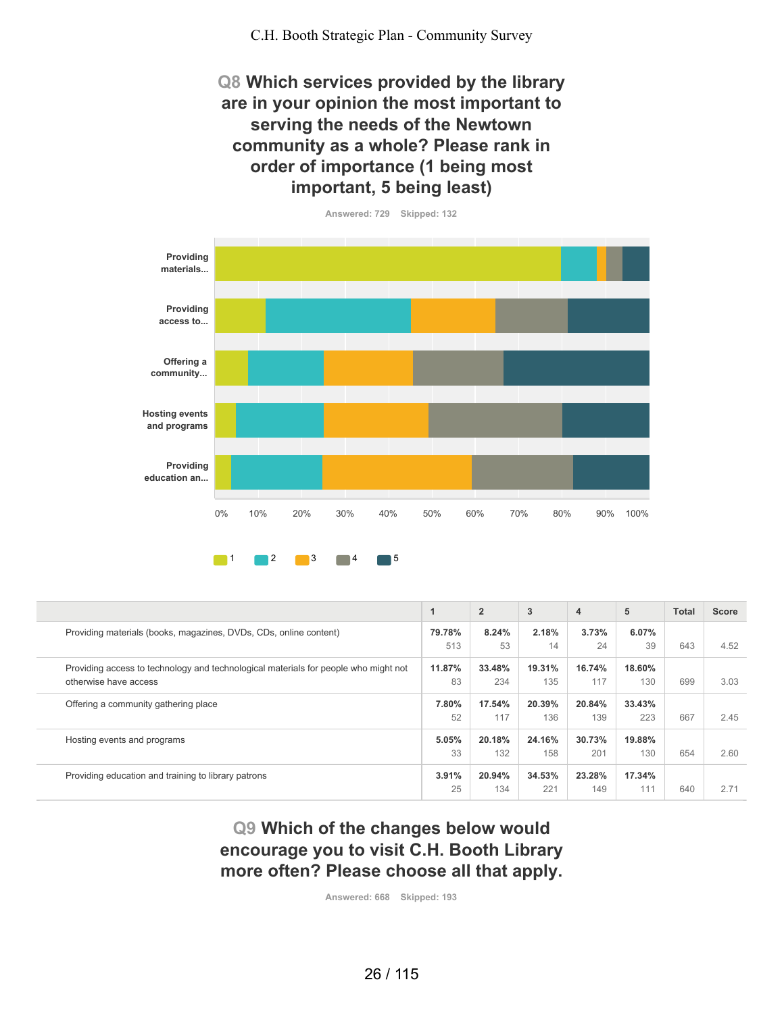**Q8 Which services provided by the library are in your opinion the most important to serving the needs of the Newtown community as a whole? Please rank in order of importance (1 being most important, 5 being least)**



**79.78%** 513 **8.24%** 53 **2.18%** 14 **3.73%** 24 **6.07%** 39 643 4.52 **11.87%** 83 **33.48%** 234 **19.31%** 135 **16.74%** 117 **18.60%** 130 699 3.03 **7.80%** 52 **17.54%** 117 **20.39%** 136 **20.84%** 139 **33.43%** 223 667 2.45 **5.05%** 33 **20.18%** 132 **24.16%** 158 **30.73%** 201 **19.88%** 130 654 2.60 **3.91%** 25 **20.94%** 134 **34.53%** 221 **23.28%** 149 **17.34%** 111 640 2.71 **1 2 3 4 5 Total Score** Providing materials (books, magazines, DVDs, CDs, online content) Providing access to technology and technological materials for people who might not otherwise have access Offering a community gathering place Hosting events and programs Providing education and training to library patrons

# **Q9 Which of the changes below would encourage you to visit C.H. Booth Library more often? Please choose all that apply.**

**Answered: 668 Skipped: 193**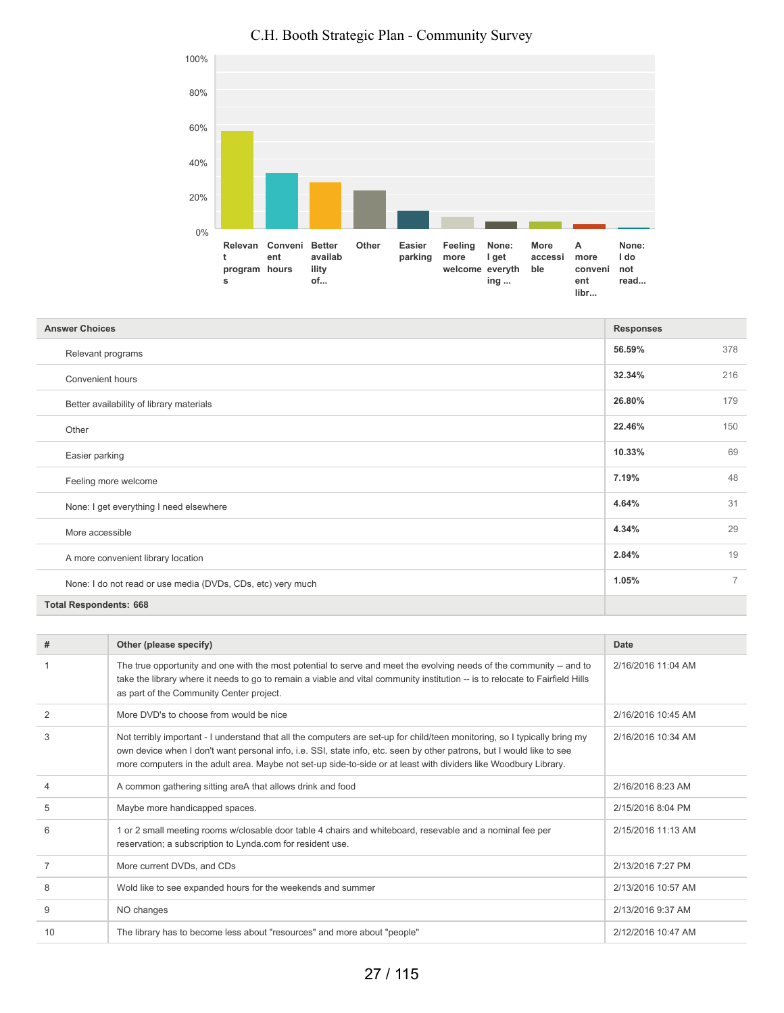

| <b>Answer Choices</b>                                       |        |                |
|-------------------------------------------------------------|--------|----------------|
| Relevant programs                                           | 56.59% | 378            |
| Convenient hours                                            | 32.34% | 216            |
| Better availability of library materials                    | 26.80% | 179            |
| Other                                                       | 22.46% | 150            |
| Easier parking                                              | 10.33% | 69             |
| Feeling more welcome                                        | 7.19%  | 48             |
| None: I get everything I need elsewhere                     | 4.64%  | 31             |
| More accessible                                             | 4.34%  | 29             |
| A more convenient library location                          | 2.84%  | 19             |
| None: I do not read or use media (DVDs, CDs, etc) very much | 1.05%  | $\overline{7}$ |

#### **Total Respondents: 668**

| #              | Other (please specify)                                                                                                                                                                                                                                                                                                                                                  | Date               |
|----------------|-------------------------------------------------------------------------------------------------------------------------------------------------------------------------------------------------------------------------------------------------------------------------------------------------------------------------------------------------------------------------|--------------------|
|                | The true opportunity and one with the most potential to serve and meet the evolving needs of the community -- and to<br>take the library where it needs to go to remain a viable and vital community institution -- is to relocate to Fairfield Hills<br>as part of the Community Center project.                                                                       | 2/16/2016 11:04 AM |
| $\overline{2}$ | More DVD's to choose from would be nice                                                                                                                                                                                                                                                                                                                                 | 2/16/2016 10:45 AM |
| 3              | Not terribly important - I understand that all the computers are set-up for child/teen monitoring, so I typically bring my<br>own device when I don't want personal info, i.e. SSI, state info, etc. seen by other patrons, but I would like to see<br>more computers in the adult area. Maybe not set-up side-to-side or at least with dividers like Woodbury Library. | 2/16/2016 10:34 AM |
| 4              | A common gathering sitting areA that allows drink and food                                                                                                                                                                                                                                                                                                              | 2/16/2016 8:23 AM  |
| 5              | Maybe more handicapped spaces.                                                                                                                                                                                                                                                                                                                                          | 2/15/2016 8:04 PM  |
| 6              | 1 or 2 small meeting rooms w/closable door table 4 chairs and whiteboard, resevable and a nominal fee per<br>reservation; a subscription to Lynda.com for resident use.                                                                                                                                                                                                 | 2/15/2016 11:13 AM |
|                | More current DVDs, and CDs                                                                                                                                                                                                                                                                                                                                              | 2/13/2016 7:27 PM  |
| 8              | Wold like to see expanded hours for the weekends and summer                                                                                                                                                                                                                                                                                                             | 2/13/2016 10:57 AM |
| 9              | NO changes                                                                                                                                                                                                                                                                                                                                                              | 2/13/2016 9:37 AM  |
| 10             | The library has to become less about "resources" and more about "people"                                                                                                                                                                                                                                                                                                | 2/12/2016 10:47 AM |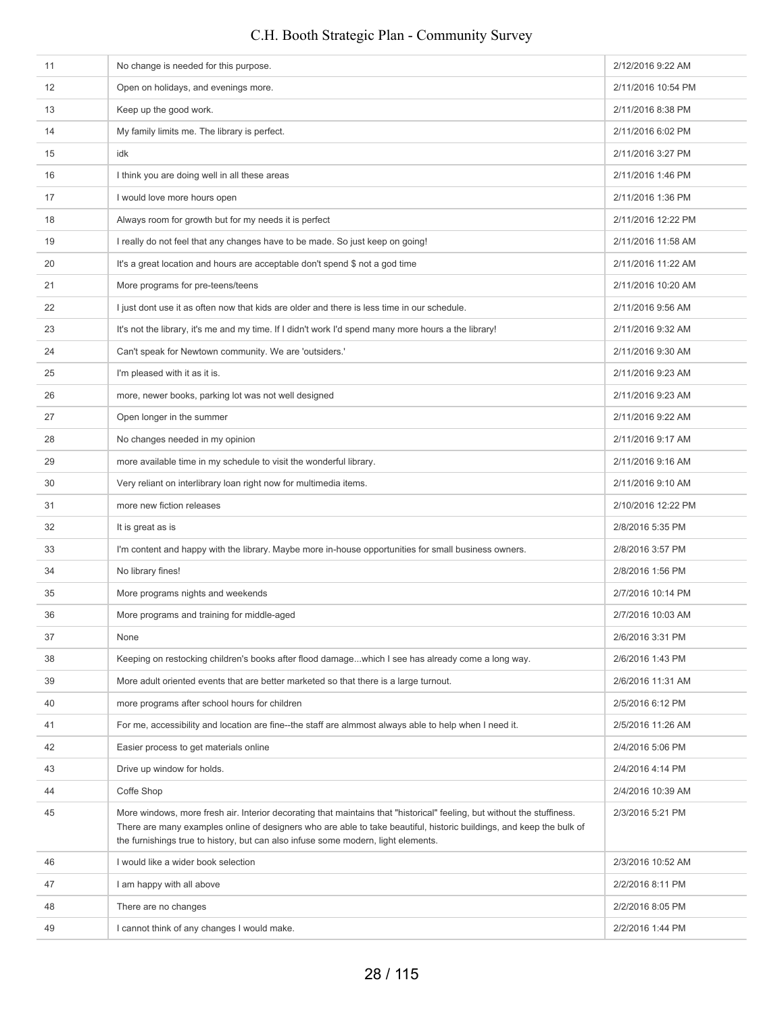# 11 No change is needed for this purpose. 2/12/2016 9:22 AM 12 Open on holidays, and evenings more. 2/11/2016 10:54 PM 13 Keep up the good work. **2/11/2016 8:38 PM** 14 My family limits me. The library is perfect. **2/11/2016 6:02 PM** 2/11/2016 6:02 PM 15 idk 2/11/2016 3:27 PM 16 I think you are doing well in all these areas 2/11/2016 1:46 PM 17 I would love more hours open 2/11/2016 1:36 PM 18 Always room for growth but for my needs it is perfect 2/11/2016 12:22 PM 19 I really do not feel that any changes have to be made. So just keep on going! 2/11/2016 11:58 AM 20 It's a great location and hours are acceptable don't spend \$ not a god time 2011/2016 11:22 AM 21 More programs for pre-teens/teens 2012 AM and the state of the state of the state of the 2/11/2016 10:20 AM 22 I just dont use it as often now that kids are older and there is less time in our schedule. 2/11/2016 9:56 AM 23 It's not the library, it's me and my time. If I didn't work I'd spend many more hours a the library! 2/11/2016 9:32 AM 24 Can't speak for Newtown community. We are 'outsiders.' 2011/2016 9:30 AM 25 I'm pleased with it as it is. 2011/2016 9:23 AM 26 more, newer books, parking lot was not well designed 2/11/2016 9:23 AM 27 **Open longer in the summer 2001** Open longer in the summer 2001 of the summer 2011/2016 9:22 AM 28 No changes needed in my opinion 2011/2016 9:17 AM 29 more available time in my schedule to visit the wonderful library. 2008 2012 11/2016 9:16 AM 30 Very reliant on interlibrary loan right now for multimedia items. 2/11/2016 9:10 AM 31 more new fiction releases 2/10/2016 12:22 PM 32 It is great as is 2/8/2016 5:35 PM 33 I'm content and happy with the library. Maybe more in-house opportunities for small business owners. 2/8/2016 3:57 PM 34 No library fines! 2/8/2016 1:56 PM 35 More programs nights and weekends 2/7/2016 10:14 PM 36 More programs and training for middle-aged 2/7/2016 10:03 AM 37 None 206/2016 3:31 PM 38 Keeping on restocking children's books after flood damage...which I see has already come a long way. 2/6/2016 1:43 PM 39 More adult oriented events that are better marketed so that there is a large turnout. 2/6/2016 11:31 AM 40 more programs after school hours for children 200 more programs after school hours for children 200 more programs after school hours for children 200 more programs after school hours for children 200 more programs after 41 For me, accessibility and location are fine--the staff are almmost always able to help when I need it. 2/5/2016 11:26 AM 42 Easier process to get materials online 2/4/2016 5:06 PM 43 **Drive up window for holds.** 2/4/2016 4:14 PM 44 Coffe Shop 2/4/2016 10:39 AM 45 More windows, more fresh air. Interior decorating that maintains that "historical" feeling, but without the stuffiness. There are many examples online of designers who are able to take beautiful, historic buildings, and keep the bulk of the furnishings true to history, but can also infuse some modern, light elements. 2/3/2016 5:21 PM 46 I would like a wider book selection 2/3/2016 10:52 AM 47 I am happy with all above **2/2/2016 8:11 PM** 48 There are no changes 2012/2016 8:05 PM 1 cannot think of any changes I would make. 2/2/2016 1:44 PM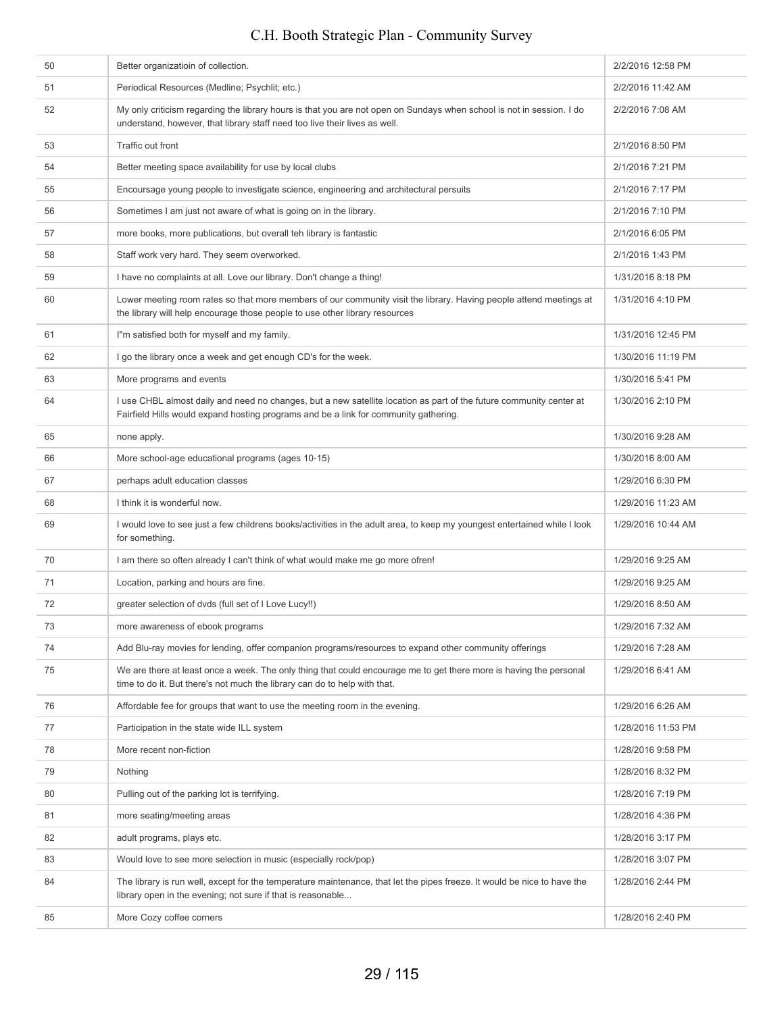## 50 Better organizatioin of collection. 2/2/2016 12:58 PM 51 Periodical Resources (Medline; Psychlit; etc.) 2/2/2016 11:42 AM 52 My only criticism regarding the library hours is that you are not open on Sundays when school is not in session. I do understand, however, that library staff need too live their lives as well. 2/2/2016 7:08 AM 53 Traffic out front 2/1/2016 8:50 PM 54 Better meeting space availability for use by local clubs 2/1/2016 7:21 PM 55 Encoursage young people to investigate science, engineering and architectural persuits 2/1/2016 7:17 PM 56 Sometimes I am just not aware of what is going on in the library. 2/1/2016 7:10 PM 57 more books, more publications, but overall teh library is fantastic **2/1/2016 6:05 PM** 2/1/2016 6:05 PM 58 Staff work very hard. They seem overworked. 2/1/2016 1:43 PM 59 I have no complaints at all. Love our library. Don't change a thing! 1/31/2016 8:18 PM 60 Lower meeting room rates so that more members of our community visit the library. Having people attend meetings at the library will help encourage those people to use other library resources 1/31/2016 4:10 PM 61 I'm satisfied both for myself and my family. 1/31/2016 12:45 PM 62 I go the library once a week and get enough CD's for the week. 1/30/2016 11:19 PM 63 More programs and events **1/30/2016** 5:41 PM 64 I use CHBL almost daily and need no changes, but a new satellite location as part of the future community center at Fairfield Hills would expand hosting programs and be a link for community gathering. 1/30/2016 2:10 PM 65 none apply. 1/30/2016 9:28 AM 66 More school-age educational programs (ages 10-15) 1/30/2016 8:00 AM 67 **perhaps adult education classes** 1/29/2016 6:30 PM example in think it is wonderful now. The second second is a second of the second of the second in the second of the second in the second in the second in the second in the second in the second in the second in the second 69 I would love to see just a few childrens books/activities in the adult area, to keep my youngest entertained while I look for something. 1/29/2016 10:44 AM 70 I am there so often already I can't think of what would make me go more ofren! 1/29/2016 9:25 AM The contraction of the location of the state of the contraction of the contraction of the contraction of the contraction of the contraction of the contraction of the contraction of the contraction of the contraction of the The selection of dvds (full set of I Love Lucy!!) 1/29/2016 8:50 AM 73 more awareness of ebook programs 1/29/2016 7:32 AM 74 Add Blu-ray movies for lending, offer companion programs/resources to expand other community offerings 1/29/2016 7:28 AM 75 We are there at least once a week. The only thing that could encourage me to get there more is having the personal time to do it. But there's not much the library can do to help with that. 1/29/2016 6:41 AM 76 Affordable fee for groups that want to use the meeting room in the evening. The metal of the state of the metal of the state of the wening. 77 **Participation in the state wide ILL system 1/28/2016 11:53 PM** 1/28/2016 11:53 PM The contraction of the matter of the contraction in the contraction of the contraction of the contraction of the contraction of the contraction of the contraction of the contraction of the contraction of the contraction of 79 Nothing 1/28/2016 8:32 PM 80 Pulling out of the parking lot is terrifying. 1/28/2016 7:19 PM 81 more seating/meeting areas 1/28/2016 4:36 PM 82 adult programs, plays etc. 1/28/2016 3:17 PM 83 Would love to see more selection in music (especially rock/pop) 1/28/2016 3:07 PM 84 The library is run well, except for the temperature maintenance, that let the pipes freeze. It would be nice to have the library open in the evening; not sure if that is reasonable... 1/28/2016 2:44 PM 85 More Cozy coffee corners **1/28/2016** 2:40 PM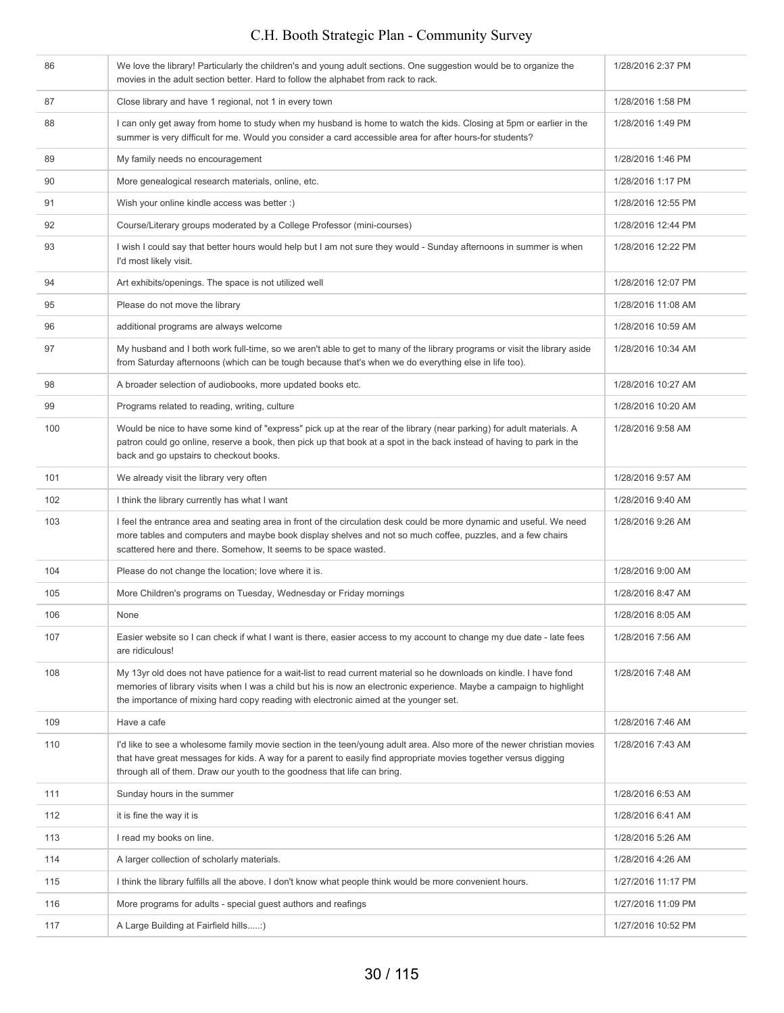| 86  | We love the library! Particularly the children's and young adult sections. One suggestion would be to organize the<br>movies in the adult section better. Hard to follow the alphabet from rack to rack.                                                                                                                           | 1/28/2016 2:37 PM  |
|-----|------------------------------------------------------------------------------------------------------------------------------------------------------------------------------------------------------------------------------------------------------------------------------------------------------------------------------------|--------------------|
| 87  | Close library and have 1 regional, not 1 in every town                                                                                                                                                                                                                                                                             | 1/28/2016 1:58 PM  |
| 88  | I can only get away from home to study when my husband is home to watch the kids. Closing at 5pm or earlier in the<br>summer is very difficult for me. Would you consider a card accessible area for after hours-for students?                                                                                                     | 1/28/2016 1:49 PM  |
| 89  | My family needs no encouragement                                                                                                                                                                                                                                                                                                   | 1/28/2016 1:46 PM  |
| 90  | More genealogical research materials, online, etc.                                                                                                                                                                                                                                                                                 | 1/28/2016 1:17 PM  |
| 91  | Wish your online kindle access was better :)                                                                                                                                                                                                                                                                                       | 1/28/2016 12:55 PM |
| 92  | Course/Literary groups moderated by a College Professor (mini-courses)                                                                                                                                                                                                                                                             | 1/28/2016 12:44 PM |
| 93  | I wish I could say that better hours would help but I am not sure they would - Sunday afternoons in summer is when<br>I'd most likely visit.                                                                                                                                                                                       | 1/28/2016 12:22 PM |
| 94  | Art exhibits/openings. The space is not utilized well                                                                                                                                                                                                                                                                              | 1/28/2016 12:07 PM |
| 95  | Please do not move the library                                                                                                                                                                                                                                                                                                     | 1/28/2016 11:08 AM |
| 96  | additional programs are always welcome                                                                                                                                                                                                                                                                                             | 1/28/2016 10:59 AM |
| 97  | My husband and I both work full-time, so we aren't able to get to many of the library programs or visit the library aside<br>from Saturday afternoons (which can be tough because that's when we do everything else in life too).                                                                                                  | 1/28/2016 10:34 AM |
| 98  | A broader selection of audiobooks, more updated books etc.                                                                                                                                                                                                                                                                         | 1/28/2016 10:27 AM |
| 99  | Programs related to reading, writing, culture                                                                                                                                                                                                                                                                                      | 1/28/2016 10:20 AM |
| 100 | Would be nice to have some kind of "express" pick up at the rear of the library (near parking) for adult materials. A<br>patron could go online, reserve a book, then pick up that book at a spot in the back instead of having to park in the<br>back and go upstairs to checkout books.                                          | 1/28/2016 9:58 AM  |
| 101 | We already visit the library very often                                                                                                                                                                                                                                                                                            | 1/28/2016 9:57 AM  |
| 102 | I think the library currently has what I want                                                                                                                                                                                                                                                                                      | 1/28/2016 9:40 AM  |
| 103 | I feel the entrance area and seating area in front of the circulation desk could be more dynamic and useful. We need<br>more tables and computers and maybe book display shelves and not so much coffee, puzzles, and a few chairs<br>scattered here and there. Somehow, It seems to be space wasted.                              | 1/28/2016 9:26 AM  |
| 104 | Please do not change the location; love where it is.                                                                                                                                                                                                                                                                               | 1/28/2016 9:00 AM  |
| 105 | More Children's programs on Tuesday, Wednesday or Friday mornings                                                                                                                                                                                                                                                                  | 1/28/2016 8:47 AM  |
| 106 | None                                                                                                                                                                                                                                                                                                                               | 1/28/2016 8:05 AM  |
| 107 | Easier website so I can check if what I want is there, easier access to my account to change my due date - late fees<br>are ridiculous!                                                                                                                                                                                            | 1/28/2016 7:56 AM  |
| 108 | My 13yr old does not have patience for a wait-list to read current material so he downloads on kindle. I have fond<br>memories of library visits when I was a child but his is now an electronic experience. Maybe a campaign to highlight<br>the importance of mixing hard copy reading with electronic aimed at the younger set. | 1/28/2016 7:48 AM  |
| 109 | Have a cafe                                                                                                                                                                                                                                                                                                                        | 1/28/2016 7:46 AM  |
| 110 | I'd like to see a wholesome family movie section in the teen/young adult area. Also more of the newer christian movies<br>that have great messages for kids. A way for a parent to easily find appropriate movies together versus digging<br>through all of them. Draw our youth to the goodness that life can bring.              | 1/28/2016 7:43 AM  |
| 111 | Sunday hours in the summer                                                                                                                                                                                                                                                                                                         | 1/28/2016 6:53 AM  |
| 112 | it is fine the way it is                                                                                                                                                                                                                                                                                                           | 1/28/2016 6:41 AM  |
| 113 | I read my books on line.                                                                                                                                                                                                                                                                                                           | 1/28/2016 5:26 AM  |
| 114 | A larger collection of scholarly materials.                                                                                                                                                                                                                                                                                        | 1/28/2016 4:26 AM  |
| 115 | I think the library fulfills all the above. I don't know what people think would be more convenient hours.                                                                                                                                                                                                                         | 1/27/2016 11:17 PM |
| 116 | More programs for adults - special guest authors and reafings                                                                                                                                                                                                                                                                      | 1/27/2016 11:09 PM |
| 117 | A Large Building at Fairfield hills:)                                                                                                                                                                                                                                                                                              | 1/27/2016 10:52 PM |
|     |                                                                                                                                                                                                                                                                                                                                    |                    |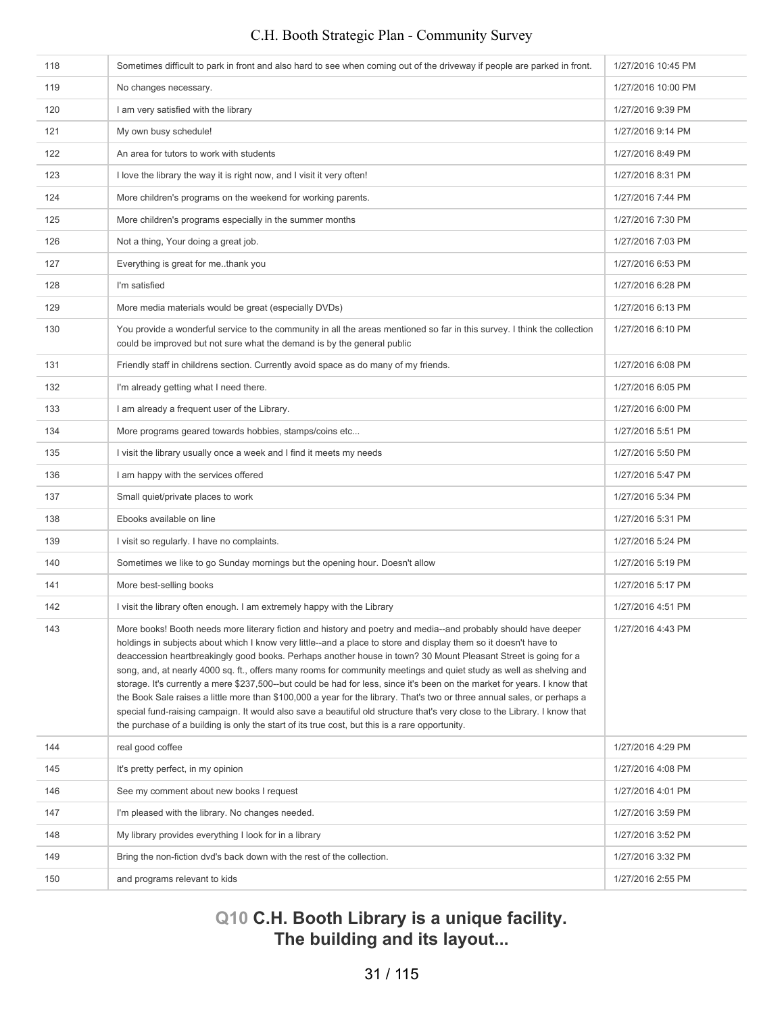| 118 | Sometimes difficult to park in front and also hard to see when coming out of the driveway if people are parked in front.                                                                                                                                                                                                                                                                                                                                                                                                                                                                                                                                                                                                                                                                                                                                                                                                                                            | 1/27/2016 10:45 PM |
|-----|---------------------------------------------------------------------------------------------------------------------------------------------------------------------------------------------------------------------------------------------------------------------------------------------------------------------------------------------------------------------------------------------------------------------------------------------------------------------------------------------------------------------------------------------------------------------------------------------------------------------------------------------------------------------------------------------------------------------------------------------------------------------------------------------------------------------------------------------------------------------------------------------------------------------------------------------------------------------|--------------------|
| 119 | No changes necessary.                                                                                                                                                                                                                                                                                                                                                                                                                                                                                                                                                                                                                                                                                                                                                                                                                                                                                                                                               | 1/27/2016 10:00 PM |
| 120 | I am very satisfied with the library                                                                                                                                                                                                                                                                                                                                                                                                                                                                                                                                                                                                                                                                                                                                                                                                                                                                                                                                | 1/27/2016 9:39 PM  |
| 121 | My own busy schedule!                                                                                                                                                                                                                                                                                                                                                                                                                                                                                                                                                                                                                                                                                                                                                                                                                                                                                                                                               | 1/27/2016 9:14 PM  |
| 122 | An area for tutors to work with students                                                                                                                                                                                                                                                                                                                                                                                                                                                                                                                                                                                                                                                                                                                                                                                                                                                                                                                            | 1/27/2016 8:49 PM  |
| 123 | I love the library the way it is right now, and I visit it very often!                                                                                                                                                                                                                                                                                                                                                                                                                                                                                                                                                                                                                                                                                                                                                                                                                                                                                              | 1/27/2016 8:31 PM  |
| 124 | More children's programs on the weekend for working parents.                                                                                                                                                                                                                                                                                                                                                                                                                                                                                                                                                                                                                                                                                                                                                                                                                                                                                                        | 1/27/2016 7:44 PM  |
| 125 | More children's programs especially in the summer months                                                                                                                                                                                                                                                                                                                                                                                                                                                                                                                                                                                                                                                                                                                                                                                                                                                                                                            | 1/27/2016 7:30 PM  |
| 126 | Not a thing, Your doing a great job.                                                                                                                                                                                                                                                                                                                                                                                                                                                                                                                                                                                                                                                                                                                                                                                                                                                                                                                                | 1/27/2016 7:03 PM  |
| 127 | Everything is great for methank you                                                                                                                                                                                                                                                                                                                                                                                                                                                                                                                                                                                                                                                                                                                                                                                                                                                                                                                                 | 1/27/2016 6:53 PM  |
| 128 | I'm satisfied                                                                                                                                                                                                                                                                                                                                                                                                                                                                                                                                                                                                                                                                                                                                                                                                                                                                                                                                                       | 1/27/2016 6:28 PM  |
| 129 | More media materials would be great (especially DVDs)                                                                                                                                                                                                                                                                                                                                                                                                                                                                                                                                                                                                                                                                                                                                                                                                                                                                                                               | 1/27/2016 6:13 PM  |
| 130 | You provide a wonderful service to the community in all the areas mentioned so far in this survey. I think the collection<br>could be improved but not sure what the demand is by the general public                                                                                                                                                                                                                                                                                                                                                                                                                                                                                                                                                                                                                                                                                                                                                                | 1/27/2016 6:10 PM  |
| 131 | Friendly staff in childrens section. Currently avoid space as do many of my friends.                                                                                                                                                                                                                                                                                                                                                                                                                                                                                                                                                                                                                                                                                                                                                                                                                                                                                | 1/27/2016 6:08 PM  |
| 132 | I'm already getting what I need there.                                                                                                                                                                                                                                                                                                                                                                                                                                                                                                                                                                                                                                                                                                                                                                                                                                                                                                                              | 1/27/2016 6:05 PM  |
| 133 | I am already a frequent user of the Library.                                                                                                                                                                                                                                                                                                                                                                                                                                                                                                                                                                                                                                                                                                                                                                                                                                                                                                                        | 1/27/2016 6:00 PM  |
| 134 | More programs geared towards hobbies, stamps/coins etc                                                                                                                                                                                                                                                                                                                                                                                                                                                                                                                                                                                                                                                                                                                                                                                                                                                                                                              | 1/27/2016 5:51 PM  |
| 135 | I visit the library usually once a week and I find it meets my needs                                                                                                                                                                                                                                                                                                                                                                                                                                                                                                                                                                                                                                                                                                                                                                                                                                                                                                | 1/27/2016 5:50 PM  |
| 136 | I am happy with the services offered                                                                                                                                                                                                                                                                                                                                                                                                                                                                                                                                                                                                                                                                                                                                                                                                                                                                                                                                | 1/27/2016 5:47 PM  |
| 137 | Small quiet/private places to work                                                                                                                                                                                                                                                                                                                                                                                                                                                                                                                                                                                                                                                                                                                                                                                                                                                                                                                                  | 1/27/2016 5:34 PM  |
| 138 | Ebooks available on line                                                                                                                                                                                                                                                                                                                                                                                                                                                                                                                                                                                                                                                                                                                                                                                                                                                                                                                                            | 1/27/2016 5:31 PM  |
| 139 | I visit so regularly. I have no complaints.                                                                                                                                                                                                                                                                                                                                                                                                                                                                                                                                                                                                                                                                                                                                                                                                                                                                                                                         | 1/27/2016 5:24 PM  |
| 140 | Sometimes we like to go Sunday mornings but the opening hour. Doesn't allow                                                                                                                                                                                                                                                                                                                                                                                                                                                                                                                                                                                                                                                                                                                                                                                                                                                                                         | 1/27/2016 5:19 PM  |
| 141 | More best-selling books                                                                                                                                                                                                                                                                                                                                                                                                                                                                                                                                                                                                                                                                                                                                                                                                                                                                                                                                             | 1/27/2016 5:17 PM  |
| 142 | I visit the library often enough. I am extremely happy with the Library                                                                                                                                                                                                                                                                                                                                                                                                                                                                                                                                                                                                                                                                                                                                                                                                                                                                                             | 1/27/2016 4:51 PM  |
| 143 | More books! Booth needs more literary fiction and history and poetry and media--and probably should have deeper<br>holdings in subjects about which I know very little-and a place to store and display them so it doesn't have to<br>deaccession heartbreakingly good books. Perhaps another house in town? 30 Mount Pleasant Street is going for a<br>song, and, at nearly 4000 sq. ft., offers many rooms for community meetings and quiet study as well as shelving and<br>storage. It's currently a mere \$237,500--but could be had for less, since it's been on the market for years. I know that<br>the Book Sale raises a little more than \$100,000 a year for the library. That's two or three annual sales, or perhaps a<br>special fund-raising campaign. It would also save a beautiful old structure that's very close to the Library. I know that<br>the purchase of a building is only the start of its true cost, but this is a rare opportunity. | 1/27/2016 4:43 PM  |
| 144 | real good coffee                                                                                                                                                                                                                                                                                                                                                                                                                                                                                                                                                                                                                                                                                                                                                                                                                                                                                                                                                    | 1/27/2016 4:29 PM  |
| 145 | It's pretty perfect, in my opinion                                                                                                                                                                                                                                                                                                                                                                                                                                                                                                                                                                                                                                                                                                                                                                                                                                                                                                                                  | 1/27/2016 4:08 PM  |
| 146 | See my comment about new books I request                                                                                                                                                                                                                                                                                                                                                                                                                                                                                                                                                                                                                                                                                                                                                                                                                                                                                                                            | 1/27/2016 4:01 PM  |
| 147 | I'm pleased with the library. No changes needed.                                                                                                                                                                                                                                                                                                                                                                                                                                                                                                                                                                                                                                                                                                                                                                                                                                                                                                                    | 1/27/2016 3:59 PM  |
| 148 | My library provides everything I look for in a library                                                                                                                                                                                                                                                                                                                                                                                                                                                                                                                                                                                                                                                                                                                                                                                                                                                                                                              | 1/27/2016 3:52 PM  |
| 149 | Bring the non-fiction dvd's back down with the rest of the collection.                                                                                                                                                                                                                                                                                                                                                                                                                                                                                                                                                                                                                                                                                                                                                                                                                                                                                              | 1/27/2016 3:32 PM  |
| 150 | and programs relevant to kids                                                                                                                                                                                                                                                                                                                                                                                                                                                                                                                                                                                                                                                                                                                                                                                                                                                                                                                                       | 1/27/2016 2:55 PM  |

# **Q10 C.H. Booth Library is a unique facility. The building and its layout...**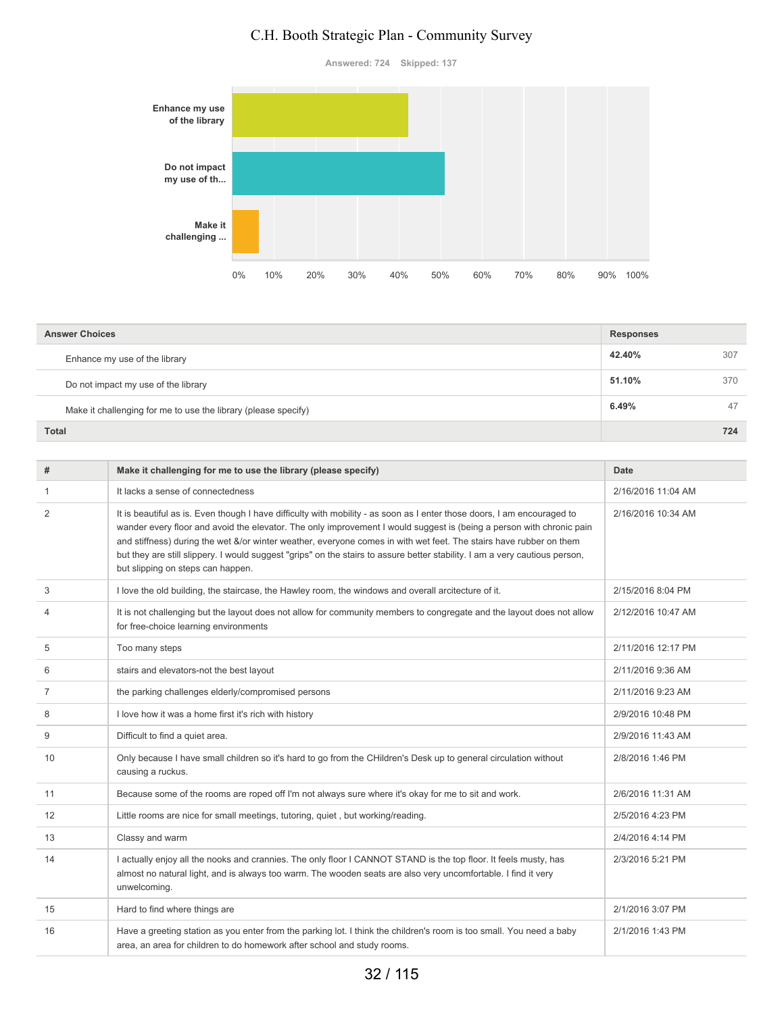**Answered: 724 Skipped: 137**



| <b>Answer Choices</b>                                          |        |     |
|----------------------------------------------------------------|--------|-----|
| Enhance my use of the library                                  | 42.40% | 307 |
| Do not impact my use of the library                            | 51.10% | 370 |
| Make it challenging for me to use the library (please specify) | 6.49%  | 47  |
| <b>Total</b>                                                   |        | 724 |

| #              | Make it challenging for me to use the library (please specify)                                                                                                                                                                                                                                                                                                                                                                                                                                                                            | Date               |
|----------------|-------------------------------------------------------------------------------------------------------------------------------------------------------------------------------------------------------------------------------------------------------------------------------------------------------------------------------------------------------------------------------------------------------------------------------------------------------------------------------------------------------------------------------------------|--------------------|
| 1              | It lacks a sense of connectedness                                                                                                                                                                                                                                                                                                                                                                                                                                                                                                         | 2/16/2016 11:04 AM |
| 2              | It is beautiful as is. Even though I have difficulty with mobility - as soon as I enter those doors, I am encouraged to<br>wander every floor and avoid the elevator. The only improvement I would suggest is (being a person with chronic pain<br>and stiffness) during the wet &/or winter weather, everyone comes in with wet feet. The stairs have rubber on them<br>but they are still slippery. I would suggest "grips" on the stairs to assure better stability. I am a very cautious person,<br>but slipping on steps can happen. | 2/16/2016 10:34 AM |
| 3              | I love the old building, the staircase, the Hawley room, the windows and overall arcitecture of it.                                                                                                                                                                                                                                                                                                                                                                                                                                       | 2/15/2016 8:04 PM  |
| 4              | It is not challenging but the layout does not allow for community members to congregate and the layout does not allow<br>for free-choice learning environments                                                                                                                                                                                                                                                                                                                                                                            | 2/12/2016 10:47 AM |
| 5              | Too many steps                                                                                                                                                                                                                                                                                                                                                                                                                                                                                                                            | 2/11/2016 12:17 PM |
| 6              | stairs and elevators-not the best layout                                                                                                                                                                                                                                                                                                                                                                                                                                                                                                  | 2/11/2016 9:36 AM  |
| $\overline{7}$ | the parking challenges elderly/compromised persons                                                                                                                                                                                                                                                                                                                                                                                                                                                                                        | 2/11/2016 9:23 AM  |
| 8              | I love how it was a home first it's rich with history                                                                                                                                                                                                                                                                                                                                                                                                                                                                                     | 2/9/2016 10:48 PM  |
| 9              | Difficult to find a quiet area.                                                                                                                                                                                                                                                                                                                                                                                                                                                                                                           | 2/9/2016 11:43 AM  |
| 10             | Only because I have small children so it's hard to go from the CHildren's Desk up to general circulation without<br>causing a ruckus.                                                                                                                                                                                                                                                                                                                                                                                                     | 2/8/2016 1:46 PM   |
| 11             | Because some of the rooms are roped off I'm not always sure where it's okay for me to sit and work.                                                                                                                                                                                                                                                                                                                                                                                                                                       | 2/6/2016 11:31 AM  |
| 12             | Little rooms are nice for small meetings, tutoring, quiet, but working/reading.                                                                                                                                                                                                                                                                                                                                                                                                                                                           | 2/5/2016 4:23 PM   |
| 13             | Classy and warm                                                                                                                                                                                                                                                                                                                                                                                                                                                                                                                           | 2/4/2016 4:14 PM   |
| 14             | I actually enjoy all the nooks and crannies. The only floor I CANNOT STAND is the top floor. It feels musty, has<br>almost no natural light, and is always too warm. The wooden seats are also very uncomfortable. I find it very<br>unwelcoming.                                                                                                                                                                                                                                                                                         | 2/3/2016 5:21 PM   |
| 15             | Hard to find where things are                                                                                                                                                                                                                                                                                                                                                                                                                                                                                                             | 2/1/2016 3:07 PM   |
| 16             | Have a greeting station as you enter from the parking lot. I think the children's room is too small. You need a baby<br>area, an area for children to do homework after school and study rooms.                                                                                                                                                                                                                                                                                                                                           | 2/1/2016 1:43 PM   |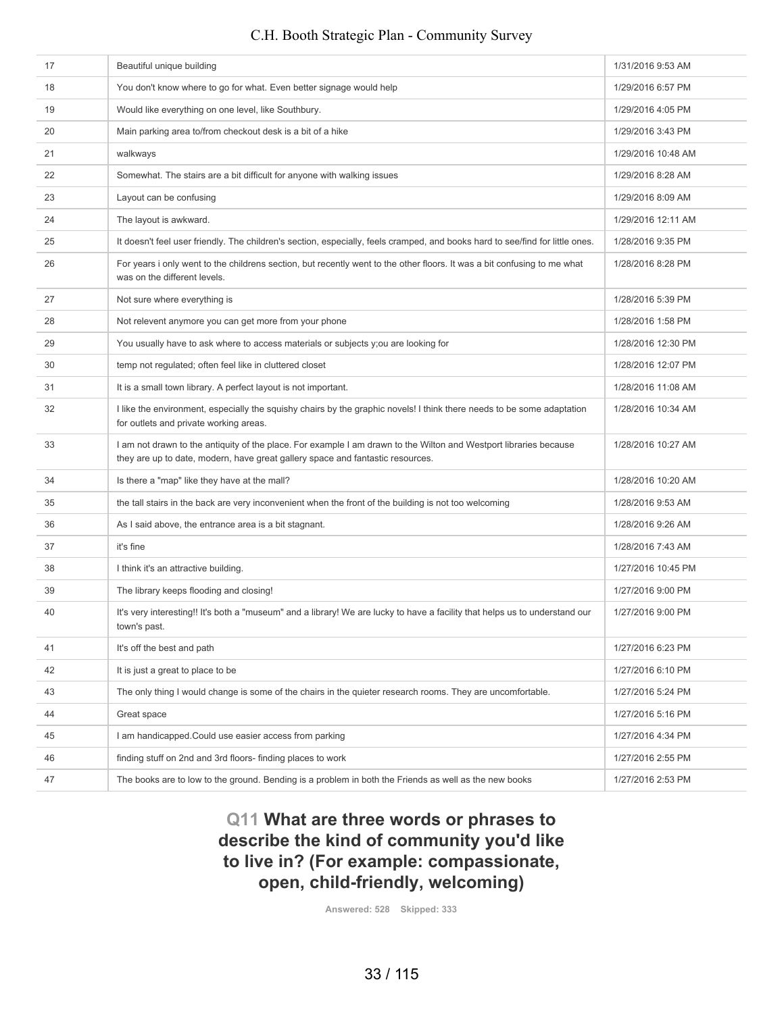| 17 | Beautiful unique building                                                                                                                                                                           | 1/31/2016 9:53 AM  |
|----|-----------------------------------------------------------------------------------------------------------------------------------------------------------------------------------------------------|--------------------|
| 18 | You don't know where to go for what. Even better signage would help                                                                                                                                 | 1/29/2016 6:57 PM  |
| 19 | Would like everything on one level, like Southbury.                                                                                                                                                 | 1/29/2016 4:05 PM  |
| 20 | Main parking area to/from checkout desk is a bit of a hike                                                                                                                                          | 1/29/2016 3:43 PM  |
| 21 | walkways                                                                                                                                                                                            | 1/29/2016 10:48 AM |
| 22 | Somewhat. The stairs are a bit difficult for anyone with walking issues                                                                                                                             | 1/29/2016 8:28 AM  |
| 23 | Layout can be confusing                                                                                                                                                                             | 1/29/2016 8:09 AM  |
| 24 | The layout is awkward.                                                                                                                                                                              | 1/29/2016 12:11 AM |
| 25 | It doesn't feel user friendly. The children's section, especially, feels cramped, and books hard to see/find for little ones.                                                                       | 1/28/2016 9:35 PM  |
| 26 | For years i only went to the childrens section, but recently went to the other floors. It was a bit confusing to me what<br>was on the different levels.                                            | 1/28/2016 8:28 PM  |
| 27 | Not sure where everything is                                                                                                                                                                        | 1/28/2016 5:39 PM  |
| 28 | Not relevent anymore you can get more from your phone                                                                                                                                               | 1/28/2016 1:58 PM  |
| 29 | You usually have to ask where to access materials or subjects y; ou are looking for                                                                                                                 | 1/28/2016 12:30 PM |
| 30 | temp not requlated; often feel like in cluttered closet                                                                                                                                             | 1/28/2016 12:07 PM |
| 31 | It is a small town library. A perfect layout is not important.                                                                                                                                      | 1/28/2016 11:08 AM |
| 32 | I like the environment, especially the squishy chairs by the graphic novels! I think there needs to be some adaptation<br>for outlets and private working areas.                                    | 1/28/2016 10:34 AM |
| 33 | I am not drawn to the antiquity of the place. For example I am drawn to the Wilton and Westport libraries because<br>they are up to date, modern, have great gallery space and fantastic resources. | 1/28/2016 10:27 AM |
| 34 | Is there a "map" like they have at the mall?                                                                                                                                                        | 1/28/2016 10:20 AM |
| 35 | the tall stairs in the back are very inconvenient when the front of the building is not too welcoming                                                                                               | 1/28/2016 9:53 AM  |
| 36 | As I said above, the entrance area is a bit stagnant.                                                                                                                                               | 1/28/2016 9:26 AM  |
| 37 | it's fine                                                                                                                                                                                           | 1/28/2016 7:43 AM  |
| 38 | I think it's an attractive building.                                                                                                                                                                | 1/27/2016 10:45 PM |
| 39 | The library keeps flooding and closing!                                                                                                                                                             | 1/27/2016 9:00 PM  |
| 40 | It's very interesting!! It's both a "museum" and a library! We are lucky to have a facility that helps us to understand our<br>town's past.                                                         | 1/27/2016 9:00 PM  |
| 41 | It's off the best and path                                                                                                                                                                          | 1/27/2016 6:23 PM  |
| 42 | It is just a great to place to be                                                                                                                                                                   | 1/27/2016 6:10 PM  |
| 43 | The only thing I would change is some of the chairs in the quieter research rooms. They are uncomfortable.                                                                                          | 1/27/2016 5:24 PM  |
| 44 | Great space                                                                                                                                                                                         | 1/27/2016 5:16 PM  |
| 45 | I am handicapped. Could use easier access from parking                                                                                                                                              | 1/27/2016 4:34 PM  |
| 46 | finding stuff on 2nd and 3rd floors- finding places to work                                                                                                                                         | 1/27/2016 2:55 PM  |
| 47 | The books are to low to the ground. Bending is a problem in both the Friends as well as the new books                                                                                               | 1/27/2016 2:53 PM  |

**Q11 What are three words or phrases to describe the kind of community you'd like to live in? (For example: compassionate, open, child-friendly, welcoming)**

**Answered: 528 Skipped: 333**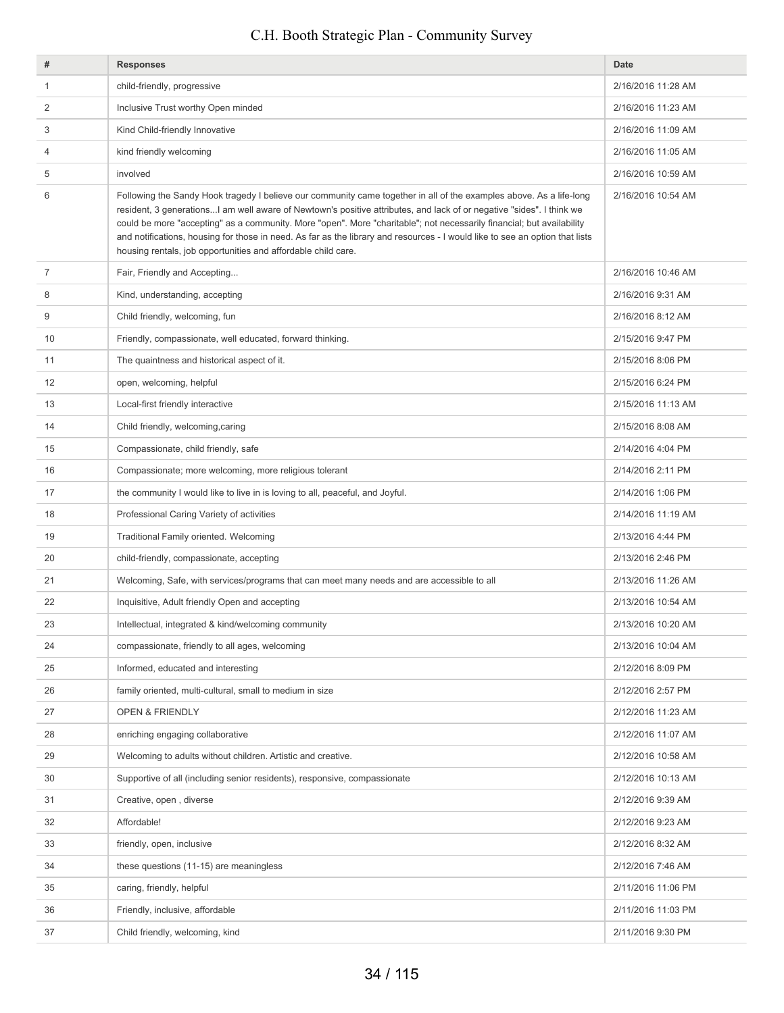| #  | <b>Responses</b>                                                                                                                                                                                                                                                                                                                                                                                                                                                                                                                                                       | Date               |
|----|------------------------------------------------------------------------------------------------------------------------------------------------------------------------------------------------------------------------------------------------------------------------------------------------------------------------------------------------------------------------------------------------------------------------------------------------------------------------------------------------------------------------------------------------------------------------|--------------------|
| 1  | child-friendly, progressive                                                                                                                                                                                                                                                                                                                                                                                                                                                                                                                                            | 2/16/2016 11:28 AM |
| 2  | Inclusive Trust worthy Open minded                                                                                                                                                                                                                                                                                                                                                                                                                                                                                                                                     | 2/16/2016 11:23 AM |
| 3  | Kind Child-friendly Innovative                                                                                                                                                                                                                                                                                                                                                                                                                                                                                                                                         | 2/16/2016 11:09 AM |
| 4  | kind friendly welcoming                                                                                                                                                                                                                                                                                                                                                                                                                                                                                                                                                | 2/16/2016 11:05 AM |
| 5  | involved                                                                                                                                                                                                                                                                                                                                                                                                                                                                                                                                                               | 2/16/2016 10:59 AM |
| 6  | Following the Sandy Hook tragedy I believe our community came together in all of the examples above. As a life-long<br>resident, 3 generations I am well aware of Newtown's positive attributes, and lack of or negative "sides". I think we<br>could be more "accepting" as a community. More "open". More "charitable"; not necessarily financial; but availability<br>and notifications, housing for those in need. As far as the library and resources - I would like to see an option that lists<br>housing rentals, job opportunities and affordable child care. | 2/16/2016 10:54 AM |
| 7  | Fair, Friendly and Accepting                                                                                                                                                                                                                                                                                                                                                                                                                                                                                                                                           | 2/16/2016 10:46 AM |
| 8  | Kind, understanding, accepting                                                                                                                                                                                                                                                                                                                                                                                                                                                                                                                                         | 2/16/2016 9:31 AM  |
| 9  | Child friendly, welcoming, fun                                                                                                                                                                                                                                                                                                                                                                                                                                                                                                                                         | 2/16/2016 8:12 AM  |
| 10 | Friendly, compassionate, well educated, forward thinking.                                                                                                                                                                                                                                                                                                                                                                                                                                                                                                              | 2/15/2016 9:47 PM  |
| 11 | The quaintness and historical aspect of it.                                                                                                                                                                                                                                                                                                                                                                                                                                                                                                                            | 2/15/2016 8:06 PM  |
| 12 | open, welcoming, helpful                                                                                                                                                                                                                                                                                                                                                                                                                                                                                                                                               | 2/15/2016 6:24 PM  |
| 13 | Local-first friendly interactive                                                                                                                                                                                                                                                                                                                                                                                                                                                                                                                                       | 2/15/2016 11:13 AM |
| 14 | Child friendly, welcoming, caring                                                                                                                                                                                                                                                                                                                                                                                                                                                                                                                                      | 2/15/2016 8:08 AM  |
| 15 | Compassionate, child friendly, safe                                                                                                                                                                                                                                                                                                                                                                                                                                                                                                                                    | 2/14/2016 4:04 PM  |
| 16 | Compassionate; more welcoming, more religious tolerant                                                                                                                                                                                                                                                                                                                                                                                                                                                                                                                 | 2/14/2016 2:11 PM  |
| 17 | the community I would like to live in is loving to all, peaceful, and Joyful.                                                                                                                                                                                                                                                                                                                                                                                                                                                                                          | 2/14/2016 1:06 PM  |
| 18 | Professional Caring Variety of activities                                                                                                                                                                                                                                                                                                                                                                                                                                                                                                                              | 2/14/2016 11:19 AM |
| 19 | Traditional Family oriented. Welcoming                                                                                                                                                                                                                                                                                                                                                                                                                                                                                                                                 | 2/13/2016 4:44 PM  |
| 20 | child-friendly, compassionate, accepting                                                                                                                                                                                                                                                                                                                                                                                                                                                                                                                               | 2/13/2016 2:46 PM  |
| 21 | Welcoming, Safe, with services/programs that can meet many needs and are accessible to all                                                                                                                                                                                                                                                                                                                                                                                                                                                                             | 2/13/2016 11:26 AM |
| 22 | Inquisitive, Adult friendly Open and accepting                                                                                                                                                                                                                                                                                                                                                                                                                                                                                                                         | 2/13/2016 10:54 AM |
| 23 | Intellectual, integrated & kind/welcoming community                                                                                                                                                                                                                                                                                                                                                                                                                                                                                                                    | 2/13/2016 10:20 AM |
| 24 | compassionate, friendly to all ages, welcoming                                                                                                                                                                                                                                                                                                                                                                                                                                                                                                                         | 2/13/2016 10:04 AM |
| 25 | Informed, educated and interesting                                                                                                                                                                                                                                                                                                                                                                                                                                                                                                                                     | 2/12/2016 8:09 PM  |
| 26 | family oriented, multi-cultural, small to medium in size                                                                                                                                                                                                                                                                                                                                                                                                                                                                                                               | 2/12/2016 2:57 PM  |
| 27 | <b>OPEN &amp; FRIENDLY</b>                                                                                                                                                                                                                                                                                                                                                                                                                                                                                                                                             | 2/12/2016 11:23 AM |
| 28 | enriching engaging collaborative                                                                                                                                                                                                                                                                                                                                                                                                                                                                                                                                       | 2/12/2016 11:07 AM |
| 29 | Welcoming to adults without children. Artistic and creative.                                                                                                                                                                                                                                                                                                                                                                                                                                                                                                           | 2/12/2016 10:58 AM |
| 30 | Supportive of all (including senior residents), responsive, compassionate                                                                                                                                                                                                                                                                                                                                                                                                                                                                                              | 2/12/2016 10:13 AM |
| 31 | Creative, open, diverse                                                                                                                                                                                                                                                                                                                                                                                                                                                                                                                                                | 2/12/2016 9:39 AM  |
| 32 | Affordable!                                                                                                                                                                                                                                                                                                                                                                                                                                                                                                                                                            | 2/12/2016 9:23 AM  |
| 33 | friendly, open, inclusive                                                                                                                                                                                                                                                                                                                                                                                                                                                                                                                                              | 2/12/2016 8:32 AM  |
| 34 | these questions (11-15) are meaningless                                                                                                                                                                                                                                                                                                                                                                                                                                                                                                                                | 2/12/2016 7:46 AM  |
| 35 | caring, friendly, helpful                                                                                                                                                                                                                                                                                                                                                                                                                                                                                                                                              | 2/11/2016 11:06 PM |
| 36 | Friendly, inclusive, affordable                                                                                                                                                                                                                                                                                                                                                                                                                                                                                                                                        | 2/11/2016 11:03 PM |
| 37 | Child friendly, welcoming, kind                                                                                                                                                                                                                                                                                                                                                                                                                                                                                                                                        | 2/11/2016 9:30 PM  |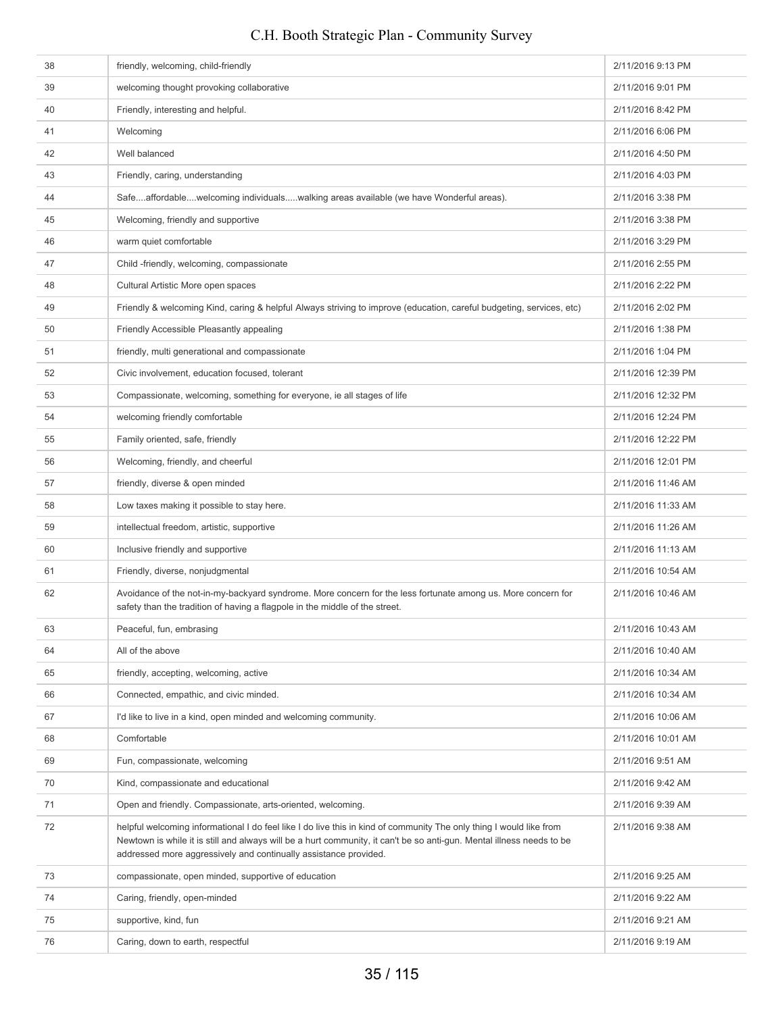| 38 | friendly, welcoming, child-friendly                                                                                                                                                                                                                                                                              | 2/11/2016 9:13 PM  |
|----|------------------------------------------------------------------------------------------------------------------------------------------------------------------------------------------------------------------------------------------------------------------------------------------------------------------|--------------------|
| 39 | welcoming thought provoking collaborative                                                                                                                                                                                                                                                                        | 2/11/2016 9:01 PM  |
| 40 | Friendly, interesting and helpful.                                                                                                                                                                                                                                                                               | 2/11/2016 8:42 PM  |
| 41 | Welcoming                                                                                                                                                                                                                                                                                                        | 2/11/2016 6:06 PM  |
| 42 | Well balanced                                                                                                                                                                                                                                                                                                    | 2/11/2016 4:50 PM  |
| 43 | Friendly, caring, understanding                                                                                                                                                                                                                                                                                  | 2/11/2016 4:03 PM  |
| 44 | Safeaffordablewelcoming individualswalking areas available (we have Wonderful areas).                                                                                                                                                                                                                            | 2/11/2016 3:38 PM  |
| 45 | Welcoming, friendly and supportive                                                                                                                                                                                                                                                                               | 2/11/2016 3:38 PM  |
| 46 | warm quiet comfortable                                                                                                                                                                                                                                                                                           | 2/11/2016 3:29 PM  |
| 47 | Child -friendly, welcoming, compassionate                                                                                                                                                                                                                                                                        | 2/11/2016 2:55 PM  |
| 48 | Cultural Artistic More open spaces                                                                                                                                                                                                                                                                               | 2/11/2016 2:22 PM  |
| 49 | Friendly & welcoming Kind, caring & helpful Always striving to improve (education, careful budgeting, services, etc)                                                                                                                                                                                             | 2/11/2016 2:02 PM  |
| 50 | Friendly Accessible Pleasantly appealing                                                                                                                                                                                                                                                                         | 2/11/2016 1:38 PM  |
| 51 | friendly, multi generational and compassionate                                                                                                                                                                                                                                                                   | 2/11/2016 1:04 PM  |
| 52 | Civic involvement, education focused, tolerant                                                                                                                                                                                                                                                                   | 2/11/2016 12:39 PM |
| 53 | Compassionate, welcoming, something for everyone, ie all stages of life                                                                                                                                                                                                                                          | 2/11/2016 12:32 PM |
| 54 | welcoming friendly comfortable                                                                                                                                                                                                                                                                                   | 2/11/2016 12:24 PM |
| 55 | Family oriented, safe, friendly                                                                                                                                                                                                                                                                                  | 2/11/2016 12:22 PM |
| 56 | Welcoming, friendly, and cheerful                                                                                                                                                                                                                                                                                | 2/11/2016 12:01 PM |
| 57 | friendly, diverse & open minded                                                                                                                                                                                                                                                                                  | 2/11/2016 11:46 AM |
| 58 | Low taxes making it possible to stay here.                                                                                                                                                                                                                                                                       | 2/11/2016 11:33 AM |
| 59 | intellectual freedom, artistic, supportive                                                                                                                                                                                                                                                                       | 2/11/2016 11:26 AM |
| 60 | Inclusive friendly and supportive                                                                                                                                                                                                                                                                                | 2/11/2016 11:13 AM |
| 61 | Friendly, diverse, nonjudgmental                                                                                                                                                                                                                                                                                 | 2/11/2016 10:54 AM |
| 62 | Avoidance of the not-in-my-backyard syndrome. More concern for the less fortunate among us. More concern for<br>safety than the tradition of having a flagpole in the middle of the street.                                                                                                                      | 2/11/2016 10:46 AM |
| 63 | Peaceful, fun, embrasing                                                                                                                                                                                                                                                                                         | 2/11/2016 10:43 AM |
| 64 | All of the above                                                                                                                                                                                                                                                                                                 | 2/11/2016 10:40 AM |
| 65 | friendly, accepting, welcoming, active                                                                                                                                                                                                                                                                           | 2/11/2016 10:34 AM |
| 66 | Connected, empathic, and civic minded.                                                                                                                                                                                                                                                                           | 2/11/2016 10:34 AM |
| 67 | I'd like to live in a kind, open minded and welcoming community.                                                                                                                                                                                                                                                 | 2/11/2016 10:06 AM |
| 68 | Comfortable                                                                                                                                                                                                                                                                                                      | 2/11/2016 10:01 AM |
| 69 | Fun, compassionate, welcoming                                                                                                                                                                                                                                                                                    | 2/11/2016 9:51 AM  |
| 70 | Kind, compassionate and educational                                                                                                                                                                                                                                                                              | 2/11/2016 9:42 AM  |
| 71 | Open and friendly. Compassionate, arts-oriented, welcoming.                                                                                                                                                                                                                                                      | 2/11/2016 9:39 AM  |
| 72 | helpful welcoming informational I do feel like I do live this in kind of community The only thing I would like from<br>Newtown is while it is still and always will be a hurt community, it can't be so anti-gun. Mental illness needs to be<br>addressed more aggressively and continually assistance provided. | 2/11/2016 9:38 AM  |
| 73 | compassionate, open minded, supportive of education                                                                                                                                                                                                                                                              | 2/11/2016 9:25 AM  |
| 74 | Caring, friendly, open-minded                                                                                                                                                                                                                                                                                    | 2/11/2016 9:22 AM  |
| 75 | supportive, kind, fun                                                                                                                                                                                                                                                                                            | 2/11/2016 9:21 AM  |
| 76 | Caring, down to earth, respectful                                                                                                                                                                                                                                                                                | 2/11/2016 9:19 AM  |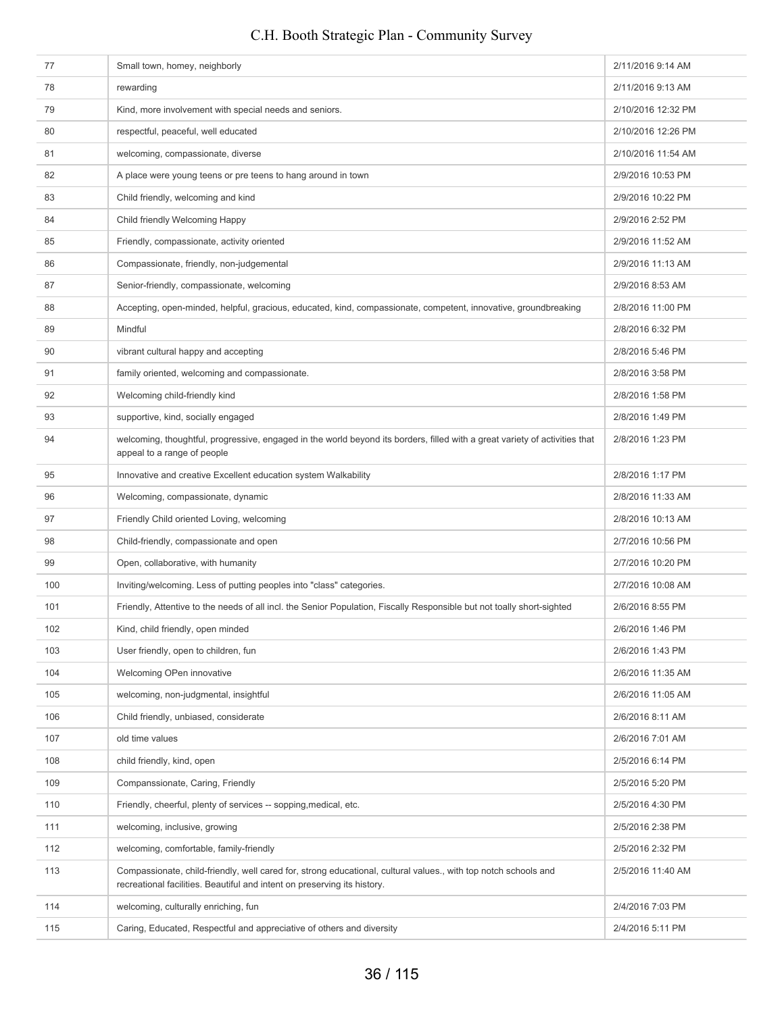# 77 Small town, homey, neighborly 2/11/2016 9:14 AM 78 rewarding 2/11/2016 9:13 AM 79 Kind, more involvement with special needs and seniors. 2/10/2016 12:32 PM 80 respectful, peaceful, well educated 2/10/2016 12:26 PM 81 welcoming, compassionate, diverse 2/10/2016 11:54 AM 82 A place were young teens or pre teens to hang around in town 2/9/2016 10:53 PM 83 Child friendly, welcoming and kind 29/2016 10:22 PM 209/2016 10:22 PM 84 Child friendly Welcoming Happy 2001 6 2:52 PM 85 Friendly, compassionate, activity oriented **2008 Friendly, compassionate, activity oriented** 2008 **Priorient** 86 Compassionate, friendly, non-judgemental 209/2016 11:13 AM 87 Senior-friendly, compassionate, welcoming 2002016 8:53 AM 88 Accepting, open-minded, helpful, gracious, educated, kind, compassionate, competent, innovative, groundbreaking 2/8/2016 11:00 PM 89 Mindful 2/8/2016 6:32 PM 90 vibrant cultural happy and accepting 2/8/2016 5:46 PM 91 **family oriented, welcoming and compassionate.** 2/8/2016 3:58 PM 92 Welcoming child-friendly kind 2/8/2016 1:58 PM 93 supportive, kind, socially engaged 2/8/2016 1:49 PM 94 welcoming, thoughtful, progressive, engaged in the world beyond its borders, filled with a great variety of activities that appeal to a range of people 2/8/2016 1:23 PM 95 Innovative and creative Excellent education system Walkability 2001 2002 2016 1:17 PM 96 Welcoming, compassionate, dynamic 2/8/2016 11:33 AM 97 Friendly Child oriented Loving, welcoming 2/8/2016 10:13 AM 2/8/2016 10:13 AM example 38 Child-friendly, compassionate and open 2/7/2016 10:56 PM 2/7/2016 10:56 PM 99 Open, collaborative, with humanity 2/7/2016 10:20 PM 100 Inviting/welcoming. Less of putting peoples into "class" categories. 2001 2001 2016 2017/2016 10:08 AM 101 Friendly, Attentive to the needs of all incl. the Senior Population, Fiscally Responsible but not toally short-sighted 2/6/2016 8:55 PM 102 Kind, child friendly, open minded 2/6/2016 1:46 PM 103 User friendly, open to children, function of the state of the state of the state of the state of the state of the 2/6/2016 1:43 PM 104 Welcoming OPen innovative 206/2016 11:35 AM 105 welcoming, non-judgmental, insightful 206/2016 11:05 AM and 206/2016 11:05 AM 106 Child friendly, unbiased, considerate 2/6/2016 8:11 AM 107 old time values and the values and the values of the values of the values of the values of the values of the values of the values of the values of the values of the values of the values of the values of the values of t 108 child friendly, kind, open **2/5/2016** 6:14 PM 109 Companssionate, Caring, Friendly 2007 Companssionate, Caring, Friendly 2016 1997 Companssionate, Caring, Friendly 110 Friendly, cheerful, plenty of services -- sopping,medical, etc. 2/5/2016 4:30 PM 111 welcoming, inclusive, growing 2001 and the community of the community of the community 2/5/2016 2:38 PM 112 welcoming, comfortable, family-friendly 2016 2:32 PM 113 Compassionate, child-friendly, well cared for, strong educational, cultural values., with top notch schools and recreational facilities. Beautiful and intent on preserving its history. 2/5/2016 11:40 AM 114 welcoming, culturally enriching, fun<br>
2/4/2016 7:03 PM 115 Caring, Educated, Respectful and appreciative of others and diversity 2001 2001 2012 2016 5:11 PM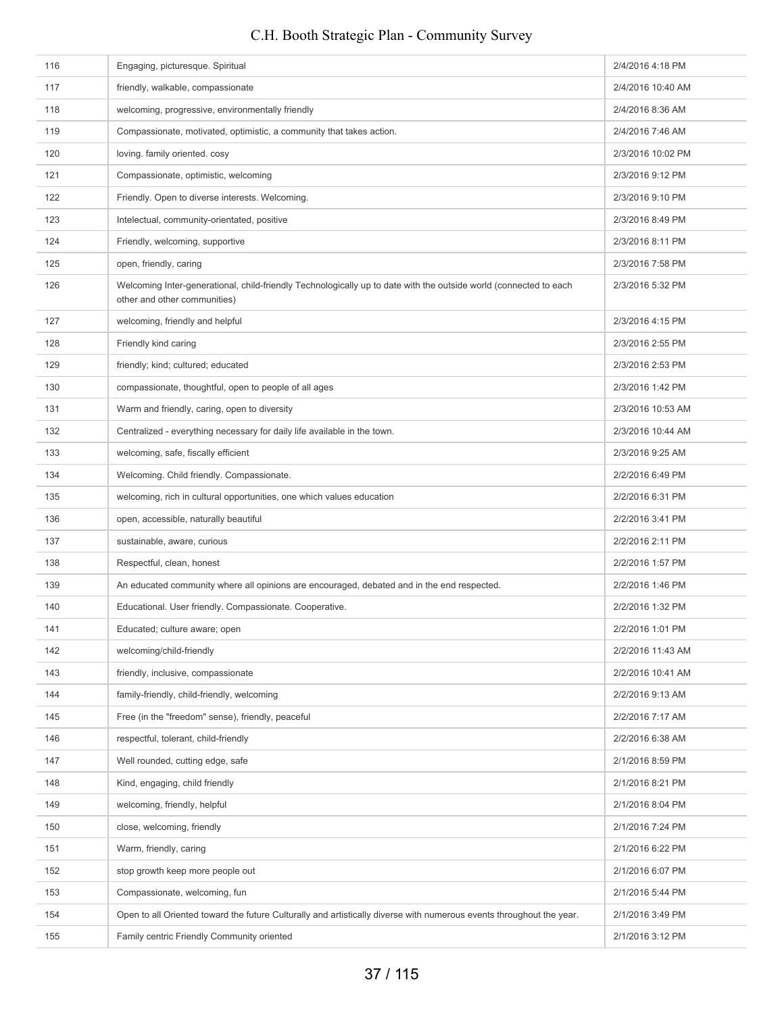| 116 | Engaging, picturesque. Spiritual                                                                                                                  | 2/4/2016 4:18 PM  |
|-----|---------------------------------------------------------------------------------------------------------------------------------------------------|-------------------|
| 117 | friendly, walkable, compassionate                                                                                                                 | 2/4/2016 10:40 AM |
| 118 | welcoming, progressive, environmentally friendly                                                                                                  | 2/4/2016 8:36 AM  |
| 119 | Compassionate, motivated, optimistic, a community that takes action.                                                                              | 2/4/2016 7:46 AM  |
| 120 | loving. family oriented. cosy                                                                                                                     | 2/3/2016 10:02 PM |
| 121 | Compassionate, optimistic, welcoming                                                                                                              | 2/3/2016 9:12 PM  |
| 122 | Friendly. Open to diverse interests. Welcoming.                                                                                                   | 2/3/2016 9:10 PM  |
| 123 | Intelectual, community-orientated, positive                                                                                                       | 2/3/2016 8:49 PM  |
| 124 | Friendly, welcoming, supportive                                                                                                                   | 2/3/2016 8:11 PM  |
| 125 | open, friendly, caring                                                                                                                            | 2/3/2016 7:58 PM  |
| 126 | Welcoming Inter-generational, child-friendly Technologically up to date with the outside world (connected to each<br>other and other communities) | 2/3/2016 5:32 PM  |
| 127 | welcoming, friendly and helpful                                                                                                                   | 2/3/2016 4:15 PM  |
| 128 | Friendly kind caring                                                                                                                              | 2/3/2016 2:55 PM  |
| 129 | friendly; kind; cultured; educated                                                                                                                | 2/3/2016 2:53 PM  |
| 130 | compassionate, thoughtful, open to people of all ages                                                                                             | 2/3/2016 1:42 PM  |
| 131 | Warm and friendly, caring, open to diversity                                                                                                      | 2/3/2016 10:53 AM |
| 132 | Centralized - everything necessary for daily life available in the town.                                                                          | 2/3/2016 10:44 AM |
| 133 | welcoming, safe, fiscally efficient                                                                                                               | 2/3/2016 9:25 AM  |
| 134 | Welcoming. Child friendly. Compassionate.                                                                                                         | 2/2/2016 6:49 PM  |
| 135 | welcoming, rich in cultural opportunities, one which values education                                                                             | 2/2/2016 6:31 PM  |
| 136 | open, accessible, naturally beautiful                                                                                                             | 2/2/2016 3:41 PM  |
| 137 | sustainable, aware, curious                                                                                                                       | 2/2/2016 2:11 PM  |
| 138 | Respectful, clean, honest                                                                                                                         | 2/2/2016 1:57 PM  |
| 139 | An educated community where all opinions are encouraged, debated and in the end respected.                                                        | 2/2/2016 1:46 PM  |
| 140 | Educational. User friendly. Compassionate. Cooperative.                                                                                           | 2/2/2016 1:32 PM  |
| 141 | Educated; culture aware; open                                                                                                                     | 2/2/2016 1:01 PM  |
| 142 | welcoming/child-friendly                                                                                                                          | 2/2/2016 11:43 AM |
| 143 | friendly, inclusive, compassionate                                                                                                                | 2/2/2016 10:41 AM |
| 144 | family-friendly, child-friendly, welcoming                                                                                                        | 2/2/2016 9:13 AM  |
| 145 | Free (in the "freedom" sense), friendly, peaceful                                                                                                 | 2/2/2016 7:17 AM  |
| 146 | respectful, tolerant, child-friendly                                                                                                              | 2/2/2016 6:38 AM  |
| 147 | Well rounded, cutting edge, safe                                                                                                                  | 2/1/2016 8:59 PM  |
| 148 | Kind, engaging, child friendly                                                                                                                    | 2/1/2016 8:21 PM  |
| 149 | welcoming, friendly, helpful                                                                                                                      | 2/1/2016 8:04 PM  |
| 150 | close, welcoming, friendly                                                                                                                        | 2/1/2016 7:24 PM  |
| 151 | Warm, friendly, caring                                                                                                                            | 2/1/2016 6:22 PM  |
| 152 | stop growth keep more people out                                                                                                                  | 2/1/2016 6:07 PM  |
| 153 | Compassionate, welcoming, fun                                                                                                                     | 2/1/2016 5:44 PM  |
| 154 | Open to all Oriented toward the future Culturally and artistically diverse with numerous events throughout the year.                              | 2/1/2016 3:49 PM  |
| 155 | Family centric Friendly Community oriented                                                                                                        | 2/1/2016 3:12 PM  |
|     |                                                                                                                                                   |                   |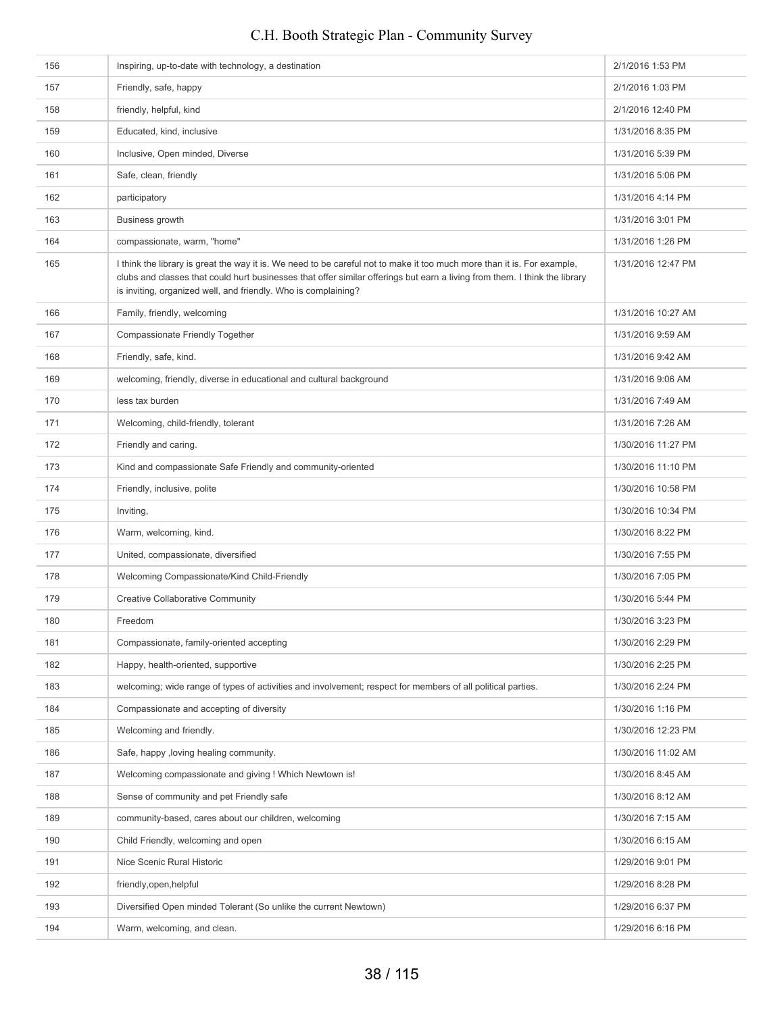| 156 | Inspiring, up-to-date with technology, a destination                                                                                                                                                                                                                                                                    | 2/1/2016 1:53 PM   |
|-----|-------------------------------------------------------------------------------------------------------------------------------------------------------------------------------------------------------------------------------------------------------------------------------------------------------------------------|--------------------|
| 157 | Friendly, safe, happy                                                                                                                                                                                                                                                                                                   | 2/1/2016 1:03 PM   |
| 158 | friendly, helpful, kind                                                                                                                                                                                                                                                                                                 | 2/1/2016 12:40 PM  |
| 159 | Educated, kind, inclusive                                                                                                                                                                                                                                                                                               | 1/31/2016 8:35 PM  |
| 160 | Inclusive, Open minded, Diverse                                                                                                                                                                                                                                                                                         | 1/31/2016 5:39 PM  |
| 161 | Safe, clean, friendly                                                                                                                                                                                                                                                                                                   | 1/31/2016 5:06 PM  |
| 162 | participatory                                                                                                                                                                                                                                                                                                           | 1/31/2016 4:14 PM  |
| 163 | Business growth                                                                                                                                                                                                                                                                                                         | 1/31/2016 3:01 PM  |
| 164 | compassionate, warm, "home"                                                                                                                                                                                                                                                                                             | 1/31/2016 1:26 PM  |
| 165 | I think the library is great the way it is. We need to be careful not to make it too much more than it is. For example,<br>clubs and classes that could hurt businesses that offer similar offerings but earn a living from them. I think the library<br>is inviting, organized well, and friendly. Who is complaining? | 1/31/2016 12:47 PM |
| 166 | Family, friendly, welcoming                                                                                                                                                                                                                                                                                             | 1/31/2016 10:27 AM |
| 167 | Compassionate Friendly Together                                                                                                                                                                                                                                                                                         | 1/31/2016 9:59 AM  |
| 168 | Friendly, safe, kind.                                                                                                                                                                                                                                                                                                   | 1/31/2016 9:42 AM  |
| 169 | welcoming, friendly, diverse in educational and cultural background                                                                                                                                                                                                                                                     | 1/31/2016 9:06 AM  |
| 170 | less tax burden                                                                                                                                                                                                                                                                                                         | 1/31/2016 7:49 AM  |
| 171 | Welcoming, child-friendly, tolerant                                                                                                                                                                                                                                                                                     | 1/31/2016 7:26 AM  |
| 172 | Friendly and caring.                                                                                                                                                                                                                                                                                                    | 1/30/2016 11:27 PM |
| 173 | Kind and compassionate Safe Friendly and community-oriented                                                                                                                                                                                                                                                             | 1/30/2016 11:10 PM |
| 174 | Friendly, inclusive, polite                                                                                                                                                                                                                                                                                             | 1/30/2016 10:58 PM |
| 175 | Inviting,                                                                                                                                                                                                                                                                                                               | 1/30/2016 10:34 PM |
| 176 | Warm, welcoming, kind.                                                                                                                                                                                                                                                                                                  | 1/30/2016 8:22 PM  |
| 177 | United, compassionate, diversified                                                                                                                                                                                                                                                                                      | 1/30/2016 7:55 PM  |
| 178 | Welcoming Compassionate/Kind Child-Friendly                                                                                                                                                                                                                                                                             | 1/30/2016 7:05 PM  |
| 179 | <b>Creative Collaborative Community</b>                                                                                                                                                                                                                                                                                 | 1/30/2016 5:44 PM  |
| 180 | Freedom                                                                                                                                                                                                                                                                                                                 | 1/30/2016 3:23 PM  |
| 181 | Compassionate, family-oriented accepting                                                                                                                                                                                                                                                                                | 1/30/2016 2:29 PM  |
| 182 | Happy, health-oriented, supportive                                                                                                                                                                                                                                                                                      | 1/30/2016 2:25 PM  |
| 183 | welcoming; wide range of types of activities and involvement; respect for members of all political parties.                                                                                                                                                                                                             | 1/30/2016 2:24 PM  |
| 184 | Compassionate and accepting of diversity                                                                                                                                                                                                                                                                                | 1/30/2016 1:16 PM  |
| 185 | Welcoming and friendly.                                                                                                                                                                                                                                                                                                 | 1/30/2016 12:23 PM |
| 186 | Safe, happy, loving healing community.                                                                                                                                                                                                                                                                                  | 1/30/2016 11:02 AM |
| 187 | Welcoming compassionate and giving ! Which Newtown is!                                                                                                                                                                                                                                                                  | 1/30/2016 8:45 AM  |
| 188 | Sense of community and pet Friendly safe                                                                                                                                                                                                                                                                                | 1/30/2016 8:12 AM  |
| 189 | community-based, cares about our children, welcoming                                                                                                                                                                                                                                                                    | 1/30/2016 7:15 AM  |
| 190 | Child Friendly, welcoming and open                                                                                                                                                                                                                                                                                      | 1/30/2016 6:15 AM  |
| 191 | Nice Scenic Rural Historic                                                                                                                                                                                                                                                                                              | 1/29/2016 9:01 PM  |
| 192 | friendly, open, helpful                                                                                                                                                                                                                                                                                                 | 1/29/2016 8:28 PM  |
| 193 | Diversified Open minded Tolerant (So unlike the current Newtown)                                                                                                                                                                                                                                                        | 1/29/2016 6:37 PM  |
| 194 | Warm, welcoming, and clean.                                                                                                                                                                                                                                                                                             | 1/29/2016 6:16 PM  |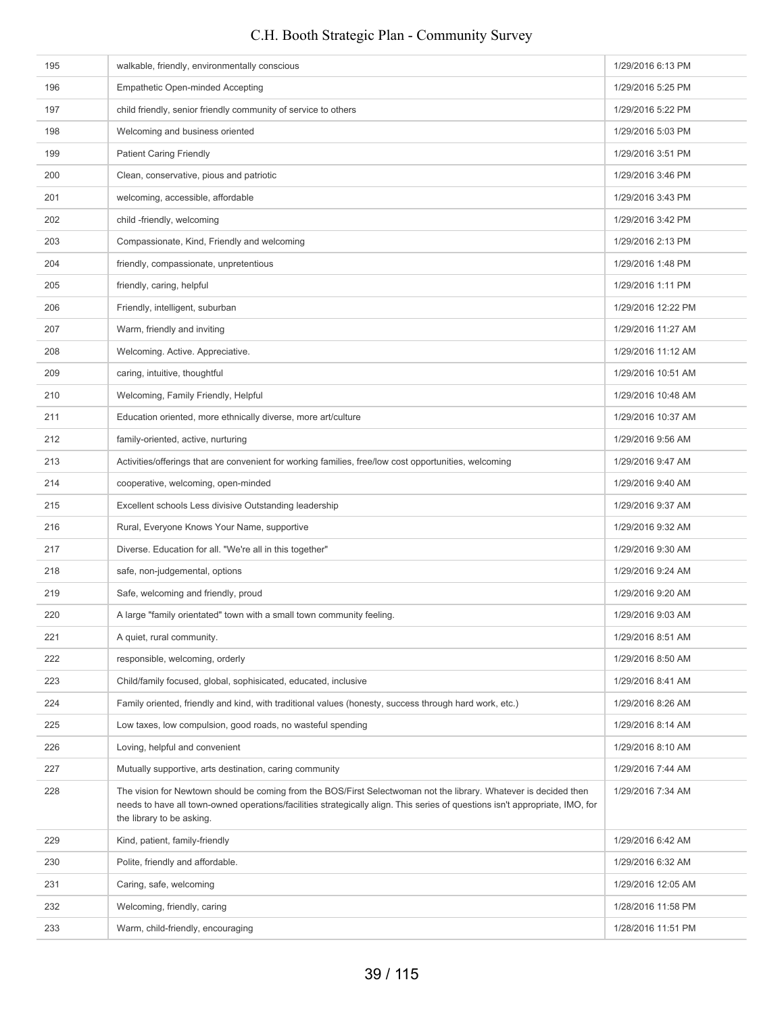# 195 walkable, friendly, environmentally conscious 1/29/2016 6:13 PM 196 **Empathetic Open-minded Accepting 1/29/2016 5:25 PM** 1/29/2016 5:25 PM 197 child friendly, senior friendly community of service to others 1/29/2016 5:22 PM 198 Welcoming and business oriented 1/29/2016 5:03 PM 199 Patient Caring Friendly **1/29/2016** 3:51 PM 200 Clean, conservative, pious and patriotic 1/29/2016 3:46 PM 201 welcoming, accessible, affordable 1/29/2016 3:43 PM 202 child -friendly, welcoming 1/29/2016 3:42 PM 203 Compassionate, Kind, Friendly and welcoming 1/29/2016 2:13 PM 204 friendly, compassionate, unpretentious 1/29/2016 1:48 PM 205 friendly, caring, helpful 1/29/2016 1:11 PM 206 Friendly, intelligent, suburban 1/29/2016 12:22 PM 207 Warm, friendly and inviting 1/29/2016 11:27 AM 208 Welcoming. Active. Appreciative. 2008 11:12 AM 209 caring, intuitive, thoughtful 1/29/2016 10:51 AM carried to the state of the state of the state of the state of the state of the state of the state of the state of the state of the state of the state of the state of th 210 Welcoming, Family Friendly, Helpful 1/29/2016 10:48 AM and the United States of the United States of the U 211 Education oriented, more ethnically diverse, more art/culture 1/29/2016 10:37 AM **212 family-oriented, active, nurturing 1/29/2016 9:56 AM 1/29/2016 9:56 AM** 213 Activities/offerings that are convenient for working families, free/low cost opportunities, welcoming 1/29/2016 9:47 AM 214 cooperative, welcoming, open-minded and the cooperative of the cooperative, welcoming, open-minded and the cooperative of the cooperative, welcoming, open-minded and the cooperative of the cooperative of the cooperativ 215 Excellent schools Less divisive Outstanding leadership 1/29/2016 9:37 AM 216 Rural, Everyone Knows Your Name, supportive 1/29/2016 9:32 AM 217 Diverse. Education for all. "We're all in this together" 1/29/2016 9:30 AM 218 safe, non-judgemental, options 1/29/2016 9:24 AM 219 Safe, welcoming and friendly, proud 1/29/2016 9:20 AM 220 A large "family orientated" town with a small town community feeling. 1/29/2016 9:03 AM 221 A quiet, rural community. A subset of the community of the community of the community of the community of the community of the community of the community of the community of the community of the community of the commun 222 responsible, welcoming, orderly 1/29/2016 8:50 AM 223 Child/family focused, global, sophisicated, educated, inclusive 1/29/2016 8:41 AM 224 Family oriented, friendly and kind, with traditional values (honesty, success through hard work, etc.) 1/29/2016 8:26 AM 225 Low taxes, low compulsion, good roads, no wasteful spending 1/29/2016 8:14 AM 226 Loving, helpful and convenient 1/29/2016 8:10 AM 227 Mutually supportive, arts destination, caring community 129/2016 7:44 AM 228 The vision for Newtown should be coming from the BOS/First Selectwoman not the library. Whatever is decided then needs to have all town-owned operations/facilities strategically align. This series of questions isn't appropriate, IMO, for the library to be asking. 1/29/2016 7:34 AM 229 Kind, patient, family-friendly 1/29/2016 6:42 AM 230 Polite, friendly and affordable. 1/29/2016 6:32 AM 231 Caring, safe, welcoming 231 Caring, safe, welcoming 231 Caring 2016 12:05 AM 232 Welcoming, friendly, caring 1/28/2016 11:58 PM 233 Warm, child-friendly, encouraging 1/28/2016 11:51 PM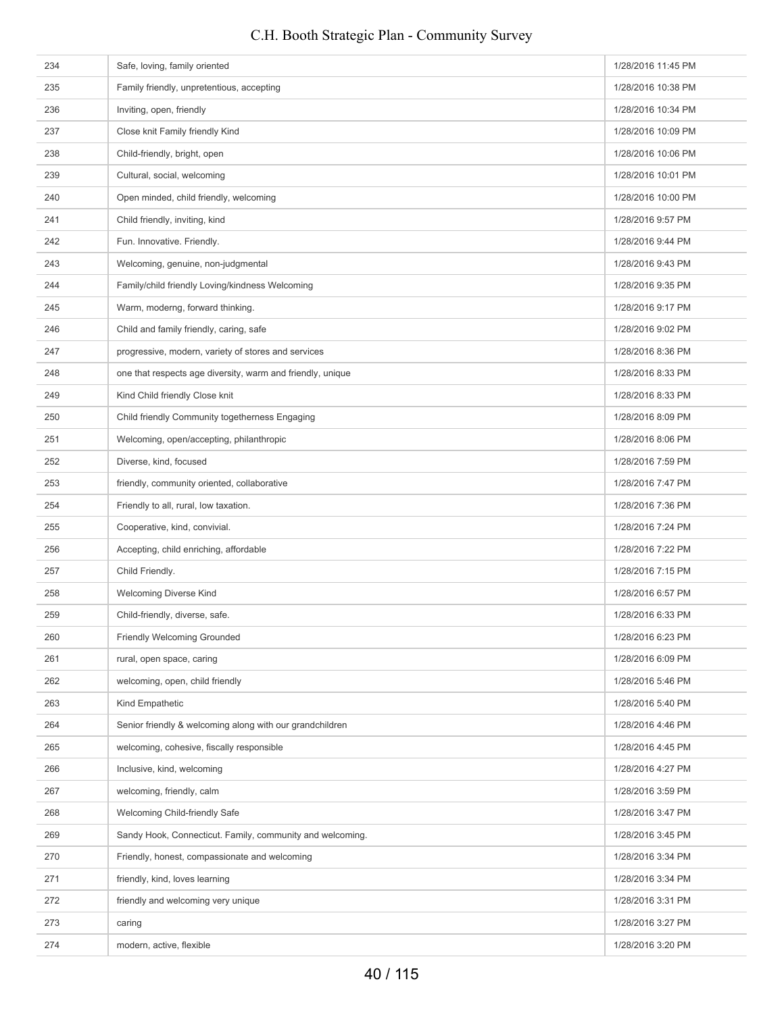# 234 Safe, loving, family oriented **1/28/2016** 11:45 PM 235 Family friendly, unpretentious, accepting 1/28/2016 10:38 PM 236 Inviting, open, friendly **Inviting, open, friendly** 1/28/2016 10:34 PM 237 Close knit Family friendly Kind 1/28/2016 10:09 PM 238 Child-friendly, bright, open 1/28/2016 10:06 PM Child-friendly, bright, open 1/28/2016 10:06 PM 239 Cultural, social, welcoming **239** Cultural, social, welcoming **1/28/2016** 10:01 PM 240 Open minded, child friendly, welcoming 1/28/2016 10:00 PM 1/28/2016 10:00 PM 241 Child friendly, inviting, kind 1/28/2016 9:57 PM 242 Fun. Innovative. Friendly. 1/28/2016 9:44 PM 243 Welcoming, genuine, non-judgmental 1/28/2016 9:43 PM 244 Family/child friendly Loving/kindness Welcoming 1/28/2016 9:35 PM 245 Warm, moderng, forward thinking. 1/28/2016 9:17 PM 246 Child and family friendly, caring, safe 1/28/2016 9:02 PM 247 progressive, modern, variety of stores and services 1/28/2016 8:36 PM 248 one that respects age diversity, warm and friendly, unique 1/28/2016 8:33 PM 249 Kind Child friendly Close knit 1/28/2016 8:33 PM 250 Child friendly Community togetherness Engaging 1/28/2016 8:09 PM 251 Welcoming, open/accepting, philanthropic 1/28/2016 8:06 PM 252 Diverse, kind, focused 1/28/2016 7:59 PM 253 friendly, community oriented, collaborative 1/28/2016 7:47 PM 254 Friendly to all, rural, low taxation. 1/28/2016 7:36 PM 255 Cooperative, kind, convivial. 1/28/2016 7:24 PM 256 Accepting, child enriching, affordable 1/28/2016 7:22 PM 257 Child Friendly. 257 Child Friendly. 258 Welcoming Diverse Kind 1/28/2016 6:57 PM 259 Child-friendly, diverse, safe. 1/28/2016 6:33 PM 260 **Friendly Welcoming Grounded** 1/28/2016 6:23 PM 261 rural, open space, caring 1/28/2016 6:09 PM 262 welcoming, open, child friendly 1/28/2016 5:46 PM 263 Kind Empathetic 1/28/2016 5:40 PM 264 Senior friendly & welcoming along with our grandchildren 1/28/2016 4:46 PM 265 welcoming, cohesive, fiscally responsible 1/28/2016 4:45 PM 266 Inclusive, kind, welcoming 1/28/2016 4:27 PM 267 welcoming, friendly, calm 1/28/2016 3:59 PM 268 Welcoming Child-friendly Safe 1/28/2016 3:47 PM 269 Sandy Hook, Connecticut. Family, community and welcoming. 1/28/2016 3:45 PM 270 Friendly, honest, compassionate and welcoming 1/28/2016 3:34 PM 271 **friendly, kind, loves learning** 1/28/2016 3:34 PM 272 friendly and welcoming very unique 1/28/2016 3:31 PM 273 caring caring 273 caring 2016 3:27 PM 274 modern, active, flexible 1/28/2016 3:20 PM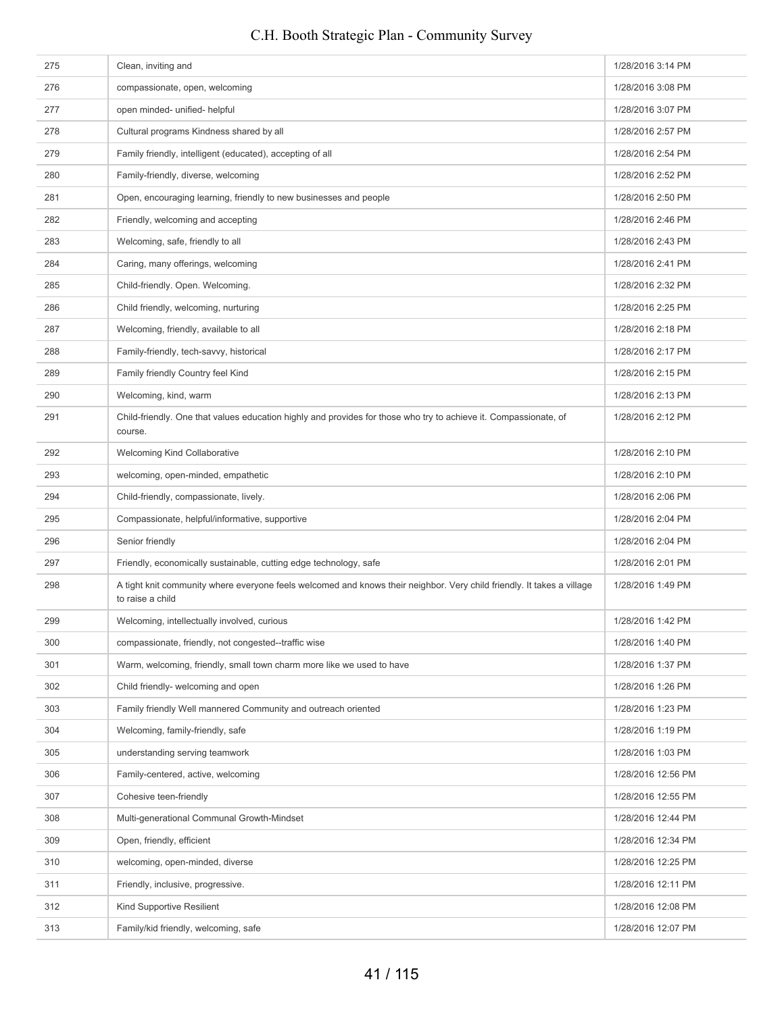| 276<br>compassionate, open, welcoming<br>1/28/2016 3:08 PM<br>open minded- unified- helpful<br>277<br>1/28/2016 3:07 PM<br>Cultural programs Kindness shared by all<br>278<br>1/28/2016 2:57 PM<br>279<br>Family friendly, intelligent (educated), accepting of all<br>1/28/2016 2:54 PM<br>Family-friendly, diverse, welcoming<br>280<br>1/28/2016 2:52 PM<br>281<br>Open, encouraging learning, friendly to new businesses and people<br>1/28/2016 2:50 PM<br>282<br>Friendly, welcoming and accepting<br>1/28/2016 2:46 PM<br>283<br>Welcoming, safe, friendly to all<br>1/28/2016 2:43 PM<br>284<br>Caring, many offerings, welcoming<br>1/28/2016 2:41 PM<br>Child-friendly. Open. Welcoming.<br>285<br>1/28/2016 2:32 PM<br>286<br>Child friendly, welcoming, nurturing<br>1/28/2016 2:25 PM<br>Welcoming, friendly, available to all<br>287<br>1/28/2016 2:18 PM<br>288<br>Family-friendly, tech-savvy, historical<br>1/28/2016 2:17 PM<br>289<br>Family friendly Country feel Kind<br>1/28/2016 2:15 PM<br>290<br>Welcoming, kind, warm<br>1/28/2016 2:13 PM<br>291<br>Child-friendly. One that values education highly and provides for those who try to achieve it. Compassionate, of<br>1/28/2016 2:12 PM<br>course.<br>292<br><b>Welcoming Kind Collaborative</b><br>1/28/2016 2:10 PM<br>293<br>welcoming, open-minded, empathetic<br>1/28/2016 2:10 PM<br>294<br>Child-friendly, compassionate, lively.<br>1/28/2016 2:06 PM<br>295<br>Compassionate, helpful/informative, supportive<br>1/28/2016 2:04 PM<br>296<br>Senior friendly<br>1/28/2016 2:04 PM<br>297<br>Friendly, economically sustainable, cutting edge technology, safe<br>1/28/2016 2:01 PM<br>A tight knit community where everyone feels welcomed and knows their neighbor. Very child friendly. It takes a village<br>298<br>1/28/2016 1:49 PM<br>to raise a child<br>299<br>1/28/2016 1:42 PM<br>Welcoming, intellectually involved, curious<br>300<br>1/28/2016 1:40 PM<br>compassionate, friendly, not congested--traffic wise<br>301<br>Warm, welcoming, friendly, small town charm more like we used to have<br>1/28/2016 1:37 PM<br>302<br>1/28/2016 1:26 PM<br>Child friendly- welcoming and open<br>303<br>Family friendly Well mannered Community and outreach oriented<br>1/28/2016 1:23 PM<br>304<br>1/28/2016 1:19 PM<br>Welcoming, family-friendly, safe<br>305<br>understanding serving teamwork<br>1/28/2016 1:03 PM<br>306<br>1/28/2016 12:56 PM<br>Family-centered, active, welcoming<br>Cohesive teen-friendly<br>307<br>1/28/2016 12:55 PM<br>308<br>1/28/2016 12:44 PM<br>Multi-generational Communal Growth-Mindset<br>309<br>Open, friendly, efficient<br>1/28/2016 12:34 PM<br>310<br>welcoming, open-minded, diverse<br>1/28/2016 12:25 PM<br>Friendly, inclusive, progressive.<br>311<br>1/28/2016 12:11 PM<br>312<br>Kind Supportive Resilient<br>1/28/2016 12:08 PM<br>Family/kid friendly, welcoming, safe<br>313<br>1/28/2016 12:07 PM | 275 | Clean, inviting and | 1/28/2016 3:14 PM |
|-----------------------------------------------------------------------------------------------------------------------------------------------------------------------------------------------------------------------------------------------------------------------------------------------------------------------------------------------------------------------------------------------------------------------------------------------------------------------------------------------------------------------------------------------------------------------------------------------------------------------------------------------------------------------------------------------------------------------------------------------------------------------------------------------------------------------------------------------------------------------------------------------------------------------------------------------------------------------------------------------------------------------------------------------------------------------------------------------------------------------------------------------------------------------------------------------------------------------------------------------------------------------------------------------------------------------------------------------------------------------------------------------------------------------------------------------------------------------------------------------------------------------------------------------------------------------------------------------------------------------------------------------------------------------------------------------------------------------------------------------------------------------------------------------------------------------------------------------------------------------------------------------------------------------------------------------------------------------------------------------------------------------------------------------------------------------------------------------------------------------------------------------------------------------------------------------------------------------------------------------------------------------------------------------------------------------------------------------------------------------------------------------------------------------------------------------------------------------------------------------------------------------------------------------------------------------------------------------------------------------------------------------------------------------------------------------------------------------------------------------------------------------------------------------------------------------------------------------------------------------------------------------------------------------------------------------------|-----|---------------------|-------------------|
|                                                                                                                                                                                                                                                                                                                                                                                                                                                                                                                                                                                                                                                                                                                                                                                                                                                                                                                                                                                                                                                                                                                                                                                                                                                                                                                                                                                                                                                                                                                                                                                                                                                                                                                                                                                                                                                                                                                                                                                                                                                                                                                                                                                                                                                                                                                                                                                                                                                                                                                                                                                                                                                                                                                                                                                                                                                                                                                                                     |     |                     |                   |
|                                                                                                                                                                                                                                                                                                                                                                                                                                                                                                                                                                                                                                                                                                                                                                                                                                                                                                                                                                                                                                                                                                                                                                                                                                                                                                                                                                                                                                                                                                                                                                                                                                                                                                                                                                                                                                                                                                                                                                                                                                                                                                                                                                                                                                                                                                                                                                                                                                                                                                                                                                                                                                                                                                                                                                                                                                                                                                                                                     |     |                     |                   |
|                                                                                                                                                                                                                                                                                                                                                                                                                                                                                                                                                                                                                                                                                                                                                                                                                                                                                                                                                                                                                                                                                                                                                                                                                                                                                                                                                                                                                                                                                                                                                                                                                                                                                                                                                                                                                                                                                                                                                                                                                                                                                                                                                                                                                                                                                                                                                                                                                                                                                                                                                                                                                                                                                                                                                                                                                                                                                                                                                     |     |                     |                   |
|                                                                                                                                                                                                                                                                                                                                                                                                                                                                                                                                                                                                                                                                                                                                                                                                                                                                                                                                                                                                                                                                                                                                                                                                                                                                                                                                                                                                                                                                                                                                                                                                                                                                                                                                                                                                                                                                                                                                                                                                                                                                                                                                                                                                                                                                                                                                                                                                                                                                                                                                                                                                                                                                                                                                                                                                                                                                                                                                                     |     |                     |                   |
|                                                                                                                                                                                                                                                                                                                                                                                                                                                                                                                                                                                                                                                                                                                                                                                                                                                                                                                                                                                                                                                                                                                                                                                                                                                                                                                                                                                                                                                                                                                                                                                                                                                                                                                                                                                                                                                                                                                                                                                                                                                                                                                                                                                                                                                                                                                                                                                                                                                                                                                                                                                                                                                                                                                                                                                                                                                                                                                                                     |     |                     |                   |
|                                                                                                                                                                                                                                                                                                                                                                                                                                                                                                                                                                                                                                                                                                                                                                                                                                                                                                                                                                                                                                                                                                                                                                                                                                                                                                                                                                                                                                                                                                                                                                                                                                                                                                                                                                                                                                                                                                                                                                                                                                                                                                                                                                                                                                                                                                                                                                                                                                                                                                                                                                                                                                                                                                                                                                                                                                                                                                                                                     |     |                     |                   |
|                                                                                                                                                                                                                                                                                                                                                                                                                                                                                                                                                                                                                                                                                                                                                                                                                                                                                                                                                                                                                                                                                                                                                                                                                                                                                                                                                                                                                                                                                                                                                                                                                                                                                                                                                                                                                                                                                                                                                                                                                                                                                                                                                                                                                                                                                                                                                                                                                                                                                                                                                                                                                                                                                                                                                                                                                                                                                                                                                     |     |                     |                   |
|                                                                                                                                                                                                                                                                                                                                                                                                                                                                                                                                                                                                                                                                                                                                                                                                                                                                                                                                                                                                                                                                                                                                                                                                                                                                                                                                                                                                                                                                                                                                                                                                                                                                                                                                                                                                                                                                                                                                                                                                                                                                                                                                                                                                                                                                                                                                                                                                                                                                                                                                                                                                                                                                                                                                                                                                                                                                                                                                                     |     |                     |                   |
|                                                                                                                                                                                                                                                                                                                                                                                                                                                                                                                                                                                                                                                                                                                                                                                                                                                                                                                                                                                                                                                                                                                                                                                                                                                                                                                                                                                                                                                                                                                                                                                                                                                                                                                                                                                                                                                                                                                                                                                                                                                                                                                                                                                                                                                                                                                                                                                                                                                                                                                                                                                                                                                                                                                                                                                                                                                                                                                                                     |     |                     |                   |
|                                                                                                                                                                                                                                                                                                                                                                                                                                                                                                                                                                                                                                                                                                                                                                                                                                                                                                                                                                                                                                                                                                                                                                                                                                                                                                                                                                                                                                                                                                                                                                                                                                                                                                                                                                                                                                                                                                                                                                                                                                                                                                                                                                                                                                                                                                                                                                                                                                                                                                                                                                                                                                                                                                                                                                                                                                                                                                                                                     |     |                     |                   |
|                                                                                                                                                                                                                                                                                                                                                                                                                                                                                                                                                                                                                                                                                                                                                                                                                                                                                                                                                                                                                                                                                                                                                                                                                                                                                                                                                                                                                                                                                                                                                                                                                                                                                                                                                                                                                                                                                                                                                                                                                                                                                                                                                                                                                                                                                                                                                                                                                                                                                                                                                                                                                                                                                                                                                                                                                                                                                                                                                     |     |                     |                   |
|                                                                                                                                                                                                                                                                                                                                                                                                                                                                                                                                                                                                                                                                                                                                                                                                                                                                                                                                                                                                                                                                                                                                                                                                                                                                                                                                                                                                                                                                                                                                                                                                                                                                                                                                                                                                                                                                                                                                                                                                                                                                                                                                                                                                                                                                                                                                                                                                                                                                                                                                                                                                                                                                                                                                                                                                                                                                                                                                                     |     |                     |                   |
|                                                                                                                                                                                                                                                                                                                                                                                                                                                                                                                                                                                                                                                                                                                                                                                                                                                                                                                                                                                                                                                                                                                                                                                                                                                                                                                                                                                                                                                                                                                                                                                                                                                                                                                                                                                                                                                                                                                                                                                                                                                                                                                                                                                                                                                                                                                                                                                                                                                                                                                                                                                                                                                                                                                                                                                                                                                                                                                                                     |     |                     |                   |
|                                                                                                                                                                                                                                                                                                                                                                                                                                                                                                                                                                                                                                                                                                                                                                                                                                                                                                                                                                                                                                                                                                                                                                                                                                                                                                                                                                                                                                                                                                                                                                                                                                                                                                                                                                                                                                                                                                                                                                                                                                                                                                                                                                                                                                                                                                                                                                                                                                                                                                                                                                                                                                                                                                                                                                                                                                                                                                                                                     |     |                     |                   |
|                                                                                                                                                                                                                                                                                                                                                                                                                                                                                                                                                                                                                                                                                                                                                                                                                                                                                                                                                                                                                                                                                                                                                                                                                                                                                                                                                                                                                                                                                                                                                                                                                                                                                                                                                                                                                                                                                                                                                                                                                                                                                                                                                                                                                                                                                                                                                                                                                                                                                                                                                                                                                                                                                                                                                                                                                                                                                                                                                     |     |                     |                   |
|                                                                                                                                                                                                                                                                                                                                                                                                                                                                                                                                                                                                                                                                                                                                                                                                                                                                                                                                                                                                                                                                                                                                                                                                                                                                                                                                                                                                                                                                                                                                                                                                                                                                                                                                                                                                                                                                                                                                                                                                                                                                                                                                                                                                                                                                                                                                                                                                                                                                                                                                                                                                                                                                                                                                                                                                                                                                                                                                                     |     |                     |                   |
|                                                                                                                                                                                                                                                                                                                                                                                                                                                                                                                                                                                                                                                                                                                                                                                                                                                                                                                                                                                                                                                                                                                                                                                                                                                                                                                                                                                                                                                                                                                                                                                                                                                                                                                                                                                                                                                                                                                                                                                                                                                                                                                                                                                                                                                                                                                                                                                                                                                                                                                                                                                                                                                                                                                                                                                                                                                                                                                                                     |     |                     |                   |
|                                                                                                                                                                                                                                                                                                                                                                                                                                                                                                                                                                                                                                                                                                                                                                                                                                                                                                                                                                                                                                                                                                                                                                                                                                                                                                                                                                                                                                                                                                                                                                                                                                                                                                                                                                                                                                                                                                                                                                                                                                                                                                                                                                                                                                                                                                                                                                                                                                                                                                                                                                                                                                                                                                                                                                                                                                                                                                                                                     |     |                     |                   |
|                                                                                                                                                                                                                                                                                                                                                                                                                                                                                                                                                                                                                                                                                                                                                                                                                                                                                                                                                                                                                                                                                                                                                                                                                                                                                                                                                                                                                                                                                                                                                                                                                                                                                                                                                                                                                                                                                                                                                                                                                                                                                                                                                                                                                                                                                                                                                                                                                                                                                                                                                                                                                                                                                                                                                                                                                                                                                                                                                     |     |                     |                   |
|                                                                                                                                                                                                                                                                                                                                                                                                                                                                                                                                                                                                                                                                                                                                                                                                                                                                                                                                                                                                                                                                                                                                                                                                                                                                                                                                                                                                                                                                                                                                                                                                                                                                                                                                                                                                                                                                                                                                                                                                                                                                                                                                                                                                                                                                                                                                                                                                                                                                                                                                                                                                                                                                                                                                                                                                                                                                                                                                                     |     |                     |                   |
|                                                                                                                                                                                                                                                                                                                                                                                                                                                                                                                                                                                                                                                                                                                                                                                                                                                                                                                                                                                                                                                                                                                                                                                                                                                                                                                                                                                                                                                                                                                                                                                                                                                                                                                                                                                                                                                                                                                                                                                                                                                                                                                                                                                                                                                                                                                                                                                                                                                                                                                                                                                                                                                                                                                                                                                                                                                                                                                                                     |     |                     |                   |
|                                                                                                                                                                                                                                                                                                                                                                                                                                                                                                                                                                                                                                                                                                                                                                                                                                                                                                                                                                                                                                                                                                                                                                                                                                                                                                                                                                                                                                                                                                                                                                                                                                                                                                                                                                                                                                                                                                                                                                                                                                                                                                                                                                                                                                                                                                                                                                                                                                                                                                                                                                                                                                                                                                                                                                                                                                                                                                                                                     |     |                     |                   |
|                                                                                                                                                                                                                                                                                                                                                                                                                                                                                                                                                                                                                                                                                                                                                                                                                                                                                                                                                                                                                                                                                                                                                                                                                                                                                                                                                                                                                                                                                                                                                                                                                                                                                                                                                                                                                                                                                                                                                                                                                                                                                                                                                                                                                                                                                                                                                                                                                                                                                                                                                                                                                                                                                                                                                                                                                                                                                                                                                     |     |                     |                   |
|                                                                                                                                                                                                                                                                                                                                                                                                                                                                                                                                                                                                                                                                                                                                                                                                                                                                                                                                                                                                                                                                                                                                                                                                                                                                                                                                                                                                                                                                                                                                                                                                                                                                                                                                                                                                                                                                                                                                                                                                                                                                                                                                                                                                                                                                                                                                                                                                                                                                                                                                                                                                                                                                                                                                                                                                                                                                                                                                                     |     |                     |                   |
|                                                                                                                                                                                                                                                                                                                                                                                                                                                                                                                                                                                                                                                                                                                                                                                                                                                                                                                                                                                                                                                                                                                                                                                                                                                                                                                                                                                                                                                                                                                                                                                                                                                                                                                                                                                                                                                                                                                                                                                                                                                                                                                                                                                                                                                                                                                                                                                                                                                                                                                                                                                                                                                                                                                                                                                                                                                                                                                                                     |     |                     |                   |
|                                                                                                                                                                                                                                                                                                                                                                                                                                                                                                                                                                                                                                                                                                                                                                                                                                                                                                                                                                                                                                                                                                                                                                                                                                                                                                                                                                                                                                                                                                                                                                                                                                                                                                                                                                                                                                                                                                                                                                                                                                                                                                                                                                                                                                                                                                                                                                                                                                                                                                                                                                                                                                                                                                                                                                                                                                                                                                                                                     |     |                     |                   |
|                                                                                                                                                                                                                                                                                                                                                                                                                                                                                                                                                                                                                                                                                                                                                                                                                                                                                                                                                                                                                                                                                                                                                                                                                                                                                                                                                                                                                                                                                                                                                                                                                                                                                                                                                                                                                                                                                                                                                                                                                                                                                                                                                                                                                                                                                                                                                                                                                                                                                                                                                                                                                                                                                                                                                                                                                                                                                                                                                     |     |                     |                   |
|                                                                                                                                                                                                                                                                                                                                                                                                                                                                                                                                                                                                                                                                                                                                                                                                                                                                                                                                                                                                                                                                                                                                                                                                                                                                                                                                                                                                                                                                                                                                                                                                                                                                                                                                                                                                                                                                                                                                                                                                                                                                                                                                                                                                                                                                                                                                                                                                                                                                                                                                                                                                                                                                                                                                                                                                                                                                                                                                                     |     |                     |                   |
|                                                                                                                                                                                                                                                                                                                                                                                                                                                                                                                                                                                                                                                                                                                                                                                                                                                                                                                                                                                                                                                                                                                                                                                                                                                                                                                                                                                                                                                                                                                                                                                                                                                                                                                                                                                                                                                                                                                                                                                                                                                                                                                                                                                                                                                                                                                                                                                                                                                                                                                                                                                                                                                                                                                                                                                                                                                                                                                                                     |     |                     |                   |
|                                                                                                                                                                                                                                                                                                                                                                                                                                                                                                                                                                                                                                                                                                                                                                                                                                                                                                                                                                                                                                                                                                                                                                                                                                                                                                                                                                                                                                                                                                                                                                                                                                                                                                                                                                                                                                                                                                                                                                                                                                                                                                                                                                                                                                                                                                                                                                                                                                                                                                                                                                                                                                                                                                                                                                                                                                                                                                                                                     |     |                     |                   |
|                                                                                                                                                                                                                                                                                                                                                                                                                                                                                                                                                                                                                                                                                                                                                                                                                                                                                                                                                                                                                                                                                                                                                                                                                                                                                                                                                                                                                                                                                                                                                                                                                                                                                                                                                                                                                                                                                                                                                                                                                                                                                                                                                                                                                                                                                                                                                                                                                                                                                                                                                                                                                                                                                                                                                                                                                                                                                                                                                     |     |                     |                   |
|                                                                                                                                                                                                                                                                                                                                                                                                                                                                                                                                                                                                                                                                                                                                                                                                                                                                                                                                                                                                                                                                                                                                                                                                                                                                                                                                                                                                                                                                                                                                                                                                                                                                                                                                                                                                                                                                                                                                                                                                                                                                                                                                                                                                                                                                                                                                                                                                                                                                                                                                                                                                                                                                                                                                                                                                                                                                                                                                                     |     |                     |                   |
|                                                                                                                                                                                                                                                                                                                                                                                                                                                                                                                                                                                                                                                                                                                                                                                                                                                                                                                                                                                                                                                                                                                                                                                                                                                                                                                                                                                                                                                                                                                                                                                                                                                                                                                                                                                                                                                                                                                                                                                                                                                                                                                                                                                                                                                                                                                                                                                                                                                                                                                                                                                                                                                                                                                                                                                                                                                                                                                                                     |     |                     |                   |
|                                                                                                                                                                                                                                                                                                                                                                                                                                                                                                                                                                                                                                                                                                                                                                                                                                                                                                                                                                                                                                                                                                                                                                                                                                                                                                                                                                                                                                                                                                                                                                                                                                                                                                                                                                                                                                                                                                                                                                                                                                                                                                                                                                                                                                                                                                                                                                                                                                                                                                                                                                                                                                                                                                                                                                                                                                                                                                                                                     |     |                     |                   |
|                                                                                                                                                                                                                                                                                                                                                                                                                                                                                                                                                                                                                                                                                                                                                                                                                                                                                                                                                                                                                                                                                                                                                                                                                                                                                                                                                                                                                                                                                                                                                                                                                                                                                                                                                                                                                                                                                                                                                                                                                                                                                                                                                                                                                                                                                                                                                                                                                                                                                                                                                                                                                                                                                                                                                                                                                                                                                                                                                     |     |                     |                   |
|                                                                                                                                                                                                                                                                                                                                                                                                                                                                                                                                                                                                                                                                                                                                                                                                                                                                                                                                                                                                                                                                                                                                                                                                                                                                                                                                                                                                                                                                                                                                                                                                                                                                                                                                                                                                                                                                                                                                                                                                                                                                                                                                                                                                                                                                                                                                                                                                                                                                                                                                                                                                                                                                                                                                                                                                                                                                                                                                                     |     |                     |                   |
|                                                                                                                                                                                                                                                                                                                                                                                                                                                                                                                                                                                                                                                                                                                                                                                                                                                                                                                                                                                                                                                                                                                                                                                                                                                                                                                                                                                                                                                                                                                                                                                                                                                                                                                                                                                                                                                                                                                                                                                                                                                                                                                                                                                                                                                                                                                                                                                                                                                                                                                                                                                                                                                                                                                                                                                                                                                                                                                                                     |     |                     |                   |
|                                                                                                                                                                                                                                                                                                                                                                                                                                                                                                                                                                                                                                                                                                                                                                                                                                                                                                                                                                                                                                                                                                                                                                                                                                                                                                                                                                                                                                                                                                                                                                                                                                                                                                                                                                                                                                                                                                                                                                                                                                                                                                                                                                                                                                                                                                                                                                                                                                                                                                                                                                                                                                                                                                                                                                                                                                                                                                                                                     |     |                     |                   |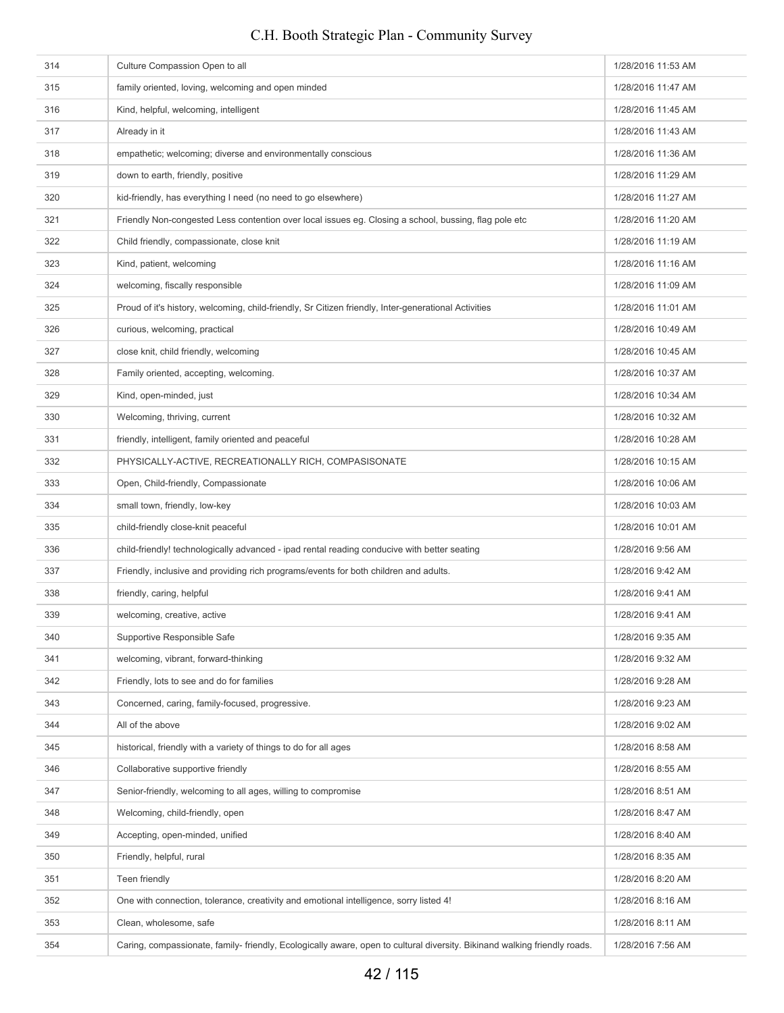# 314 Culture Compassion Open to all **1/28/2016 11:53 AM** 1/28/2016 11:53 AM **128/2016 11:47 AM** family oriented, loving, welcoming and open minded 1/28/2016 11:47 AM 316 Kind, helpful, welcoming, intelligent 1/28/2016 11:45 AM 1/28/2016 11:45 AM 317 Already in it 1/28/2016 11:43 AM 318 empathetic; welcoming; diverse and environmentally conscious 1/28/2016 11:36 AM 319 down to earth, friendly, positive 1/28/2016 11:29 AM 320 kid-friendly, has everything I need (no need to go elsewhere) 1/28/2016 11:27 AM 321 Friendly Non-congested Less contention over local issues eg. Closing a school, bussing, flag pole etc 1/28/2016 11:20 AM 322 Child friendly, compassionate, close knit 1/28/2016 11:19 AM and the state of the state of the state of the state of the state of the state of the state of the state of the state of the state of the state of the state 323 Kind, patient, welcoming and the state of the state of the state of the state of the state of the state of the AM 324 welcoming, fiscally responsible 1/28/2016 11:09 AM 325 Proud of it's history, welcoming, child-friendly, Sr Citizen friendly, Inter-generational Activities 1/28/2016 11:01 AM 326 curious, welcoming, practical 1/28/2016 10:49 AM 327 close knit, child friendly, welcoming 1/28/2016 10:45 AM close knit, child friendly, welcoming 1/28/2016 10:45 AM 328 **Family oriented, accepting, welcoming.** 1328 **Family oriented, accepting, welcoming.** 1/28/2016 10:37 AM 329 Kind, open-minded, just 1/28/2016 10:34 AM 330 Welcoming, thriving, current 1/28/2016 10:32 AM **1/28/2016 10:28 AM** friendly, intelligent, family oriented and peaceful 1/28/2016 10:28 AM 332 PHYSICALLY-ACTIVE, RECREATIONALLY RICH, COMPASISONATE 1/28/2016 10:15 AM **1/28/2016 10:06 AM** Open, Child-friendly, Compassionate 1/28/2016 10:06 AM 334 small town, friendly, low-key 1/28/2016 10:03 AM child-friendly close-knit peaceful 1/28/2016 10:01 AM and the state of the state of the state of the state of the state of the state of the state of the state of the state of the state of the state of the state of the stat 336 child-friendly! technologically advanced - ipad rental reading conducive with better seating 1/28/2016 9:56 AM 337 Friendly, inclusive and providing rich programs/events for both children and adults. 1/28/2016 9:42 AM 338 friendly, caring, helpful 1/28/2016 9:41 AM 339 welcoming, creative, active 1/28/2016 9:41 AM 340 Supportive Responsible Safe 1/28/2016 9:35 AM 341 welcoming, vibrant, forward-thinking 1/28/2016 9:32 AM 342 Friendly, lots to see and do for families 1/28/2016 9:28 AM 343 Concerned, caring, family-focused, progressive. 1/28/2016 9:23 AM 344 All of the above 1/28/2016 9:02 AM 345 historical, friendly with a variety of things to do for all ages 1/28/2016 8:58 AM 346 Collaborative supportive friendly 1/28/2016 8:55 AM 347 Senior-friendly, welcoming to all ages, willing to compromise 1/28/2016 8:51 AM 348 Welcoming, child-friendly, open 1/28/2016 8:47 AM 349 Accepting, open-minded, unified 1/28/2016 8:40 AM 350 Friendly, helpful, rural 1/28/2016 8:35 AM 351 Teen friendly 1/28/2016 8:20 AM 352 One with connection, tolerance, creativity and emotional intelligence, sorry listed 4! 1/28/2016 8:16 AM 353 Clean, wholesome, safe 1/28/2016 8:11 AM 354 Caring, compassionate, family- friendly, Ecologically aware, open to cultural diversity. Bikinand walking friendly roads. 1/28/2016 7:56 AM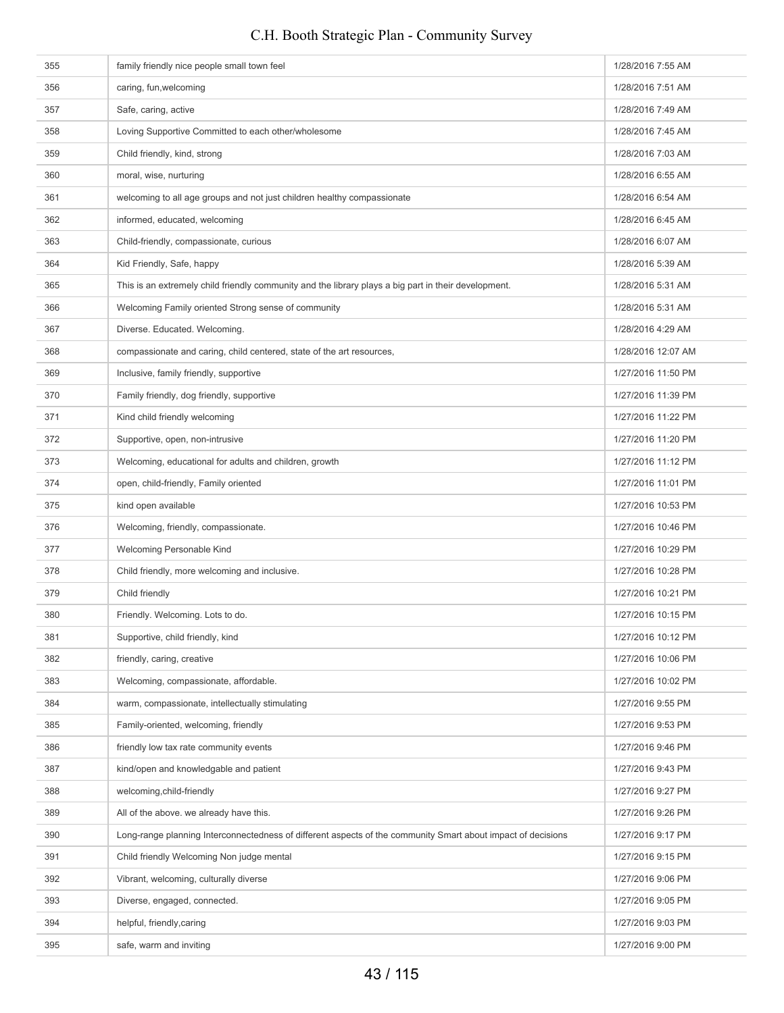# **1/28/2016 7:55 AM** family friendly nice people small town feel 1/28/2016 7:55 AM 356 caring, fun,welcoming 1/28/2016 7:51 AM 357 Safe, caring, active 1/28/2016 7:49 AM 358 Loving Supportive Committed to each other/wholesome 1/28/2016 7:45 AM 359 Child friendly, kind, strong 1/28/2016 7:03 AM 360 moral, wise, nurturing 1/28/2016 6:55 AM 361 welcoming to all age groups and not just children healthy compassionate 1/28/2016 6:54 AM 362 informed, educated, welcoming intervention of the state of the state of the state of the state of the state of the state of the state of the state of the state of the state of the state of the state of the state of the 363 Child-friendly, compassionate, curious 1/28/2016 6:07 AM 364 Kid Friendly, Safe, happy 1/28/2016 5:39 AM 365 This is an extremely child friendly community and the library plays a big part in their development. 1/28/2016 5:31 AM 366 Welcoming Family oriented Strong sense of community 1/28/2016 5:31 AM 367 Diverse. Educated. Welcoming. 1/28/2016 4:29 AM 368 compassionate and caring, child centered, state of the art resources, 1/28/2016 12:07 AM 369 Inclusive, family friendly, supportive 1/27/2016 11:50 PM and the 1/27/2016 11:50 PM 370 Family friendly, dog friendly, supportive 1/27/2016 11:39 PM and the 1/27/2016 11:39 PM 371 Kind child friendly welcoming **1/27/2016** 11:22 PM 372 Supportive, open, non-intrusive 1/27/2016 11:20 PM 373 Welcoming, educational for adults and children, growth 1/27/2016 11:12 PM 1/27/2016 11:12 PM open, child-friendly, Family oriented 1/27/2016 11:01 PM 375 kind open available 1/27/2016 10:53 PM 376 Welcoming, friendly, compassionate. 1/27/2016 10:46 PM 377 Welcoming Personable Kind 1/27/2016 10:29 PM 378 Child friendly, more welcoming and inclusive. 1/27/2016 10:28 PM Child friendly, more welcoming and inclusive. 379 Child friendly **1/27/2016 10:21 PM** 380 Friendly. Welcoming. Lots to do. 1/27/2016 10:15 PM 381 Supportive, child friendly, kind 1/27/2016 10:12 PM Supportive, child friendly, kind 1/27/2016 10:12 PM **382** friendly, caring, creative **1/27/2016** 10:06 PM 383 Welcoming, compassionate, affordable. 1/27/2016 10:02 PM **1/27/2016 9:55 PM** warm, compassionate, intellectually stimulating 1/27/2016 9:55 PM **1/27/2016 9:53 PM** Family-oriented, welcoming, friendly 100 and 100 and 100 and 100 and 100 and 100 and 100 and 100 and 100 and 100 and 100 and 100 and 100 and 100 and 100 and 100 and 100 and 100 and 100 and 100 and 100 a 386 friendly low tax rate community events 1/27/2016 9:46 PM 387 kind/open and knowledgable and patient 1/27/2016 9:43 PM and the state of the state of the state of the state of the state of the state of the state of the state of the state of the state of the state of the state of the state of the state of the state of the state of the state 389 All of the above. we already have this. 1/27/2016 9:26 PM 390 Long-range planning Interconnectedness of different aspects of the community Smart about impact of decisions 1/27/2016 9:17 PM 391 Child friendly Welcoming Non judge mental 1/27/2016 9:15 PM 392 Vibrant, welcoming, culturally diverse 1/27/2016 9:06 PM 393 Diverse, engaged, connected. 1/27/2016 9:05 PM 394 helpful, friendly,caring 1/27/2016 9:03 PM safe, warm and inviting 1/27/2016 9:00 PM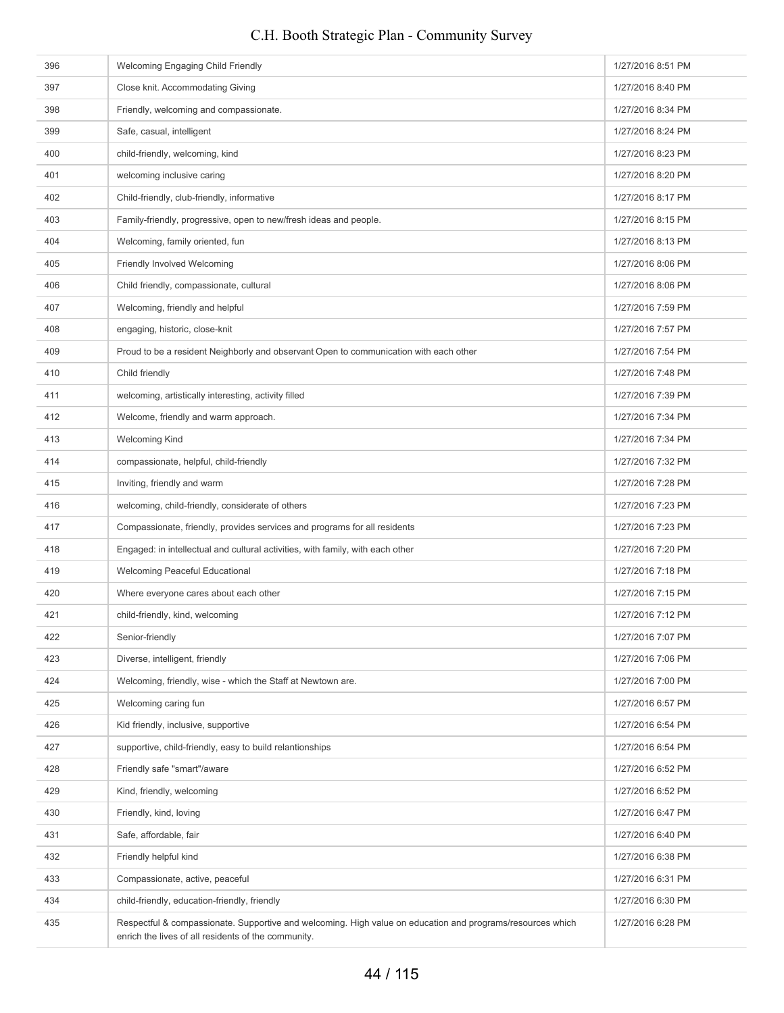| 396 | Welcoming Engaging Child Friendly                                                                                                                                 | 1/27/2016 8:51 PM |
|-----|-------------------------------------------------------------------------------------------------------------------------------------------------------------------|-------------------|
| 397 | Close knit. Accommodating Giving                                                                                                                                  | 1/27/2016 8:40 PM |
| 398 | Friendly, welcoming and compassionate.                                                                                                                            | 1/27/2016 8:34 PM |
| 399 | Safe, casual, intelligent                                                                                                                                         | 1/27/2016 8:24 PM |
| 400 | child-friendly, welcoming, kind                                                                                                                                   | 1/27/2016 8:23 PM |
| 401 | welcoming inclusive caring                                                                                                                                        | 1/27/2016 8:20 PM |
| 402 | Child-friendly, club-friendly, informative                                                                                                                        | 1/27/2016 8:17 PM |
| 403 | Family-friendly, progressive, open to new/fresh ideas and people.                                                                                                 | 1/27/2016 8:15 PM |
| 404 | Welcoming, family oriented, fun                                                                                                                                   | 1/27/2016 8:13 PM |
| 405 | Friendly Involved Welcoming                                                                                                                                       | 1/27/2016 8:06 PM |
| 406 | Child friendly, compassionate, cultural                                                                                                                           | 1/27/2016 8:06 PM |
| 407 | Welcoming, friendly and helpful                                                                                                                                   | 1/27/2016 7:59 PM |
| 408 | engaging, historic, close-knit                                                                                                                                    | 1/27/2016 7:57 PM |
| 409 | Proud to be a resident Neighborly and observant Open to communication with each other                                                                             | 1/27/2016 7:54 PM |
| 410 | Child friendly                                                                                                                                                    | 1/27/2016 7:48 PM |
| 411 | welcoming, artistically interesting, activity filled                                                                                                              | 1/27/2016 7:39 PM |
| 412 | Welcome, friendly and warm approach.                                                                                                                              | 1/27/2016 7:34 PM |
| 413 | <b>Welcoming Kind</b>                                                                                                                                             | 1/27/2016 7:34 PM |
| 414 | compassionate, helpful, child-friendly                                                                                                                            | 1/27/2016 7:32 PM |
| 415 | Inviting, friendly and warm                                                                                                                                       | 1/27/2016 7:28 PM |
| 416 | welcoming, child-friendly, considerate of others                                                                                                                  | 1/27/2016 7:23 PM |
| 417 | Compassionate, friendly, provides services and programs for all residents                                                                                         | 1/27/2016 7:23 PM |
| 418 | Engaged: in intellectual and cultural activities, with family, with each other                                                                                    | 1/27/2016 7:20 PM |
| 419 | Welcoming Peaceful Educational                                                                                                                                    | 1/27/2016 7:18 PM |
| 420 | Where everyone cares about each other                                                                                                                             | 1/27/2016 7:15 PM |
| 421 | child-friendly, kind, welcoming                                                                                                                                   | 1/27/2016 7:12 PM |
| 422 | Senior-friendly                                                                                                                                                   | 1/27/2016 7:07 PM |
| 423 | Diverse, intelligent, friendly                                                                                                                                    | 1/27/2016 7:06 PM |
| 424 | Welcoming, friendly, wise - which the Staff at Newtown are.                                                                                                       | 1/27/2016 7:00 PM |
| 425 | Welcoming caring fun                                                                                                                                              | 1/27/2016 6:57 PM |
| 426 | Kid friendly, inclusive, supportive                                                                                                                               | 1/27/2016 6:54 PM |
| 427 | supportive, child-friendly, easy to build relantionships                                                                                                          | 1/27/2016 6:54 PM |
| 428 | Friendly safe "smart"/aware                                                                                                                                       | 1/27/2016 6:52 PM |
| 429 | Kind, friendly, welcoming                                                                                                                                         | 1/27/2016 6:52 PM |
| 430 | Friendly, kind, loving                                                                                                                                            | 1/27/2016 6:47 PM |
| 431 | Safe, affordable, fair                                                                                                                                            | 1/27/2016 6:40 PM |
| 432 | Friendly helpful kind                                                                                                                                             | 1/27/2016 6:38 PM |
| 433 | Compassionate, active, peaceful                                                                                                                                   | 1/27/2016 6:31 PM |
| 434 | child-friendly, education-friendly, friendly                                                                                                                      | 1/27/2016 6:30 PM |
| 435 | Respectful & compassionate. Supportive and welcoming. High value on education and programs/resources which<br>enrich the lives of all residents of the community. | 1/27/2016 6:28 PM |
|     |                                                                                                                                                                   |                   |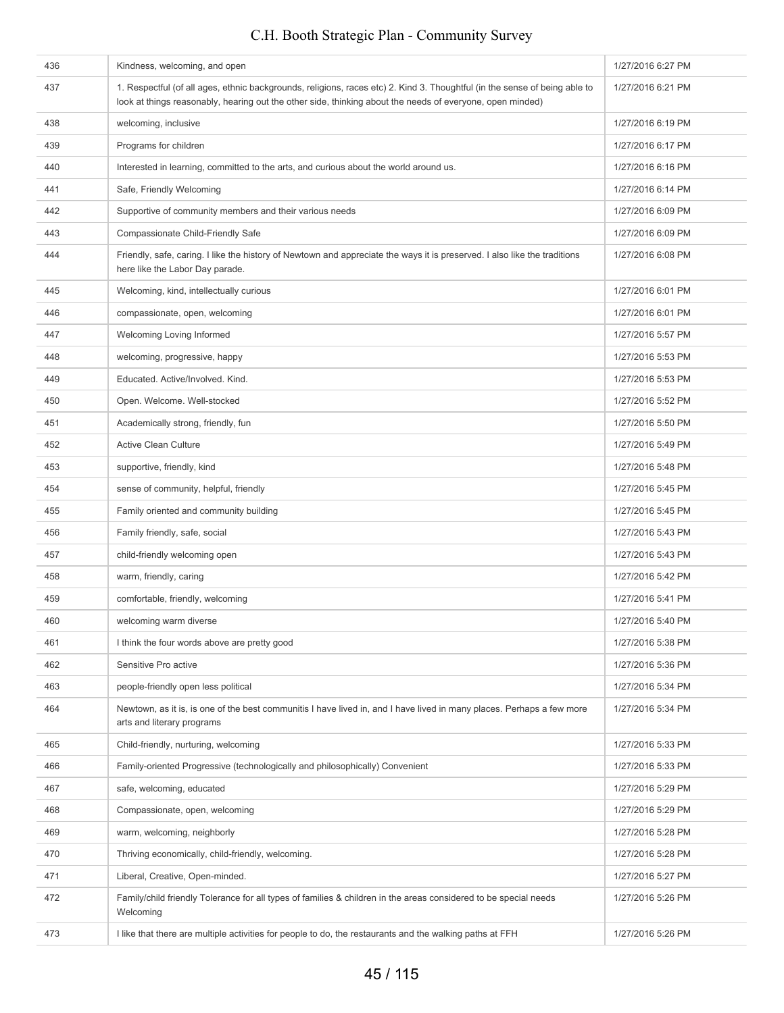| 436 | Kindness, welcoming, and open                                                                                                                                                                                                           | 1/27/2016 6:27 PM |
|-----|-----------------------------------------------------------------------------------------------------------------------------------------------------------------------------------------------------------------------------------------|-------------------|
| 437 | 1. Respectful (of all ages, ethnic backgrounds, religions, races etc) 2. Kind 3. Thoughtful (in the sense of being able to<br>look at things reasonably, hearing out the other side, thinking about the needs of everyone, open minded) | 1/27/2016 6:21 PM |
| 438 | welcoming, inclusive                                                                                                                                                                                                                    | 1/27/2016 6:19 PM |
| 439 | Programs for children                                                                                                                                                                                                                   | 1/27/2016 6:17 PM |
| 440 | Interested in learning, committed to the arts, and curious about the world around us.                                                                                                                                                   | 1/27/2016 6:16 PM |
| 441 | Safe, Friendly Welcoming                                                                                                                                                                                                                | 1/27/2016 6:14 PM |
| 442 | Supportive of community members and their various needs                                                                                                                                                                                 | 1/27/2016 6:09 PM |
| 443 | Compassionate Child-Friendly Safe                                                                                                                                                                                                       | 1/27/2016 6:09 PM |
| 444 | Friendly, safe, caring. I like the history of Newtown and appreciate the ways it is preserved. I also like the traditions<br>here like the Labor Day parade.                                                                            | 1/27/2016 6:08 PM |
| 445 | Welcoming, kind, intellectually curious                                                                                                                                                                                                 | 1/27/2016 6:01 PM |
| 446 | compassionate, open, welcoming                                                                                                                                                                                                          | 1/27/2016 6:01 PM |
| 447 | Welcoming Loving Informed                                                                                                                                                                                                               | 1/27/2016 5:57 PM |
| 448 | welcoming, progressive, happy                                                                                                                                                                                                           | 1/27/2016 5:53 PM |
| 449 | Educated. Active/Involved. Kind.                                                                                                                                                                                                        | 1/27/2016 5:53 PM |
| 450 | Open. Welcome. Well-stocked                                                                                                                                                                                                             | 1/27/2016 5:52 PM |
| 451 | Academically strong, friendly, fun                                                                                                                                                                                                      | 1/27/2016 5:50 PM |
| 452 | <b>Active Clean Culture</b>                                                                                                                                                                                                             | 1/27/2016 5:49 PM |
| 453 | supportive, friendly, kind                                                                                                                                                                                                              | 1/27/2016 5:48 PM |
| 454 | sense of community, helpful, friendly                                                                                                                                                                                                   | 1/27/2016 5:45 PM |
| 455 | Family oriented and community building                                                                                                                                                                                                  | 1/27/2016 5:45 PM |
| 456 | Family friendly, safe, social                                                                                                                                                                                                           | 1/27/2016 5:43 PM |
| 457 | child-friendly welcoming open                                                                                                                                                                                                           | 1/27/2016 5:43 PM |
| 458 | warm, friendly, caring                                                                                                                                                                                                                  | 1/27/2016 5:42 PM |
| 459 | comfortable, friendly, welcoming                                                                                                                                                                                                        | 1/27/2016 5:41 PM |
| 460 | welcoming warm diverse                                                                                                                                                                                                                  | 1/27/2016 5:40 PM |
| 461 | I think the four words above are pretty good                                                                                                                                                                                            | 1/27/2016 5:38 PM |
| 462 | Sensitive Pro active                                                                                                                                                                                                                    | 1/27/2016 5:36 PM |
| 463 | people-friendly open less political                                                                                                                                                                                                     | 1/27/2016 5:34 PM |
| 464 | Newtown, as it is, is one of the best communitis I have lived in, and I have lived in many places. Perhaps a few more<br>arts and literary programs                                                                                     | 1/27/2016 5:34 PM |
| 465 | Child-friendly, nurturing, welcoming                                                                                                                                                                                                    | 1/27/2016 5:33 PM |
| 466 | Family-oriented Progressive (technologically and philosophically) Convenient                                                                                                                                                            | 1/27/2016 5:33 PM |
| 467 | safe, welcoming, educated                                                                                                                                                                                                               | 1/27/2016 5:29 PM |
| 468 | Compassionate, open, welcoming                                                                                                                                                                                                          | 1/27/2016 5:29 PM |
| 469 | warm, welcoming, neighborly                                                                                                                                                                                                             | 1/27/2016 5:28 PM |
| 470 | Thriving economically, child-friendly, welcoming.                                                                                                                                                                                       | 1/27/2016 5:28 PM |
| 471 | Liberal, Creative, Open-minded.                                                                                                                                                                                                         | 1/27/2016 5:27 PM |
| 472 | Family/child friendly Tolerance for all types of families & children in the areas considered to be special needs<br>Welcoming                                                                                                           | 1/27/2016 5:26 PM |
| 473 | I like that there are multiple activities for people to do, the restaurants and the walking paths at FFH                                                                                                                                | 1/27/2016 5:26 PM |
|     |                                                                                                                                                                                                                                         |                   |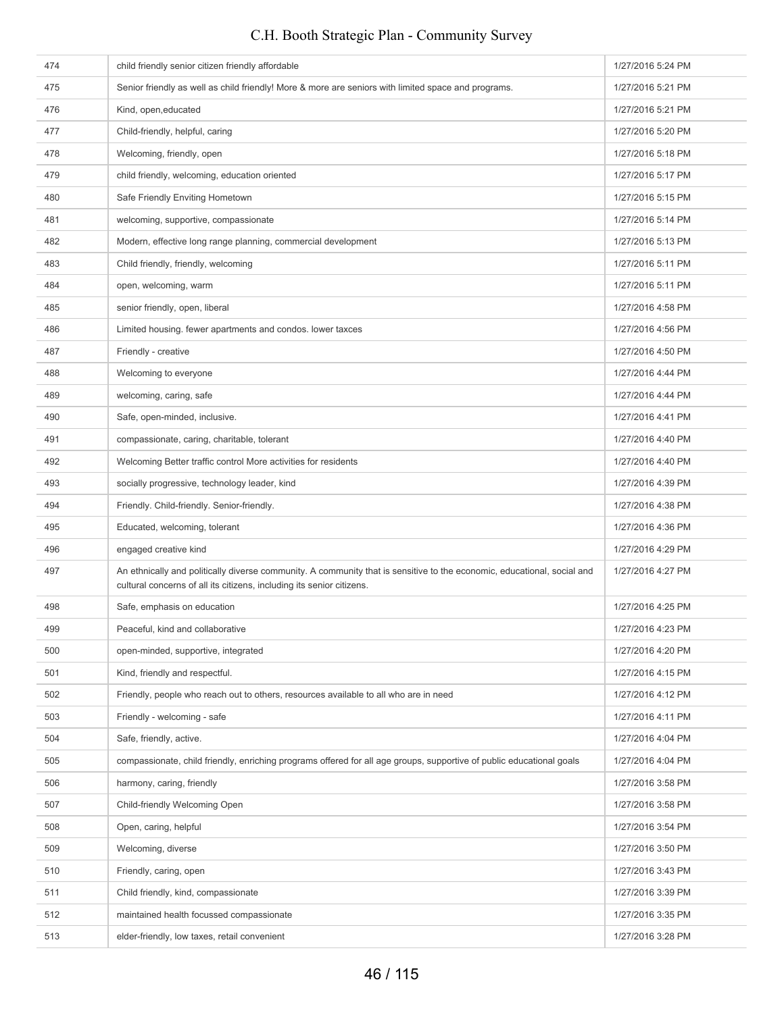| 474 | child friendly senior citizen friendly affordable                                                                                                                                                | 1/27/2016 5:24 PM |
|-----|--------------------------------------------------------------------------------------------------------------------------------------------------------------------------------------------------|-------------------|
| 475 | Senior friendly as well as child friendly! More & more are seniors with limited space and programs.                                                                                              | 1/27/2016 5:21 PM |
| 476 | Kind, open, educated                                                                                                                                                                             | 1/27/2016 5:21 PM |
| 477 | Child-friendly, helpful, caring                                                                                                                                                                  | 1/27/2016 5:20 PM |
| 478 | Welcoming, friendly, open                                                                                                                                                                        | 1/27/2016 5:18 PM |
| 479 | child friendly, welcoming, education oriented                                                                                                                                                    | 1/27/2016 5:17 PM |
| 480 | Safe Friendly Enviting Hometown                                                                                                                                                                  | 1/27/2016 5:15 PM |
| 481 | welcoming, supportive, compassionate                                                                                                                                                             | 1/27/2016 5:14 PM |
| 482 | Modern, effective long range planning, commercial development                                                                                                                                    | 1/27/2016 5:13 PM |
| 483 | Child friendly, friendly, welcoming                                                                                                                                                              | 1/27/2016 5:11 PM |
| 484 | open, welcoming, warm                                                                                                                                                                            | 1/27/2016 5:11 PM |
| 485 | senior friendly, open, liberal                                                                                                                                                                   | 1/27/2016 4:58 PM |
| 486 | Limited housing. fewer apartments and condos. lower taxces                                                                                                                                       | 1/27/2016 4:56 PM |
| 487 | Friendly - creative                                                                                                                                                                              | 1/27/2016 4:50 PM |
| 488 | Welcoming to everyone                                                                                                                                                                            | 1/27/2016 4:44 PM |
| 489 | welcoming, caring, safe                                                                                                                                                                          | 1/27/2016 4:44 PM |
| 490 | Safe, open-minded, inclusive.                                                                                                                                                                    | 1/27/2016 4:41 PM |
| 491 | compassionate, caring, charitable, tolerant                                                                                                                                                      | 1/27/2016 4:40 PM |
| 492 | Welcoming Better traffic control More activities for residents                                                                                                                                   | 1/27/2016 4:40 PM |
| 493 | socially progressive, technology leader, kind                                                                                                                                                    | 1/27/2016 4:39 PM |
| 494 | Friendly. Child-friendly. Senior-friendly.                                                                                                                                                       | 1/27/2016 4:38 PM |
| 495 | Educated, welcoming, tolerant                                                                                                                                                                    | 1/27/2016 4:36 PM |
| 496 | engaged creative kind                                                                                                                                                                            | 1/27/2016 4:29 PM |
| 497 | An ethnically and politically diverse community. A community that is sensitive to the economic, educational, social and<br>cultural concerns of all its citizens, including its senior citizens. | 1/27/2016 4:27 PM |
| 498 | Safe, emphasis on education                                                                                                                                                                      | 1/27/2016 4:25 PM |
| 499 | Peaceful, kind and collaborative                                                                                                                                                                 | 1/27/2016 4:23 PM |
| 500 | open-minded, supportive, integrated                                                                                                                                                              | 1/27/2016 4:20 PM |
| 501 | Kind, friendly and respectful.                                                                                                                                                                   | 1/27/2016 4:15 PM |
| 502 | Friendly, people who reach out to others, resources available to all who are in need                                                                                                             | 1/27/2016 4:12 PM |
| 503 | Friendly - welcoming - safe                                                                                                                                                                      | 1/27/2016 4:11 PM |
| 504 | Safe, friendly, active.                                                                                                                                                                          | 1/27/2016 4:04 PM |
| 505 | compassionate, child friendly, enriching programs offered for all age groups, supportive of public educational goals                                                                             | 1/27/2016 4:04 PM |
| 506 | harmony, caring, friendly                                                                                                                                                                        | 1/27/2016 3:58 PM |
| 507 | Child-friendly Welcoming Open                                                                                                                                                                    | 1/27/2016 3:58 PM |
| 508 | Open, caring, helpful                                                                                                                                                                            | 1/27/2016 3:54 PM |
| 509 | Welcoming, diverse                                                                                                                                                                               | 1/27/2016 3:50 PM |
| 510 | Friendly, caring, open                                                                                                                                                                           | 1/27/2016 3:43 PM |
| 511 | Child friendly, kind, compassionate                                                                                                                                                              | 1/27/2016 3:39 PM |
| 512 | maintained health focussed compassionate                                                                                                                                                         | 1/27/2016 3:35 PM |
| 513 | elder-friendly, low taxes, retail convenient                                                                                                                                                     | 1/27/2016 3:28 PM |
|     |                                                                                                                                                                                                  |                   |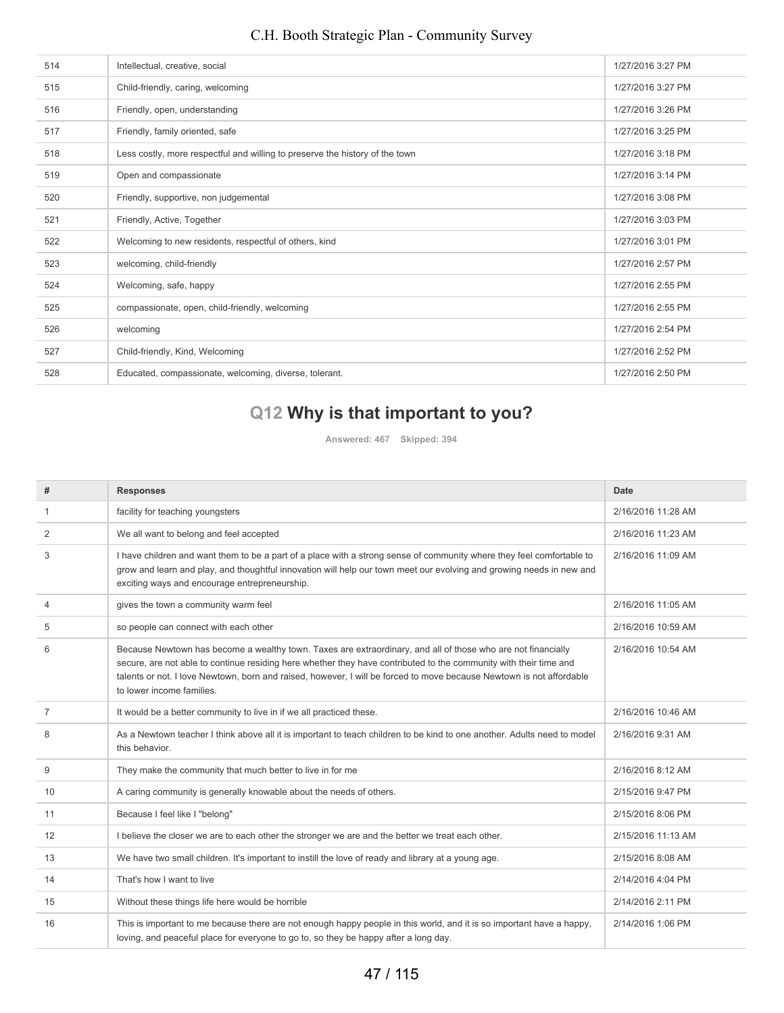| 514 | Intellectual, creative, social                                               | 1/27/2016 3:27 PM |
|-----|------------------------------------------------------------------------------|-------------------|
| 515 | Child-friendly, caring, welcoming                                            | 1/27/2016 3:27 PM |
| 516 | Friendly, open, understanding                                                | 1/27/2016 3:26 PM |
| 517 | Friendly, family oriented, safe                                              | 1/27/2016 3:25 PM |
| 518 | Less costly, more respectful and willing to preserve the history of the town | 1/27/2016 3:18 PM |
| 519 | Open and compassionate                                                       | 1/27/2016 3:14 PM |
| 520 | Friendly, supportive, non judgemental                                        | 1/27/2016 3:08 PM |
| 521 | Friendly, Active, Together                                                   | 1/27/2016 3:03 PM |
| 522 | Welcoming to new residents, respectful of others, kind                       | 1/27/2016 3:01 PM |
| 523 | welcoming, child-friendly                                                    | 1/27/2016 2:57 PM |
| 524 | Welcoming, safe, happy                                                       | 1/27/2016 2:55 PM |
| 525 | compassionate, open, child-friendly, welcoming                               | 1/27/2016 2:55 PM |
| 526 | welcoming                                                                    | 1/27/2016 2:54 PM |
| 527 | Child-friendly, Kind, Welcoming                                              | 1/27/2016 2:52 PM |
| 528 | Educated, compassionate, welcoming, diverse, tolerant.                       | 1/27/2016 2:50 PM |
|     |                                                                              |                   |

# **Q12 Why is that important to you?**

**Answered: 467 Skipped: 394**

| #              | <b>Responses</b>                                                                                                                                                                                                                                                                                                                                                                       | Date               |
|----------------|----------------------------------------------------------------------------------------------------------------------------------------------------------------------------------------------------------------------------------------------------------------------------------------------------------------------------------------------------------------------------------------|--------------------|
| -1             | facility for teaching youngsters                                                                                                                                                                                                                                                                                                                                                       | 2/16/2016 11:28 AM |
| 2              | We all want to belong and feel accepted                                                                                                                                                                                                                                                                                                                                                | 2/16/2016 11:23 AM |
| 3              | I have children and want them to be a part of a place with a strong sense of community where they feel comfortable to<br>grow and learn and play, and thoughtful innovation will help our town meet our evolving and growing needs in new and<br>exciting ways and encourage entrepreneurship.                                                                                         | 2/16/2016 11:09 AM |
| $\overline{4}$ | gives the town a community warm feel                                                                                                                                                                                                                                                                                                                                                   | 2/16/2016 11:05 AM |
| 5              | so people can connect with each other                                                                                                                                                                                                                                                                                                                                                  | 2/16/2016 10:59 AM |
| 6              | Because Newtown has become a wealthy town. Taxes are extraordinary, and all of those who are not financially<br>secure, are not able to continue residing here whether they have contributed to the community with their time and<br>talents or not. I love Newtown, born and raised, however, I will be forced to move because Newtown is not affordable<br>to lower income families. | 2/16/2016 10:54 AM |
| $\overline{7}$ | It would be a better community to live in if we all practiced these.                                                                                                                                                                                                                                                                                                                   | 2/16/2016 10:46 AM |
| 8              | As a Newtown teacher I think above all it is important to teach children to be kind to one another. Adults need to model<br>this behavior.                                                                                                                                                                                                                                             | 2/16/2016 9:31 AM  |
| 9              | They make the community that much better to live in for me                                                                                                                                                                                                                                                                                                                             | 2/16/2016 8:12 AM  |
| 10             | A caring community is generally knowable about the needs of others.                                                                                                                                                                                                                                                                                                                    | 2/15/2016 9:47 PM  |
| 11             | Because I feel like I "belong"                                                                                                                                                                                                                                                                                                                                                         | 2/15/2016 8:06 PM  |
| 12             | I believe the closer we are to each other the stronger we are and the better we treat each other.                                                                                                                                                                                                                                                                                      | 2/15/2016 11:13 AM |
| 13             | We have two small children. It's important to instill the love of ready and library at a young age.                                                                                                                                                                                                                                                                                    | 2/15/2016 8:08 AM  |
| 14             | That's how I want to live                                                                                                                                                                                                                                                                                                                                                              | 2/14/2016 4:04 PM  |
| 15             | Without these things life here would be horrible                                                                                                                                                                                                                                                                                                                                       | 2/14/2016 2:11 PM  |
| 16             | This is important to me because there are not enough happy people in this world, and it is so important have a happy,<br>loving, and peaceful place for everyone to go to, so they be happy after a long day.                                                                                                                                                                          | 2/14/2016 1:06 PM  |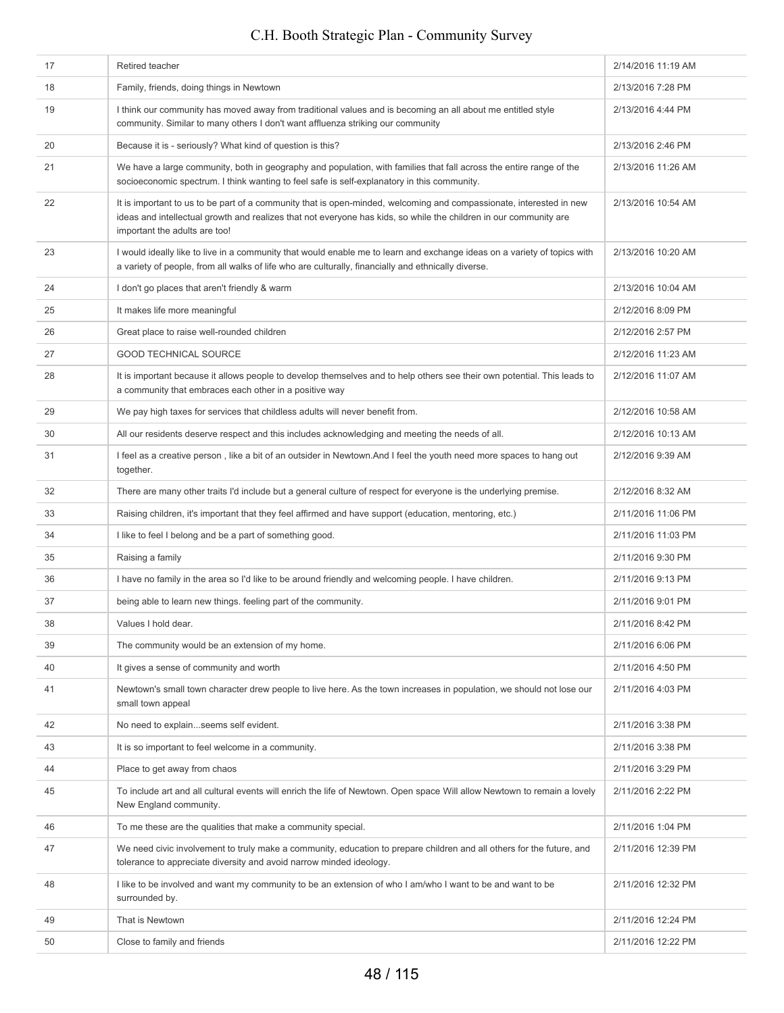| 17 | Retired teacher                                                                                                                                                                                                                                                           | 2/14/2016 11:19 AM |
|----|---------------------------------------------------------------------------------------------------------------------------------------------------------------------------------------------------------------------------------------------------------------------------|--------------------|
| 18 | Family, friends, doing things in Newtown                                                                                                                                                                                                                                  | 2/13/2016 7:28 PM  |
| 19 | I think our community has moved away from traditional values and is becoming an all about me entitled style<br>community. Similar to many others I don't want affluenza striking our community                                                                            | 2/13/2016 4:44 PM  |
| 20 | Because it is - seriously? What kind of question is this?                                                                                                                                                                                                                 | 2/13/2016 2:46 PM  |
| 21 | We have a large community, both in geography and population, with families that fall across the entire range of the<br>socioeconomic spectrum. I think wanting to feel safe is self-explanatory in this community.                                                        | 2/13/2016 11:26 AM |
| 22 | It is important to us to be part of a community that is open-minded, welcoming and compassionate, interested in new<br>ideas and intellectual growth and realizes that not everyone has kids, so while the children in our community are<br>important the adults are too! | 2/13/2016 10:54 AM |
| 23 | I would ideally like to live in a community that would enable me to learn and exchange ideas on a variety of topics with<br>a variety of people, from all walks of life who are culturally, financially and ethnically diverse.                                           | 2/13/2016 10:20 AM |
| 24 | I don't go places that aren't friendly & warm                                                                                                                                                                                                                             | 2/13/2016 10:04 AM |
| 25 | It makes life more meaningful                                                                                                                                                                                                                                             | 2/12/2016 8:09 PM  |
| 26 | Great place to raise well-rounded children                                                                                                                                                                                                                                | 2/12/2016 2:57 PM  |
| 27 | <b>GOOD TECHNICAL SOURCE</b>                                                                                                                                                                                                                                              | 2/12/2016 11:23 AM |
| 28 | It is important because it allows people to develop themselves and to help others see their own potential. This leads to<br>a community that embraces each other in a positive way                                                                                        | 2/12/2016 11:07 AM |
| 29 | We pay high taxes for services that childless adults will never benefit from.                                                                                                                                                                                             | 2/12/2016 10:58 AM |
| 30 | All our residents deserve respect and this includes acknowledging and meeting the needs of all.                                                                                                                                                                           | 2/12/2016 10:13 AM |
| 31 | I feel as a creative person, like a bit of an outsider in Newtown.And I feel the youth need more spaces to hang out<br>together.                                                                                                                                          | 2/12/2016 9:39 AM  |
| 32 | There are many other traits I'd include but a general culture of respect for everyone is the underlying premise.                                                                                                                                                          | 2/12/2016 8:32 AM  |
| 33 | Raising children, it's important that they feel affirmed and have support (education, mentoring, etc.)                                                                                                                                                                    | 2/11/2016 11:06 PM |
| 34 | I like to feel I belong and be a part of something good.                                                                                                                                                                                                                  | 2/11/2016 11:03 PM |
| 35 | Raising a family                                                                                                                                                                                                                                                          | 2/11/2016 9:30 PM  |
| 36 | I have no family in the area so I'd like to be around friendly and welcoming people. I have children.                                                                                                                                                                     | 2/11/2016 9:13 PM  |
| 37 | being able to learn new things. feeling part of the community.                                                                                                                                                                                                            | 2/11/2016 9:01 PM  |
| 38 | Values I hold dear.                                                                                                                                                                                                                                                       | 2/11/2016 8:42 PM  |
| 39 | The community would be an extension of my home.                                                                                                                                                                                                                           | 2/11/2016 6:06 PM  |
| 40 | It gives a sense of community and worth                                                                                                                                                                                                                                   | 2/11/2016 4:50 PM  |
| 41 | Newtown's small town character drew people to live here. As the town increases in population, we should not lose our<br>small town appeal                                                                                                                                 | 2/11/2016 4:03 PM  |
| 42 | No need to explainseems self evident.                                                                                                                                                                                                                                     | 2/11/2016 3:38 PM  |
| 43 | It is so important to feel welcome in a community.                                                                                                                                                                                                                        | 2/11/2016 3:38 PM  |
| 44 | Place to get away from chaos                                                                                                                                                                                                                                              | 2/11/2016 3:29 PM  |
| 45 | To include art and all cultural events will enrich the life of Newtown. Open space Will allow Newtown to remain a lovely<br>New England community.                                                                                                                        | 2/11/2016 2:22 PM  |
| 46 | To me these are the qualities that make a community special.                                                                                                                                                                                                              | 2/11/2016 1:04 PM  |
| 47 | We need civic involvement to truly make a community, education to prepare children and all others for the future, and<br>tolerance to appreciate diversity and avoid narrow minded ideology.                                                                              | 2/11/2016 12:39 PM |
| 48 | I like to be involved and want my community to be an extension of who I am/who I want to be and want to be<br>surrounded by.                                                                                                                                              | 2/11/2016 12:32 PM |
| 49 | That is Newtown                                                                                                                                                                                                                                                           | 2/11/2016 12:24 PM |
| 50 | Close to family and friends                                                                                                                                                                                                                                               | 2/11/2016 12:22 PM |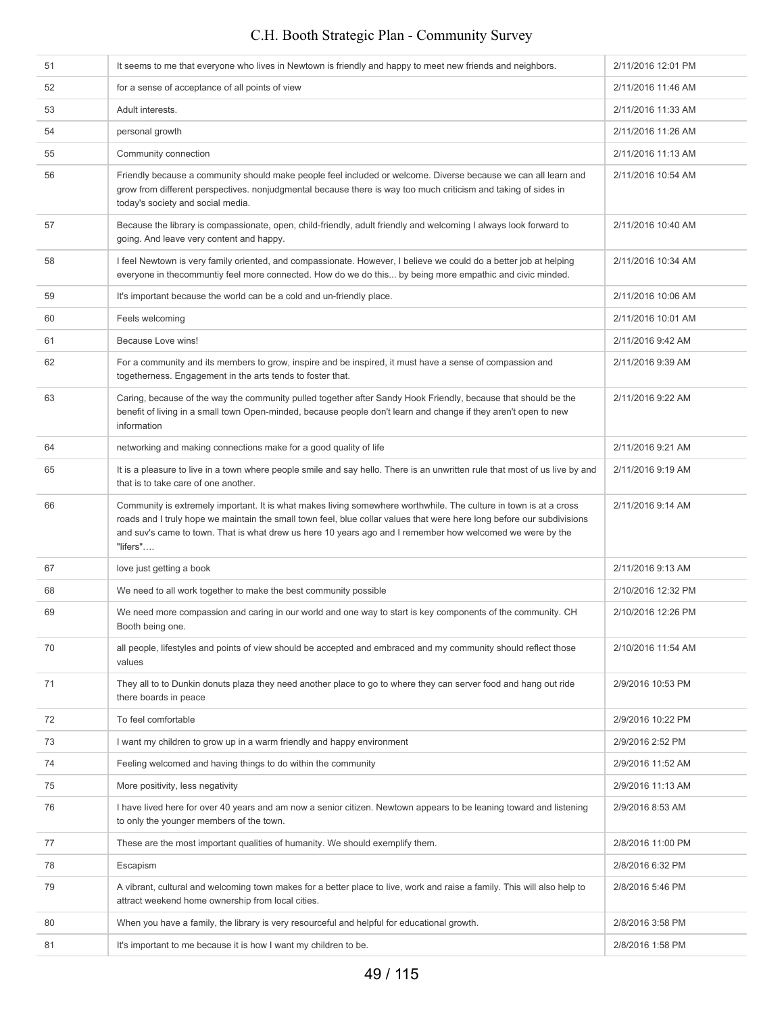| 51 | It seems to me that everyone who lives in Newtown is friendly and happy to meet new friends and neighbors.                                                                                                                                                                                                                                                           | 2/11/2016 12:01 PM |
|----|----------------------------------------------------------------------------------------------------------------------------------------------------------------------------------------------------------------------------------------------------------------------------------------------------------------------------------------------------------------------|--------------------|
| 52 | for a sense of acceptance of all points of view                                                                                                                                                                                                                                                                                                                      | 2/11/2016 11:46 AM |
| 53 | Adult interests.                                                                                                                                                                                                                                                                                                                                                     | 2/11/2016 11:33 AM |
| 54 | personal growth                                                                                                                                                                                                                                                                                                                                                      | 2/11/2016 11:26 AM |
| 55 | Community connection                                                                                                                                                                                                                                                                                                                                                 | 2/11/2016 11:13 AM |
| 56 | Friendly because a community should make people feel included or welcome. Diverse because we can all learn and<br>grow from different perspectives. nonjudgmental because there is way too much criticism and taking of sides in<br>today's society and social media.                                                                                                | 2/11/2016 10:54 AM |
| 57 | Because the library is compassionate, open, child-friendly, adult friendly and welcoming I always look forward to<br>going. And leave very content and happy.                                                                                                                                                                                                        | 2/11/2016 10:40 AM |
| 58 | I feel Newtown is very family oriented, and compassionate. However, I believe we could do a better job at helping<br>everyone in thecommuntiy feel more connected. How do we do this by being more empathic and civic minded.                                                                                                                                        | 2/11/2016 10:34 AM |
| 59 | It's important because the world can be a cold and un-friendly place.                                                                                                                                                                                                                                                                                                | 2/11/2016 10:06 AM |
| 60 | Feels welcoming                                                                                                                                                                                                                                                                                                                                                      | 2/11/2016 10:01 AM |
| 61 | Because Love wins!                                                                                                                                                                                                                                                                                                                                                   | 2/11/2016 9:42 AM  |
| 62 | For a community and its members to grow, inspire and be inspired, it must have a sense of compassion and<br>togetherness. Engagement in the arts tends to foster that.                                                                                                                                                                                               | 2/11/2016 9:39 AM  |
| 63 | Caring, because of the way the community pulled together after Sandy Hook Friendly, because that should be the<br>benefit of living in a small town Open-minded, because people don't learn and change if they aren't open to new<br>information                                                                                                                     | 2/11/2016 9:22 AM  |
| 64 | networking and making connections make for a good quality of life                                                                                                                                                                                                                                                                                                    | 2/11/2016 9:21 AM  |
| 65 | It is a pleasure to live in a town where people smile and say hello. There is an unwritten rule that most of us live by and<br>that is to take care of one another.                                                                                                                                                                                                  | 2/11/2016 9:19 AM  |
| 66 | Community is extremely important. It is what makes living somewhere worthwhile. The culture in town is at a cross<br>roads and I truly hope we maintain the small town feel, blue collar values that were here long before our subdivisions<br>and suv's came to town. That is what drew us here 10 years ago and I remember how welcomed we were by the<br>"lifers" | 2/11/2016 9:14 AM  |
| 67 | love just getting a book                                                                                                                                                                                                                                                                                                                                             | 2/11/2016 9:13 AM  |
| 68 | We need to all work together to make the best community possible                                                                                                                                                                                                                                                                                                     | 2/10/2016 12:32 PM |
| 69 | We need more compassion and caring in our world and one way to start is key components of the community. CH<br>Booth being one.                                                                                                                                                                                                                                      | 2/10/2016 12:26 PM |
| 70 | all people, lifestyles and points of view should be accepted and embraced and my community should reflect those<br>values                                                                                                                                                                                                                                            | 2/10/2016 11:54 AM |
| 71 | They all to to Dunkin donuts plaza they need another place to go to where they can server food and hang out ride<br>there boards in peace                                                                                                                                                                                                                            | 2/9/2016 10:53 PM  |
| 72 | To feel comfortable                                                                                                                                                                                                                                                                                                                                                  | 2/9/2016 10:22 PM  |
| 73 | I want my children to grow up in a warm friendly and happy environment                                                                                                                                                                                                                                                                                               | 2/9/2016 2:52 PM   |
| 74 | Feeling welcomed and having things to do within the community                                                                                                                                                                                                                                                                                                        | 2/9/2016 11:52 AM  |
| 75 | More positivity, less negativity                                                                                                                                                                                                                                                                                                                                     | 2/9/2016 11:13 AM  |
| 76 | I have lived here for over 40 years and am now a senior citizen. Newtown appears to be leaning toward and listening<br>to only the younger members of the town.                                                                                                                                                                                                      | 2/9/2016 8:53 AM   |
| 77 | These are the most important qualities of humanity. We should exemplify them.                                                                                                                                                                                                                                                                                        | 2/8/2016 11:00 PM  |
| 78 | Escapism                                                                                                                                                                                                                                                                                                                                                             | 2/8/2016 6:32 PM   |
| 79 | A vibrant, cultural and welcoming town makes for a better place to live, work and raise a family. This will also help to<br>attract weekend home ownership from local cities.                                                                                                                                                                                        | 2/8/2016 5:46 PM   |
| 80 | When you have a family, the library is very resourceful and helpful for educational growth.                                                                                                                                                                                                                                                                          | 2/8/2016 3:58 PM   |
| 81 | It's important to me because it is how I want my children to be.                                                                                                                                                                                                                                                                                                     | 2/8/2016 1:58 PM   |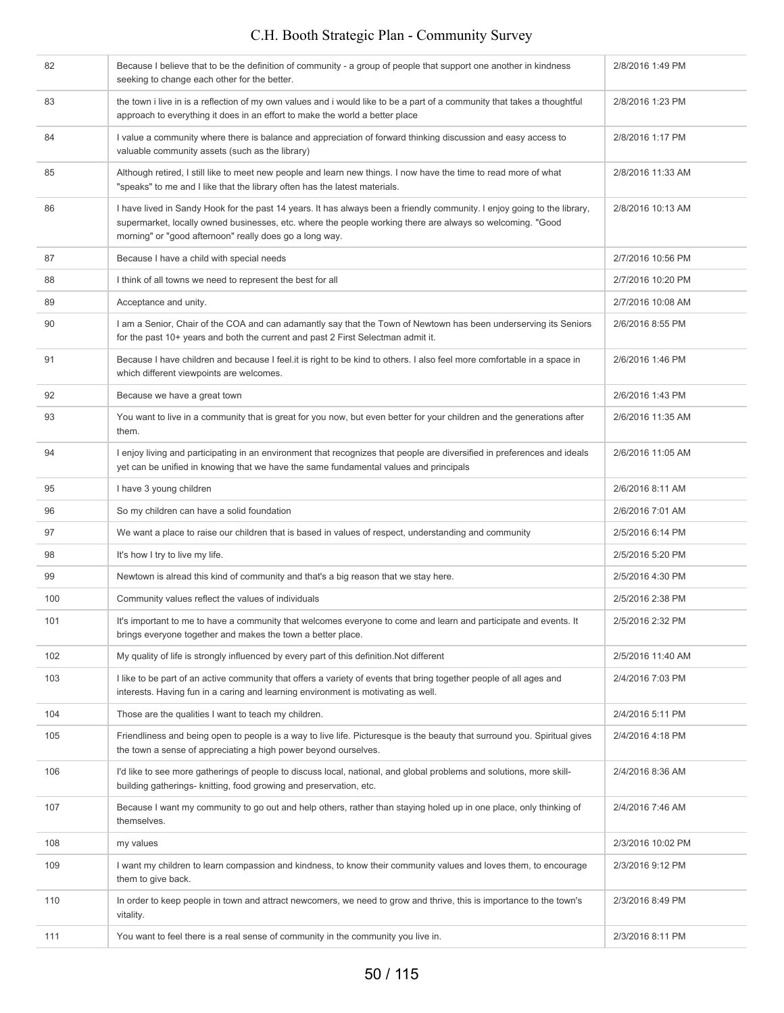| 82  | Because I believe that to be the definition of community - a group of people that support one another in kindness<br>seeking to change each other for the better.                                                                                                                                | 2/8/2016 1:49 PM  |
|-----|--------------------------------------------------------------------------------------------------------------------------------------------------------------------------------------------------------------------------------------------------------------------------------------------------|-------------------|
| 83  | the town i live in is a reflection of my own values and i would like to be a part of a community that takes a thoughtful<br>approach to everything it does in an effort to make the world a better place                                                                                         | 2/8/2016 1:23 PM  |
| 84  | I value a community where there is balance and appreciation of forward thinking discussion and easy access to<br>valuable community assets (such as the library)                                                                                                                                 | 2/8/2016 1:17 PM  |
| 85  | Although retired, I still like to meet new people and learn new things. I now have the time to read more of what<br>"speaks" to me and I like that the library often has the latest materials.                                                                                                   | 2/8/2016 11:33 AM |
| 86  | I have lived in Sandy Hook for the past 14 years. It has always been a friendly community. I enjoy going to the library,<br>supermarket, locally owned businesses, etc. where the people working there are always so welcoming. "Good<br>morning" or "good afternoon" really does go a long way. | 2/8/2016 10:13 AM |
| 87  | Because I have a child with special needs                                                                                                                                                                                                                                                        | 2/7/2016 10:56 PM |
| 88  | I think of all towns we need to represent the best for all                                                                                                                                                                                                                                       | 2/7/2016 10:20 PM |
| 89  | Acceptance and unity.                                                                                                                                                                                                                                                                            | 2/7/2016 10:08 AM |
| 90  | I am a Senior, Chair of the COA and can adamantly say that the Town of Newtown has been underserving its Seniors<br>for the past 10+ years and both the current and past 2 First Selectman admit it.                                                                                             | 2/6/2016 8:55 PM  |
| 91  | Because I have children and because I feel it is right to be kind to others. I also feel more comfortable in a space in<br>which different viewpoints are welcomes.                                                                                                                              | 2/6/2016 1:46 PM  |
| 92  | Because we have a great town                                                                                                                                                                                                                                                                     | 2/6/2016 1:43 PM  |
| 93  | You want to live in a community that is great for you now, but even better for your children and the generations after<br>them.                                                                                                                                                                  | 2/6/2016 11:35 AM |
| 94  | I enjoy living and participating in an environment that recognizes that people are diversified in preferences and ideals<br>yet can be unified in knowing that we have the same fundamental values and principals                                                                                | 2/6/2016 11:05 AM |
| 95  | I have 3 young children                                                                                                                                                                                                                                                                          | 2/6/2016 8:11 AM  |
| 96  | So my children can have a solid foundation                                                                                                                                                                                                                                                       | 2/6/2016 7:01 AM  |
| 97  | We want a place to raise our children that is based in values of respect, understanding and community                                                                                                                                                                                            | 2/5/2016 6:14 PM  |
| 98  | It's how I try to live my life.                                                                                                                                                                                                                                                                  | 2/5/2016 5:20 PM  |
| 99  | Newtown is alread this kind of community and that's a big reason that we stay here.                                                                                                                                                                                                              | 2/5/2016 4:30 PM  |
| 100 | Community values reflect the values of individuals                                                                                                                                                                                                                                               | 2/5/2016 2:38 PM  |
| 101 | It's important to me to have a community that welcomes everyone to come and learn and participate and events. It<br>brings everyone together and makes the town a better place.                                                                                                                  | 2/5/2016 2:32 PM  |
| 102 | My quality of life is strongly influenced by every part of this definition. Not different                                                                                                                                                                                                        | 2/5/2016 11:40 AM |
| 103 | I like to be part of an active community that offers a variety of events that bring together people of all ages and<br>interests. Having fun in a caring and learning environment is motivating as well.                                                                                         | 2/4/2016 7:03 PM  |
| 104 | Those are the qualities I want to teach my children.                                                                                                                                                                                                                                             | 2/4/2016 5:11 PM  |
| 105 | Friendliness and being open to people is a way to live life. Picturesque is the beauty that surround you. Spiritual gives<br>the town a sense of appreciating a high power beyond ourselves.                                                                                                     | 2/4/2016 4:18 PM  |
| 106 | I'd like to see more gatherings of people to discuss local, national, and global problems and solutions, more skill-<br>building gatherings- knitting, food growing and preservation, etc.                                                                                                       | 2/4/2016 8:36 AM  |
| 107 | Because I want my community to go out and help others, rather than staying holed up in one place, only thinking of<br>themselves.                                                                                                                                                                | 2/4/2016 7:46 AM  |
| 108 | my values                                                                                                                                                                                                                                                                                        | 2/3/2016 10:02 PM |
| 109 | I want my children to learn compassion and kindness, to know their community values and loves them, to encourage<br>them to give back.                                                                                                                                                           | 2/3/2016 9:12 PM  |
| 110 | In order to keep people in town and attract newcomers, we need to grow and thrive, this is importance to the town's<br>vitality.                                                                                                                                                                 | 2/3/2016 8:49 PM  |
| 111 | You want to feel there is a real sense of community in the community you live in.                                                                                                                                                                                                                | 2/3/2016 8:11 PM  |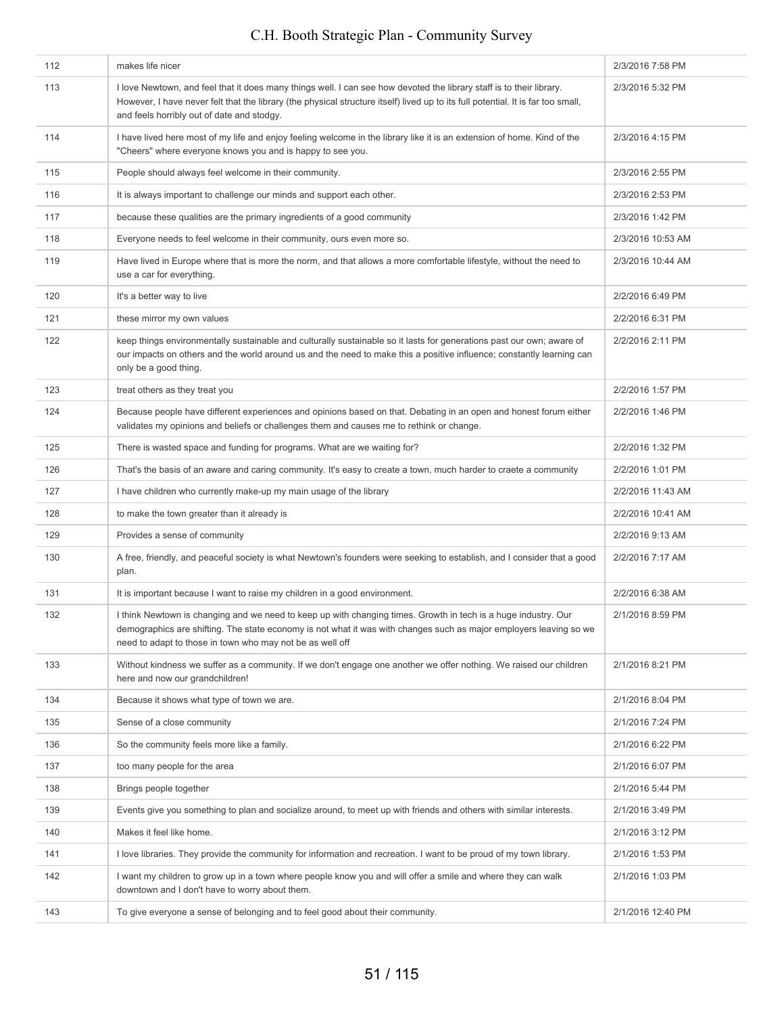| 112 | makes life nicer                                                                                                                                                                                                                                                                                       | 2/3/2016 7:58 PM  |
|-----|--------------------------------------------------------------------------------------------------------------------------------------------------------------------------------------------------------------------------------------------------------------------------------------------------------|-------------------|
| 113 | I love Newtown, and feel that it does many things well. I can see how devoted the library staff is to their library.<br>However, I have never felt that the library (the physical structure itself) lived up to its full potential. It is far too small,<br>and feels horribly out of date and stodgy. | 2/3/2016 5:32 PM  |
| 114 | I have lived here most of my life and enjoy feeling welcome in the library like it is an extension of home. Kind of the<br>"Cheers" where everyone knows you and is happy to see you.                                                                                                                  | 2/3/2016 4:15 PM  |
| 115 | People should always feel welcome in their community.                                                                                                                                                                                                                                                  | 2/3/2016 2:55 PM  |
| 116 | It is always important to challenge our minds and support each other.                                                                                                                                                                                                                                  | 2/3/2016 2:53 PM  |
| 117 | because these qualities are the primary ingredients of a good community                                                                                                                                                                                                                                | 2/3/2016 1:42 PM  |
| 118 | Everyone needs to feel welcome in their community, ours even more so.                                                                                                                                                                                                                                  | 2/3/2016 10:53 AM |
| 119 | Have lived in Europe where that is more the norm, and that allows a more comfortable lifestyle, without the need to<br>use a car for everything.                                                                                                                                                       | 2/3/2016 10:44 AM |
| 120 | It's a better way to live                                                                                                                                                                                                                                                                              | 2/2/2016 6:49 PM  |
| 121 | these mirror my own values                                                                                                                                                                                                                                                                             | 2/2/2016 6:31 PM  |
| 122 | keep things environmentally sustainable and culturally sustainable so it lasts for generations past our own; aware of<br>our impacts on others and the world around us and the need to make this a positive influence; constantly learning can<br>only be a good thing.                                | 2/2/2016 2:11 PM  |
| 123 | treat others as they treat you                                                                                                                                                                                                                                                                         | 2/2/2016 1:57 PM  |
| 124 | Because people have different experiences and opinions based on that. Debating in an open and honest forum either<br>validates my opinions and beliefs or challenges them and causes me to rethink or change.                                                                                          | 2/2/2016 1:46 PM  |
| 125 | There is wasted space and funding for programs. What are we waiting for?                                                                                                                                                                                                                               | 2/2/2016 1:32 PM  |
| 126 | That's the basis of an aware and caring community. It's easy to create a town, much harder to craete a community                                                                                                                                                                                       | 2/2/2016 1:01 PM  |
| 127 | I have children who currently make-up my main usage of the library                                                                                                                                                                                                                                     | 2/2/2016 11:43 AM |
| 128 | to make the town greater than it already is                                                                                                                                                                                                                                                            | 2/2/2016 10:41 AM |
| 129 | Provides a sense of community                                                                                                                                                                                                                                                                          | 2/2/2016 9:13 AM  |
| 130 | A free, friendly, and peaceful society is what Newtown's founders were seeking to establish, and I consider that a good<br>plan.                                                                                                                                                                       | 2/2/2016 7:17 AM  |
| 131 | It is important because I want to raise my children in a good environment.                                                                                                                                                                                                                             | 2/2/2016 6:38 AM  |
| 132 | I think Newtown is changing and we need to keep up with changing times. Growth in tech is a huge industry. Our<br>demographics are shifting. The state economy is not what it was with changes such as major employers leaving so we<br>need to adapt to those in town who may not be as well off      | 2/1/2016 8:59 PM  |
| 133 | Without kindness we suffer as a community. If we don't engage one another we offer nothing. We raised our children<br>here and now our grandchildren!                                                                                                                                                  | 2/1/2016 8:21 PM  |
| 134 | Because it shows what type of town we are.                                                                                                                                                                                                                                                             | 2/1/2016 8:04 PM  |
| 135 | Sense of a close community                                                                                                                                                                                                                                                                             | 2/1/2016 7:24 PM  |
| 136 | So the community feels more like a family.                                                                                                                                                                                                                                                             | 2/1/2016 6:22 PM  |
| 137 | too many people for the area                                                                                                                                                                                                                                                                           | 2/1/2016 6:07 PM  |
| 138 | Brings people together                                                                                                                                                                                                                                                                                 | 2/1/2016 5:44 PM  |
| 139 | Events give you something to plan and socialize around, to meet up with friends and others with similar interests.                                                                                                                                                                                     | 2/1/2016 3:49 PM  |
| 140 | Makes it feel like home.                                                                                                                                                                                                                                                                               | 2/1/2016 3:12 PM  |
| 141 | I love libraries. They provide the community for information and recreation. I want to be proud of my town library.                                                                                                                                                                                    | 2/1/2016 1:53 PM  |
| 142 | I want my children to grow up in a town where people know you and will offer a smile and where they can walk<br>downtown and I don't have to worry about them.                                                                                                                                         | 2/1/2016 1:03 PM  |
| 143 | To give everyone a sense of belonging and to feel good about their community.                                                                                                                                                                                                                          | 2/1/2016 12:40 PM |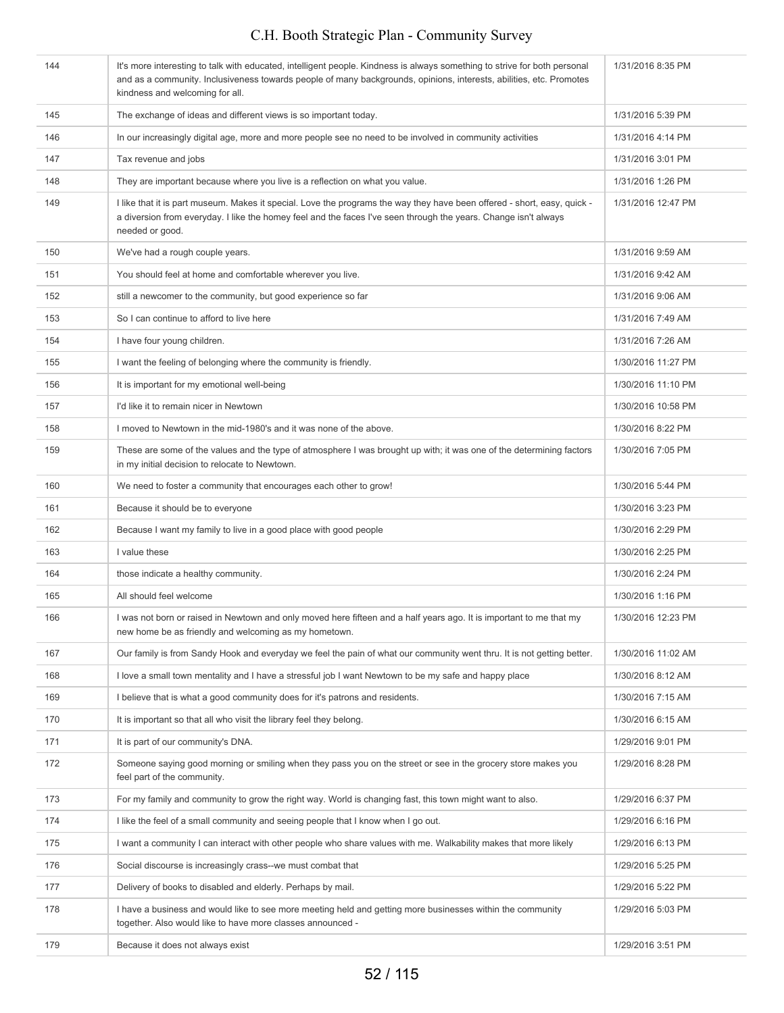| 144 | It's more interesting to talk with educated, intelligent people. Kindness is always something to strive for both personal<br>and as a community. Inclusiveness towards people of many backgrounds, opinions, interests, abilities, etc. Promotes<br>kindness and welcoming for all. | 1/31/2016 8:35 PM  |
|-----|-------------------------------------------------------------------------------------------------------------------------------------------------------------------------------------------------------------------------------------------------------------------------------------|--------------------|
| 145 | The exchange of ideas and different views is so important today.                                                                                                                                                                                                                    | 1/31/2016 5:39 PM  |
| 146 | In our increasingly digital age, more and more people see no need to be involved in community activities                                                                                                                                                                            | 1/31/2016 4:14 PM  |
| 147 | Tax revenue and jobs                                                                                                                                                                                                                                                                | 1/31/2016 3:01 PM  |
| 148 | They are important because where you live is a reflection on what you value.                                                                                                                                                                                                        | 1/31/2016 1:26 PM  |
| 149 | I like that it is part museum. Makes it special. Love the programs the way they have been offered - short, easy, quick -<br>a diversion from everyday. I like the homey feel and the faces I've seen through the years. Change isn't always<br>needed or good.                      | 1/31/2016 12:47 PM |
| 150 | We've had a rough couple years.                                                                                                                                                                                                                                                     | 1/31/2016 9:59 AM  |
| 151 | You should feel at home and comfortable wherever you live.                                                                                                                                                                                                                          | 1/31/2016 9:42 AM  |
| 152 | still a newcomer to the community, but good experience so far                                                                                                                                                                                                                       | 1/31/2016 9:06 AM  |
| 153 | So I can continue to afford to live here                                                                                                                                                                                                                                            | 1/31/2016 7:49 AM  |
| 154 | I have four young children.                                                                                                                                                                                                                                                         | 1/31/2016 7:26 AM  |
| 155 | I want the feeling of belonging where the community is friendly.                                                                                                                                                                                                                    | 1/30/2016 11:27 PM |
| 156 | It is important for my emotional well-being                                                                                                                                                                                                                                         | 1/30/2016 11:10 PM |
| 157 | I'd like it to remain nicer in Newtown                                                                                                                                                                                                                                              | 1/30/2016 10:58 PM |
| 158 | I moved to Newtown in the mid-1980's and it was none of the above.                                                                                                                                                                                                                  | 1/30/2016 8:22 PM  |
| 159 | These are some of the values and the type of atmosphere I was brought up with; it was one of the determining factors<br>in my initial decision to relocate to Newtown.                                                                                                              | 1/30/2016 7:05 PM  |
| 160 | We need to foster a community that encourages each other to grow!                                                                                                                                                                                                                   | 1/30/2016 5:44 PM  |
| 161 | Because it should be to everyone                                                                                                                                                                                                                                                    | 1/30/2016 3:23 PM  |
| 162 | Because I want my family to live in a good place with good people                                                                                                                                                                                                                   | 1/30/2016 2:29 PM  |
| 163 | I value these                                                                                                                                                                                                                                                                       | 1/30/2016 2:25 PM  |
| 164 | those indicate a healthy community.                                                                                                                                                                                                                                                 | 1/30/2016 2:24 PM  |
| 165 | All should feel welcome                                                                                                                                                                                                                                                             | 1/30/2016 1:16 PM  |
| 166 | I was not born or raised in Newtown and only moved here fifteen and a half years ago. It is important to me that my<br>new home be as friendly and welcoming as my hometown.                                                                                                        | 1/30/2016 12:23 PM |
| 167 | Our family is from Sandy Hook and everyday we feel the pain of what our community went thru. It is not getting better.                                                                                                                                                              | 1/30/2016 11:02 AM |
| 168 | I love a small town mentality and I have a stressful job I want Newtown to be my safe and happy place                                                                                                                                                                               | 1/30/2016 8:12 AM  |
| 169 | I believe that is what a good community does for it's patrons and residents.                                                                                                                                                                                                        | 1/30/2016 7:15 AM  |
| 170 | It is important so that all who visit the library feel they belong.                                                                                                                                                                                                                 | 1/30/2016 6:15 AM  |
| 171 | It is part of our community's DNA.                                                                                                                                                                                                                                                  | 1/29/2016 9:01 PM  |
| 172 | Someone saying good morning or smiling when they pass you on the street or see in the grocery store makes you<br>feel part of the community.                                                                                                                                        | 1/29/2016 8:28 PM  |
| 173 | For my family and community to grow the right way. World is changing fast, this town might want to also.                                                                                                                                                                            | 1/29/2016 6:37 PM  |
| 174 | I like the feel of a small community and seeing people that I know when I go out.                                                                                                                                                                                                   | 1/29/2016 6:16 PM  |
| 175 | I want a community I can interact with other people who share values with me. Walkability makes that more likely                                                                                                                                                                    | 1/29/2016 6:13 PM  |
| 176 | Social discourse is increasingly crass--we must combat that                                                                                                                                                                                                                         | 1/29/2016 5:25 PM  |
| 177 | Delivery of books to disabled and elderly. Perhaps by mail.                                                                                                                                                                                                                         | 1/29/2016 5:22 PM  |
| 178 | I have a business and would like to see more meeting held and getting more businesses within the community<br>together. Also would like to have more classes announced -                                                                                                            | 1/29/2016 5:03 PM  |
| 179 | Because it does not always exist                                                                                                                                                                                                                                                    | 1/29/2016 3:51 PM  |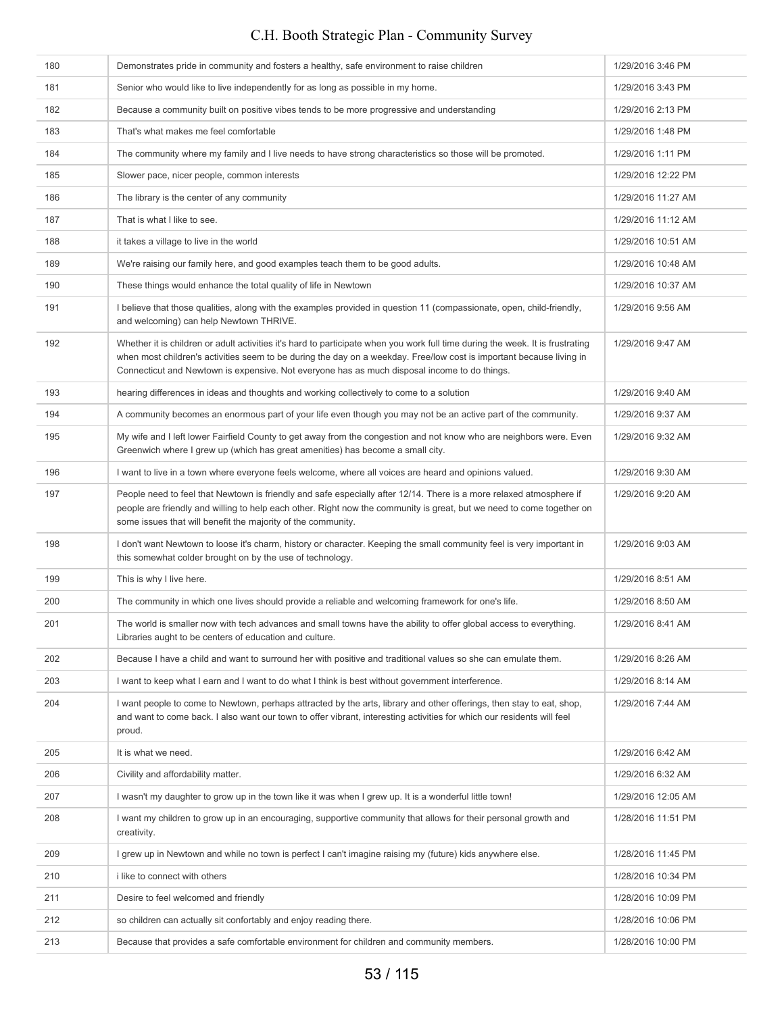| 180 | Demonstrates pride in community and fosters a healthy, safe environment to raise children                                                                                                                                                                                                                                                              | 1/29/2016 3:46 PM  |
|-----|--------------------------------------------------------------------------------------------------------------------------------------------------------------------------------------------------------------------------------------------------------------------------------------------------------------------------------------------------------|--------------------|
| 181 | Senior who would like to live independently for as long as possible in my home.                                                                                                                                                                                                                                                                        | 1/29/2016 3:43 PM  |
| 182 | Because a community built on positive vibes tends to be more progressive and understanding                                                                                                                                                                                                                                                             | 1/29/2016 2:13 PM  |
| 183 | That's what makes me feel comfortable                                                                                                                                                                                                                                                                                                                  | 1/29/2016 1:48 PM  |
| 184 | The community where my family and I live needs to have strong characteristics so those will be promoted.                                                                                                                                                                                                                                               | 1/29/2016 1:11 PM  |
| 185 | Slower pace, nicer people, common interests                                                                                                                                                                                                                                                                                                            | 1/29/2016 12:22 PM |
| 186 | The library is the center of any community                                                                                                                                                                                                                                                                                                             | 1/29/2016 11:27 AM |
| 187 | That is what I like to see.                                                                                                                                                                                                                                                                                                                            | 1/29/2016 11:12 AM |
| 188 | it takes a village to live in the world                                                                                                                                                                                                                                                                                                                | 1/29/2016 10:51 AM |
| 189 | We're raising our family here, and good examples teach them to be good adults.                                                                                                                                                                                                                                                                         | 1/29/2016 10:48 AM |
| 190 | These things would enhance the total quality of life in Newtown                                                                                                                                                                                                                                                                                        | 1/29/2016 10:37 AM |
| 191 | I believe that those qualities, along with the examples provided in question 11 (compassionate, open, child-friendly,<br>and welcoming) can help Newtown THRIVE.                                                                                                                                                                                       | 1/29/2016 9:56 AM  |
| 192 | Whether it is children or adult activities it's hard to participate when you work full time during the week. It is frustrating<br>when most children's activities seem to be during the day on a weekday. Free/low cost is important because living in<br>Connecticut and Newtown is expensive. Not everyone has as much disposal income to do things. | 1/29/2016 9:47 AM  |
| 193 | hearing differences in ideas and thoughts and working collectively to come to a solution                                                                                                                                                                                                                                                               | 1/29/2016 9:40 AM  |
| 194 | A community becomes an enormous part of your life even though you may not be an active part of the community.                                                                                                                                                                                                                                          | 1/29/2016 9:37 AM  |
| 195 | My wife and I left lower Fairfield County to get away from the congestion and not know who are neighbors were. Even<br>Greenwich where I grew up (which has great amenities) has become a small city.                                                                                                                                                  | 1/29/2016 9:32 AM  |
| 196 | I want to live in a town where everyone feels welcome, where all voices are heard and opinions valued.                                                                                                                                                                                                                                                 | 1/29/2016 9:30 AM  |
| 197 | People need to feel that Newtown is friendly and safe especially after 12/14. There is a more relaxed atmosphere if<br>people are friendly and willing to help each other. Right now the community is great, but we need to come together on<br>some issues that will benefit the majority of the community.                                           | 1/29/2016 9:20 AM  |
| 198 | I don't want Newtown to loose it's charm, history or character. Keeping the small community feel is very important in<br>this somewhat colder brought on by the use of technology.                                                                                                                                                                     | 1/29/2016 9:03 AM  |
| 199 | This is why I live here.                                                                                                                                                                                                                                                                                                                               | 1/29/2016 8:51 AM  |
| 200 | The community in which one lives should provide a reliable and welcoming framework for one's life.                                                                                                                                                                                                                                                     | 1/29/2016 8:50 AM  |
| 201 | The world is smaller now with tech advances and small towns have the ability to offer global access to everything.<br>Libraries aught to be centers of education and culture.                                                                                                                                                                          | 1/29/2016 8:41 AM  |
| 202 | Because I have a child and want to surround her with positive and traditional values so she can emulate them.                                                                                                                                                                                                                                          | 1/29/2016 8:26 AM  |
| 203 | I want to keep what I earn and I want to do what I think is best without government interference.                                                                                                                                                                                                                                                      | 1/29/2016 8:14 AM  |
| 204 | I want people to come to Newtown, perhaps attracted by the arts, library and other offerings, then stay to eat, shop,<br>and want to come back. I also want our town to offer vibrant, interesting activities for which our residents will feel<br>proud.                                                                                              | 1/29/2016 7:44 AM  |
| 205 | It is what we need.                                                                                                                                                                                                                                                                                                                                    | 1/29/2016 6:42 AM  |
| 206 | Civility and affordability matter.                                                                                                                                                                                                                                                                                                                     | 1/29/2016 6:32 AM  |
| 207 | I wasn't my daughter to grow up in the town like it was when I grew up. It is a wonderful little town!                                                                                                                                                                                                                                                 | 1/29/2016 12:05 AM |
| 208 | I want my children to grow up in an encouraging, supportive community that allows for their personal growth and<br>creativity.                                                                                                                                                                                                                         | 1/28/2016 11:51 PM |
| 209 | I grew up in Newtown and while no town is perfect I can't imagine raising my (future) kids anywhere else.                                                                                                                                                                                                                                              | 1/28/2016 11:45 PM |
| 210 | i like to connect with others                                                                                                                                                                                                                                                                                                                          | 1/28/2016 10:34 PM |
| 211 | Desire to feel welcomed and friendly                                                                                                                                                                                                                                                                                                                   | 1/28/2016 10:09 PM |
| 212 | so children can actually sit confortably and enjoy reading there.                                                                                                                                                                                                                                                                                      | 1/28/2016 10:06 PM |
| 213 | Because that provides a safe comfortable environment for children and community members.                                                                                                                                                                                                                                                               | 1/28/2016 10:00 PM |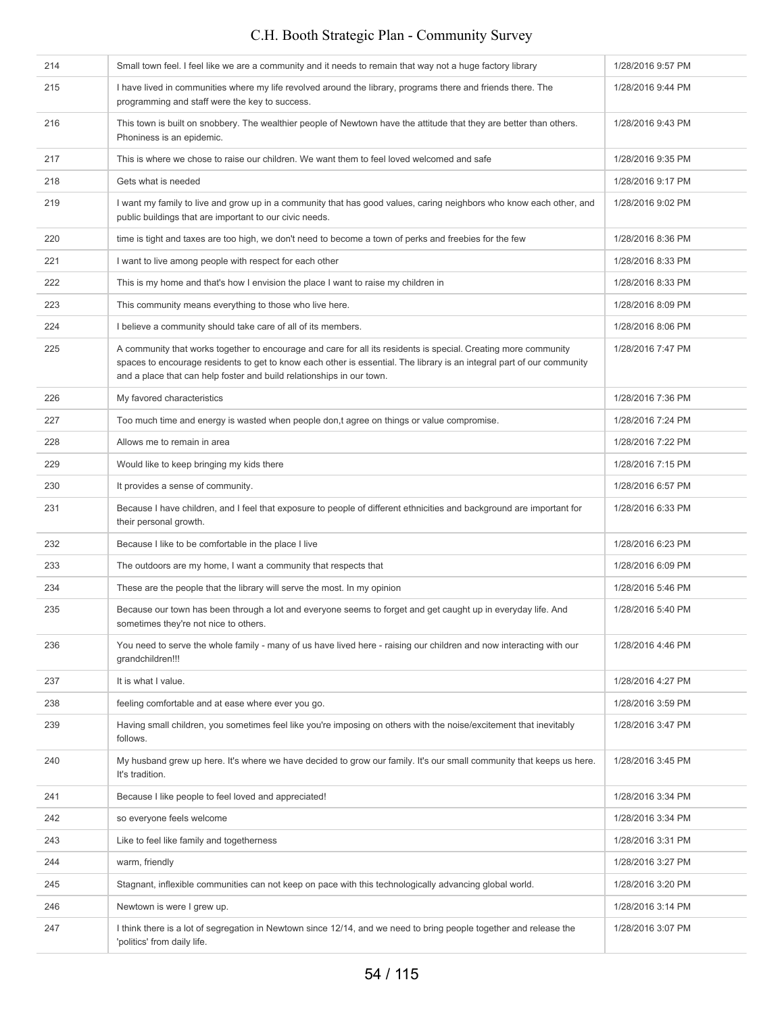#### 214 Small town feel. I feel like we are a community and it needs to remain that way not a huge factory library 1/28/2016 9:57 PM 215 I have lived in communities where my life revolved around the library, programs there and friends there. The programming and staff were the key to success. 1/28/2016 9:44 PM 216 This town is built on snobbery. The wealthier people of Newtown have the attitude that they are better than others. Phoniness is an epidemic. 1/28/2016 9:43 PM 217 This is where we chose to raise our children. We want them to feel loved welcomed and safe 1/28/2016 9:35 PM 218 Gets what is needed 1/28/2016 9:17 PM 219 I want my family to live and grow up in a community that has good values, caring neighbors who know each other, and public buildings that are important to our civic needs. 1/28/2016 9:02 PM 220 time is tight and taxes are too high, we don't need to become a town of perks and freebies for the few 1/28/2016 8:36 PM 1/28/2016 8:33 PM I want to live among people with respect for each other 1/28/2016 8:33 PM 222 This is my home and that's how I envision the place I want to raise my children in 1/28/2016 8:33 PM 223 This community means everything to those who live here. 1/28/2016 8:09 PM 224 I believe a community should take care of all of its members. 1/28/2016 8:06 PM 225 A community that works together to encourage and care for all its residents is special. Creating more community spaces to encourage residents to get to know each other is essential. The library is an integral part of our community and a place that can help foster and build relationships in our town. 1/28/2016 7:47 PM 226 My favored characteristics **1/28/2016 7:36 PM** 227 Too much time and energy is wasted when people don,t agree on things or value compromise. 1/28/2016 7:24 PM 228 Allows me to remain in area 1/28/2016 7:22 PM 229 Would like to keep bringing my kids there 1/28/2016 7:15 PM 230 It provides a sense of community. The sense of community. 231 Because I have children, and I feel that exposure to people of different ethnicities and background are important for their personal growth. 1/28/2016 6:33 PM 232 Because I like to be comfortable in the place I live 1/28/2016 6:23 PM 233 The outdoors are my home, I want a community that respects that 1/28/2016 6:09 PM 234 These are the people that the library will serve the most. In my opinion 1/28/2016 5:46 PM 235 Because our town has been through a lot and everyone seems to forget and get caught up in everyday life. And sometimes they're not nice to others. 1/28/2016 5:40 PM 236 You need to serve the whole family - many of us have lived here - raising our children and now interacting with our grandchildren!!! 1/28/2016 4:46 PM 237 It is what I value. It is what I value. **Example 238 feeling comfortable and at ease where ever you go.** 1/28/2016 3:59 PM 239 Having small children, you sometimes feel like you're imposing on others with the noise/excitement that inevitably follows. 1/28/2016 3:47 PM 240 My husband grew up here. It's where we have decided to grow our family. It's our small community that keeps us here. It's tradition. 1/28/2016 3:45 PM 241 Because I like people to feel loved and appreciated! 1/28/2016 3:34 PM 242 so everyone feels welcome 1/28/2016 3:34 PM 243 Like to feel like family and togetherness 1/28/2016 3:31 PM 244 warm, friendly 1/28/2016 3:27 PM 245 Stagnant, inflexible communities can not keep on pace with this technologically advancing global world. 1/28/2016 3:20 PM 246 Newtown is were I grew up. 1/28/2016 3:14 PM 247 I think there is a lot of segregation in Newtown since 12/14, and we need to bring people together and release the 'politics' from daily life. 1/28/2016 3:07 PM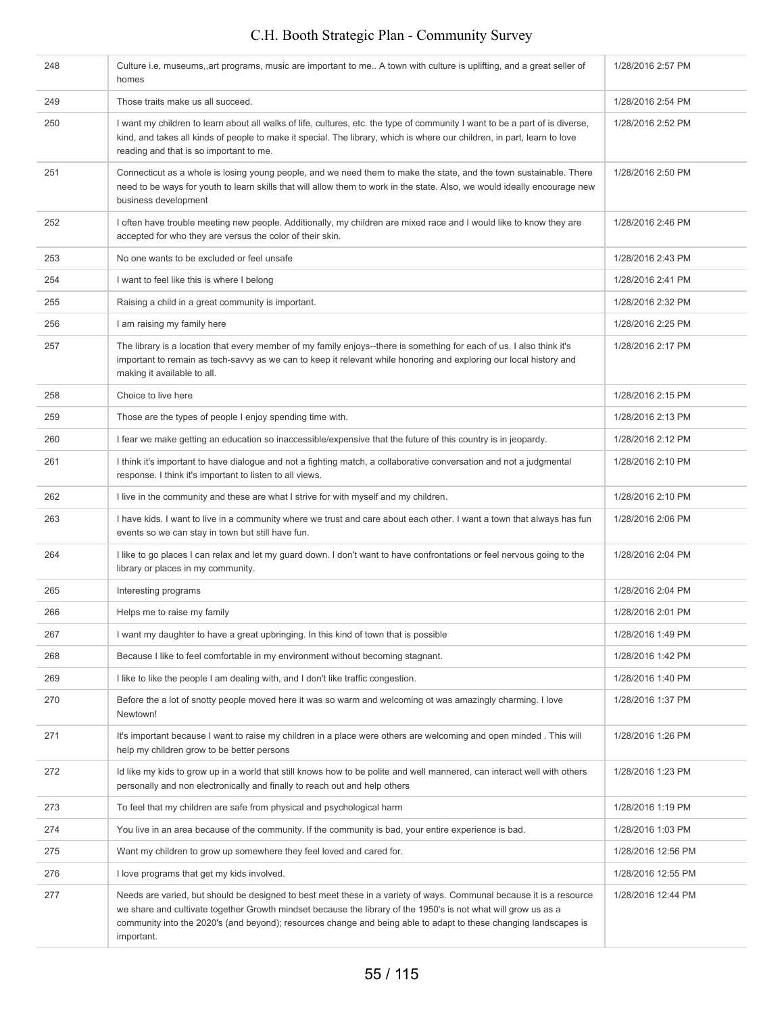| 248 | Culture i.e, museums, art programs, music are important to me A town with culture is uplifting, and a great seller of<br>homes                                                                                                                                                                                                                                          | 1/28/2016 2:57 PM  |
|-----|-------------------------------------------------------------------------------------------------------------------------------------------------------------------------------------------------------------------------------------------------------------------------------------------------------------------------------------------------------------------------|--------------------|
| 249 | Those traits make us all succeed.                                                                                                                                                                                                                                                                                                                                       | 1/28/2016 2:54 PM  |
| 250 | I want my children to learn about all walks of life, cultures, etc. the type of community I want to be a part of is diverse,<br>kind, and takes all kinds of people to make it special. The library, which is where our children, in part, learn to love<br>reading and that is so important to me.                                                                     | 1/28/2016 2:52 PM  |
| 251 | Connecticut as a whole is losing young people, and we need them to make the state, and the town sustainable. There<br>need to be ways for youth to learn skills that will allow them to work in the state. Also, we would ideally encourage new<br>business development                                                                                                 | 1/28/2016 2:50 PM  |
| 252 | I often have trouble meeting new people. Additionally, my children are mixed race and I would like to know they are<br>accepted for who they are versus the color of their skin.                                                                                                                                                                                        | 1/28/2016 2:46 PM  |
| 253 | No one wants to be excluded or feel unsafe                                                                                                                                                                                                                                                                                                                              | 1/28/2016 2:43 PM  |
| 254 | I want to feel like this is where I belong                                                                                                                                                                                                                                                                                                                              | 1/28/2016 2:41 PM  |
| 255 | Raising a child in a great community is important.                                                                                                                                                                                                                                                                                                                      | 1/28/2016 2:32 PM  |
| 256 | I am raising my family here                                                                                                                                                                                                                                                                                                                                             | 1/28/2016 2:25 PM  |
| 257 | The library is a location that every member of my family enjoys--there is something for each of us. I also think it's<br>important to remain as tech-savvy as we can to keep it relevant while honoring and exploring our local history and<br>making it available to all.                                                                                              | 1/28/2016 2:17 PM  |
| 258 | Choice to live here                                                                                                                                                                                                                                                                                                                                                     | 1/28/2016 2:15 PM  |
| 259 | Those are the types of people I enjoy spending time with.                                                                                                                                                                                                                                                                                                               | 1/28/2016 2:13 PM  |
| 260 | I fear we make getting an education so inaccessible/expensive that the future of this country is in jeopardy.                                                                                                                                                                                                                                                           | 1/28/2016 2:12 PM  |
| 261 | I think it's important to have dialogue and not a fighting match, a collaborative conversation and not a judgmental<br>response. I think it's important to listen to all views.                                                                                                                                                                                         | 1/28/2016 2:10 PM  |
| 262 | I live in the community and these are what I strive for with myself and my children.                                                                                                                                                                                                                                                                                    | 1/28/2016 2:10 PM  |
| 263 | I have kids. I want to live in a community where we trust and care about each other. I want a town that always has fun<br>events so we can stay in town but still have fun.                                                                                                                                                                                             | 1/28/2016 2:06 PM  |
| 264 | I like to go places I can relax and let my guard down. I don't want to have confrontations or feel nervous going to the<br>library or places in my community.                                                                                                                                                                                                           | 1/28/2016 2:04 PM  |
| 265 | Interesting programs                                                                                                                                                                                                                                                                                                                                                    | 1/28/2016 2:04 PM  |
| 266 | Helps me to raise my family                                                                                                                                                                                                                                                                                                                                             | 1/28/2016 2:01 PM  |
| 267 | I want my daughter to have a great upbringing. In this kind of town that is possible                                                                                                                                                                                                                                                                                    | 1/28/2016 1:49 PM  |
| 268 | Because I like to feel comfortable in my environment without becoming stagnant.                                                                                                                                                                                                                                                                                         | 1/28/2016 1:42 PM  |
| 269 | I like to like the people I am dealing with, and I don't like traffic congestion.                                                                                                                                                                                                                                                                                       | 1/28/2016 1:40 PM  |
| 270 | Before the a lot of snotty people moved here it was so warm and welcoming ot was amazingly charming. I love<br>Newtown!                                                                                                                                                                                                                                                 | 1/28/2016 1:37 PM  |
| 271 | It's important because I want to raise my children in a place were others are welcoming and open minded. This will<br>help my children grow to be better persons                                                                                                                                                                                                        | 1/28/2016 1:26 PM  |
| 272 | Id like my kids to grow up in a world that still knows how to be polite and well mannered, can interact well with others<br>personally and non electronically and finally to reach out and help others                                                                                                                                                                  | 1/28/2016 1:23 PM  |
| 273 | To feel that my children are safe from physical and psychological harm                                                                                                                                                                                                                                                                                                  | 1/28/2016 1:19 PM  |
| 274 | You live in an area because of the community. If the community is bad, your entire experience is bad.                                                                                                                                                                                                                                                                   | 1/28/2016 1:03 PM  |
| 275 | Want my children to grow up somewhere they feel loved and cared for.                                                                                                                                                                                                                                                                                                    | 1/28/2016 12:56 PM |
| 276 | I love programs that get my kids involved.                                                                                                                                                                                                                                                                                                                              | 1/28/2016 12:55 PM |
| 277 | Needs are varied, but should be designed to best meet these in a variety of ways. Communal because it is a resource<br>we share and cultivate together Growth mindset because the library of the 1950's is not what will grow us as a<br>community into the 2020's (and beyond); resources change and being able to adapt to these changing landscapes is<br>important. | 1/28/2016 12:44 PM |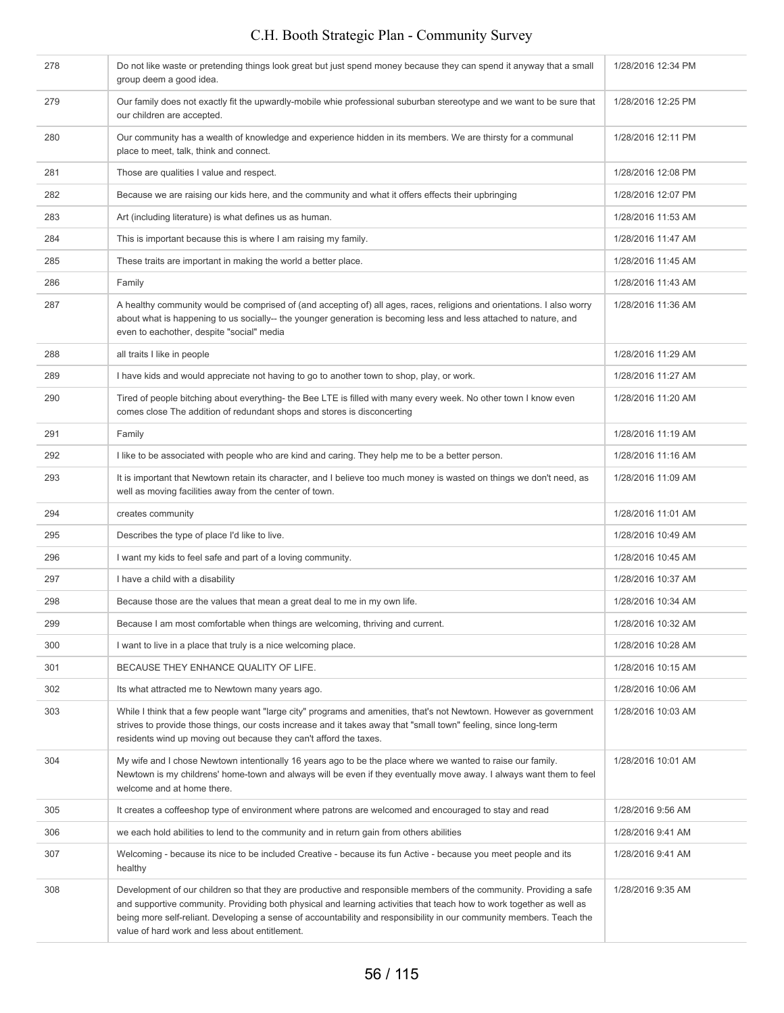| 278 | Do not like waste or pretending things look great but just spend money because they can spend it anyway that a small<br>group deem a good idea.                                                                                                                                                              | 1/28/2016 12:34 PM |
|-----|--------------------------------------------------------------------------------------------------------------------------------------------------------------------------------------------------------------------------------------------------------------------------------------------------------------|--------------------|
| 279 | Our family does not exactly fit the upwardly-mobile whie professional suburban stereotype and we want to be sure that<br>our children are accepted.                                                                                                                                                          | 1/28/2016 12:25 PM |
| 280 | Our community has a wealth of knowledge and experience hidden in its members. We are thirsty for a communal<br>place to meet, talk, think and connect.                                                                                                                                                       | 1/28/2016 12:11 PM |
| 281 | Those are qualities I value and respect.                                                                                                                                                                                                                                                                     | 1/28/2016 12:08 PM |
| 282 | Because we are raising our kids here, and the community and what it offers effects their upbringing                                                                                                                                                                                                          | 1/28/2016 12:07 PM |
| 283 | Art (including literature) is what defines us as human.                                                                                                                                                                                                                                                      | 1/28/2016 11:53 AM |
| 284 | This is important because this is where I am raising my family.                                                                                                                                                                                                                                              | 1/28/2016 11:47 AM |
| 285 | These traits are important in making the world a better place.                                                                                                                                                                                                                                               | 1/28/2016 11:45 AM |
| 286 | Family                                                                                                                                                                                                                                                                                                       | 1/28/2016 11:43 AM |
| 287 | A healthy community would be comprised of (and accepting of) all ages, races, religions and orientations. I also worry<br>about what is happening to us socially-- the younger generation is becoming less and less attached to nature, and<br>even to eachother, despite "social" media                     | 1/28/2016 11:36 AM |
| 288 | all traits I like in people                                                                                                                                                                                                                                                                                  | 1/28/2016 11:29 AM |
| 289 | I have kids and would appreciate not having to go to another town to shop, play, or work.                                                                                                                                                                                                                    | 1/28/2016 11:27 AM |
| 290 | Tired of people bitching about everything- the Bee LTE is filled with many every week. No other town I know even<br>comes close The addition of redundant shops and stores is disconcerting                                                                                                                  | 1/28/2016 11:20 AM |
| 291 | Family                                                                                                                                                                                                                                                                                                       | 1/28/2016 11:19 AM |
| 292 | I like to be associated with people who are kind and caring. They help me to be a better person.                                                                                                                                                                                                             | 1/28/2016 11:16 AM |
| 293 | It is important that Newtown retain its character, and I believe too much money is wasted on things we don't need, as<br>well as moving facilities away from the center of town.                                                                                                                             | 1/28/2016 11:09 AM |
| 294 | creates community                                                                                                                                                                                                                                                                                            | 1/28/2016 11:01 AM |
| 295 | Describes the type of place I'd like to live.                                                                                                                                                                                                                                                                | 1/28/2016 10:49 AM |
| 296 | I want my kids to feel safe and part of a loving community.                                                                                                                                                                                                                                                  | 1/28/2016 10:45 AM |
|     |                                                                                                                                                                                                                                                                                                              |                    |
| 297 | I have a child with a disability                                                                                                                                                                                                                                                                             | 1/28/2016 10:37 AM |
| 298 | Because those are the values that mean a great deal to me in my own life.                                                                                                                                                                                                                                    | 1/28/2016 10:34 AM |
| 299 | Because I am most comfortable when things are welcoming, thriving and current.                                                                                                                                                                                                                               | 1/28/2016 10:32 AM |
| 300 | I want to live in a place that truly is a nice welcoming place.                                                                                                                                                                                                                                              | 1/28/2016 10:28 AM |
| 301 | BECAUSE THEY ENHANCE QUALITY OF LIFE.                                                                                                                                                                                                                                                                        | 1/28/2016 10:15 AM |
| 302 | Its what attracted me to Newtown many years ago.                                                                                                                                                                                                                                                             | 1/28/2016 10:06 AM |
| 303 | While I think that a few people want "large city" programs and amenities, that's not Newtown. However as government<br>strives to provide those things, our costs increase and it takes away that "small town" feeling, since long-term<br>residents wind up moving out because they can't afford the taxes. | 1/28/2016 10:03 AM |
| 304 | My wife and I chose Newtown intentionally 16 years ago to be the place where we wanted to raise our family.<br>Newtown is my childrens' home-town and always will be even if they eventually move away. I always want them to feel<br>welcome and at home there.                                             | 1/28/2016 10:01 AM |
| 305 | It creates a coffeeshop type of environment where patrons are welcomed and encouraged to stay and read                                                                                                                                                                                                       | 1/28/2016 9:56 AM  |
| 306 | we each hold abilities to lend to the community and in return gain from others abilities                                                                                                                                                                                                                     | 1/28/2016 9:41 AM  |
| 307 | Welcoming - because its nice to be included Creative - because its fun Active - because you meet people and its<br>healthy                                                                                                                                                                                   | 1/28/2016 9:41 AM  |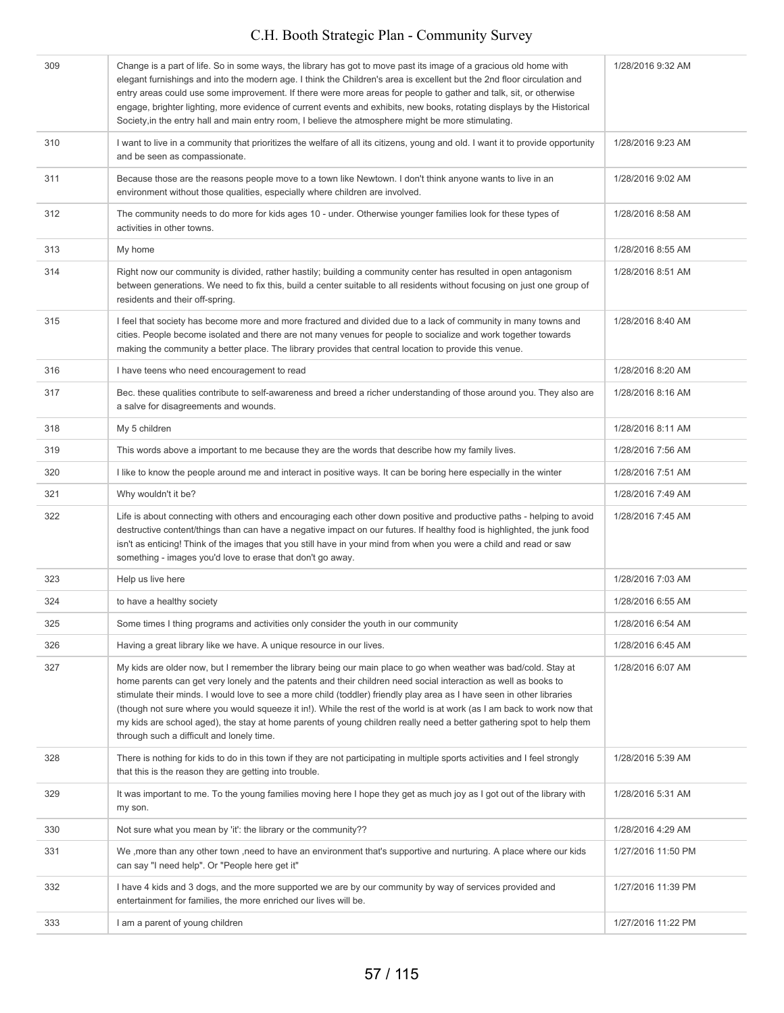| 309 | Change is a part of life. So in some ways, the library has got to move past its image of a gracious old home with<br>elegant furnishings and into the modern age. I think the Children's area is excellent but the 2nd floor circulation and<br>entry areas could use some improvement. If there were more areas for people to gather and talk, sit, or otherwise<br>engage, brighter lighting, more evidence of current events and exhibits, new books, rotating displays by the Historical<br>Society, in the entry hall and main entry room, I believe the atmosphere might be more stimulating.                                                           | 1/28/2016 9:32 AM  |
|-----|---------------------------------------------------------------------------------------------------------------------------------------------------------------------------------------------------------------------------------------------------------------------------------------------------------------------------------------------------------------------------------------------------------------------------------------------------------------------------------------------------------------------------------------------------------------------------------------------------------------------------------------------------------------|--------------------|
| 310 | I want to live in a community that prioritizes the welfare of all its citizens, young and old. I want it to provide opportunity<br>and be seen as compassionate.                                                                                                                                                                                                                                                                                                                                                                                                                                                                                              | 1/28/2016 9:23 AM  |
| 311 | Because those are the reasons people move to a town like Newtown. I don't think anyone wants to live in an<br>environment without those qualities, especially where children are involved.                                                                                                                                                                                                                                                                                                                                                                                                                                                                    | 1/28/2016 9:02 AM  |
| 312 | The community needs to do more for kids ages 10 - under. Otherwise younger families look for these types of<br>activities in other towns.                                                                                                                                                                                                                                                                                                                                                                                                                                                                                                                     | 1/28/2016 8:58 AM  |
| 313 | My home                                                                                                                                                                                                                                                                                                                                                                                                                                                                                                                                                                                                                                                       | 1/28/2016 8:55 AM  |
| 314 | Right now our community is divided, rather hastily; building a community center has resulted in open antagonism<br>between generations. We need to fix this, build a center suitable to all residents without focusing on just one group of<br>residents and their off-spring.                                                                                                                                                                                                                                                                                                                                                                                | 1/28/2016 8:51 AM  |
| 315 | I feel that society has become more and more fractured and divided due to a lack of community in many towns and<br>cities. People become isolated and there are not many venues for people to socialize and work together towards<br>making the community a better place. The library provides that central location to provide this venue.                                                                                                                                                                                                                                                                                                                   | 1/28/2016 8:40 AM  |
| 316 | I have teens who need encouragement to read                                                                                                                                                                                                                                                                                                                                                                                                                                                                                                                                                                                                                   | 1/28/2016 8:20 AM  |
| 317 | Bec. these qualities contribute to self-awareness and breed a richer understanding of those around you. They also are<br>a salve for disagreements and wounds.                                                                                                                                                                                                                                                                                                                                                                                                                                                                                                | 1/28/2016 8:16 AM  |
| 318 | My 5 children                                                                                                                                                                                                                                                                                                                                                                                                                                                                                                                                                                                                                                                 | 1/28/2016 8:11 AM  |
| 319 | This words above a important to me because they are the words that describe how my family lives.                                                                                                                                                                                                                                                                                                                                                                                                                                                                                                                                                              | 1/28/2016 7:56 AM  |
| 320 | I like to know the people around me and interact in positive ways. It can be boring here especially in the winter                                                                                                                                                                                                                                                                                                                                                                                                                                                                                                                                             | 1/28/2016 7:51 AM  |
| 321 | Why wouldn't it be?                                                                                                                                                                                                                                                                                                                                                                                                                                                                                                                                                                                                                                           | 1/28/2016 7:49 AM  |
| 322 | Life is about connecting with others and encouraging each other down positive and productive paths - helping to avoid<br>destructive content/things than can have a negative impact on our futures. If healthy food is highlighted, the junk food<br>isn't as enticing! Think of the images that you still have in your mind from when you were a child and read or saw<br>something - images you'd love to erase that don't go away.                                                                                                                                                                                                                         | 1/28/2016 7:45 AM  |
| 323 | Help us live here                                                                                                                                                                                                                                                                                                                                                                                                                                                                                                                                                                                                                                             | 1/28/2016 7:03 AM  |
| 324 | to have a healthy society                                                                                                                                                                                                                                                                                                                                                                                                                                                                                                                                                                                                                                     | 1/28/2016 6:55 AM  |
| 325 | Some times I thing programs and activities only consider the youth in our community                                                                                                                                                                                                                                                                                                                                                                                                                                                                                                                                                                           | 1/28/2016 6:54 AM  |
| 326 | Having a great library like we have. A unique resource in our lives.                                                                                                                                                                                                                                                                                                                                                                                                                                                                                                                                                                                          | 1/28/2016 6:45 AM  |
| 327 | My kids are older now, but I remember the library being our main place to go when weather was bad/cold. Stay at<br>home parents can get very lonely and the patents and their children need social interaction as well as books to<br>stimulate their minds. I would love to see a more child (toddler) friendly play area as I have seen in other libraries<br>(though not sure where you would squeeze it in!). While the rest of the world is at work (as I am back to work now that<br>my kids are school aged), the stay at home parents of young children really need a better gathering spot to help them<br>through such a difficult and lonely time. | 1/28/2016 6:07 AM  |
| 328 | There is nothing for kids to do in this town if they are not participating in multiple sports activities and I feel strongly<br>that this is the reason they are getting into trouble.                                                                                                                                                                                                                                                                                                                                                                                                                                                                        | 1/28/2016 5:39 AM  |
| 329 | It was important to me. To the young families moving here I hope they get as much joy as I got out of the library with<br>my son.                                                                                                                                                                                                                                                                                                                                                                                                                                                                                                                             | 1/28/2016 5:31 AM  |
| 330 | Not sure what you mean by 'it': the library or the community??                                                                                                                                                                                                                                                                                                                                                                                                                                                                                                                                                                                                | 1/28/2016 4:29 AM  |
| 331 | We ,more than any other town ,need to have an environment that's supportive and nurturing. A place where our kids<br>can say "I need help". Or "People here get it"                                                                                                                                                                                                                                                                                                                                                                                                                                                                                           | 1/27/2016 11:50 PM |
| 332 | I have 4 kids and 3 dogs, and the more supported we are by our community by way of services provided and<br>entertainment for families, the more enriched our lives will be.                                                                                                                                                                                                                                                                                                                                                                                                                                                                                  | 1/27/2016 11:39 PM |
| 333 | I am a parent of young children                                                                                                                                                                                                                                                                                                                                                                                                                                                                                                                                                                                                                               | 1/27/2016 11:22 PM |
|     |                                                                                                                                                                                                                                                                                                                                                                                                                                                                                                                                                                                                                                                               |                    |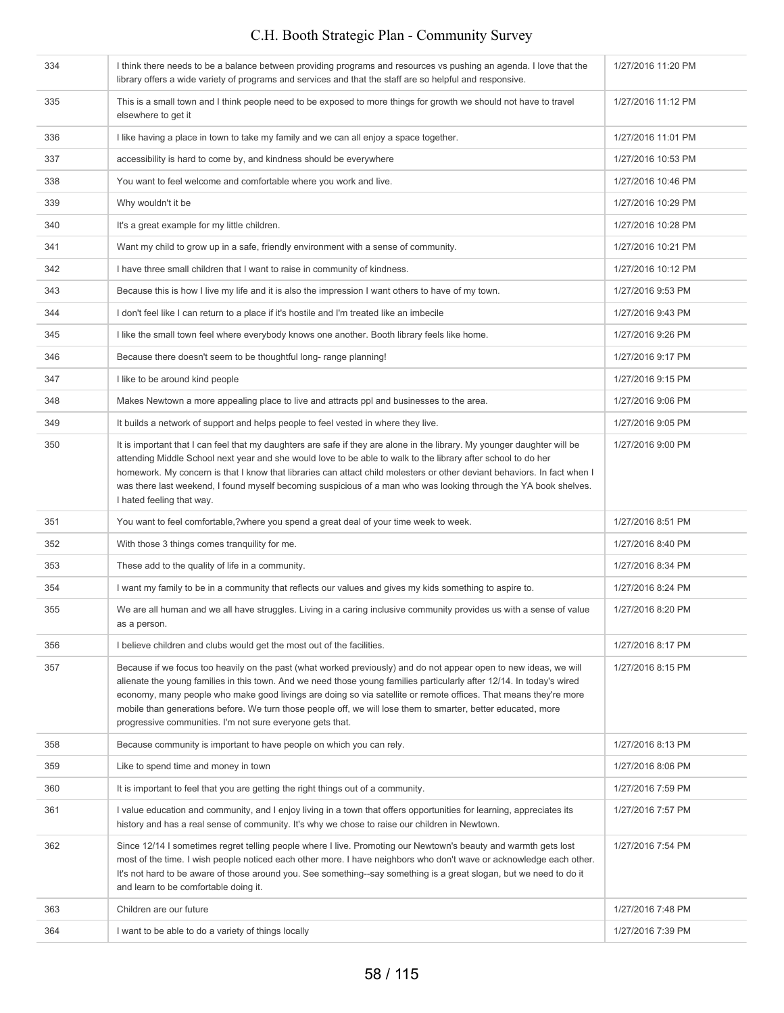| 334 | I think there needs to be a balance between providing programs and resources vs pushing an agenda. I love that the<br>library offers a wide variety of programs and services and that the staff are so helpful and responsive.                                                                                                                                                                                                                                                                                                               | 1/27/2016 11:20 PM |
|-----|----------------------------------------------------------------------------------------------------------------------------------------------------------------------------------------------------------------------------------------------------------------------------------------------------------------------------------------------------------------------------------------------------------------------------------------------------------------------------------------------------------------------------------------------|--------------------|
| 335 | This is a small town and I think people need to be exposed to more things for growth we should not have to travel<br>elsewhere to get it                                                                                                                                                                                                                                                                                                                                                                                                     | 1/27/2016 11:12 PM |
| 336 | I like having a place in town to take my family and we can all enjoy a space together.                                                                                                                                                                                                                                                                                                                                                                                                                                                       | 1/27/2016 11:01 PM |
| 337 | accessibility is hard to come by, and kindness should be everywhere                                                                                                                                                                                                                                                                                                                                                                                                                                                                          | 1/27/2016 10:53 PM |
| 338 | You want to feel welcome and comfortable where you work and live.                                                                                                                                                                                                                                                                                                                                                                                                                                                                            | 1/27/2016 10:46 PM |
| 339 | Why wouldn't it be                                                                                                                                                                                                                                                                                                                                                                                                                                                                                                                           | 1/27/2016 10:29 PM |
| 340 | It's a great example for my little children.                                                                                                                                                                                                                                                                                                                                                                                                                                                                                                 | 1/27/2016 10:28 PM |
| 341 | Want my child to grow up in a safe, friendly environment with a sense of community.                                                                                                                                                                                                                                                                                                                                                                                                                                                          | 1/27/2016 10:21 PM |
| 342 | I have three small children that I want to raise in community of kindness.                                                                                                                                                                                                                                                                                                                                                                                                                                                                   | 1/27/2016 10:12 PM |
| 343 | Because this is how I live my life and it is also the impression I want others to have of my town.                                                                                                                                                                                                                                                                                                                                                                                                                                           | 1/27/2016 9:53 PM  |
| 344 | I don't feel like I can return to a place if it's hostile and I'm treated like an imbecile                                                                                                                                                                                                                                                                                                                                                                                                                                                   | 1/27/2016 9:43 PM  |
| 345 | I like the small town feel where everybody knows one another. Booth library feels like home.                                                                                                                                                                                                                                                                                                                                                                                                                                                 | 1/27/2016 9:26 PM  |
| 346 | Because there doesn't seem to be thoughtful long-range planning!                                                                                                                                                                                                                                                                                                                                                                                                                                                                             | 1/27/2016 9:17 PM  |
| 347 | I like to be around kind people                                                                                                                                                                                                                                                                                                                                                                                                                                                                                                              | 1/27/2016 9:15 PM  |
| 348 | Makes Newtown a more appealing place to live and attracts ppl and businesses to the area.                                                                                                                                                                                                                                                                                                                                                                                                                                                    | 1/27/2016 9:06 PM  |
| 349 | It builds a network of support and helps people to feel vested in where they live.                                                                                                                                                                                                                                                                                                                                                                                                                                                           | 1/27/2016 9:05 PM  |
| 350 | It is important that I can feel that my daughters are safe if they are alone in the library. My younger daughter will be<br>attending Middle School next year and she would love to be able to walk to the library after school to do her<br>homework. My concern is that I know that libraries can attact child molesters or other deviant behaviors. In fact when I<br>was there last weekend, I found myself becoming suspicious of a man who was looking through the YA book shelves.<br>I hated feeling that way.                       | 1/27/2016 9:00 PM  |
| 351 | You want to feel comfortable,?where you spend a great deal of your time week to week.                                                                                                                                                                                                                                                                                                                                                                                                                                                        | 1/27/2016 8:51 PM  |
| 352 | With those 3 things comes tranquility for me.                                                                                                                                                                                                                                                                                                                                                                                                                                                                                                | 1/27/2016 8:40 PM  |
| 353 | These add to the quality of life in a community.                                                                                                                                                                                                                                                                                                                                                                                                                                                                                             | 1/27/2016 8:34 PM  |
| 354 | I want my family to be in a community that reflects our values and gives my kids something to aspire to.                                                                                                                                                                                                                                                                                                                                                                                                                                     | 1/27/2016 8:24 PM  |
| 355 | We are all human and we all have struggles. Living in a caring inclusive community provides us with a sense of value<br>as a person.                                                                                                                                                                                                                                                                                                                                                                                                         | 1/27/2016 8:20 PM  |
| 356 | I believe children and clubs would get the most out of the facilities.                                                                                                                                                                                                                                                                                                                                                                                                                                                                       | 1/27/2016 8:17 PM  |
| 357 | Because if we focus too heavily on the past (what worked previously) and do not appear open to new ideas, we will<br>alienate the young families in this town. And we need those young families particularly after 12/14. In today's wired<br>economy, many people who make good livings are doing so via satellite or remote offices. That means they're more<br>mobile than generations before. We turn those people off, we will lose them to smarter, better educated, more<br>progressive communities. I'm not sure everyone gets that. | 1/27/2016 8:15 PM  |
| 358 | Because community is important to have people on which you can rely.                                                                                                                                                                                                                                                                                                                                                                                                                                                                         | 1/27/2016 8:13 PM  |
| 359 | Like to spend time and money in town                                                                                                                                                                                                                                                                                                                                                                                                                                                                                                         | 1/27/2016 8:06 PM  |
| 360 | It is important to feel that you are getting the right things out of a community.                                                                                                                                                                                                                                                                                                                                                                                                                                                            | 1/27/2016 7:59 PM  |
| 361 | I value education and community, and I enjoy living in a town that offers opportunities for learning, appreciates its<br>history and has a real sense of community. It's why we chose to raise our children in Newtown.                                                                                                                                                                                                                                                                                                                      | 1/27/2016 7:57 PM  |
| 362 | Since 12/14 I sometimes regret telling people where I live. Promoting our Newtown's beauty and warmth gets lost<br>most of the time. I wish people noticed each other more. I have neighbors who don't wave or acknowledge each other.<br>It's not hard to be aware of those around you. See something-say something is a great slogan, but we need to do it<br>and learn to be comfortable doing it.                                                                                                                                        | 1/27/2016 7:54 PM  |
| 363 | Children are our future                                                                                                                                                                                                                                                                                                                                                                                                                                                                                                                      | 1/27/2016 7:48 PM  |
| 364 | I want to be able to do a variety of things locally                                                                                                                                                                                                                                                                                                                                                                                                                                                                                          | 1/27/2016 7:39 PM  |
|     |                                                                                                                                                                                                                                                                                                                                                                                                                                                                                                                                              |                    |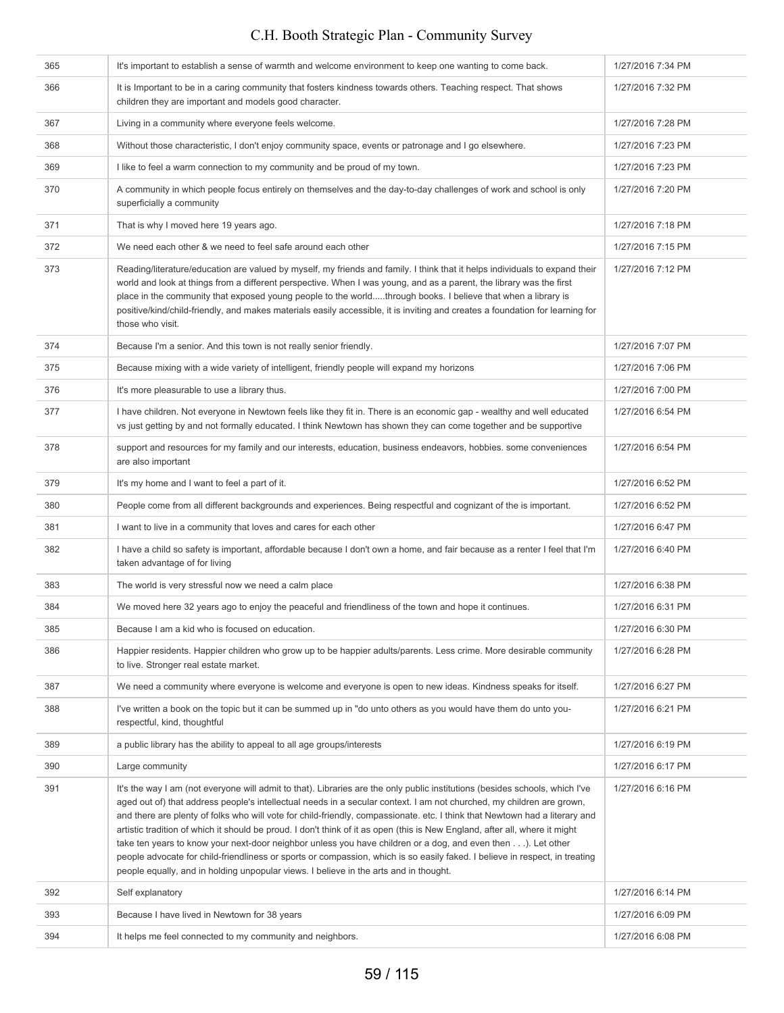| 365 | It's important to establish a sense of warmth and welcome environment to keep one wanting to come back.                                                                                                                                                                                                                                                                                                                                                                                                                                                                                                                                                                                                                                                                                                                                                    | 1/27/2016 7:34 PM |
|-----|------------------------------------------------------------------------------------------------------------------------------------------------------------------------------------------------------------------------------------------------------------------------------------------------------------------------------------------------------------------------------------------------------------------------------------------------------------------------------------------------------------------------------------------------------------------------------------------------------------------------------------------------------------------------------------------------------------------------------------------------------------------------------------------------------------------------------------------------------------|-------------------|
| 366 | It is Important to be in a caring community that fosters kindness towards others. Teaching respect. That shows<br>children they are important and models good character.                                                                                                                                                                                                                                                                                                                                                                                                                                                                                                                                                                                                                                                                                   | 1/27/2016 7:32 PM |
| 367 | Living in a community where everyone feels welcome.                                                                                                                                                                                                                                                                                                                                                                                                                                                                                                                                                                                                                                                                                                                                                                                                        | 1/27/2016 7:28 PM |
| 368 | Without those characteristic, I don't enjoy community space, events or patronage and I go elsewhere.                                                                                                                                                                                                                                                                                                                                                                                                                                                                                                                                                                                                                                                                                                                                                       | 1/27/2016 7:23 PM |
| 369 | I like to feel a warm connection to my community and be proud of my town.                                                                                                                                                                                                                                                                                                                                                                                                                                                                                                                                                                                                                                                                                                                                                                                  | 1/27/2016 7:23 PM |
| 370 | A community in which people focus entirely on themselves and the day-to-day challenges of work and school is only<br>superficially a community                                                                                                                                                                                                                                                                                                                                                                                                                                                                                                                                                                                                                                                                                                             | 1/27/2016 7:20 PM |
| 371 | That is why I moved here 19 years ago.                                                                                                                                                                                                                                                                                                                                                                                                                                                                                                                                                                                                                                                                                                                                                                                                                     | 1/27/2016 7:18 PM |
| 372 | We need each other & we need to feel safe around each other                                                                                                                                                                                                                                                                                                                                                                                                                                                                                                                                                                                                                                                                                                                                                                                                | 1/27/2016 7:15 PM |
| 373 | Reading/literature/education are valued by myself, my friends and family. I think that it helps individuals to expand their<br>world and look at things from a different perspective. When I was young, and as a parent, the library was the first<br>place in the community that exposed young people to the worldthrough books. I believe that when a library is<br>positive/kind/child-friendly, and makes materials easily accessible, it is inviting and creates a foundation for learning for<br>those who visit.                                                                                                                                                                                                                                                                                                                                    | 1/27/2016 7:12 PM |
| 374 | Because I'm a senior. And this town is not really senior friendly.                                                                                                                                                                                                                                                                                                                                                                                                                                                                                                                                                                                                                                                                                                                                                                                         | 1/27/2016 7:07 PM |
| 375 | Because mixing with a wide variety of intelligent, friendly people will expand my horizons                                                                                                                                                                                                                                                                                                                                                                                                                                                                                                                                                                                                                                                                                                                                                                 | 1/27/2016 7:06 PM |
| 376 | It's more pleasurable to use a library thus.                                                                                                                                                                                                                                                                                                                                                                                                                                                                                                                                                                                                                                                                                                                                                                                                               | 1/27/2016 7:00 PM |
| 377 | I have children. Not everyone in Newtown feels like they fit in. There is an economic gap - wealthy and well educated<br>vs just getting by and not formally educated. I think Newtown has shown they can come together and be supportive                                                                                                                                                                                                                                                                                                                                                                                                                                                                                                                                                                                                                  | 1/27/2016 6:54 PM |
| 378 | support and resources for my family and our interests, education, business endeavors, hobbies. some conveniences<br>are also important                                                                                                                                                                                                                                                                                                                                                                                                                                                                                                                                                                                                                                                                                                                     | 1/27/2016 6:54 PM |
| 379 | It's my home and I want to feel a part of it.                                                                                                                                                                                                                                                                                                                                                                                                                                                                                                                                                                                                                                                                                                                                                                                                              | 1/27/2016 6:52 PM |
| 380 | People come from all different backgrounds and experiences. Being respectful and cognizant of the is important.                                                                                                                                                                                                                                                                                                                                                                                                                                                                                                                                                                                                                                                                                                                                            | 1/27/2016 6:52 PM |
| 381 | I want to live in a community that loves and cares for each other                                                                                                                                                                                                                                                                                                                                                                                                                                                                                                                                                                                                                                                                                                                                                                                          | 1/27/2016 6:47 PM |
| 382 | I have a child so safety is important, affordable because I don't own a home, and fair because as a renter I feel that I'm<br>taken advantage of for living                                                                                                                                                                                                                                                                                                                                                                                                                                                                                                                                                                                                                                                                                                | 1/27/2016 6:40 PM |
| 383 | The world is very stressful now we need a calm place                                                                                                                                                                                                                                                                                                                                                                                                                                                                                                                                                                                                                                                                                                                                                                                                       | 1/27/2016 6:38 PM |
| 384 | We moved here 32 years ago to enjoy the peaceful and friendliness of the town and hope it continues.                                                                                                                                                                                                                                                                                                                                                                                                                                                                                                                                                                                                                                                                                                                                                       | 1/27/2016 6:31 PM |
| 385 | Because I am a kid who is focused on education.                                                                                                                                                                                                                                                                                                                                                                                                                                                                                                                                                                                                                                                                                                                                                                                                            | 1/27/2016 6:30 PM |
| 386 | Happier residents. Happier children who grow up to be happier adults/parents. Less crime. More desirable community<br>to live. Stronger real estate market.                                                                                                                                                                                                                                                                                                                                                                                                                                                                                                                                                                                                                                                                                                | 1/27/2016 6:28 PM |
| 387 | We need a community where everyone is welcome and everyone is open to new ideas. Kindness speaks for itself.                                                                                                                                                                                                                                                                                                                                                                                                                                                                                                                                                                                                                                                                                                                                               | 1/27/2016 6:27 PM |
| 388 | I've written a book on the topic but it can be summed up in "do unto others as you would have them do unto you-<br>respectful, kind, thoughtful                                                                                                                                                                                                                                                                                                                                                                                                                                                                                                                                                                                                                                                                                                            | 1/27/2016 6:21 PM |
| 389 | a public library has the ability to appeal to all age groups/interests                                                                                                                                                                                                                                                                                                                                                                                                                                                                                                                                                                                                                                                                                                                                                                                     | 1/27/2016 6:19 PM |
| 390 | Large community                                                                                                                                                                                                                                                                                                                                                                                                                                                                                                                                                                                                                                                                                                                                                                                                                                            | 1/27/2016 6:17 PM |
| 391 | It's the way I am (not everyone will admit to that). Libraries are the only public institutions (besides schools, which I've<br>aged out of) that address people's intellectual needs in a secular context. I am not churched, my children are grown,<br>and there are plenty of folks who will vote for child-friendly, compassionate. etc. I think that Newtown had a literary and<br>artistic tradition of which it should be proud. I don't think of it as open (this is New England, after all, where it might<br>take ten years to know your next-door neighbor unless you have children or a dog, and even then). Let other<br>people advocate for child-friendliness or sports or compassion, which is so easily faked. I believe in respect, in treating<br>people equally, and in holding unpopular views. I believe in the arts and in thought. | 1/27/2016 6:16 PM |
| 392 | Self explanatory                                                                                                                                                                                                                                                                                                                                                                                                                                                                                                                                                                                                                                                                                                                                                                                                                                           | 1/27/2016 6:14 PM |
| 393 | Because I have lived in Newtown for 38 years                                                                                                                                                                                                                                                                                                                                                                                                                                                                                                                                                                                                                                                                                                                                                                                                               | 1/27/2016 6:09 PM |
| 394 | It helps me feel connected to my community and neighbors.                                                                                                                                                                                                                                                                                                                                                                                                                                                                                                                                                                                                                                                                                                                                                                                                  | 1/27/2016 6:08 PM |
|     |                                                                                                                                                                                                                                                                                                                                                                                                                                                                                                                                                                                                                                                                                                                                                                                                                                                            |                   |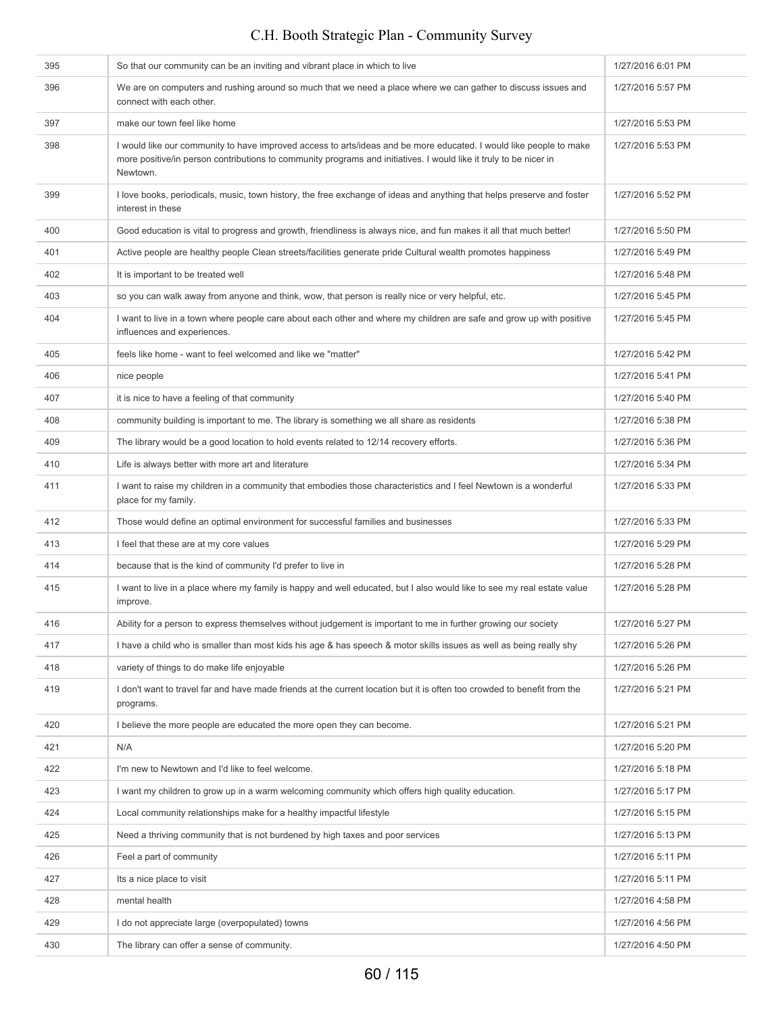| 395 | So that our community can be an inviting and vibrant place in which to live                                                                                                                                                                         | 1/27/2016 6:01 PM |
|-----|-----------------------------------------------------------------------------------------------------------------------------------------------------------------------------------------------------------------------------------------------------|-------------------|
| 396 | We are on computers and rushing around so much that we need a place where we can gather to discuss issues and<br>connect with each other.                                                                                                           | 1/27/2016 5:57 PM |
| 397 | make our town feel like home                                                                                                                                                                                                                        | 1/27/2016 5:53 PM |
| 398 | I would like our community to have improved access to arts/ideas and be more educated. I would like people to make<br>more positive/in person contributions to community programs and initiatives. I would like it truly to be nicer in<br>Newtown. | 1/27/2016 5:53 PM |
| 399 | I love books, periodicals, music, town history, the free exchange of ideas and anything that helps preserve and foster<br>interest in these                                                                                                         | 1/27/2016 5:52 PM |
| 400 | Good education is vital to progress and growth, friendliness is always nice, and fun makes it all that much better!                                                                                                                                 | 1/27/2016 5:50 PM |
| 401 | Active people are healthy people Clean streets/facilities generate pride Cultural wealth promotes happiness                                                                                                                                         | 1/27/2016 5:49 PM |
| 402 | It is important to be treated well                                                                                                                                                                                                                  | 1/27/2016 5:48 PM |
| 403 | so you can walk away from anyone and think, wow, that person is really nice or very helpful, etc.                                                                                                                                                   | 1/27/2016 5:45 PM |
| 404 | I want to live in a town where people care about each other and where my children are safe and grow up with positive<br>influences and experiences.                                                                                                 | 1/27/2016 5:45 PM |
| 405 | feels like home - want to feel welcomed and like we "matter"                                                                                                                                                                                        | 1/27/2016 5:42 PM |
| 406 | nice people                                                                                                                                                                                                                                         | 1/27/2016 5:41 PM |
| 407 | it is nice to have a feeling of that community                                                                                                                                                                                                      | 1/27/2016 5:40 PM |
| 408 | community building is important to me. The library is something we all share as residents                                                                                                                                                           | 1/27/2016 5:38 PM |
| 409 | The library would be a good location to hold events related to 12/14 recovery efforts.                                                                                                                                                              | 1/27/2016 5:36 PM |
| 410 | Life is always better with more art and literature                                                                                                                                                                                                  | 1/27/2016 5:34 PM |
| 411 | I want to raise my children in a community that embodies those characteristics and I feel Newtown is a wonderful<br>place for my family.                                                                                                            | 1/27/2016 5:33 PM |
| 412 | Those would define an optimal environment for successful families and businesses                                                                                                                                                                    | 1/27/2016 5:33 PM |
| 413 | I feel that these are at my core values                                                                                                                                                                                                             | 1/27/2016 5:29 PM |
| 414 | because that is the kind of community I'd prefer to live in                                                                                                                                                                                         | 1/27/2016 5:28 PM |
| 415 | I want to live in a place where my family is happy and well educated, but I also would like to see my real estate value<br>improve.                                                                                                                 | 1/27/2016 5:28 PM |
| 416 | Ability for a person to express themselves without judgement is important to me in further growing our society                                                                                                                                      | 1/27/2016 5:27 PM |
| 417 | I have a child who is smaller than most kids his age & has speech & motor skills issues as well as being really shy                                                                                                                                 | 1/27/2016 5:26 PM |
| 418 | variety of things to do make life enjoyable                                                                                                                                                                                                         | 1/27/2016 5:26 PM |
| 419 | I don't want to travel far and have made friends at the current location but it is often too crowded to benefit from the<br>programs.                                                                                                               | 1/27/2016 5:21 PM |
| 420 | I believe the more people are educated the more open they can become.                                                                                                                                                                               | 1/27/2016 5:21 PM |
| 421 | N/A                                                                                                                                                                                                                                                 | 1/27/2016 5:20 PM |
| 422 | I'm new to Newtown and I'd like to feel welcome.                                                                                                                                                                                                    | 1/27/2016 5:18 PM |
| 423 | I want my children to grow up in a warm welcoming community which offers high quality education.                                                                                                                                                    | 1/27/2016 5:17 PM |
| 424 | Local community relationships make for a healthy impactful lifestyle                                                                                                                                                                                | 1/27/2016 5:15 PM |
| 425 | Need a thriving community that is not burdened by high taxes and poor services                                                                                                                                                                      | 1/27/2016 5:13 PM |
| 426 | Feel a part of community                                                                                                                                                                                                                            | 1/27/2016 5:11 PM |
| 427 | Its a nice place to visit                                                                                                                                                                                                                           | 1/27/2016 5:11 PM |
| 428 | mental health                                                                                                                                                                                                                                       | 1/27/2016 4:58 PM |
| 429 | I do not appreciate large (overpopulated) towns                                                                                                                                                                                                     | 1/27/2016 4:56 PM |
| 430 | The library can offer a sense of community.                                                                                                                                                                                                         | 1/27/2016 4:50 PM |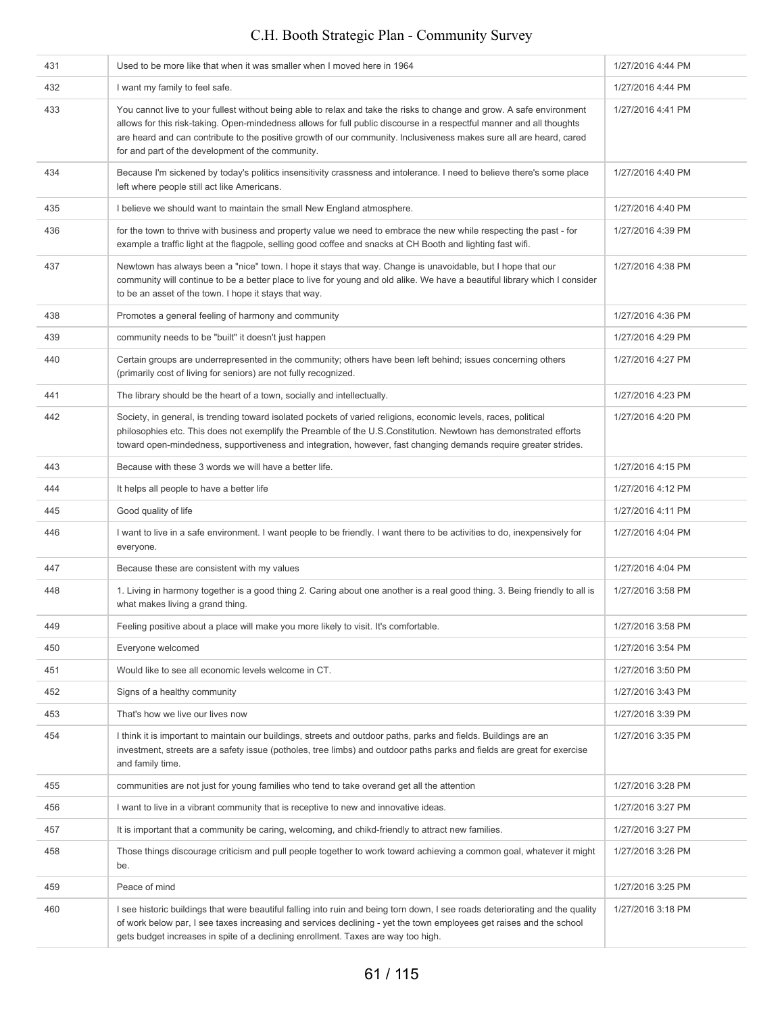| 431 | Used to be more like that when it was smaller when I moved here in 1964                                                                                                                                                                                                                                                                                                                                                    | 1/27/2016 4:44 PM |
|-----|----------------------------------------------------------------------------------------------------------------------------------------------------------------------------------------------------------------------------------------------------------------------------------------------------------------------------------------------------------------------------------------------------------------------------|-------------------|
| 432 | I want my family to feel safe.                                                                                                                                                                                                                                                                                                                                                                                             | 1/27/2016 4:44 PM |
| 433 | You cannot live to your fullest without being able to relax and take the risks to change and grow. A safe environment<br>allows for this risk-taking. Open-mindedness allows for full public discourse in a respectful manner and all thoughts<br>are heard and can contribute to the positive growth of our community. Inclusiveness makes sure all are heard, cared<br>for and part of the development of the community. | 1/27/2016 4:41 PM |
| 434 | Because I'm sickened by today's politics insensitivity crassness and intolerance. I need to believe there's some place<br>left where people still act like Americans.                                                                                                                                                                                                                                                      | 1/27/2016 4:40 PM |
| 435 | I believe we should want to maintain the small New England atmosphere.                                                                                                                                                                                                                                                                                                                                                     | 1/27/2016 4:40 PM |
| 436 | for the town to thrive with business and property value we need to embrace the new while respecting the past - for<br>example a traffic light at the flagpole, selling good coffee and snacks at CH Booth and lighting fast wifi.                                                                                                                                                                                          | 1/27/2016 4:39 PM |
| 437 | Newtown has always been a "nice" town. I hope it stays that way. Change is unavoidable, but I hope that our<br>community will continue to be a better place to live for young and old alike. We have a beautiful library which I consider<br>to be an asset of the town. I hope it stays that way.                                                                                                                         | 1/27/2016 4:38 PM |
| 438 | Promotes a general feeling of harmony and community                                                                                                                                                                                                                                                                                                                                                                        | 1/27/2016 4:36 PM |
| 439 | community needs to be "built" it doesn't just happen                                                                                                                                                                                                                                                                                                                                                                       | 1/27/2016 4:29 PM |
| 440 | Certain groups are underrepresented in the community; others have been left behind; issues concerning others<br>(primarily cost of living for seniors) are not fully recognized.                                                                                                                                                                                                                                           | 1/27/2016 4:27 PM |
| 441 | The library should be the heart of a town, socially and intellectually.                                                                                                                                                                                                                                                                                                                                                    | 1/27/2016 4:23 PM |
| 442 | Society, in general, is trending toward isolated pockets of varied religions, economic levels, races, political<br>philosophies etc. This does not exemplify the Preamble of the U.S.Constitution. Newtown has demonstrated efforts<br>toward open-mindedness, supportiveness and integration, however, fast changing demands require greater strides.                                                                     | 1/27/2016 4:20 PM |
| 443 | Because with these 3 words we will have a better life.                                                                                                                                                                                                                                                                                                                                                                     | 1/27/2016 4:15 PM |
| 444 | It helps all people to have a better life                                                                                                                                                                                                                                                                                                                                                                                  | 1/27/2016 4:12 PM |
| 445 | Good quality of life                                                                                                                                                                                                                                                                                                                                                                                                       | 1/27/2016 4:11 PM |
| 446 | I want to live in a safe environment. I want people to be friendly. I want there to be activities to do, inexpensively for<br>everyone.                                                                                                                                                                                                                                                                                    | 1/27/2016 4:04 PM |
| 447 | Because these are consistent with my values                                                                                                                                                                                                                                                                                                                                                                                | 1/27/2016 4:04 PM |
| 448 | 1. Living in harmony together is a good thing 2. Caring about one another is a real good thing. 3. Being friendly to all is<br>what makes living a grand thing.                                                                                                                                                                                                                                                            | 1/27/2016 3:58 PM |
| 449 | Feeling positive about a place will make you more likely to visit. It's comfortable.                                                                                                                                                                                                                                                                                                                                       | 1/27/2016 3:58 PM |
| 450 | Everyone welcomed                                                                                                                                                                                                                                                                                                                                                                                                          | 1/27/2016 3:54 PM |
| 451 | Would like to see all economic levels welcome in CT.                                                                                                                                                                                                                                                                                                                                                                       | 1/27/2016 3:50 PM |
| 452 | Signs of a healthy community                                                                                                                                                                                                                                                                                                                                                                                               | 1/27/2016 3:43 PM |
| 453 | That's how we live our lives now                                                                                                                                                                                                                                                                                                                                                                                           | 1/27/2016 3:39 PM |
| 454 | I think it is important to maintain our buildings, streets and outdoor paths, parks and fields. Buildings are an<br>investment, streets are a safety issue (potholes, tree limbs) and outdoor paths parks and fields are great for exercise<br>and family time.                                                                                                                                                            | 1/27/2016 3:35 PM |
| 455 | communities are not just for young families who tend to take overand get all the attention                                                                                                                                                                                                                                                                                                                                 | 1/27/2016 3:28 PM |
| 456 | I want to live in a vibrant community that is receptive to new and innovative ideas.                                                                                                                                                                                                                                                                                                                                       | 1/27/2016 3:27 PM |
| 457 | It is important that a community be caring, welcoming, and chikd-friendly to attract new families.                                                                                                                                                                                                                                                                                                                         | 1/27/2016 3:27 PM |
| 458 | Those things discourage criticism and pull people together to work toward achieving a common goal, whatever it might<br>be.                                                                                                                                                                                                                                                                                                | 1/27/2016 3:26 PM |
| 459 | Peace of mind                                                                                                                                                                                                                                                                                                                                                                                                              | 1/27/2016 3:25 PM |
| 460 | I see historic buildings that were beautiful falling into ruin and being torn down, I see roads deteriorating and the quality<br>of work below par, I see taxes increasing and services declining - yet the town employees get raises and the school<br>gets budget increases in spite of a declining enrollment. Taxes are way too high.                                                                                  | 1/27/2016 3:18 PM |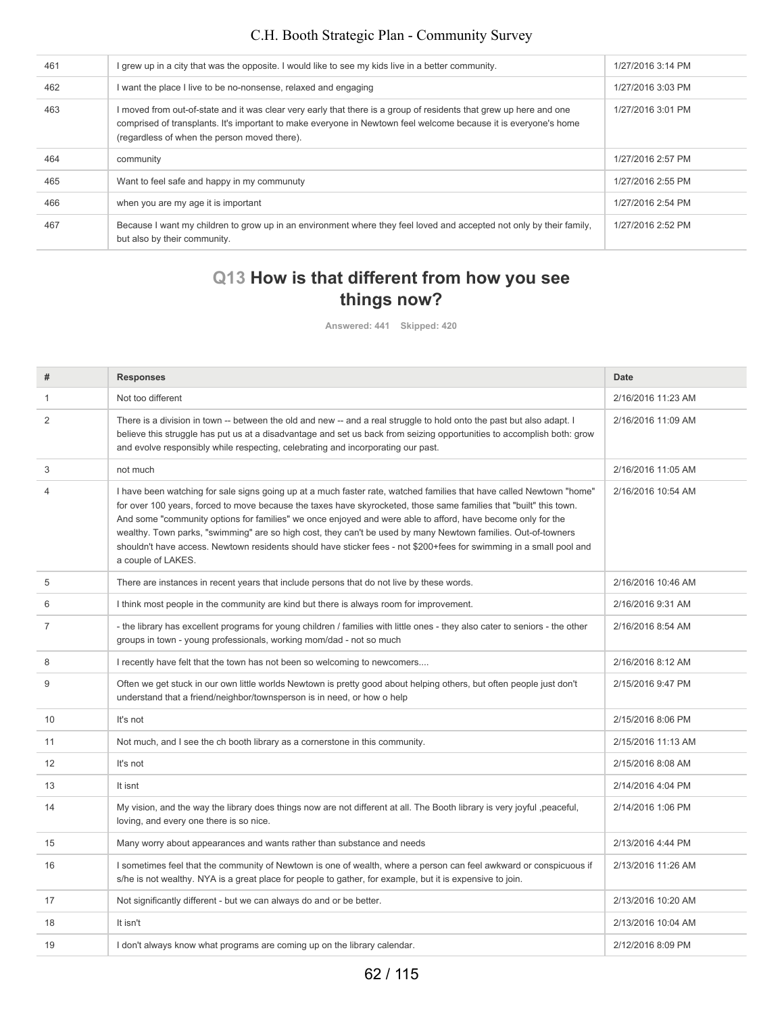| 461 | I grew up in a city that was the opposite. I would like to see my kids live in a better community.                                                                                                                                                                                    | 1/27/2016 3:14 PM |
|-----|---------------------------------------------------------------------------------------------------------------------------------------------------------------------------------------------------------------------------------------------------------------------------------------|-------------------|
| 462 | I want the place I live to be no-nonsense, relaxed and engaging                                                                                                                                                                                                                       | 1/27/2016 3:03 PM |
| 463 | I moved from out-of-state and it was clear very early that there is a group of residents that grew up here and one<br>comprised of transplants. It's important to make everyone in Newtown feel welcome because it is everyone's home<br>(regardless of when the person moved there). | 1/27/2016 3:01 PM |
| 464 | community                                                                                                                                                                                                                                                                             | 1/27/2016 2:57 PM |
| 465 | Want to feel safe and happy in my communuty                                                                                                                                                                                                                                           | 1/27/2016 2:55 PM |
| 466 | when you are my age it is important                                                                                                                                                                                                                                                   | 1/27/2016 2:54 PM |
| 467 | Because I want my children to grow up in an environment where they feel loved and accepted not only by their family,<br>but also by their community.                                                                                                                                  | 1/27/2016 2:52 PM |

# **Q13 How is that different from how you see things now?**

**Answered: 441 Skipped: 420**

| #  | <b>Responses</b>                                                                                                                                                                                                                                                                                                                                                                                                                                                                                                                                                                                                        | <b>Date</b>        |
|----|-------------------------------------------------------------------------------------------------------------------------------------------------------------------------------------------------------------------------------------------------------------------------------------------------------------------------------------------------------------------------------------------------------------------------------------------------------------------------------------------------------------------------------------------------------------------------------------------------------------------------|--------------------|
| 1  | Not too different                                                                                                                                                                                                                                                                                                                                                                                                                                                                                                                                                                                                       | 2/16/2016 11:23 AM |
| 2  | There is a division in town -- between the old and new -- and a real struggle to hold onto the past but also adapt. I<br>believe this struggle has put us at a disadvantage and set us back from seizing opportunities to accomplish both: grow<br>and evolve responsibly while respecting, celebrating and incorporating our past.                                                                                                                                                                                                                                                                                     | 2/16/2016 11:09 AM |
| 3  | not much                                                                                                                                                                                                                                                                                                                                                                                                                                                                                                                                                                                                                | 2/16/2016 11:05 AM |
| 4  | I have been watching for sale signs going up at a much faster rate, watched families that have called Newtown "home"<br>for over 100 years, forced to move because the taxes have skyrocketed, those same families that "built" this town.<br>And some "community options for families" we once enjoyed and were able to afford, have become only for the<br>wealthy. Town parks, "swimming" are so high cost, they can't be used by many Newtown families. Out-of-towners<br>shouldn't have access. Newtown residents should have sticker fees - not \$200+fees for swimming in a small pool and<br>a couple of LAKES. | 2/16/2016 10:54 AM |
| 5  | There are instances in recent years that include persons that do not live by these words.                                                                                                                                                                                                                                                                                                                                                                                                                                                                                                                               | 2/16/2016 10:46 AM |
| 6  | I think most people in the community are kind but there is always room for improvement.                                                                                                                                                                                                                                                                                                                                                                                                                                                                                                                                 | 2/16/2016 9:31 AM  |
| 7  | - the library has excellent programs for young children / families with little ones - they also cater to seniors - the other<br>groups in town - young professionals, working mom/dad - not so much                                                                                                                                                                                                                                                                                                                                                                                                                     | 2/16/2016 8:54 AM  |
| 8  | I recently have felt that the town has not been so welcoming to newcomers                                                                                                                                                                                                                                                                                                                                                                                                                                                                                                                                               | 2/16/2016 8:12 AM  |
| 9  | Often we get stuck in our own little worlds Newtown is pretty good about helping others, but often people just don't<br>understand that a friend/neighbor/townsperson is in need, or how o help                                                                                                                                                                                                                                                                                                                                                                                                                         | 2/15/2016 9:47 PM  |
| 10 | It's not                                                                                                                                                                                                                                                                                                                                                                                                                                                                                                                                                                                                                | 2/15/2016 8:06 PM  |
| 11 | Not much, and I see the ch booth library as a cornerstone in this community.                                                                                                                                                                                                                                                                                                                                                                                                                                                                                                                                            | 2/15/2016 11:13 AM |
| 12 | It's not                                                                                                                                                                                                                                                                                                                                                                                                                                                                                                                                                                                                                | 2/15/2016 8:08 AM  |
| 13 | It isnt                                                                                                                                                                                                                                                                                                                                                                                                                                                                                                                                                                                                                 | 2/14/2016 4:04 PM  |
| 14 | My vision, and the way the library does things now are not different at all. The Booth library is very joyful, peaceful,<br>loving, and every one there is so nice.                                                                                                                                                                                                                                                                                                                                                                                                                                                     | 2/14/2016 1:06 PM  |
| 15 | Many worry about appearances and wants rather than substance and needs                                                                                                                                                                                                                                                                                                                                                                                                                                                                                                                                                  | 2/13/2016 4:44 PM  |
| 16 | I sometimes feel that the community of Newtown is one of wealth, where a person can feel awkward or conspicuous if<br>s/he is not wealthy. NYA is a great place for people to gather, for example, but it is expensive to join.                                                                                                                                                                                                                                                                                                                                                                                         | 2/13/2016 11:26 AM |
| 17 | Not significantly different - but we can always do and or be better.                                                                                                                                                                                                                                                                                                                                                                                                                                                                                                                                                    | 2/13/2016 10:20 AM |
| 18 | It isn't                                                                                                                                                                                                                                                                                                                                                                                                                                                                                                                                                                                                                | 2/13/2016 10:04 AM |
| 19 | I don't always know what programs are coming up on the library calendar.                                                                                                                                                                                                                                                                                                                                                                                                                                                                                                                                                | 2/12/2016 8:09 PM  |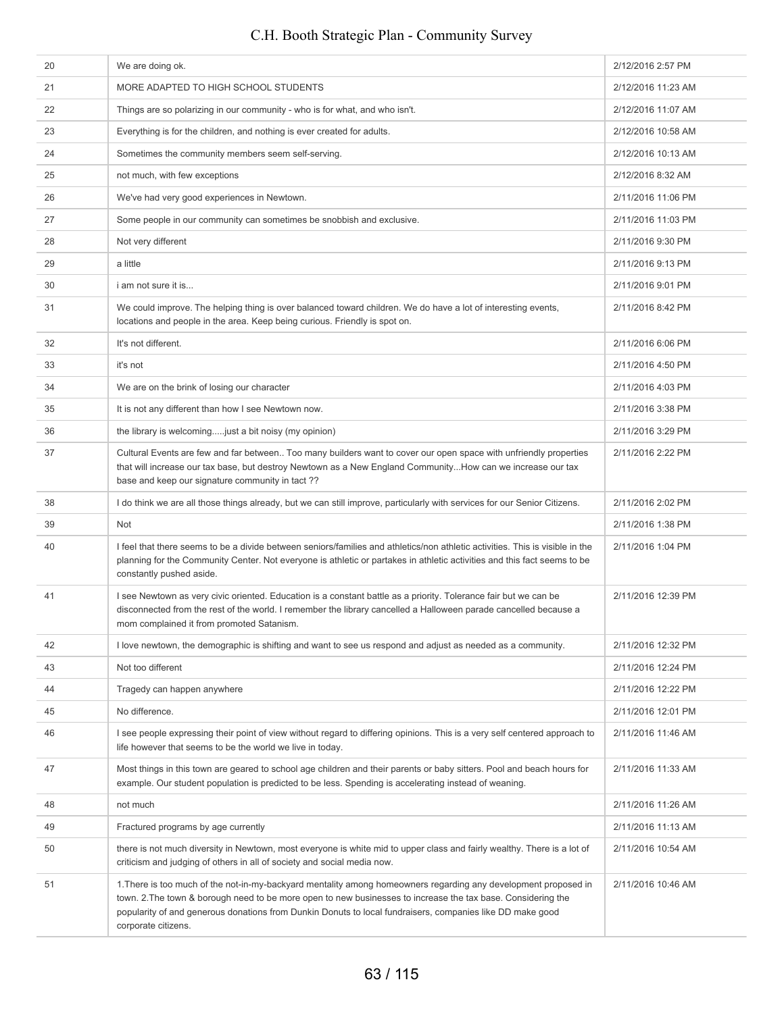#### 20 We are doing ok. 2012/2016 2:57 PM 21 MORE ADAPTED TO HIGH SCHOOL STUDENTS 2/12/2016 11:23 AM 22 Things are so polarizing in our community - who is for what, and who isn't. 2008 2012 2016 11:07 AM 23 Everything is for the children, and nothing is ever created for adults. 2002 2004 2012/2016 10:58 AM 24 Sometimes the community members seem self-serving. **2006** 2012 2012 2016 10:13 AM 2112/2016 8:32 AM and much, with few exceptions 2012/2016 8:32 AM 26 We've had very good experiences in Newtown. 2011 2012 01:06 PM 2/11/2016 11:06 PM 27 Some people in our community can sometimes be snobbish and exclusive. 2001 2001 2011/2016 11:03 PM 2/11/2016 9:30 PM 29 a little 2/11/2016 9:13 PM 30 i am not sure it is... 2/11/2016 9:01 PM 31 We could improve. The helping thing is over balanced toward children. We do have a lot of interesting events, locations and people in the area. Keep being curious. Friendly is spot on. 2/11/2016 8:42 PM 32 **It's not different.** 2011/2016 6:06 PM  $33$  it's not  $1/2016$  4:50 PM 34 We are on the brink of losing our character 2011/2016 4:03 PM 15 It is not any different than how I see Newtown now. 36 the library is welcoming.....just a bit noisy (my opinion) 2/11/2016 3:29 PM 37 Cultural Events are few and far between.. Too many builders want to cover our open space with unfriendly properties that will increase our tax base, but destroy Newtown as a New England Community...How can we increase our tax base and keep our signature community in tact ?? 2/11/2016 2:22 PM 38 I do think we are all those things already, but we can still improve, particularly with services for our Senior Citizens. 2/11/2016 2:02 PM 39 Not 2/11/2016 1:38 PM 40 I feel that there seems to be a divide between seniors/families and athletics/non athletic activities. This is visible in the planning for the Community Center. Not everyone is athletic or partakes in athletic activities and this fact seems to be constantly pushed aside. 2/11/2016 1:04 PM 41 I see Newtown as very civic oriented. Education is a constant battle as a priority. Tolerance fair but we can be disconnected from the rest of the world. I remember the library cancelled a Halloween parade cancelled because a mom complained it from promoted Satanism. 2/11/2016 12:39 PM 42 I love newtown, the demographic is shifting and want to see us respond and adjust as needed as a community. 2/11/2016 12:32 PM 43 Not too different 2/11/2016 12:24 PM 44 Tragedy can happen anywhere 2/11/2016 12:22 PM 45 No difference. 2/11/2016 12:01 PM 46 I see people expressing their point of view without regard to differing opinions. This is a very self centered approach to life however that seems to be the world we live in today. 2/11/2016 11:46 AM 47 Most things in this town are geared to school age children and their parents or baby sitters. Pool and beach hours for example. Our student population is predicted to be less. Spending is accelerating instead of weaning. 2/11/2016 11:33 AM 48 not much 2/11/2016 11:26 AM 49 **Fractured programs by age currently Example 2011/2016 11:13 AM 2/11/2016 11:13 AM** 50 there is not much diversity in Newtown, most everyone is white mid to upper class and fairly wealthy. There is a lot of criticism and judging of others in all of society and social media now. 2/11/2016 10:54 AM 51 1.There is too much of the not-in-my-backyard mentality among homeowners regarding any development proposed in town. 2.The town & borough need to be more open to new businesses to increase the tax base. Considering the popularity of and generous donations from Dunkin Donuts to local fundraisers, companies like DD make good corporate citizens. 2/11/2016 10:46 AM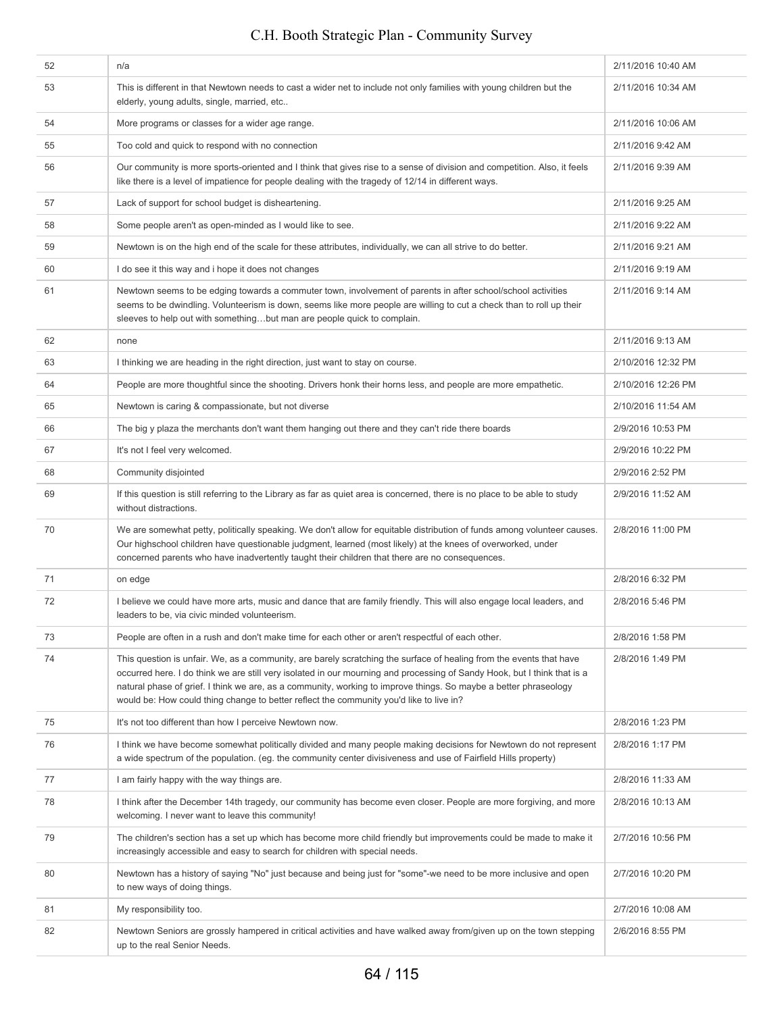| 52 | n/a                                                                                                                                                                                                                                                                                                                                                                                                                                                            | 2/11/2016 10:40 AM |
|----|----------------------------------------------------------------------------------------------------------------------------------------------------------------------------------------------------------------------------------------------------------------------------------------------------------------------------------------------------------------------------------------------------------------------------------------------------------------|--------------------|
| 53 | This is different in that Newtown needs to cast a wider net to include not only families with young children but the<br>elderly, young adults, single, married, etc                                                                                                                                                                                                                                                                                            | 2/11/2016 10:34 AM |
| 54 | More programs or classes for a wider age range.                                                                                                                                                                                                                                                                                                                                                                                                                | 2/11/2016 10:06 AM |
| 55 | Too cold and quick to respond with no connection                                                                                                                                                                                                                                                                                                                                                                                                               | 2/11/2016 9:42 AM  |
| 56 | Our community is more sports-oriented and I think that gives rise to a sense of division and competition. Also, it feels<br>like there is a level of impatience for people dealing with the tragedy of 12/14 in different ways.                                                                                                                                                                                                                                | 2/11/2016 9:39 AM  |
| 57 | Lack of support for school budget is disheartening.                                                                                                                                                                                                                                                                                                                                                                                                            | 2/11/2016 9:25 AM  |
| 58 | Some people aren't as open-minded as I would like to see.                                                                                                                                                                                                                                                                                                                                                                                                      | 2/11/2016 9:22 AM  |
| 59 | Newtown is on the high end of the scale for these attributes, individually, we can all strive to do better.                                                                                                                                                                                                                                                                                                                                                    | 2/11/2016 9:21 AM  |
| 60 | I do see it this way and i hope it does not changes                                                                                                                                                                                                                                                                                                                                                                                                            | 2/11/2016 9:19 AM  |
| 61 | Newtown seems to be edging towards a commuter town, involvement of parents in after school/school activities<br>seems to be dwindling. Volunteerism is down, seems like more people are willing to cut a check than to roll up their<br>sleeves to help out with somethingbut man are people quick to complain.                                                                                                                                                | 2/11/2016 9:14 AM  |
| 62 | none                                                                                                                                                                                                                                                                                                                                                                                                                                                           | 2/11/2016 9:13 AM  |
| 63 | I thinking we are heading in the right direction, just want to stay on course.                                                                                                                                                                                                                                                                                                                                                                                 | 2/10/2016 12:32 PM |
| 64 | People are more thoughtful since the shooting. Drivers honk their horns less, and people are more empathetic.                                                                                                                                                                                                                                                                                                                                                  | 2/10/2016 12:26 PM |
| 65 | Newtown is caring & compassionate, but not diverse                                                                                                                                                                                                                                                                                                                                                                                                             | 2/10/2016 11:54 AM |
| 66 | The big y plaza the merchants don't want them hanging out there and they can't ride there boards                                                                                                                                                                                                                                                                                                                                                               | 2/9/2016 10:53 PM  |
| 67 | It's not I feel very welcomed.                                                                                                                                                                                                                                                                                                                                                                                                                                 | 2/9/2016 10:22 PM  |
| 68 | Community disjointed                                                                                                                                                                                                                                                                                                                                                                                                                                           | 2/9/2016 2:52 PM   |
| 69 | If this question is still referring to the Library as far as quiet area is concerned, there is no place to be able to study<br>without distractions.                                                                                                                                                                                                                                                                                                           | 2/9/2016 11:52 AM  |
| 70 | We are somewhat petty, politically speaking. We don't allow for equitable distribution of funds among volunteer causes.<br>Our highschool children have questionable judgment, learned (most likely) at the knees of overworked, under<br>concerned parents who have inadvertently taught their children that there are no consequences.                                                                                                                       | 2/8/2016 11:00 PM  |
| 71 | on edge                                                                                                                                                                                                                                                                                                                                                                                                                                                        | 2/8/2016 6:32 PM   |
| 72 | I believe we could have more arts, music and dance that are family friendly. This will also engage local leaders, and<br>leaders to be, via civic minded volunteerism.                                                                                                                                                                                                                                                                                         | 2/8/2016 5:46 PM   |
| 73 | People are often in a rush and don't make time for each other or aren't respectful of each other.                                                                                                                                                                                                                                                                                                                                                              | 2/8/2016 1:58 PM   |
| 74 | This question is unfair. We, as a community, are barely scratching the surface of healing from the events that have<br>occurred here. I do think we are still very isolated in our mourning and processing of Sandy Hook, but I think that is a<br>natural phase of grief. I think we are, as a community, working to improve things. So maybe a better phraseology<br>would be: How could thing change to better reflect the community you'd like to live in? | 2/8/2016 1:49 PM   |
| 75 | It's not too different than how I perceive Newtown now.                                                                                                                                                                                                                                                                                                                                                                                                        | 2/8/2016 1:23 PM   |
| 76 | I think we have become somewhat politically divided and many people making decisions for Newtown do not represent<br>a wide spectrum of the population. (eg. the community center divisiveness and use of Fairfield Hills property)                                                                                                                                                                                                                            | 2/8/2016 1:17 PM   |
| 77 | I am fairly happy with the way things are.                                                                                                                                                                                                                                                                                                                                                                                                                     | 2/8/2016 11:33 AM  |
| 78 | I think after the December 14th tragedy, our community has become even closer. People are more forgiving, and more<br>welcoming. I never want to leave this community!                                                                                                                                                                                                                                                                                         | 2/8/2016 10:13 AM  |
| 79 | The children's section has a set up which has become more child friendly but improvements could be made to make it<br>increasingly accessible and easy to search for children with special needs.                                                                                                                                                                                                                                                              | 2/7/2016 10:56 PM  |
| 80 | Newtown has a history of saying "No" just because and being just for "some"-we need to be more inclusive and open<br>to new ways of doing things.                                                                                                                                                                                                                                                                                                              | 2/7/2016 10:20 PM  |
| 81 | My responsibility too.                                                                                                                                                                                                                                                                                                                                                                                                                                         | 2/7/2016 10:08 AM  |
| 82 | Newtown Seniors are grossly hampered in critical activities and have walked away from/given up on the town stepping<br>up to the real Senior Needs.                                                                                                                                                                                                                                                                                                            | 2/6/2016 8:55 PM   |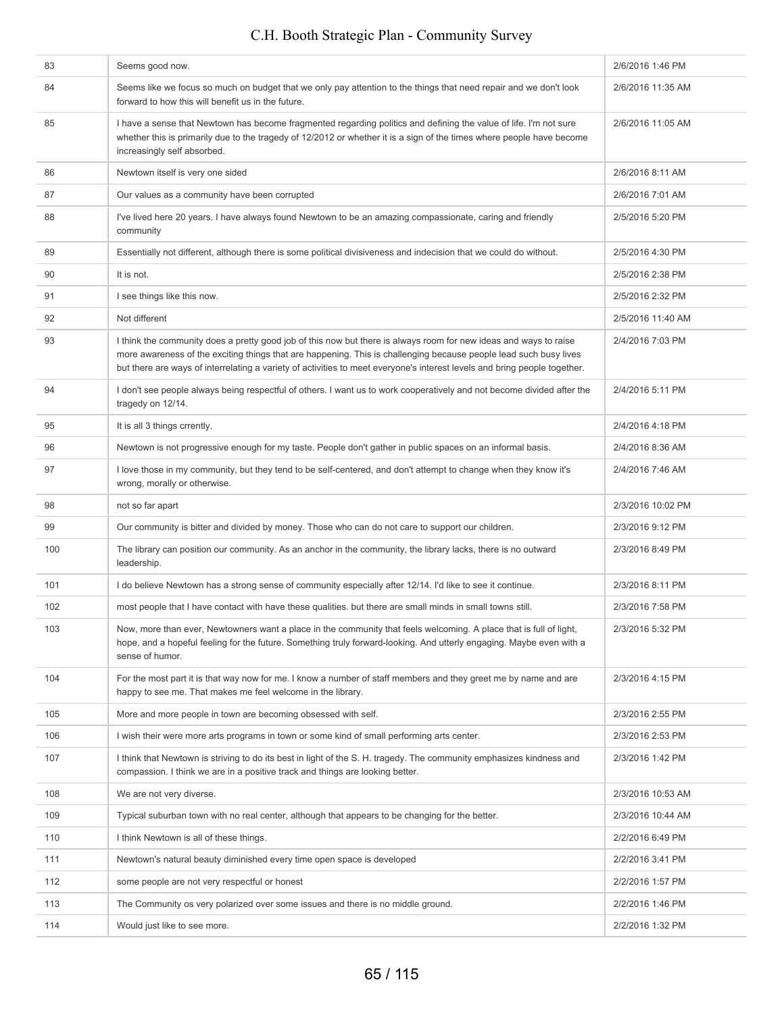| 83  | Seems good now.                                                                                                                                                                                                                                                                                                                                                     | 2/6/2016 1:46 PM  |
|-----|---------------------------------------------------------------------------------------------------------------------------------------------------------------------------------------------------------------------------------------------------------------------------------------------------------------------------------------------------------------------|-------------------|
| 84  | Seems like we focus so much on budget that we only pay attention to the things that need repair and we don't look<br>forward to how this will benefit us in the future.                                                                                                                                                                                             | 2/6/2016 11:35 AM |
| 85  | I have a sense that Newtown has become fragmented regarding politics and defining the value of life. I'm not sure<br>whether this is primarily due to the tragedy of 12/2012 or whether it is a sign of the times where people have become<br>increasingly self absorbed.                                                                                           | 2/6/2016 11:05 AM |
| 86  | Newtown itself is very one sided                                                                                                                                                                                                                                                                                                                                    | 2/6/2016 8:11 AM  |
| 87  | Our values as a community have been corrupted                                                                                                                                                                                                                                                                                                                       | 2/6/2016 7:01 AM  |
| 88  | I've lived here 20 years. I have always found Newtown to be an amazing compassionate, caring and friendly<br>community                                                                                                                                                                                                                                              | 2/5/2016 5:20 PM  |
| 89  | Essentially not different, although there is some political divisiveness and indecision that we could do without.                                                                                                                                                                                                                                                   | 2/5/2016 4:30 PM  |
| 90  | It is not.                                                                                                                                                                                                                                                                                                                                                          | 2/5/2016 2:38 PM  |
| 91  | I see things like this now.                                                                                                                                                                                                                                                                                                                                         | 2/5/2016 2:32 PM  |
| 92  | Not different                                                                                                                                                                                                                                                                                                                                                       | 2/5/2016 11:40 AM |
| 93  | I think the community does a pretty good job of this now but there is always room for new ideas and ways to raise<br>more awareness of the exciting things that are happening. This is challenging because people lead such busy lives<br>but there are ways of interrelating a variety of activities to meet everyone's interest levels and bring people together. | 2/4/2016 7:03 PM  |
| 94  | I don't see people always being respectful of others. I want us to work cooperatively and not become divided after the<br>tragedy on 12/14.                                                                                                                                                                                                                         | 2/4/2016 5:11 PM  |
| 95  | It is all 3 things crrently.                                                                                                                                                                                                                                                                                                                                        | 2/4/2016 4:18 PM  |
| 96  | Newtown is not progressive enough for my taste. People don't gather in public spaces on an informal basis.                                                                                                                                                                                                                                                          | 2/4/2016 8:36 AM  |
| 97  | I love those in my community, but they tend to be self-centered, and don't attempt to change when they know it's<br>wrong, morally or otherwise.                                                                                                                                                                                                                    | 2/4/2016 7:46 AM  |
|     |                                                                                                                                                                                                                                                                                                                                                                     |                   |
| 98  | not so far apart                                                                                                                                                                                                                                                                                                                                                    | 2/3/2016 10:02 PM |
| 99  | Our community is bitter and divided by money. Those who can do not care to support our children.                                                                                                                                                                                                                                                                    | 2/3/2016 9:12 PM  |
| 100 | The library can position our community. As an anchor in the community, the library lacks, there is no outward<br>leadership.                                                                                                                                                                                                                                        | 2/3/2016 8:49 PM  |
| 101 | I do believe Newtown has a strong sense of community especially after 12/14. I'd like to see it continue.                                                                                                                                                                                                                                                           | 2/3/2016 8:11 PM  |
| 102 | most people that I have contact with have these qualities. but there are small minds in small towns still.                                                                                                                                                                                                                                                          | 2/3/2016 7:58 PM  |
| 103 | Now, more than ever, Newtowners want a place in the community that feels welcoming. A place that is full of light,<br>hope, and a hopeful feeling for the future. Something truly forward-looking. And utterly engaging. Maybe even with a<br>sense of humor.                                                                                                       | 2/3/2016 5:32 PM  |
| 104 | For the most part it is that way now for me. I know a number of staff members and they greet me by name and are<br>happy to see me. That makes me feel welcome in the library.                                                                                                                                                                                      | 2/3/2016 4:15 PM  |
| 105 | More and more people in town are becoming obsessed with self.                                                                                                                                                                                                                                                                                                       | 2/3/2016 2:55 PM  |
| 106 | I wish their were more arts programs in town or some kind of small performing arts center.                                                                                                                                                                                                                                                                          | 2/3/2016 2:53 PM  |
| 107 | I think that Newtown is striving to do its best in light of the S. H. tragedy. The community emphasizes kindness and<br>compassion. I think we are in a positive track and things are looking better.                                                                                                                                                               | 2/3/2016 1:42 PM  |
| 108 | We are not very diverse.                                                                                                                                                                                                                                                                                                                                            | 2/3/2016 10:53 AM |
| 109 | Typical suburban town with no real center, although that appears to be changing for the better.                                                                                                                                                                                                                                                                     | 2/3/2016 10:44 AM |
| 110 | I think Newtown is all of these things.                                                                                                                                                                                                                                                                                                                             | 2/2/2016 6:49 PM  |
| 111 | Newtown's natural beauty diminished every time open space is developed                                                                                                                                                                                                                                                                                              | 2/2/2016 3:41 PM  |
| 112 | some people are not very respectful or honest                                                                                                                                                                                                                                                                                                                       | 2/2/2016 1:57 PM  |
| 113 | The Community os very polarized over some issues and there is no middle ground.                                                                                                                                                                                                                                                                                     | 2/2/2016 1:46 PM  |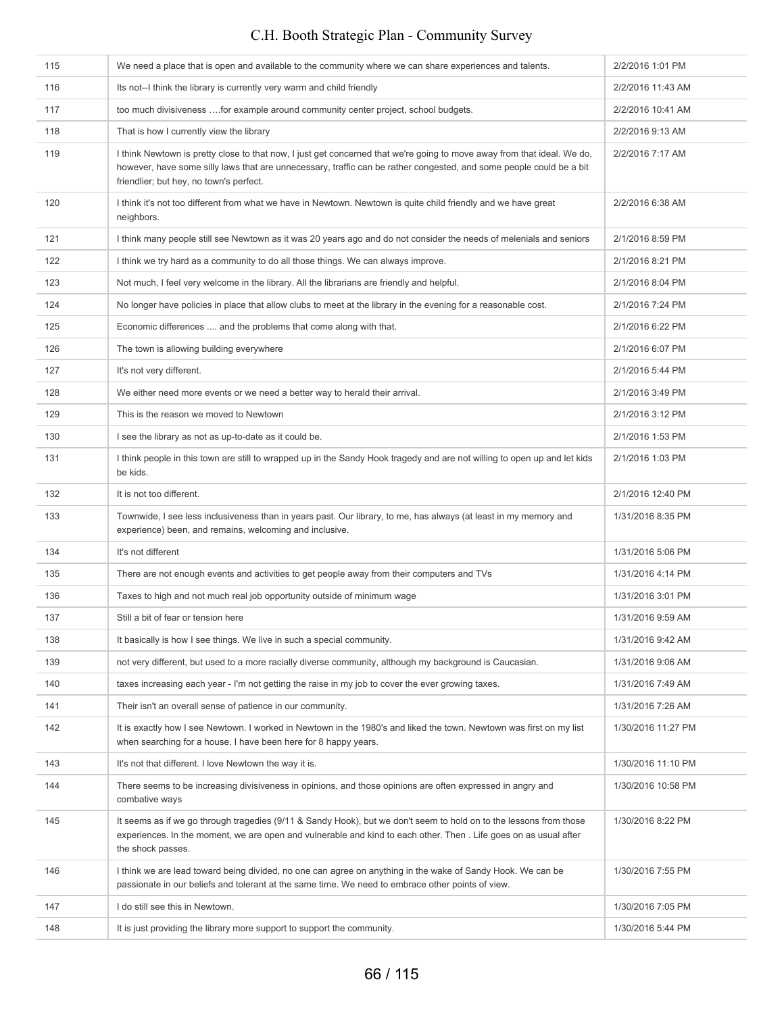| 115 | We need a place that is open and available to the community where we can share experiences and talents.                                                                                                                                                                                   | 2/2/2016 1:01 PM   |
|-----|-------------------------------------------------------------------------------------------------------------------------------------------------------------------------------------------------------------------------------------------------------------------------------------------|--------------------|
| 116 | Its not--I think the library is currently very warm and child friendly                                                                                                                                                                                                                    | 2/2/2016 11:43 AM  |
| 117 | too much divisiveness for example around community center project, school budgets.                                                                                                                                                                                                        | 2/2/2016 10:41 AM  |
| 118 | That is how I currently view the library                                                                                                                                                                                                                                                  | 2/2/2016 9:13 AM   |
| 119 | I think Newtown is pretty close to that now, I just get concerned that we're going to move away from that ideal. We do,<br>however, have some silly laws that are unnecessary, traffic can be rather congested, and some people could be a bit<br>friendlier; but hey, no town's perfect. | 2/2/2016 7:17 AM   |
| 120 | I think it's not too different from what we have in Newtown. Newtown is quite child friendly and we have great<br>neighbors.                                                                                                                                                              | 2/2/2016 6:38 AM   |
| 121 | I think many people still see Newtown as it was 20 years ago and do not consider the needs of melenials and seniors                                                                                                                                                                       | 2/1/2016 8:59 PM   |
| 122 | I think we try hard as a community to do all those things. We can always improve.                                                                                                                                                                                                         | 2/1/2016 8:21 PM   |
| 123 | Not much, I feel very welcome in the library. All the librarians are friendly and helpful.                                                                                                                                                                                                | 2/1/2016 8:04 PM   |
| 124 | No longer have policies in place that allow clubs to meet at the library in the evening for a reasonable cost.                                                                                                                                                                            | 2/1/2016 7:24 PM   |
| 125 | Economic differences  and the problems that come along with that.                                                                                                                                                                                                                         | 2/1/2016 6:22 PM   |
| 126 | The town is allowing building everywhere                                                                                                                                                                                                                                                  | 2/1/2016 6:07 PM   |
| 127 | It's not very different.                                                                                                                                                                                                                                                                  | 2/1/2016 5:44 PM   |
| 128 | We either need more events or we need a better way to herald their arrival.                                                                                                                                                                                                               | 2/1/2016 3:49 PM   |
| 129 | This is the reason we moved to Newtown                                                                                                                                                                                                                                                    | 2/1/2016 3:12 PM   |
| 130 | I see the library as not as up-to-date as it could be.                                                                                                                                                                                                                                    | 2/1/2016 1:53 PM   |
| 131 | I think people in this town are still to wrapped up in the Sandy Hook tragedy and are not willing to open up and let kids<br>be kids.                                                                                                                                                     | 2/1/2016 1:03 PM   |
| 132 | It is not too different.                                                                                                                                                                                                                                                                  | 2/1/2016 12:40 PM  |
| 133 | Townwide, I see less inclusiveness than in years past. Our library, to me, has always (at least in my memory and<br>experience) been, and remains, welcoming and inclusive.                                                                                                               | 1/31/2016 8:35 PM  |
| 134 | It's not different                                                                                                                                                                                                                                                                        | 1/31/2016 5:06 PM  |
| 135 | There are not enough events and activities to get people away from their computers and TVs                                                                                                                                                                                                | 1/31/2016 4:14 PM  |
| 136 | Taxes to high and not much real job opportunity outside of minimum wage                                                                                                                                                                                                                   | 1/31/2016 3:01 PM  |
| 137 | Still a bit of fear or tension here                                                                                                                                                                                                                                                       | 1/31/2016 9:59 AM  |
| 138 | It basically is how I see things. We live in such a special community.                                                                                                                                                                                                                    | 1/31/2016 9:42 AM  |
| 139 | not very different, but used to a more racially diverse community, although my background is Caucasian.                                                                                                                                                                                   | 1/31/2016 9:06 AM  |
| 140 | taxes increasing each year - I'm not getting the raise in my job to cover the ever growing taxes.                                                                                                                                                                                         | 1/31/2016 7:49 AM  |
| 141 | Their isn't an overall sense of patience in our community.                                                                                                                                                                                                                                | 1/31/2016 7:26 AM  |
| 142 | It is exactly how I see Newtown. I worked in Newtown in the 1980's and liked the town. Newtown was first on my list<br>when searching for a house. I have been here for 8 happy years.                                                                                                    | 1/30/2016 11:27 PM |
| 143 | It's not that different. I love Newtown the way it is.                                                                                                                                                                                                                                    | 1/30/2016 11:10 PM |
| 144 | There seems to be increasing divisiveness in opinions, and those opinions are often expressed in angry and<br>combative ways                                                                                                                                                              | 1/30/2016 10:58 PM |
| 145 | It seems as if we go through tragedies (9/11 & Sandy Hook), but we don't seem to hold on to the lessons from those<br>experiences. In the moment, we are open and vulnerable and kind to each other. Then . Life goes on as usual after<br>the shock passes.                              | 1/30/2016 8:22 PM  |
| 146 | I think we are lead toward being divided, no one can agree on anything in the wake of Sandy Hook. We can be<br>passionate in our beliefs and tolerant at the same time. We need to embrace other points of view.                                                                          | 1/30/2016 7:55 PM  |
| 147 | I do still see this in Newtown.                                                                                                                                                                                                                                                           | 1/30/2016 7:05 PM  |
| 148 | It is just providing the library more support to support the community.                                                                                                                                                                                                                   | 1/30/2016 5:44 PM  |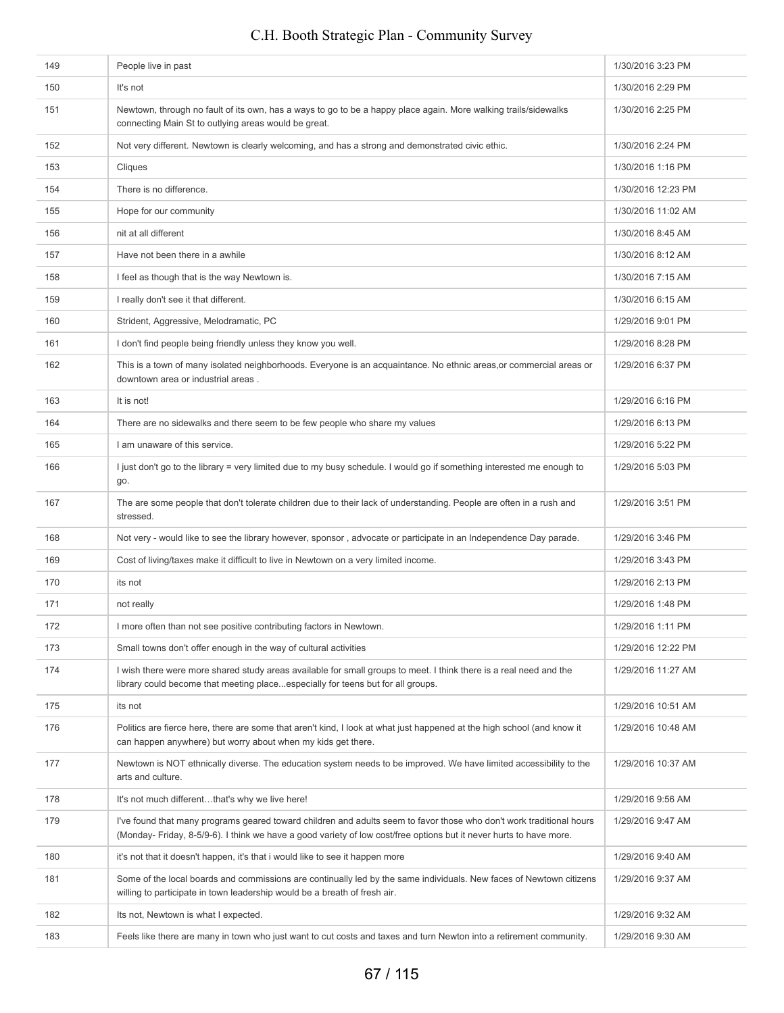| 149 | People live in past                                                                                                                                                                                                                        | 1/30/2016 3:23 PM  |
|-----|--------------------------------------------------------------------------------------------------------------------------------------------------------------------------------------------------------------------------------------------|--------------------|
| 150 | It's not                                                                                                                                                                                                                                   | 1/30/2016 2:29 PM  |
| 151 | Newtown, through no fault of its own, has a ways to go to be a happy place again. More walking trails/sidewalks<br>connecting Main St to outlying areas would be great.                                                                    | 1/30/2016 2:25 PM  |
| 152 | Not very different. Newtown is clearly welcoming, and has a strong and demonstrated civic ethic.                                                                                                                                           | 1/30/2016 2:24 PM  |
| 153 | Cliques                                                                                                                                                                                                                                    | 1/30/2016 1:16 PM  |
| 154 | There is no difference.                                                                                                                                                                                                                    | 1/30/2016 12:23 PM |
| 155 | Hope for our community                                                                                                                                                                                                                     | 1/30/2016 11:02 AM |
| 156 | nit at all different                                                                                                                                                                                                                       | 1/30/2016 8:45 AM  |
| 157 | Have not been there in a awhile                                                                                                                                                                                                            | 1/30/2016 8:12 AM  |
| 158 | I feel as though that is the way Newtown is.                                                                                                                                                                                               | 1/30/2016 7:15 AM  |
| 159 | I really don't see it that different.                                                                                                                                                                                                      | 1/30/2016 6:15 AM  |
| 160 | Strident, Aggressive, Melodramatic, PC                                                                                                                                                                                                     | 1/29/2016 9:01 PM  |
| 161 | I don't find people being friendly unless they know you well.                                                                                                                                                                              | 1/29/2016 8:28 PM  |
| 162 | This is a town of many isolated neighborhoods. Everyone is an acquaintance. No ethnic areas, or commercial areas or<br>downtown area or industrial areas.                                                                                  | 1/29/2016 6:37 PM  |
| 163 | It is not!                                                                                                                                                                                                                                 | 1/29/2016 6:16 PM  |
| 164 | There are no sidewalks and there seem to be few people who share my values                                                                                                                                                                 | 1/29/2016 6:13 PM  |
| 165 | I am unaware of this service.                                                                                                                                                                                                              | 1/29/2016 5:22 PM  |
| 166 | I just don't go to the library = very limited due to my busy schedule. I would go if something interested me enough to<br>go.                                                                                                              | 1/29/2016 5:03 PM  |
| 167 | The are some people that don't tolerate children due to their lack of understanding. People are often in a rush and<br>stressed.                                                                                                           | 1/29/2016 3:51 PM  |
| 168 | Not very - would like to see the library however, sponsor, advocate or participate in an Independence Day parade.                                                                                                                          | 1/29/2016 3:46 PM  |
| 169 | Cost of living/taxes make it difficult to live in Newtown on a very limited income.                                                                                                                                                        | 1/29/2016 3:43 PM  |
| 170 | its not                                                                                                                                                                                                                                    | 1/29/2016 2:13 PM  |
| 171 | not really                                                                                                                                                                                                                                 | 1/29/2016 1:48 PM  |
| 172 | I more often than not see positive contributing factors in Newtown.                                                                                                                                                                        | 1/29/2016 1:11 PM  |
| 173 | Small towns don't offer enough in the way of cultural activities                                                                                                                                                                           | 1/29/2016 12:22 PM |
| 174 | I wish there were more shared study areas available for small groups to meet. I think there is a real need and the<br>library could become that meeting placeespecially for teens but for all groups.                                      | 1/29/2016 11:27 AM |
| 175 | its not                                                                                                                                                                                                                                    | 1/29/2016 10:51 AM |
| 176 | Politics are fierce here, there are some that aren't kind, I look at what just happened at the high school (and know it<br>can happen anywhere) but worry about when my kids get there.                                                    | 1/29/2016 10:48 AM |
| 177 | Newtown is NOT ethnically diverse. The education system needs to be improved. We have limited accessibility to the<br>arts and culture.                                                                                                    | 1/29/2016 10:37 AM |
| 178 | It's not much differentthat's why we live here!                                                                                                                                                                                            | 1/29/2016 9:56 AM  |
| 179 | I've found that many programs geared toward children and adults seem to favor those who don't work traditional hours<br>(Monday-Friday, 8-5/9-6). I think we have a good variety of low cost/free options but it never hurts to have more. | 1/29/2016 9:47 AM  |
| 180 | it's not that it doesn't happen, it's that i would like to see it happen more                                                                                                                                                              | 1/29/2016 9:40 AM  |
| 181 | Some of the local boards and commissions are continually led by the same individuals. New faces of Newtown citizens<br>willing to participate in town leadership would be a breath of fresh air.                                           | 1/29/2016 9:37 AM  |
| 182 | Its not, Newtown is what I expected.                                                                                                                                                                                                       | 1/29/2016 9:32 AM  |
| 183 | Feels like there are many in town who just want to cut costs and taxes and turn Newton into a retirement community.                                                                                                                        | 1/29/2016 9:30 AM  |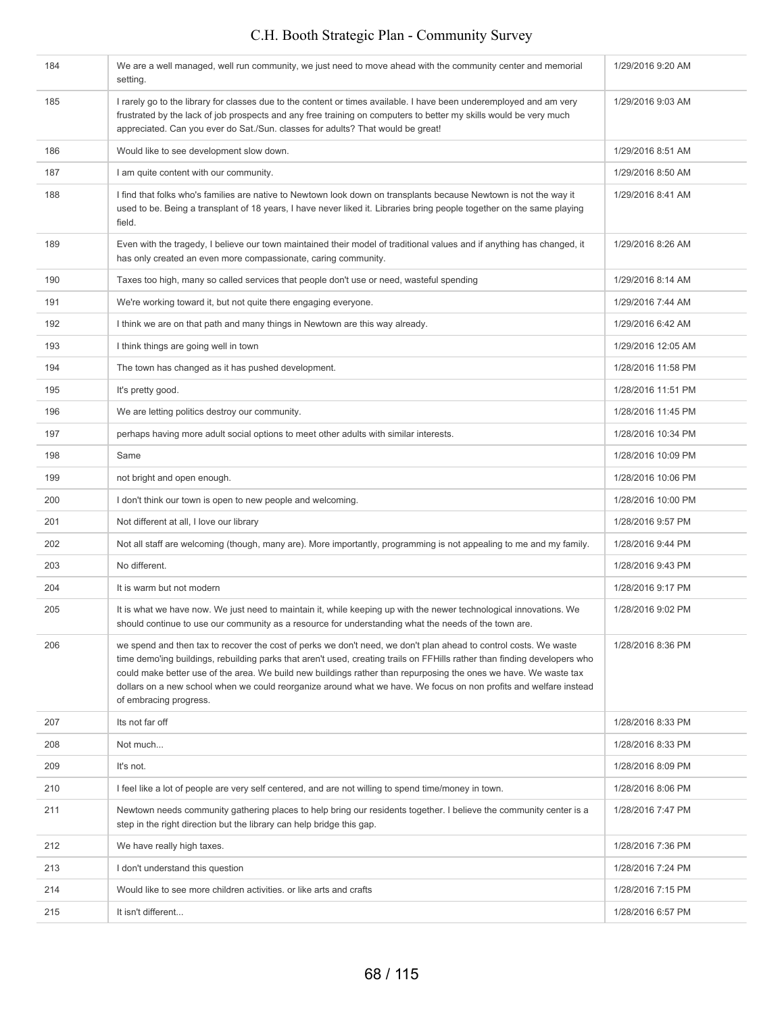| 184 | We are a well managed, well run community, we just need to move ahead with the community center and memorial<br>setting.                                                                                                                                                                                                                                                                                                                                                                                         | 1/29/2016 9:20 AM  |
|-----|------------------------------------------------------------------------------------------------------------------------------------------------------------------------------------------------------------------------------------------------------------------------------------------------------------------------------------------------------------------------------------------------------------------------------------------------------------------------------------------------------------------|--------------------|
| 185 | I rarely go to the library for classes due to the content or times available. I have been underemployed and am very<br>frustrated by the lack of job prospects and any free training on computers to better my skills would be very much<br>appreciated. Can you ever do Sat./Sun. classes for adults? That would be great!                                                                                                                                                                                      | 1/29/2016 9:03 AM  |
| 186 | Would like to see development slow down.                                                                                                                                                                                                                                                                                                                                                                                                                                                                         | 1/29/2016 8:51 AM  |
| 187 | I am quite content with our community.                                                                                                                                                                                                                                                                                                                                                                                                                                                                           | 1/29/2016 8:50 AM  |
| 188 | I find that folks who's families are native to Newtown look down on transplants because Newtown is not the way it<br>used to be. Being a transplant of 18 years, I have never liked it. Libraries bring people together on the same playing<br>field.                                                                                                                                                                                                                                                            | 1/29/2016 8:41 AM  |
| 189 | Even with the tragedy, I believe our town maintained their model of traditional values and if anything has changed, it<br>has only created an even more compassionate, caring community.                                                                                                                                                                                                                                                                                                                         | 1/29/2016 8:26 AM  |
| 190 | Taxes too high, many so called services that people don't use or need, wasteful spending                                                                                                                                                                                                                                                                                                                                                                                                                         | 1/29/2016 8:14 AM  |
| 191 | We're working toward it, but not quite there engaging everyone.                                                                                                                                                                                                                                                                                                                                                                                                                                                  | 1/29/2016 7:44 AM  |
| 192 | I think we are on that path and many things in Newtown are this way already.                                                                                                                                                                                                                                                                                                                                                                                                                                     | 1/29/2016 6:42 AM  |
| 193 | I think things are going well in town                                                                                                                                                                                                                                                                                                                                                                                                                                                                            | 1/29/2016 12:05 AM |
| 194 | The town has changed as it has pushed development.                                                                                                                                                                                                                                                                                                                                                                                                                                                               | 1/28/2016 11:58 PM |
| 195 | It's pretty good.                                                                                                                                                                                                                                                                                                                                                                                                                                                                                                | 1/28/2016 11:51 PM |
| 196 | We are letting politics destroy our community.                                                                                                                                                                                                                                                                                                                                                                                                                                                                   | 1/28/2016 11:45 PM |
| 197 | perhaps having more adult social options to meet other adults with similar interests.                                                                                                                                                                                                                                                                                                                                                                                                                            | 1/28/2016 10:34 PM |
| 198 | Same                                                                                                                                                                                                                                                                                                                                                                                                                                                                                                             | 1/28/2016 10:09 PM |
| 199 | not bright and open enough.                                                                                                                                                                                                                                                                                                                                                                                                                                                                                      | 1/28/2016 10:06 PM |
| 200 | I don't think our town is open to new people and welcoming.                                                                                                                                                                                                                                                                                                                                                                                                                                                      | 1/28/2016 10:00 PM |
| 201 | Not different at all, I love our library                                                                                                                                                                                                                                                                                                                                                                                                                                                                         | 1/28/2016 9:57 PM  |
| 202 | Not all staff are welcoming (though, many are). More importantly, programming is not appealing to me and my family.                                                                                                                                                                                                                                                                                                                                                                                              | 1/28/2016 9:44 PM  |
| 203 | No different.                                                                                                                                                                                                                                                                                                                                                                                                                                                                                                    | 1/28/2016 9:43 PM  |
| 204 | It is warm but not modern                                                                                                                                                                                                                                                                                                                                                                                                                                                                                        | 1/28/2016 9:17 PM  |
| 205 | It is what we have now. We just need to maintain it, while keeping up with the newer technological innovations. We<br>should continue to use our community as a resource for understanding what the needs of the town are.                                                                                                                                                                                                                                                                                       | 1/28/2016 9:02 PM  |
| 206 | we spend and then tax to recover the cost of perks we don't need, we don't plan ahead to control costs. We waste<br>time demo'ing buildings, rebuilding parks that aren't used, creating trails on FFHills rather than finding developers who<br>could make better use of the area. We build new buildings rather than repurposing the ones we have. We waste tax<br>dollars on a new school when we could reorganize around what we have. We focus on non profits and welfare instead<br>of embracing progress. | 1/28/2016 8:36 PM  |
| 207 | Its not far off                                                                                                                                                                                                                                                                                                                                                                                                                                                                                                  | 1/28/2016 8:33 PM  |
| 208 | Not much                                                                                                                                                                                                                                                                                                                                                                                                                                                                                                         | 1/28/2016 8:33 PM  |
| 209 | It's not.                                                                                                                                                                                                                                                                                                                                                                                                                                                                                                        | 1/28/2016 8:09 PM  |
| 210 | I feel like a lot of people are very self centered, and are not willing to spend time/money in town.                                                                                                                                                                                                                                                                                                                                                                                                             | 1/28/2016 8:06 PM  |
| 211 | Newtown needs community gathering places to help bring our residents together. I believe the community center is a<br>step in the right direction but the library can help bridge this gap.                                                                                                                                                                                                                                                                                                                      | 1/28/2016 7:47 PM  |
| 212 | We have really high taxes.                                                                                                                                                                                                                                                                                                                                                                                                                                                                                       | 1/28/2016 7:36 PM  |
| 213 | I don't understand this question                                                                                                                                                                                                                                                                                                                                                                                                                                                                                 | 1/28/2016 7:24 PM  |
| 214 | Would like to see more children activities. or like arts and crafts                                                                                                                                                                                                                                                                                                                                                                                                                                              | 1/28/2016 7:15 PM  |
| 215 | It isn't different                                                                                                                                                                                                                                                                                                                                                                                                                                                                                               | 1/28/2016 6:57 PM  |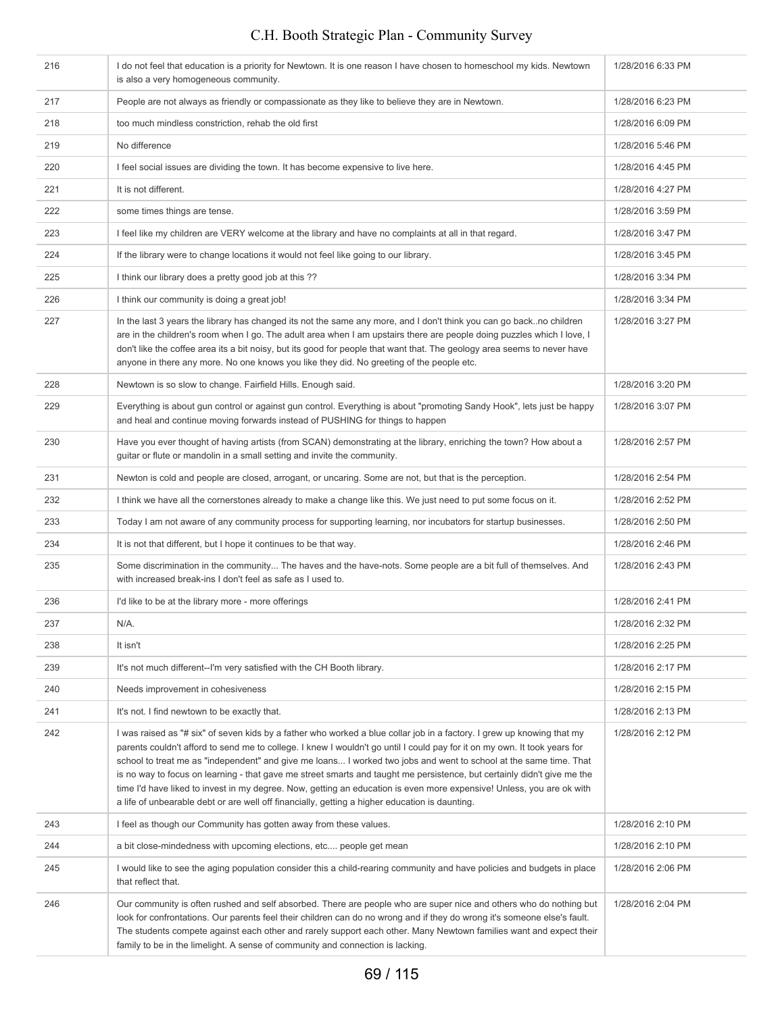| 216 | I do not feel that education is a priority for Newtown. It is one reason I have chosen to homeschool my kids. Newtown<br>is also a very homogeneous community.                                                                                                                                                                                                                                                                                                                                                                                                                                                                                                                                                                 | 1/28/2016 6:33 PM |
|-----|--------------------------------------------------------------------------------------------------------------------------------------------------------------------------------------------------------------------------------------------------------------------------------------------------------------------------------------------------------------------------------------------------------------------------------------------------------------------------------------------------------------------------------------------------------------------------------------------------------------------------------------------------------------------------------------------------------------------------------|-------------------|
| 217 | People are not always as friendly or compassionate as they like to believe they are in Newtown.                                                                                                                                                                                                                                                                                                                                                                                                                                                                                                                                                                                                                                | 1/28/2016 6:23 PM |
| 218 | too much mindless constriction, rehab the old first                                                                                                                                                                                                                                                                                                                                                                                                                                                                                                                                                                                                                                                                            | 1/28/2016 6:09 PM |
| 219 | No difference                                                                                                                                                                                                                                                                                                                                                                                                                                                                                                                                                                                                                                                                                                                  | 1/28/2016 5:46 PM |
| 220 | I feel social issues are dividing the town. It has become expensive to live here.                                                                                                                                                                                                                                                                                                                                                                                                                                                                                                                                                                                                                                              | 1/28/2016 4:45 PM |
| 221 | It is not different.                                                                                                                                                                                                                                                                                                                                                                                                                                                                                                                                                                                                                                                                                                           | 1/28/2016 4:27 PM |
| 222 | some times things are tense.                                                                                                                                                                                                                                                                                                                                                                                                                                                                                                                                                                                                                                                                                                   | 1/28/2016 3:59 PM |
| 223 | I feel like my children are VERY welcome at the library and have no complaints at all in that regard.                                                                                                                                                                                                                                                                                                                                                                                                                                                                                                                                                                                                                          | 1/28/2016 3:47 PM |
| 224 | If the library were to change locations it would not feel like going to our library.                                                                                                                                                                                                                                                                                                                                                                                                                                                                                                                                                                                                                                           | 1/28/2016 3:45 PM |
| 225 | I think our library does a pretty good job at this ??                                                                                                                                                                                                                                                                                                                                                                                                                                                                                                                                                                                                                                                                          | 1/28/2016 3:34 PM |
| 226 | I think our community is doing a great job!                                                                                                                                                                                                                                                                                                                                                                                                                                                                                                                                                                                                                                                                                    | 1/28/2016 3:34 PM |
| 227 | In the last 3 years the library has changed its not the same any more, and I don't think you can go backno children<br>are in the children's room when I go. The adult area when I am upstairs there are people doing puzzles which I love, I<br>don't like the coffee area its a bit noisy, but its good for people that want that. The geology area seems to never have<br>anyone in there any more. No one knows you like they did. No greeting of the people etc.                                                                                                                                                                                                                                                          | 1/28/2016 3:27 PM |
| 228 | Newtown is so slow to change. Fairfield Hills. Enough said.                                                                                                                                                                                                                                                                                                                                                                                                                                                                                                                                                                                                                                                                    | 1/28/2016 3:20 PM |
| 229 | Everything is about gun control or against gun control. Everything is about "promoting Sandy Hook", lets just be happy<br>and heal and continue moving forwards instead of PUSHING for things to happen                                                                                                                                                                                                                                                                                                                                                                                                                                                                                                                        | 1/28/2016 3:07 PM |
| 230 | Have you ever thought of having artists (from SCAN) demonstrating at the library, enriching the town? How about a<br>guitar or flute or mandolin in a small setting and invite the community.                                                                                                                                                                                                                                                                                                                                                                                                                                                                                                                                  | 1/28/2016 2:57 PM |
| 231 | Newton is cold and people are closed, arrogant, or uncaring. Some are not, but that is the perception.                                                                                                                                                                                                                                                                                                                                                                                                                                                                                                                                                                                                                         | 1/28/2016 2:54 PM |
| 232 | I think we have all the cornerstones already to make a change like this. We just need to put some focus on it.                                                                                                                                                                                                                                                                                                                                                                                                                                                                                                                                                                                                                 | 1/28/2016 2:52 PM |
| 233 | Today I am not aware of any community process for supporting learning, nor incubators for startup businesses.                                                                                                                                                                                                                                                                                                                                                                                                                                                                                                                                                                                                                  | 1/28/2016 2:50 PM |
| 234 | It is not that different, but I hope it continues to be that way.                                                                                                                                                                                                                                                                                                                                                                                                                                                                                                                                                                                                                                                              | 1/28/2016 2:46 PM |
| 235 | Some discrimination in the community The haves and the have-nots. Some people are a bit full of themselves. And<br>with increased break-ins I don't feel as safe as I used to.                                                                                                                                                                                                                                                                                                                                                                                                                                                                                                                                                 | 1/28/2016 2:43 PM |
| 236 | I'd like to be at the library more - more offerings                                                                                                                                                                                                                                                                                                                                                                                                                                                                                                                                                                                                                                                                            | 1/28/2016 2:41 PM |
| 237 | N/A.                                                                                                                                                                                                                                                                                                                                                                                                                                                                                                                                                                                                                                                                                                                           | 1/28/2016 2:32 PM |
| 238 | It isn't                                                                                                                                                                                                                                                                                                                                                                                                                                                                                                                                                                                                                                                                                                                       | 1/28/2016 2:25 PM |
| 239 | It's not much different--I'm very satisfied with the CH Booth library.                                                                                                                                                                                                                                                                                                                                                                                                                                                                                                                                                                                                                                                         | 1/28/2016 2:17 PM |
| 240 | Needs improvement in cohesiveness                                                                                                                                                                                                                                                                                                                                                                                                                                                                                                                                                                                                                                                                                              | 1/28/2016 2:15 PM |
| 241 | It's not. I find newtown to be exactly that.                                                                                                                                                                                                                                                                                                                                                                                                                                                                                                                                                                                                                                                                                   | 1/28/2016 2:13 PM |
| 242 | I was raised as "# six" of seven kids by a father who worked a blue collar job in a factory. I grew up knowing that my<br>parents couldn't afford to send me to college. I knew I wouldn't go until I could pay for it on my own. It took years for<br>school to treat me as "independent" and give me loans I worked two jobs and went to school at the same time. That<br>is no way to focus on learning - that gave me street smarts and taught me persistence, but certainly didn't give me the<br>time I'd have liked to invest in my degree. Now, getting an education is even more expensive! Unless, you are ok with<br>a life of unbearable debt or are well off financially, getting a higher education is daunting. | 1/28/2016 2:12 PM |
| 243 | I feel as though our Community has gotten away from these values.                                                                                                                                                                                                                                                                                                                                                                                                                                                                                                                                                                                                                                                              | 1/28/2016 2:10 PM |
| 244 | a bit close-mindedness with upcoming elections, etc people get mean                                                                                                                                                                                                                                                                                                                                                                                                                                                                                                                                                                                                                                                            | 1/28/2016 2:10 PM |
| 245 | I would like to see the aging population consider this a child-rearing community and have policies and budgets in place<br>that reflect that.                                                                                                                                                                                                                                                                                                                                                                                                                                                                                                                                                                                  | 1/28/2016 2:06 PM |
| 246 | Our community is often rushed and self absorbed. There are people who are super nice and others who do nothing but<br>look for confrontations. Our parents feel their children can do no wrong and if they do wrong it's someone else's fault.<br>The students compete against each other and rarely support each other. Many Newtown families want and expect their<br>family to be in the limelight. A sense of community and connection is lacking.                                                                                                                                                                                                                                                                         | 1/28/2016 2:04 PM |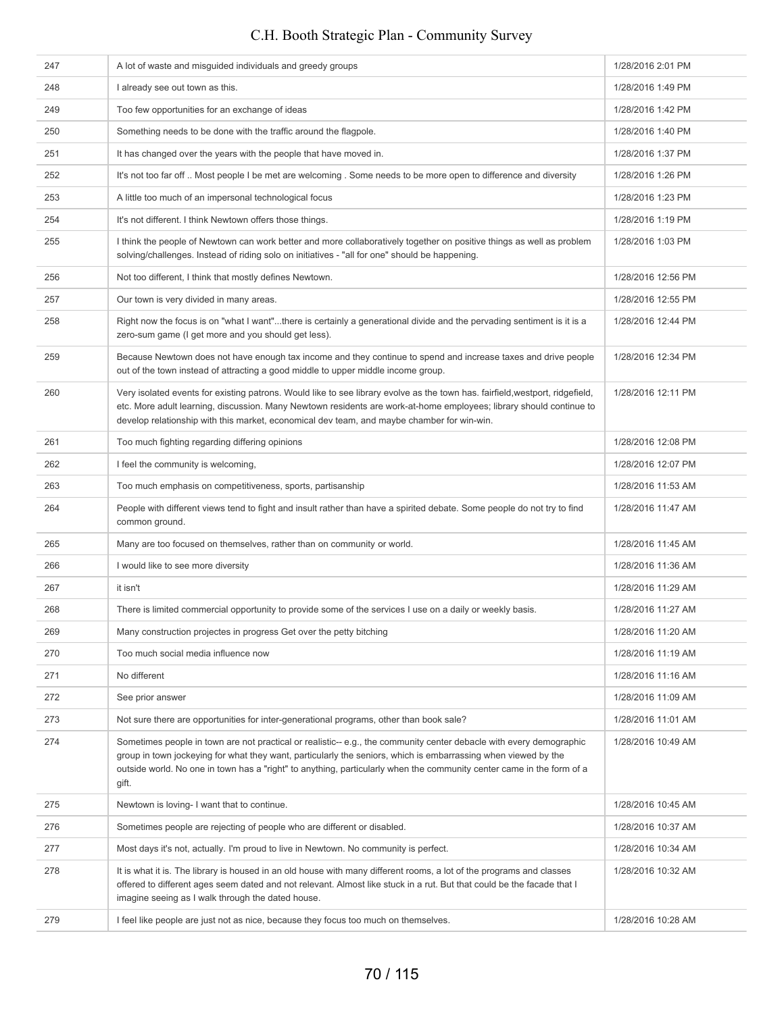| 247 | A lot of waste and misguided individuals and greedy groups                                                                                                                                                                                                                                                                                                             | 1/28/2016 2:01 PM  |
|-----|------------------------------------------------------------------------------------------------------------------------------------------------------------------------------------------------------------------------------------------------------------------------------------------------------------------------------------------------------------------------|--------------------|
| 248 | I already see out town as this.                                                                                                                                                                                                                                                                                                                                        | 1/28/2016 1:49 PM  |
| 249 | Too few opportunities for an exchange of ideas                                                                                                                                                                                                                                                                                                                         | 1/28/2016 1:42 PM  |
| 250 | Something needs to be done with the traffic around the flagpole.                                                                                                                                                                                                                                                                                                       | 1/28/2016 1:40 PM  |
| 251 | It has changed over the years with the people that have moved in.                                                                                                                                                                                                                                                                                                      | 1/28/2016 1:37 PM  |
| 252 | It's not too far off  Most people I be met are welcoming. Some needs to be more open to difference and diversity                                                                                                                                                                                                                                                       | 1/28/2016 1:26 PM  |
| 253 | A little too much of an impersonal technological focus                                                                                                                                                                                                                                                                                                                 | 1/28/2016 1:23 PM  |
| 254 | It's not different. I think Newtown offers those things.                                                                                                                                                                                                                                                                                                               | 1/28/2016 1:19 PM  |
| 255 | I think the people of Newtown can work better and more collaboratively together on positive things as well as problem<br>solving/challenges. Instead of riding solo on initiatives - "all for one" should be happening.                                                                                                                                                | 1/28/2016 1:03 PM  |
| 256 | Not too different, I think that mostly defines Newtown.                                                                                                                                                                                                                                                                                                                | 1/28/2016 12:56 PM |
| 257 | Our town is very divided in many areas.                                                                                                                                                                                                                                                                                                                                | 1/28/2016 12:55 PM |
| 258 | Right now the focus is on "what I want"there is certainly a generational divide and the pervading sentiment is it is a<br>zero-sum game (I get more and you should get less).                                                                                                                                                                                          | 1/28/2016 12:44 PM |
| 259 | Because Newtown does not have enough tax income and they continue to spend and increase taxes and drive people<br>out of the town instead of attracting a good middle to upper middle income group.                                                                                                                                                                    | 1/28/2016 12:34 PM |
| 260 | Very isolated events for existing patrons. Would like to see library evolve as the town has. fairfield, westport, ridgefield,<br>etc. More adult learning, discussion. Many Newtown residents are work-at-home employees; library should continue to<br>develop relationship with this market, economical dev team, and maybe chamber for win-win.                     | 1/28/2016 12:11 PM |
| 261 | Too much fighting regarding differing opinions                                                                                                                                                                                                                                                                                                                         | 1/28/2016 12:08 PM |
| 262 | I feel the community is welcoming,                                                                                                                                                                                                                                                                                                                                     | 1/28/2016 12:07 PM |
| 263 | Too much emphasis on competitiveness, sports, partisanship                                                                                                                                                                                                                                                                                                             | 1/28/2016 11:53 AM |
| 264 | People with different views tend to fight and insult rather than have a spirited debate. Some people do not try to find<br>common ground.                                                                                                                                                                                                                              | 1/28/2016 11:47 AM |
| 265 | Many are too focused on themselves, rather than on community or world.                                                                                                                                                                                                                                                                                                 | 1/28/2016 11:45 AM |
| 266 | I would like to see more diversity                                                                                                                                                                                                                                                                                                                                     | 1/28/2016 11:36 AM |
| 267 | it isn't                                                                                                                                                                                                                                                                                                                                                               | 1/28/2016 11:29 AM |
| 268 | There is limited commercial opportunity to provide some of the services I use on a daily or weekly basis.                                                                                                                                                                                                                                                              | 1/28/2016 11:27 AM |
| 269 | Many construction projectes in progress Get over the petty bitching                                                                                                                                                                                                                                                                                                    | 1/28/2016 11:20 AM |
| 270 | Too much social media influence now                                                                                                                                                                                                                                                                                                                                    | 1/28/2016 11:19 AM |
| 271 | No different                                                                                                                                                                                                                                                                                                                                                           | 1/28/2016 11:16 AM |
| 272 | See prior answer                                                                                                                                                                                                                                                                                                                                                       | 1/28/2016 11:09 AM |
| 273 | Not sure there are opportunities for inter-generational programs, other than book sale?                                                                                                                                                                                                                                                                                | 1/28/2016 11:01 AM |
| 274 | Sometimes people in town are not practical or realistic--e.g., the community center debacle with every demographic<br>group in town jockeying for what they want, particularly the seniors, which is embarrassing when viewed by the<br>outside world. No one in town has a "right" to anything, particularly when the community center came in the form of a<br>gift. | 1/28/2016 10:49 AM |
| 275 | Newtown is loving- I want that to continue.                                                                                                                                                                                                                                                                                                                            | 1/28/2016 10:45 AM |
| 276 | Sometimes people are rejecting of people who are different or disabled.                                                                                                                                                                                                                                                                                                | 1/28/2016 10:37 AM |
| 277 | Most days it's not, actually. I'm proud to live in Newtown. No community is perfect.                                                                                                                                                                                                                                                                                   | 1/28/2016 10:34 AM |
| 278 | It is what it is. The library is housed in an old house with many different rooms, a lot of the programs and classes<br>offered to different ages seem dated and not relevant. Almost like stuck in a rut. But that could be the facade that I<br>imagine seeing as I walk through the dated house.                                                                    | 1/28/2016 10:32 AM |
| 279 | I feel like people are just not as nice, because they focus too much on themselves.                                                                                                                                                                                                                                                                                    | 1/28/2016 10:28 AM |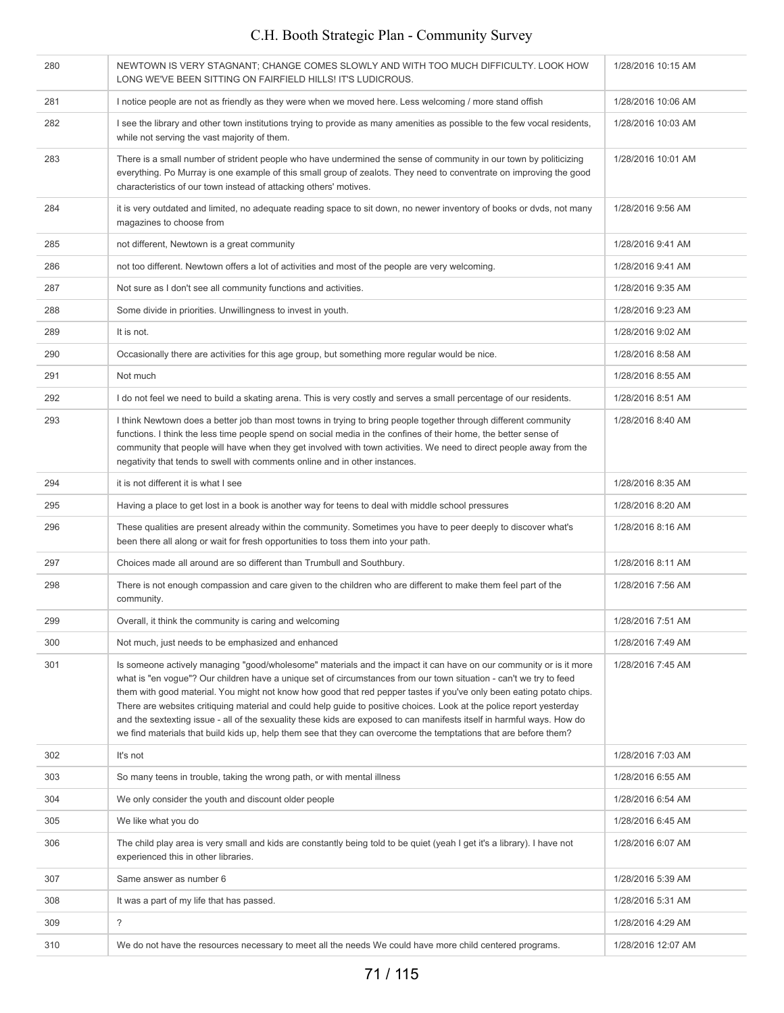#### 280 NEWTOWN IS VERY STAGNANT; CHANGE COMES SLOWLY AND WITH TOO MUCH DIFFICULTY. LOOK HOW LONG WE'VE BEEN SITTING ON FAIRFIELD HILLS! IT'S LUDICROUS. 1/28/2016 10:15 AM 281 I notice people are not as friendly as they were when we moved here. Less welcoming / more stand offish 1/28/2016 10:06 AM 282 I see the library and other town institutions trying to provide as many amenities as possible to the few vocal residents, while not serving the vast majority of them. 1/28/2016 10:03 AM 283 There is a small number of strident people who have undermined the sense of community in our town by politicizing everything. Po Murray is one example of this small group of zealots. They need to conventrate on improving the good characteristics of our town instead of attacking others' motives. 1/28/2016 10:01 AM 284 it is very outdated and limited, no adequate reading space to sit down, no newer inventory of books or dvds, not many magazines to choose from 1/28/2016 9:56 AM 285 not different, Newtown is a great community 1/28/2016 9:41 AM 286 not too different. Newtown offers a lot of activities and most of the people are very welcoming. 1/28/2016 9:41 AM 287 Not sure as I don't see all community functions and activities. 1/28/2016 9:35 AM 288 Some divide in priorities. Unwillingness to invest in youth. 1/28/2016 9:23 AM 289 It is not. 1/28/2016 9:02 AM 290 **Occasionally there are activities for this age group, but something more regular would be nice.** 1/28/2016 8:58 AM 291 Not much 1/28/2016 8:55 AM 292 I do not feel we need to build a skating arena. This is very costly and serves a small percentage of our residents. | 1/28/2016 8:51 AM 293 I think Newtown does a better job than most towns in trying to bring people together through different community functions. I think the less time people spend on social media in the confines of their home, the better sense of community that people will have when they get involved with town activities. We need to direct people away from the negativity that tends to swell with comments online and in other instances. 1/28/2016 8:40 AM 294 it is not different it is what I see 1/28/2016 8:35 AM 295 Having a place to get lost in a book is another way for teens to deal with middle school pressures 1/28/2016 8:20 AM 296 These qualities are present already within the community. Sometimes you have to peer deeply to discover what's been there all along or wait for fresh opportunities to toss them into your path. 1/28/2016 8:16 AM 297 Choices made all around are so different than Trumbull and Southbury. 1/28/2016 8:11 AM 298 There is not enough compassion and care given to the children who are different to make them feel part of the community. 1/28/2016 7:56 AM 299 Overall, it think the community is caring and welcoming 1/28/2016 7:51 AM 300 Not much, just needs to be emphasized and enhanced in the state of the state of the state of the 1/28/2016 7:49 AM 301 Is someone actively managing "good/wholesome" materials and the impact it can have on our community or is it more what is "en vogue"? Our children have a unique set of circumstances from our town situation - can't we try to feed them with good material. You might not know how good that red pepper tastes if you've only been eating potato chips. There are websites critiquing material and could help guide to positive choices. Look at the police report yesterday and the sextexting issue - all of the sexuality these kids are exposed to can manifests itself in harmful ways. How do we find materials that build kids up, help them see that they can overcome the temptations that are before them? 1/28/2016 7:45 AM 302 It's not 1/28/2016 7:03 AM 303 So many teens in trouble, taking the wrong path, or with mental illness 1/28/2016 6:55 AM 304 We only consider the youth and discount older people 1/28/2016 6:54 AM 305 We like what you do 1/28/2016 6:45 AM 306 The child play area is very small and kids are constantly being told to be quiet (yeah I get it's a library). I have not experienced this in other libraries. 1/28/2016 6:07 AM 307 Same answer as number 6 1/28/2016 5:39 AM 308 It was a part of my life that has passed. 1/28/2016 5:31 AM 309 ? 1/28/2016 4:29 AM 310 We do not have the resources necessary to meet all the needs We could have more child centered programs. 1/28/2016 12:07 AM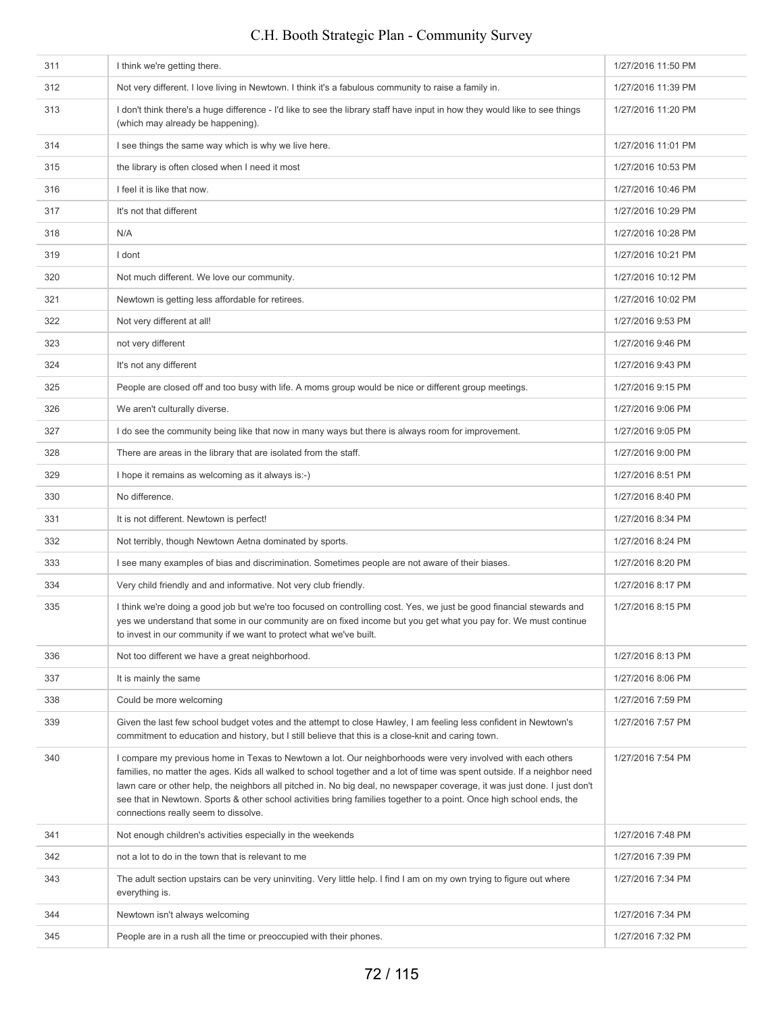| 311 | I think we're getting there.                                                                                                                                                                                                                                                                                                                                                                                                                                                                                                         | 1/27/2016 11:50 PM |
|-----|--------------------------------------------------------------------------------------------------------------------------------------------------------------------------------------------------------------------------------------------------------------------------------------------------------------------------------------------------------------------------------------------------------------------------------------------------------------------------------------------------------------------------------------|--------------------|
| 312 | Not very different. I love living in Newtown. I think it's a fabulous community to raise a family in.                                                                                                                                                                                                                                                                                                                                                                                                                                | 1/27/2016 11:39 PM |
| 313 | I don't think there's a huge difference - I'd like to see the library staff have input in how they would like to see things<br>(which may already be happening).                                                                                                                                                                                                                                                                                                                                                                     | 1/27/2016 11:20 PM |
| 314 | I see things the same way which is why we live here.                                                                                                                                                                                                                                                                                                                                                                                                                                                                                 | 1/27/2016 11:01 PM |
| 315 | the library is often closed when I need it most                                                                                                                                                                                                                                                                                                                                                                                                                                                                                      | 1/27/2016 10:53 PM |
| 316 | I feel it is like that now.                                                                                                                                                                                                                                                                                                                                                                                                                                                                                                          | 1/27/2016 10:46 PM |
| 317 | It's not that different                                                                                                                                                                                                                                                                                                                                                                                                                                                                                                              | 1/27/2016 10:29 PM |
| 318 | N/A                                                                                                                                                                                                                                                                                                                                                                                                                                                                                                                                  | 1/27/2016 10:28 PM |
| 319 | I dont                                                                                                                                                                                                                                                                                                                                                                                                                                                                                                                               | 1/27/2016 10:21 PM |
| 320 | Not much different. We love our community.                                                                                                                                                                                                                                                                                                                                                                                                                                                                                           | 1/27/2016 10:12 PM |
| 321 | Newtown is getting less affordable for retirees.                                                                                                                                                                                                                                                                                                                                                                                                                                                                                     | 1/27/2016 10:02 PM |
| 322 | Not very different at all!                                                                                                                                                                                                                                                                                                                                                                                                                                                                                                           | 1/27/2016 9:53 PM  |
| 323 | not very different                                                                                                                                                                                                                                                                                                                                                                                                                                                                                                                   | 1/27/2016 9:46 PM  |
| 324 | It's not any different                                                                                                                                                                                                                                                                                                                                                                                                                                                                                                               | 1/27/2016 9:43 PM  |
| 325 | People are closed off and too busy with life. A moms group would be nice or different group meetings.                                                                                                                                                                                                                                                                                                                                                                                                                                | 1/27/2016 9:15 PM  |
| 326 | We aren't culturally diverse.                                                                                                                                                                                                                                                                                                                                                                                                                                                                                                        | 1/27/2016 9:06 PM  |
| 327 | I do see the community being like that now in many ways but there is always room for improvement.                                                                                                                                                                                                                                                                                                                                                                                                                                    | 1/27/2016 9:05 PM  |
| 328 | There are areas in the library that are isolated from the staff.                                                                                                                                                                                                                                                                                                                                                                                                                                                                     | 1/27/2016 9:00 PM  |
| 329 | I hope it remains as welcoming as it always is:-)                                                                                                                                                                                                                                                                                                                                                                                                                                                                                    | 1/27/2016 8:51 PM  |
| 330 | No difference.                                                                                                                                                                                                                                                                                                                                                                                                                                                                                                                       | 1/27/2016 8:40 PM  |
| 331 | It is not different. Newtown is perfect!                                                                                                                                                                                                                                                                                                                                                                                                                                                                                             | 1/27/2016 8:34 PM  |
| 332 | Not terribly, though Newtown Aetna dominated by sports.                                                                                                                                                                                                                                                                                                                                                                                                                                                                              | 1/27/2016 8:24 PM  |
| 333 | I see many examples of bias and discrimination. Sometimes people are not aware of their biases.                                                                                                                                                                                                                                                                                                                                                                                                                                      | 1/27/2016 8:20 PM  |
| 334 | Very child friendly and and informative. Not very club friendly.                                                                                                                                                                                                                                                                                                                                                                                                                                                                     | 1/27/2016 8:17 PM  |
| 335 | I think we're doing a good job but we're too focused on controlling cost. Yes, we just be good financial stewards and<br>yes we understand that some in our community are on fixed income but you get what you pay for. We must continue<br>to invest in our community if we want to protect what we've built.                                                                                                                                                                                                                       | 1/27/2016 8:15 PM  |
| 336 | Not too different we have a great neighborhood.                                                                                                                                                                                                                                                                                                                                                                                                                                                                                      | 1/27/2016 8:13 PM  |
| 337 | It is mainly the same                                                                                                                                                                                                                                                                                                                                                                                                                                                                                                                | 1/27/2016 8:06 PM  |
| 338 | Could be more welcoming                                                                                                                                                                                                                                                                                                                                                                                                                                                                                                              | 1/27/2016 7:59 PM  |
| 339 | Given the last few school budget votes and the attempt to close Hawley, I am feeling less confident in Newtown's<br>commitment to education and history, but I still believe that this is a close-knit and caring town.                                                                                                                                                                                                                                                                                                              | 1/27/2016 7:57 PM  |
| 340 | I compare my previous home in Texas to Newtown a lot. Our neighborhoods were very involved with each others<br>families, no matter the ages. Kids all walked to school together and a lot of time was spent outside. If a neighbor need<br>lawn care or other help, the neighbors all pitched in. No big deal, no newspaper coverage, it was just done. I just don't<br>see that in Newtown. Sports & other school activities bring families together to a point. Once high school ends, the<br>connections really seem to dissolve. | 1/27/2016 7:54 PM  |
| 341 | Not enough children's activities especially in the weekends                                                                                                                                                                                                                                                                                                                                                                                                                                                                          | 1/27/2016 7:48 PM  |
| 342 | not a lot to do in the town that is relevant to me                                                                                                                                                                                                                                                                                                                                                                                                                                                                                   | 1/27/2016 7:39 PM  |
| 343 | The adult section upstairs can be very uninviting. Very little help. I find I am on my own trying to figure out where<br>everything is.                                                                                                                                                                                                                                                                                                                                                                                              | 1/27/2016 7:34 PM  |
| 344 | Newtown isn't always welcoming                                                                                                                                                                                                                                                                                                                                                                                                                                                                                                       | 1/27/2016 7:34 PM  |
| 345 | People are in a rush all the time or preoccupied with their phones.                                                                                                                                                                                                                                                                                                                                                                                                                                                                  | 1/27/2016 7:32 PM  |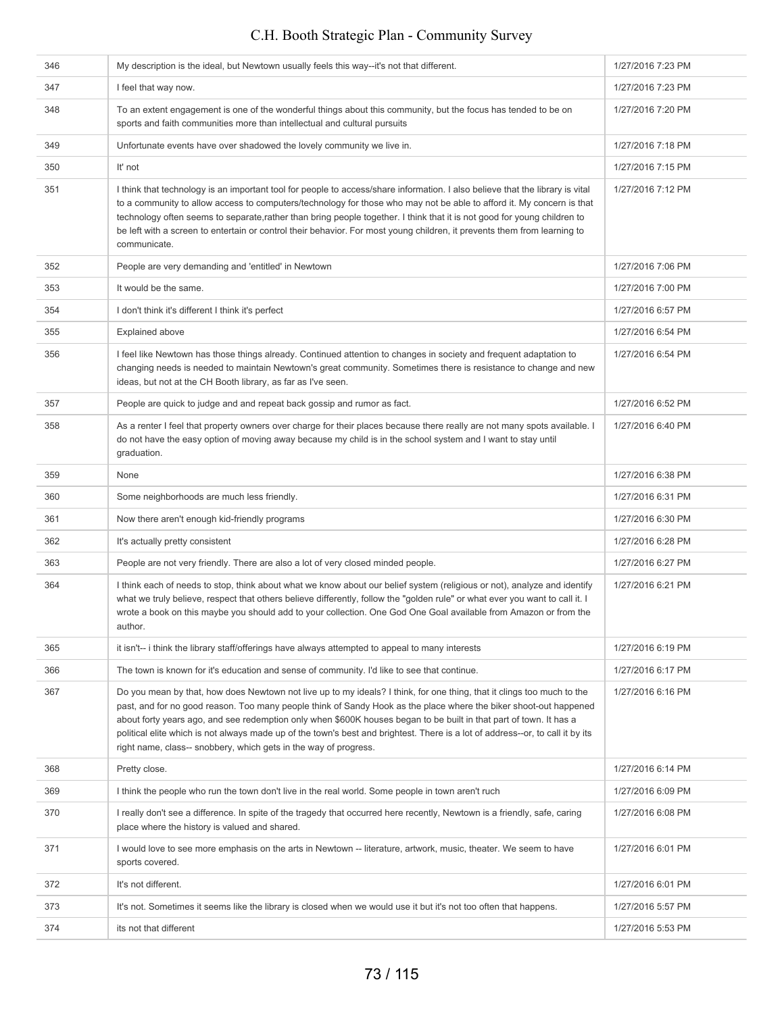| 346 | My description is the ideal, but Newtown usually feels this way--it's not that different.                                                                                                                                                                                                                                                                                                                                                                                                                                                                               | 1/27/2016 7:23 PM |
|-----|-------------------------------------------------------------------------------------------------------------------------------------------------------------------------------------------------------------------------------------------------------------------------------------------------------------------------------------------------------------------------------------------------------------------------------------------------------------------------------------------------------------------------------------------------------------------------|-------------------|
| 347 | I feel that way now.                                                                                                                                                                                                                                                                                                                                                                                                                                                                                                                                                    | 1/27/2016 7:23 PM |
| 348 | To an extent engagement is one of the wonderful things about this community, but the focus has tended to be on<br>sports and faith communities more than intellectual and cultural pursuits                                                                                                                                                                                                                                                                                                                                                                             | 1/27/2016 7:20 PM |
| 349 | Unfortunate events have over shadowed the lovely community we live in.                                                                                                                                                                                                                                                                                                                                                                                                                                                                                                  | 1/27/2016 7:18 PM |
| 350 | It' not                                                                                                                                                                                                                                                                                                                                                                                                                                                                                                                                                                 | 1/27/2016 7:15 PM |
| 351 | I think that technology is an important tool for people to access/share information. I also believe that the library is vital<br>to a community to allow access to computers/technology for those who may not be able to afford it. My concern is that<br>technology often seems to separate, rather than bring people together. I think that it is not good for young children to<br>be left with a screen to entertain or control their behavior. For most young children, it prevents them from learning to<br>communicate.                                          | 1/27/2016 7:12 PM |
| 352 | People are very demanding and 'entitled' in Newtown                                                                                                                                                                                                                                                                                                                                                                                                                                                                                                                     | 1/27/2016 7:06 PM |
| 353 | It would be the same.                                                                                                                                                                                                                                                                                                                                                                                                                                                                                                                                                   | 1/27/2016 7:00 PM |
| 354 | I don't think it's different I think it's perfect                                                                                                                                                                                                                                                                                                                                                                                                                                                                                                                       | 1/27/2016 6:57 PM |
| 355 | <b>Explained above</b>                                                                                                                                                                                                                                                                                                                                                                                                                                                                                                                                                  | 1/27/2016 6:54 PM |
| 356 | I feel like Newtown has those things already. Continued attention to changes in society and frequent adaptation to<br>changing needs is needed to maintain Newtown's great community. Sometimes there is resistance to change and new<br>ideas, but not at the CH Booth library, as far as I've seen.                                                                                                                                                                                                                                                                   | 1/27/2016 6:54 PM |
| 357 | People are quick to judge and and repeat back gossip and rumor as fact.                                                                                                                                                                                                                                                                                                                                                                                                                                                                                                 | 1/27/2016 6:52 PM |
| 358 | As a renter I feel that property owners over charge for their places because there really are not many spots available. I<br>do not have the easy option of moving away because my child is in the school system and I want to stay until<br>graduation.                                                                                                                                                                                                                                                                                                                | 1/27/2016 6:40 PM |
| 359 | None                                                                                                                                                                                                                                                                                                                                                                                                                                                                                                                                                                    | 1/27/2016 6:38 PM |
| 360 | Some neighborhoods are much less friendly.                                                                                                                                                                                                                                                                                                                                                                                                                                                                                                                              | 1/27/2016 6:31 PM |
| 361 | Now there aren't enough kid-friendly programs                                                                                                                                                                                                                                                                                                                                                                                                                                                                                                                           | 1/27/2016 6:30 PM |
| 362 | It's actually pretty consistent                                                                                                                                                                                                                                                                                                                                                                                                                                                                                                                                         | 1/27/2016 6:28 PM |
| 363 | People are not very friendly. There are also a lot of very closed minded people.                                                                                                                                                                                                                                                                                                                                                                                                                                                                                        | 1/27/2016 6:27 PM |
| 364 | I think each of needs to stop, think about what we know about our belief system (religious or not), analyze and identify<br>what we truly believe, respect that others believe differently, follow the "golden rule" or what ever you want to call it. I<br>wrote a book on this maybe you should add to your collection. One God One Goal available from Amazon or from the<br>author.                                                                                                                                                                                 | 1/27/2016 6:21 PM |
| 365 | it isn't-- i think the library staff/offerings have always attempted to appeal to many interests                                                                                                                                                                                                                                                                                                                                                                                                                                                                        | 1/27/2016 6:19 PM |
| 366 | The town is known for it's education and sense of community. I'd like to see that continue.                                                                                                                                                                                                                                                                                                                                                                                                                                                                             | 1/27/2016 6:17 PM |
| 367 | Do you mean by that, how does Newtown not live up to my ideals? I think, for one thing, that it clings too much to the<br>past, and for no good reason. Too many people think of Sandy Hook as the place where the biker shoot-out happened<br>about forty years ago, and see redemption only when \$600K houses began to be built in that part of town. It has a<br>political elite which is not always made up of the town's best and brightest. There is a lot of address--or, to call it by its<br>right name, class-- snobbery, which gets in the way of progress. | 1/27/2016 6:16 PM |
| 368 | Pretty close.                                                                                                                                                                                                                                                                                                                                                                                                                                                                                                                                                           | 1/27/2016 6:14 PM |
| 369 | I think the people who run the town don't live in the real world. Some people in town aren't ruch                                                                                                                                                                                                                                                                                                                                                                                                                                                                       | 1/27/2016 6:09 PM |
| 370 | I really don't see a difference. In spite of the tragedy that occurred here recently, Newtown is a friendly, safe, caring<br>place where the history is valued and shared.                                                                                                                                                                                                                                                                                                                                                                                              | 1/27/2016 6:08 PM |
| 371 | I would love to see more emphasis on the arts in Newtown -- literature, artwork, music, theater. We seem to have<br>sports covered.                                                                                                                                                                                                                                                                                                                                                                                                                                     | 1/27/2016 6:01 PM |
| 372 | It's not different.                                                                                                                                                                                                                                                                                                                                                                                                                                                                                                                                                     | 1/27/2016 6:01 PM |
| 373 | It's not. Sometimes it seems like the library is closed when we would use it but it's not too often that happens.                                                                                                                                                                                                                                                                                                                                                                                                                                                       | 1/27/2016 5:57 PM |
| 374 | its not that different                                                                                                                                                                                                                                                                                                                                                                                                                                                                                                                                                  | 1/27/2016 5:53 PM |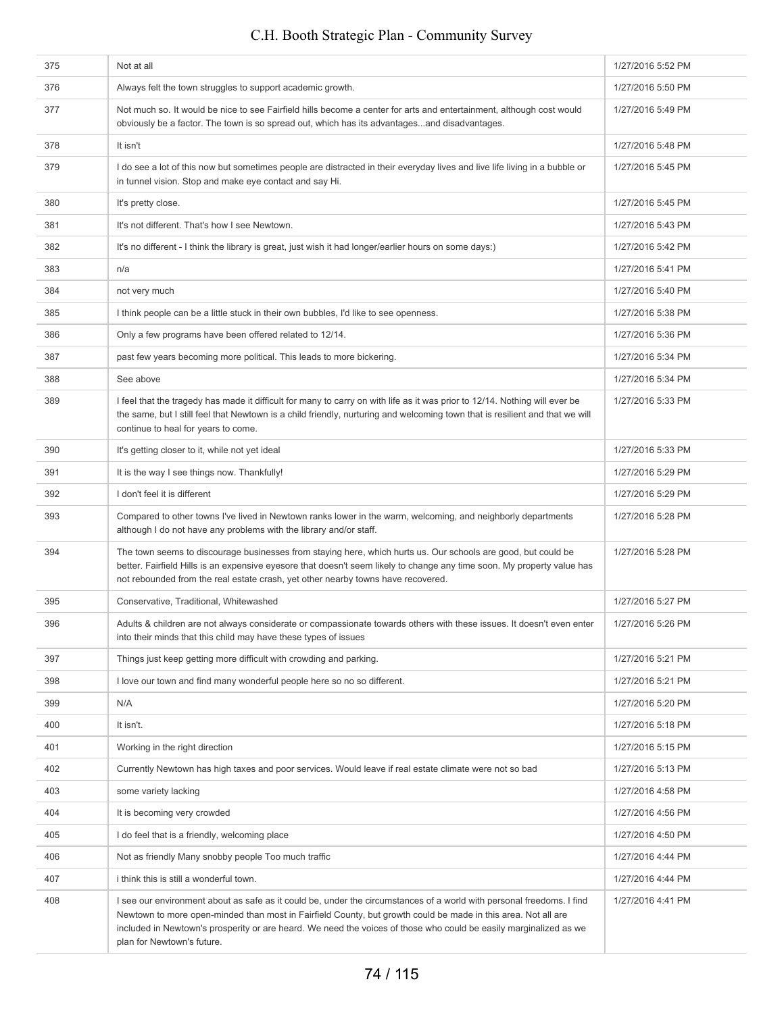### 375 Not at all 1/27/2016 5:52 PM 376 Always felt the town struggles to support academic growth. 1/27/2016 5:50 PM 377 Not much so. It would be nice to see Fairfield hills become a center for arts and entertainment, although cost would obviously be a factor. The town is so spread out, which has its advantages...and disadvantages. 1/27/2016 5:49 PM 378 It isn't 1/27/2016 5:48 PM 379 I do see a lot of this now but sometimes people are distracted in their everyday lives and live life living in a bubble or in tunnel vision. Stop and make eye contact and say Hi. 1/27/2016 5:45 PM 380 It's pretty close. 1/27/2016 5:45 PM 1/27/2016 5:43 PM it's not different. That's how I see Newtown. 1/27/2016 5:43 PM 382 It's no different - I think the library is great, just wish it had longer/earlier hours on some days:) 1/27/2016 5:42 PM 383 n/a 1/27/2016 5:41 PM 384 not very much 1/27/2016 5:40 PM 385 I think people can be a little stuck in their own bubbles, I'd like to see openness. 1/27/2016 5:38 PM 386 Only a few programs have been offered related to 12/14. 127/2016 5:36 PM 387 past few years becoming more political. This leads to more bickering. 1/27/2016 5:34 PM 388 See above 1/27/2016 5:34 PM 389 I feel that the tragedy has made it difficult for many to carry on with life as it was prior to 12/14. Nothing will ever be the same, but I still feel that Newtown is a child friendly, nurturing and welcoming town that is resilient and that we will continue to heal for years to come. 1/27/2016 5:33 PM 390 It's getting closer to it, while not yet ideal 1/27/2016 5:33 PM 391 It is the way I see things now. Thankfully! 1/27/2016 5:29 PM 392 I don't feel it is different 1/27/2016 5:29 PM 393 Compared to other towns I've lived in Newtown ranks lower in the warm, welcoming, and neighborly departments although I do not have any problems with the library and/or staff. 1/27/2016 5:28 PM 394 The town seems to discourage businesses from staying here, which hurts us. Our schools are good, but could be better. Fairfield Hills is an expensive eyesore that doesn't seem likely to change any time soon. My property value has not rebounded from the real estate crash, yet other nearby towns have recovered. 1/27/2016 5:28 PM 395 Conservative, Traditional, Whitewashed 1/27/2016 5:27 PM 396 Adults & children are not always considerate or compassionate towards others with these issues. It doesn't even enter into their minds that this child may have these types of issues 1/27/2016 5:26 PM 397 Things just keep getting more difficult with crowding and parking. 1/27/2016 5:21 PM 398 I love our town and find many wonderful people here so no so different. 1/27/2016 5:21 PM 399 N/A 1/27/2016 5:20 PM 400 It isn't. 1/27/2016 5:18 PM 401 Working in the right direction 1/27/2016 5:15 PM 402 Currently Newtown has high taxes and poor services. Would leave if real estate climate were not so bad 1/27/2016 5:13 PM 403 some variety lacking 1/27/2016 4:58 PM 404 It is becoming very crowded **1/27/2016** 4:56 PM 127/2016 4:50 PM and the detection of the test of the test of the test of the test of the test of the test of the test of the test of the test of the test of the test of the test of the test of the test of the test of the 406 Not as friendly Many snobby people Too much traffic **1/27/2016 4:44 PM** 1/27/2016 4:44 PM 407 ithink this is still a wonderful town. 1/27/2016 4:44 PM 408 I see our environment about as safe as it could be, under the circumstances of a world with personal freedoms. I find Newtown to more open-minded than most in Fairfield County, but growth could be made in this area. Not all are included in Newtown's prosperity or are heard. We need the voices of those who could be easily marginalized as we plan for Newtown's future. 1/27/2016 4:41 PM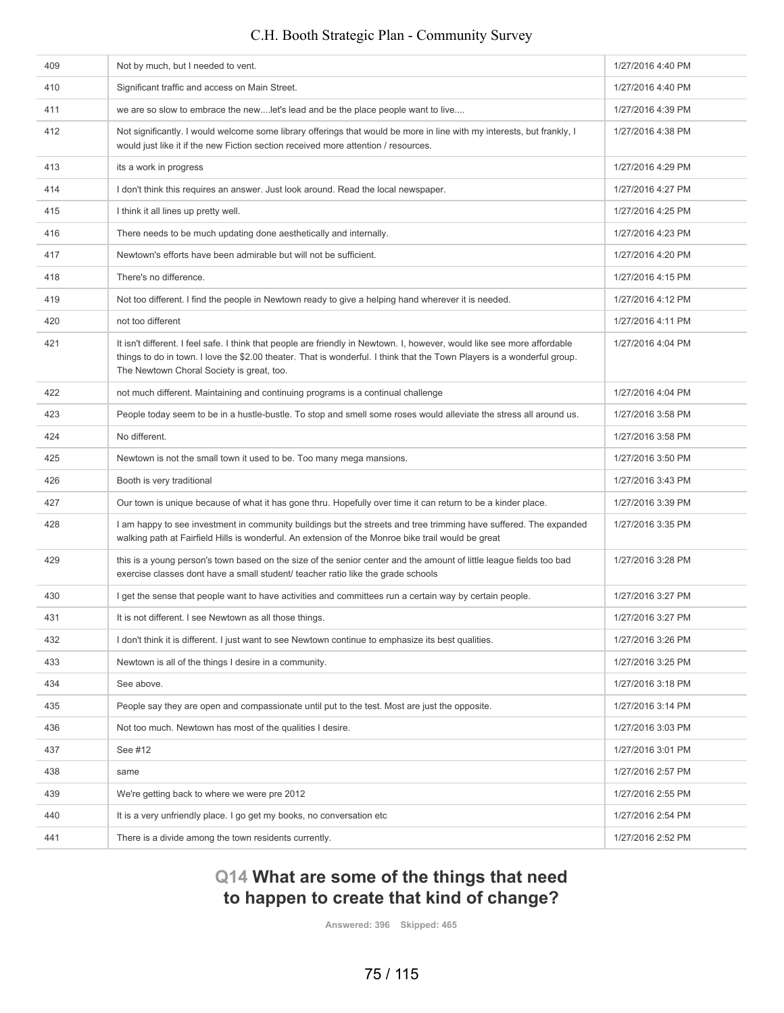## 409 Not by much, but I needed to vent. 1/27/2016 4:40 PM 410 Significant traffic and access on Main Street. 1/27/2016 4:40 PM 411 we are so slow to embrace the new....let's lead and be the place people want to live.... 1/27/2016 4:39 PM 412 Not significantly. I would welcome some library offerings that would be more in line with my interests, but frankly, I would just like it if the new Fiction section received more attention / resources. 1/27/2016 4:38 PM 413 its a work in progress in the set of the set of the set of the set of the set of the set of the set of the set of the set of the set of the set of the set of the set of the set of the set of the set of the set of the s 114 I don't think this requires an answer. Just look around. Read the local newspaper. 415 I think it all lines up pretty well. 1/27/2016 4:25 PM 416 There needs to be much updating done aesthetically and internally. 1/27/2016 4:23 PM At 17 Newtown's efforts have been admirable but will not be sufficient. 1/27/2016 1:20 PM 4:20 PM 4:20 PM 418 There's no difference. There is no difference. After the Not too different. I find the people in Newtown ready to give a helping hand wherever it is needed. 1/27/2016 4:12 PM According to the different top different that the set of the control of the control of the control of the control of the control of the control of the control of the control of the control of the control of the control of 421 It isn't different. I feel safe. I think that people are friendly in Newtown. I, however, would like see more affordable things to do in town. I love the \$2.00 theater. That is wonderful. I think that the Town Players is a wonderful group. The Newtown Choral Society is great, too. 1/27/2016 4:04 PM 1/27/2016 4:04 PM not much different. Maintaining and continuing programs is a continual challenge 1/27/2016 4:04 PM People today seem to be in a hustle-bustle. To stop and smell some roses would alleviate the stress all around us. | 1/27/2016 3:58 PM Assume that the set of the set of the set of the set of the set of the set of the set of the set of the set of the set of the set of the set of the set of the set of the set of the set of the set of the set of the set of t Asset Alexander States Newtown is not the small town it used to be. Too many mega mansions. 1/27/2016 3:50 PM 426 Booth is very traditional and the set of the set of the set of the set of the set of the set of the set of the set of the set of the set of the set of the set of the set of the set of the set of the set of the set of t 1/27/2016 3:39 PM our town is unique because of what it has gone thru. Hopefully over time it can return to be a kinder place. 1 am happy to see investment in community buildings but the streets and tree trimming have suffered. The expanded walking path at Fairfield Hills is wonderful. An extension of the Monroe bike trail would be great 1/27/2016 3:35 PM 429 this is a young person's town based on the size of the senior center and the amount of little league fields too bad exercise classes dont have a small student/ teacher ratio like the grade schools 1/27/2016 3:28 PM 430 I get the sense that people want to have activities and committees run a certain way by certain people. 1/27/2016 3:27 PM 431 It is not different. I see Newtown as all those things. 1/27/2016 3:27 PM 1/27/2016 3:26 PM I don't think it is different. I just want to see Newtown continue to emphasize its best qualities. A 433 Newtown is all of the things I desire in a community. A state of the state in a community. C.H. Booth Strategic Plan - Community Survey

# **Q14 What are some of the things that need to happen to create that kind of change?**

A  $\frac{1}{27/2016}$  3:18 PM 435 People say they are open and compassionate until put to the test. Most are just the opposite. 1/27/2016 3:14 PM 436 Not too much. Newtown has most of the qualities I desire. 1/27/2016 3:03 PM 437 See #12 See #12 See #12 See #12 See #12 See #12 See #12 See #12 See #12 See #12 See #12 See #12 See #12 See #12 438 same 1/27/2016 2:57 PM 439 We're getting back to where we were pre 2012 and the state of the state of the state of the state of the state of the state of the state of the state of the state of the state of the state of the state of the state of 440 It is a very unfriendly place. I go get my books, no conversation etc 1/27/2016 2:54 PM 441 There is a divide among the town residents currently. The state of the town residents currently.

**Answered: 396 Skipped: 465**

75 / 115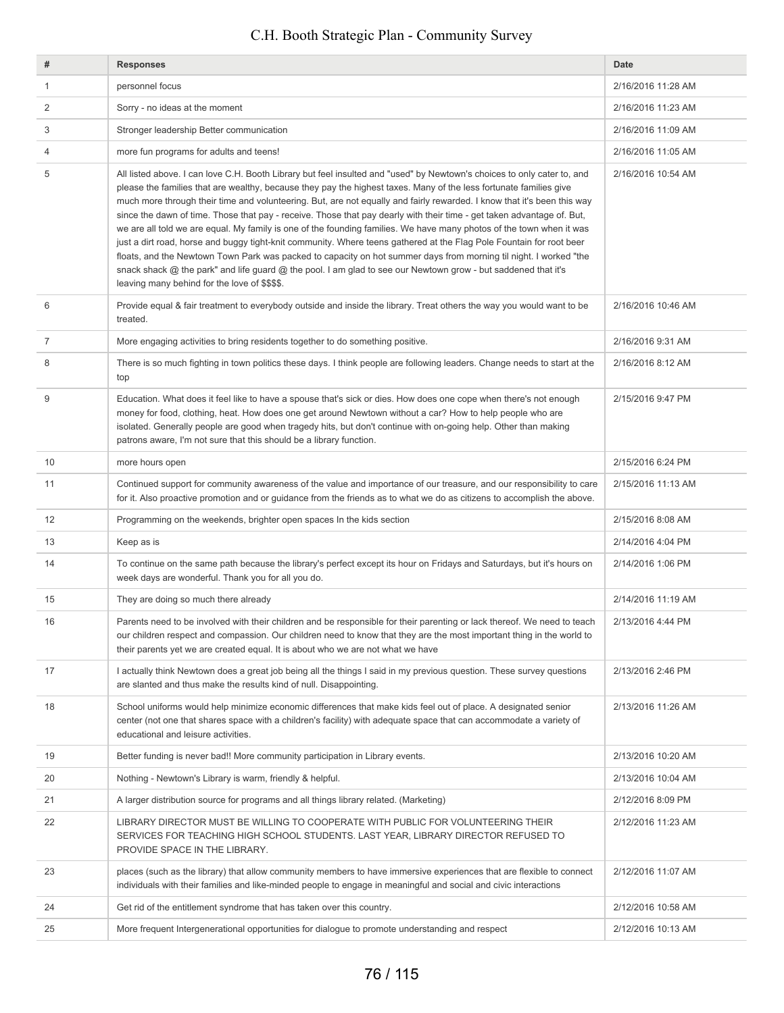| #  | <b>Responses</b>                                                                                                                                                                                                                                                                                                                                                                                                                                                                                                                                                                                                                                                                                                                                                                                                                                                                                                                                                                                                                          | <b>Date</b>        |
|----|-------------------------------------------------------------------------------------------------------------------------------------------------------------------------------------------------------------------------------------------------------------------------------------------------------------------------------------------------------------------------------------------------------------------------------------------------------------------------------------------------------------------------------------------------------------------------------------------------------------------------------------------------------------------------------------------------------------------------------------------------------------------------------------------------------------------------------------------------------------------------------------------------------------------------------------------------------------------------------------------------------------------------------------------|--------------------|
| 1  | personnel focus                                                                                                                                                                                                                                                                                                                                                                                                                                                                                                                                                                                                                                                                                                                                                                                                                                                                                                                                                                                                                           | 2/16/2016 11:28 AM |
| 2  | Sorry - no ideas at the moment                                                                                                                                                                                                                                                                                                                                                                                                                                                                                                                                                                                                                                                                                                                                                                                                                                                                                                                                                                                                            | 2/16/2016 11:23 AM |
| 3  | Stronger leadership Better communication                                                                                                                                                                                                                                                                                                                                                                                                                                                                                                                                                                                                                                                                                                                                                                                                                                                                                                                                                                                                  | 2/16/2016 11:09 AM |
| 4  | more fun programs for adults and teens!                                                                                                                                                                                                                                                                                                                                                                                                                                                                                                                                                                                                                                                                                                                                                                                                                                                                                                                                                                                                   | 2/16/2016 11:05 AM |
| 5  | All listed above. I can love C.H. Booth Library but feel insulted and "used" by Newtown's choices to only cater to, and<br>please the families that are wealthy, because they pay the highest taxes. Many of the less fortunate families give<br>much more through their time and volunteering. But, are not equally and fairly rewarded. I know that it's been this way<br>since the dawn of time. Those that pay - receive. Those that pay dearly with their time - get taken advantage of. But,<br>we are all told we are equal. My family is one of the founding families. We have many photos of the town when it was<br>just a dirt road, horse and buggy tight-knit community. Where teens gathered at the Flag Pole Fountain for root beer<br>floats, and the Newtown Town Park was packed to capacity on hot summer days from morning til night. I worked "the<br>snack shack @ the park" and life guard @ the pool. I am glad to see our Newtown grow - but saddened that it's<br>leaving many behind for the love of \$\$\$\$. | 2/16/2016 10:54 AM |
| 6  | Provide equal & fair treatment to everybody outside and inside the library. Treat others the way you would want to be<br>treated.                                                                                                                                                                                                                                                                                                                                                                                                                                                                                                                                                                                                                                                                                                                                                                                                                                                                                                         | 2/16/2016 10:46 AM |
| 7  | More engaging activities to bring residents together to do something positive.                                                                                                                                                                                                                                                                                                                                                                                                                                                                                                                                                                                                                                                                                                                                                                                                                                                                                                                                                            | 2/16/2016 9:31 AM  |
| 8  | There is so much fighting in town politics these days. I think people are following leaders. Change needs to start at the<br>top                                                                                                                                                                                                                                                                                                                                                                                                                                                                                                                                                                                                                                                                                                                                                                                                                                                                                                          | 2/16/2016 8:12 AM  |
| 9  | Education. What does it feel like to have a spouse that's sick or dies. How does one cope when there's not enough<br>money for food, clothing, heat. How does one get around Newtown without a car? How to help people who are<br>isolated. Generally people are good when tragedy hits, but don't continue with on-going help. Other than making<br>patrons aware, I'm not sure that this should be a library function.                                                                                                                                                                                                                                                                                                                                                                                                                                                                                                                                                                                                                  | 2/15/2016 9:47 PM  |
| 10 | more hours open                                                                                                                                                                                                                                                                                                                                                                                                                                                                                                                                                                                                                                                                                                                                                                                                                                                                                                                                                                                                                           | 2/15/2016 6:24 PM  |
| 11 | Continued support for community awareness of the value and importance of our treasure, and our responsibility to care<br>for it. Also proactive promotion and or guidance from the friends as to what we do as citizens to accomplish the above.                                                                                                                                                                                                                                                                                                                                                                                                                                                                                                                                                                                                                                                                                                                                                                                          | 2/15/2016 11:13 AM |
| 12 | Programming on the weekends, brighter open spaces In the kids section                                                                                                                                                                                                                                                                                                                                                                                                                                                                                                                                                                                                                                                                                                                                                                                                                                                                                                                                                                     | 2/15/2016 8:08 AM  |
| 13 | Keep as is                                                                                                                                                                                                                                                                                                                                                                                                                                                                                                                                                                                                                                                                                                                                                                                                                                                                                                                                                                                                                                | 2/14/2016 4:04 PM  |
| 14 | To continue on the same path because the library's perfect except its hour on Fridays and Saturdays, but it's hours on<br>week days are wonderful. Thank you for all you do.                                                                                                                                                                                                                                                                                                                                                                                                                                                                                                                                                                                                                                                                                                                                                                                                                                                              | 2/14/2016 1:06 PM  |
| 15 | They are doing so much there already                                                                                                                                                                                                                                                                                                                                                                                                                                                                                                                                                                                                                                                                                                                                                                                                                                                                                                                                                                                                      | 2/14/2016 11:19 AM |
| 16 | Parents need to be involved with their children and be responsible for their parenting or lack thereof. We need to teach<br>our children respect and compassion. Our children need to know that they are the most important thing in the world to<br>their parents yet we are created equal. It is about who we are not what we have                                                                                                                                                                                                                                                                                                                                                                                                                                                                                                                                                                                                                                                                                                      | 2/13/2016 4:44 PM  |
| 17 | I actually think Newtown does a great job being all the things I said in my previous question. These survey questions<br>are slanted and thus make the results kind of null. Disappointing.                                                                                                                                                                                                                                                                                                                                                                                                                                                                                                                                                                                                                                                                                                                                                                                                                                               | 2/13/2016 2:46 PM  |
| 18 | School uniforms would help minimize economic differences that make kids feel out of place. A designated senior<br>center (not one that shares space with a children's facility) with adequate space that can accommodate a variety of<br>educational and leisure activities.                                                                                                                                                                                                                                                                                                                                                                                                                                                                                                                                                                                                                                                                                                                                                              | 2/13/2016 11:26 AM |
| 19 | Better funding is never bad!! More community participation in Library events.                                                                                                                                                                                                                                                                                                                                                                                                                                                                                                                                                                                                                                                                                                                                                                                                                                                                                                                                                             | 2/13/2016 10:20 AM |
| 20 | Nothing - Newtown's Library is warm, friendly & helpful.                                                                                                                                                                                                                                                                                                                                                                                                                                                                                                                                                                                                                                                                                                                                                                                                                                                                                                                                                                                  | 2/13/2016 10:04 AM |
| 21 | A larger distribution source for programs and all things library related. (Marketing)                                                                                                                                                                                                                                                                                                                                                                                                                                                                                                                                                                                                                                                                                                                                                                                                                                                                                                                                                     | 2/12/2016 8:09 PM  |
| 22 | LIBRARY DIRECTOR MUST BE WILLING TO COOPERATE WITH PUBLIC FOR VOLUNTEERING THEIR<br>SERVICES FOR TEACHING HIGH SCHOOL STUDENTS. LAST YEAR, LIBRARY DIRECTOR REFUSED TO<br>PROVIDE SPACE IN THE LIBRARY.                                                                                                                                                                                                                                                                                                                                                                                                                                                                                                                                                                                                                                                                                                                                                                                                                                   | 2/12/2016 11:23 AM |
| 23 | places (such as the library) that allow community members to have immersive experiences that are flexible to connect<br>individuals with their families and like-minded people to engage in meaningful and social and civic interactions                                                                                                                                                                                                                                                                                                                                                                                                                                                                                                                                                                                                                                                                                                                                                                                                  | 2/12/2016 11:07 AM |
| 24 | Get rid of the entitlement syndrome that has taken over this country.                                                                                                                                                                                                                                                                                                                                                                                                                                                                                                                                                                                                                                                                                                                                                                                                                                                                                                                                                                     | 2/12/2016 10:58 AM |
| 25 | More frequent Intergenerational opportunities for dialogue to promote understanding and respect                                                                                                                                                                                                                                                                                                                                                                                                                                                                                                                                                                                                                                                                                                                                                                                                                                                                                                                                           | 2/12/2016 10:13 AM |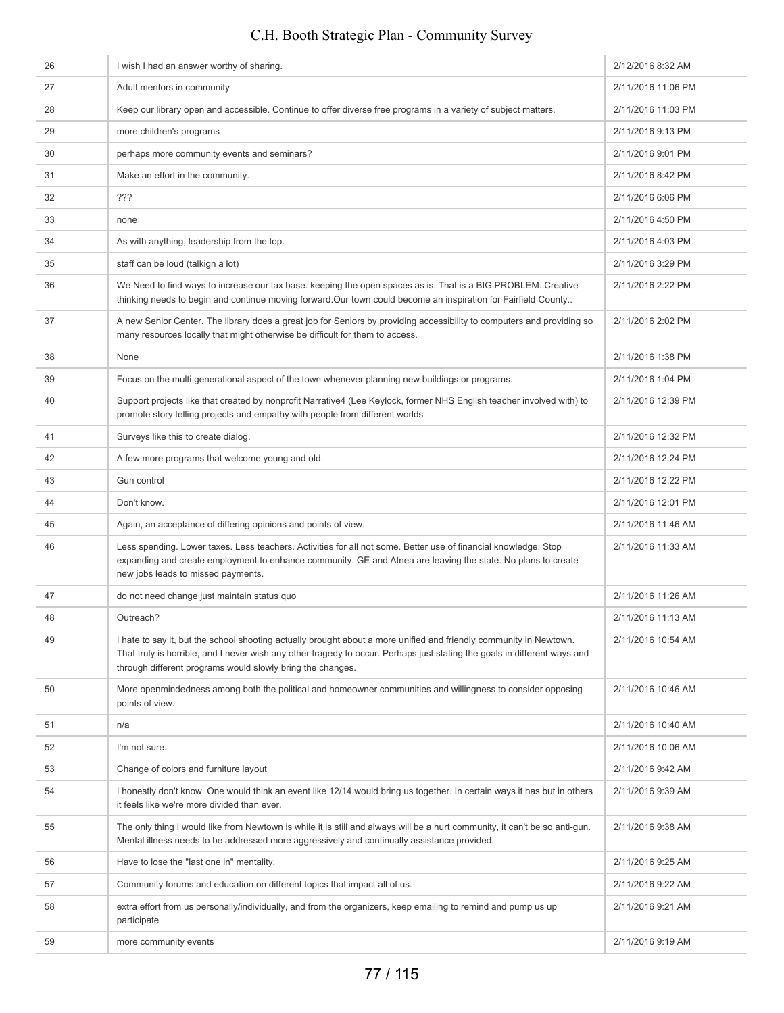#### 26 I wish I had an answer worthy of sharing. 2012/2016 8:32 AM 27 Adult mentors in community 2011/2016 11:06 PM 28 Keep our library open and accessible. Continue to offer diverse free programs in a variety of subject matters. 2/11/2016 11:03 PM 2/11/2016 9:13 PM more children's programs 2008 and the control of the control of the control of the control of the control of the control of the control of the control of the control of the control of the control of the c 30 perhaps more community events and seminars? 2/11/2016 9:01 PM 31 Make an effort in the community. **2/11/2016 8:42 PM** 2/11/2016 8:42 PM 32 ??? 2/11/2016 6:06 PM 33 none 2/11/2016 4:50 PM 34 As with anything, leadership from the top. 2/11/2016 4:03 PM 35 staff can be loud (talkign a lot) 35 staff can be loud (talkign a lot) 35 staff can be loud (talkign a lot) 36 We Need to find ways to increase our tax base. keeping the open spaces as is. That is a BIG PROBLEM..Creative thinking needs to begin and continue moving forward.Our town could become an inspiration for Fairfield County.. 2/11/2016 2:22 PM 37 A new Senior Center. The library does a great job for Seniors by providing accessibility to computers and providing so many resources locally that might otherwise be difficult for them to access. 2/11/2016 2:02 PM 38 None 2/11/2016 1:38 PM 39 Focus on the multi generational aspect of the town whenever planning new buildings or programs. 2/11/2016 1:04 PM 40 Support projects like that created by nonprofit Narrative4 (Lee Keylock, former NHS English teacher involved with) to promote story telling projects and empathy with people from different worlds 2/11/2016 12:39 PM 41 Surveys like this to create dialog. 2/11/2016 12:32 PM 42 A few more programs that welcome young and old. 2/11/2016 12:24 PM 43 Gun control 2/11/2016 12:22 PM 44 Don't know. 2/11/2016 12:01 PM Again, an acceptance of differing opinions and points of view.<br>
2/11/2016 11:46 AM 46 Less spending. Lower taxes. Less teachers. Activities for all not some. Better use of financial knowledge. Stop expanding and create employment to enhance community. GE and Atnea are leaving the state. No plans to create new jobs leads to missed payments. 2/11/2016 11:33 AM 47 do not need change just maintain status quo 2/11/2016 11:26 AM 48 Outreach? 2/11/2016 11:13 AM 49 I hate to say it, but the school shooting actually brought about a more unified and friendly community in Newtown. That truly is horrible, and I never wish any other tragedy to occur. Perhaps just stating the goals in different ways and through different programs would slowly bring the changes. 2/11/2016 10:54 AM 50 More openmindedness among both the political and homeowner communities and willingness to consider opposing points of view. 2/11/2016 10:46 AM 51 n/a 2/11/2016 10:40 AM 52 I'm not sure. 2/11/2016 10:06 AM 53 Change of colors and furniture layout 2011/2016 9:42 AM 54 I honestly don't know. One would think an event like 12/14 would bring us together. In certain ways it has but in others it feels like we're more divided than ever. 2/11/2016 9:39 AM 55 The only thing I would like from Newtown is while it is still and always will be a hurt community, it can't be so anti-gun. Mental illness needs to be addressed more aggressively and continually assistance provided. 2/11/2016 9:38 AM 56 Have to lose the "last one in" mentality. And the state of the state of the state of the 111/2016 9:25 AM 57 Community forums and education on different topics that impact all of us. 2/11/2016 9:22 AM 58 extra effort from us personally/individually, and from the organizers, keep emailing to remind and pump us up participate 2/11/2016 9:21 AM 59 more community events 2/11/2016 9:19 AM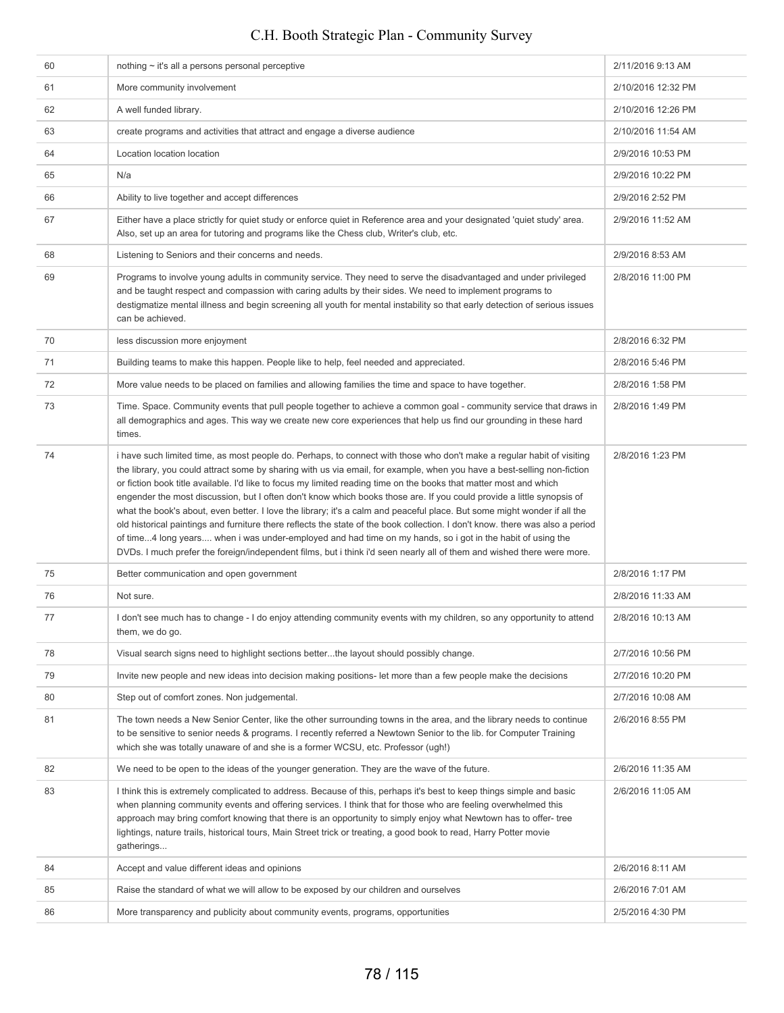| 60 | nothing $\sim$ it's all a persons personal perceptive                                                                                                                                                                                                                                                                                                                                                                                                                                                                                                                                                                                                                                                                                                                                                                                                                                                                                                                                                 | 2/11/2016 9:13 AM  |
|----|-------------------------------------------------------------------------------------------------------------------------------------------------------------------------------------------------------------------------------------------------------------------------------------------------------------------------------------------------------------------------------------------------------------------------------------------------------------------------------------------------------------------------------------------------------------------------------------------------------------------------------------------------------------------------------------------------------------------------------------------------------------------------------------------------------------------------------------------------------------------------------------------------------------------------------------------------------------------------------------------------------|--------------------|
| 61 | More community involvement                                                                                                                                                                                                                                                                                                                                                                                                                                                                                                                                                                                                                                                                                                                                                                                                                                                                                                                                                                            | 2/10/2016 12:32 PM |
| 62 | A well funded library.                                                                                                                                                                                                                                                                                                                                                                                                                                                                                                                                                                                                                                                                                                                                                                                                                                                                                                                                                                                | 2/10/2016 12:26 PM |
| 63 | create programs and activities that attract and engage a diverse audience                                                                                                                                                                                                                                                                                                                                                                                                                                                                                                                                                                                                                                                                                                                                                                                                                                                                                                                             | 2/10/2016 11:54 AM |
| 64 | Location location location                                                                                                                                                                                                                                                                                                                                                                                                                                                                                                                                                                                                                                                                                                                                                                                                                                                                                                                                                                            | 2/9/2016 10:53 PM  |
| 65 | N/a                                                                                                                                                                                                                                                                                                                                                                                                                                                                                                                                                                                                                                                                                                                                                                                                                                                                                                                                                                                                   | 2/9/2016 10:22 PM  |
| 66 | Ability to live together and accept differences                                                                                                                                                                                                                                                                                                                                                                                                                                                                                                                                                                                                                                                                                                                                                                                                                                                                                                                                                       | 2/9/2016 2:52 PM   |
| 67 | Either have a place strictly for quiet study or enforce quiet in Reference area and your designated 'quiet study' area.<br>Also, set up an area for tutoring and programs like the Chess club, Writer's club, etc.                                                                                                                                                                                                                                                                                                                                                                                                                                                                                                                                                                                                                                                                                                                                                                                    | 2/9/2016 11:52 AM  |
| 68 | Listening to Seniors and their concerns and needs.                                                                                                                                                                                                                                                                                                                                                                                                                                                                                                                                                                                                                                                                                                                                                                                                                                                                                                                                                    | 2/9/2016 8:53 AM   |
| 69 | Programs to involve young adults in community service. They need to serve the disadvantaged and under privileged<br>and be taught respect and compassion with caring adults by their sides. We need to implement programs to<br>destigmatize mental illness and begin screening all youth for mental instability so that early detection of serious issues<br>can be achieved.                                                                                                                                                                                                                                                                                                                                                                                                                                                                                                                                                                                                                        | 2/8/2016 11:00 PM  |
| 70 | less discussion more enjoyment                                                                                                                                                                                                                                                                                                                                                                                                                                                                                                                                                                                                                                                                                                                                                                                                                                                                                                                                                                        | 2/8/2016 6:32 PM   |
| 71 | Building teams to make this happen. People like to help, feel needed and appreciated.                                                                                                                                                                                                                                                                                                                                                                                                                                                                                                                                                                                                                                                                                                                                                                                                                                                                                                                 | 2/8/2016 5:46 PM   |
| 72 | More value needs to be placed on families and allowing families the time and space to have together.                                                                                                                                                                                                                                                                                                                                                                                                                                                                                                                                                                                                                                                                                                                                                                                                                                                                                                  | 2/8/2016 1:58 PM   |
| 73 | Time. Space. Community events that pull people together to achieve a common goal - community service that draws in<br>all demographics and ages. This way we create new core experiences that help us find our grounding in these hard<br>times.                                                                                                                                                                                                                                                                                                                                                                                                                                                                                                                                                                                                                                                                                                                                                      | 2/8/2016 1:49 PM   |
| 74 | i have such limited time, as most people do. Perhaps, to connect with those who don't make a regular habit of visiting<br>the library, you could attract some by sharing with us via email, for example, when you have a best-selling non-fiction<br>or fiction book title available. I'd like to focus my limited reading time on the books that matter most and which<br>engender the most discussion, but I often don't know which books those are. If you could provide a little synopsis of<br>what the book's about, even better. I love the library; it's a calm and peaceful place. But some might wonder if all the<br>old historical paintings and furniture there reflects the state of the book collection. I don't know. there was also a period<br>of time4 long years when i was under-employed and had time on my hands, so i got in the habit of using the<br>DVDs. I much prefer the foreign/independent films, but i think i'd seen nearly all of them and wished there were more. | 2/8/2016 1:23 PM   |
| 75 | Better communication and open government                                                                                                                                                                                                                                                                                                                                                                                                                                                                                                                                                                                                                                                                                                                                                                                                                                                                                                                                                              | 2/8/2016 1:17 PM   |
| 76 | Not sure.                                                                                                                                                                                                                                                                                                                                                                                                                                                                                                                                                                                                                                                                                                                                                                                                                                                                                                                                                                                             | 2/8/2016 11:33 AM  |
| 77 | I don't see much has to change - I do enjoy attending community events with my children, so any opportunity to attend<br>them, we do go.                                                                                                                                                                                                                                                                                                                                                                                                                                                                                                                                                                                                                                                                                                                                                                                                                                                              | 2/8/2016 10:13 AM  |
| 78 | Visual search signs need to highlight sections betterthe layout should possibly change.                                                                                                                                                                                                                                                                                                                                                                                                                                                                                                                                                                                                                                                                                                                                                                                                                                                                                                               | 2/7/2016 10:56 PM  |
| 79 | Invite new people and new ideas into decision making positions- let more than a few people make the decisions                                                                                                                                                                                                                                                                                                                                                                                                                                                                                                                                                                                                                                                                                                                                                                                                                                                                                         | 2/7/2016 10:20 PM  |
| 80 | Step out of comfort zones. Non judgemental.                                                                                                                                                                                                                                                                                                                                                                                                                                                                                                                                                                                                                                                                                                                                                                                                                                                                                                                                                           | 2/7/2016 10:08 AM  |
| 81 | The town needs a New Senior Center, like the other surrounding towns in the area, and the library needs to continue<br>to be sensitive to senior needs & programs. I recently referred a Newtown Senior to the lib. for Computer Training<br>which she was totally unaware of and she is a former WCSU, etc. Professor (ugh!)                                                                                                                                                                                                                                                                                                                                                                                                                                                                                                                                                                                                                                                                         | 2/6/2016 8:55 PM   |
| 82 | We need to be open to the ideas of the younger generation. They are the wave of the future.                                                                                                                                                                                                                                                                                                                                                                                                                                                                                                                                                                                                                                                                                                                                                                                                                                                                                                           | 2/6/2016 11:35 AM  |
| 83 | I think this is extremely complicated to address. Because of this, perhaps it's best to keep things simple and basic<br>when planning community events and offering services. I think that for those who are feeling overwhelmed this<br>approach may bring comfort knowing that there is an opportunity to simply enjoy what Newtown has to offer-tree<br>lightings, nature trails, historical tours, Main Street trick or treating, a good book to read, Harry Potter movie<br>gatherings                                                                                                                                                                                                                                                                                                                                                                                                                                                                                                           | 2/6/2016 11:05 AM  |
| 84 | Accept and value different ideas and opinions                                                                                                                                                                                                                                                                                                                                                                                                                                                                                                                                                                                                                                                                                                                                                                                                                                                                                                                                                         | 2/6/2016 8:11 AM   |
| 85 | Raise the standard of what we will allow to be exposed by our children and ourselves                                                                                                                                                                                                                                                                                                                                                                                                                                                                                                                                                                                                                                                                                                                                                                                                                                                                                                                  | 2/6/2016 7:01 AM   |
| 86 | More transparency and publicity about community events, programs, opportunities                                                                                                                                                                                                                                                                                                                                                                                                                                                                                                                                                                                                                                                                                                                                                                                                                                                                                                                       | 2/5/2016 4:30 PM   |
|    |                                                                                                                                                                                                                                                                                                                                                                                                                                                                                                                                                                                                                                                                                                                                                                                                                                                                                                                                                                                                       |                    |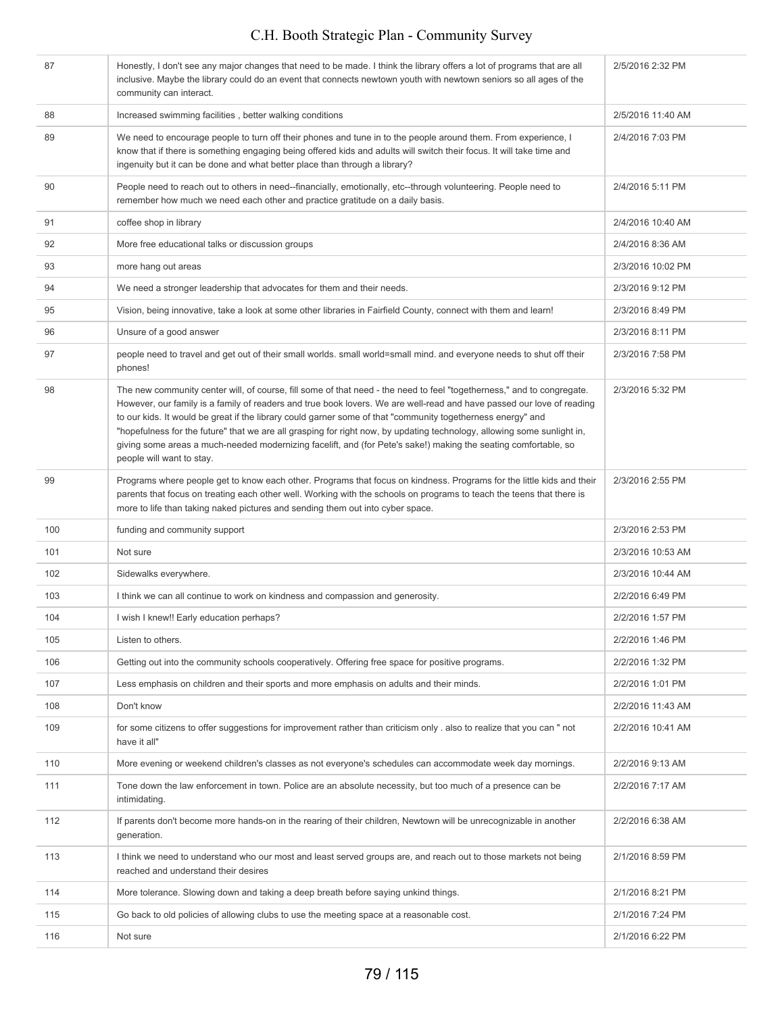| 87  | Honestly, I don't see any major changes that need to be made. I think the library offers a lot of programs that are all<br>inclusive. Maybe the library could do an event that connects newtown youth with newtown seniors so all ages of the<br>community can interact.                                                                                                                                                                                                                                                                                                                                                                  | 2/5/2016 2:32 PM  |
|-----|-------------------------------------------------------------------------------------------------------------------------------------------------------------------------------------------------------------------------------------------------------------------------------------------------------------------------------------------------------------------------------------------------------------------------------------------------------------------------------------------------------------------------------------------------------------------------------------------------------------------------------------------|-------------------|
| 88  | Increased swimming facilities, better walking conditions                                                                                                                                                                                                                                                                                                                                                                                                                                                                                                                                                                                  | 2/5/2016 11:40 AM |
| 89  | We need to encourage people to turn off their phones and tune in to the people around them. From experience, I<br>know that if there is something engaging being offered kids and adults will switch their focus. It will take time and<br>ingenuity but it can be done and what better place than through a library?                                                                                                                                                                                                                                                                                                                     | 2/4/2016 7:03 PM  |
| 90  | People need to reach out to others in need--financially, emotionally, etc--through volunteering. People need to<br>remember how much we need each other and practice gratitude on a daily basis.                                                                                                                                                                                                                                                                                                                                                                                                                                          | 2/4/2016 5:11 PM  |
| 91  | coffee shop in library                                                                                                                                                                                                                                                                                                                                                                                                                                                                                                                                                                                                                    | 2/4/2016 10:40 AM |
| 92  | More free educational talks or discussion groups                                                                                                                                                                                                                                                                                                                                                                                                                                                                                                                                                                                          | 2/4/2016 8:36 AM  |
| 93  | more hang out areas                                                                                                                                                                                                                                                                                                                                                                                                                                                                                                                                                                                                                       | 2/3/2016 10:02 PM |
| 94  | We need a stronger leadership that advocates for them and their needs.                                                                                                                                                                                                                                                                                                                                                                                                                                                                                                                                                                    | 2/3/2016 9:12 PM  |
| 95  | Vision, being innovative, take a look at some other libraries in Fairfield County, connect with them and learn!                                                                                                                                                                                                                                                                                                                                                                                                                                                                                                                           | 2/3/2016 8:49 PM  |
| 96  | Unsure of a good answer                                                                                                                                                                                                                                                                                                                                                                                                                                                                                                                                                                                                                   | 2/3/2016 8:11 PM  |
| 97  | people need to travel and get out of their small worlds. small world=small mind. and everyone needs to shut off their<br>phones!                                                                                                                                                                                                                                                                                                                                                                                                                                                                                                          | 2/3/2016 7:58 PM  |
| 98  | The new community center will, of course, fill some of that need - the need to feel "togetherness," and to congregate.<br>However, our family is a family of readers and true book lovers. We are well-read and have passed our love of reading<br>to our kids. It would be great if the library could garner some of that "community togetherness energy" and<br>"hopefulness for the future" that we are all grasping for right now, by updating technology, allowing some sunlight in,<br>giving some areas a much-needed modernizing facelift, and (for Pete's sake!) making the seating comfortable, so<br>people will want to stay. | 2/3/2016 5:32 PM  |
| 99  | Programs where people get to know each other. Programs that focus on kindness. Programs for the little kids and their<br>parents that focus on treating each other well. Working with the schools on programs to teach the teens that there is<br>more to life than taking naked pictures and sending them out into cyber space.                                                                                                                                                                                                                                                                                                          | 2/3/2016 2:55 PM  |
| 100 | funding and community support                                                                                                                                                                                                                                                                                                                                                                                                                                                                                                                                                                                                             | 2/3/2016 2:53 PM  |
| 101 | Not sure                                                                                                                                                                                                                                                                                                                                                                                                                                                                                                                                                                                                                                  | 2/3/2016 10:53 AM |
| 102 | Sidewalks everywhere.                                                                                                                                                                                                                                                                                                                                                                                                                                                                                                                                                                                                                     | 2/3/2016 10:44 AM |
| 103 | I think we can all continue to work on kindness and compassion and generosity.                                                                                                                                                                                                                                                                                                                                                                                                                                                                                                                                                            | 2/2/2016 6:49 PM  |
| 104 | I wish I knew!! Early education perhaps?                                                                                                                                                                                                                                                                                                                                                                                                                                                                                                                                                                                                  | 2/2/2016 1:57 PM  |
| 105 | Listen to others.                                                                                                                                                                                                                                                                                                                                                                                                                                                                                                                                                                                                                         | 2/2/2016 1:46 PM  |
| 106 | Getting out into the community schools cooperatively. Offering free space for positive programs.                                                                                                                                                                                                                                                                                                                                                                                                                                                                                                                                          | 2/2/2016 1:32 PM  |
| 107 | Less emphasis on children and their sports and more emphasis on adults and their minds.                                                                                                                                                                                                                                                                                                                                                                                                                                                                                                                                                   | 2/2/2016 1:01 PM  |
| 108 | Don't know                                                                                                                                                                                                                                                                                                                                                                                                                                                                                                                                                                                                                                | 2/2/2016 11:43 AM |
| 109 | for some citizens to offer suggestions for improvement rather than criticism only . also to realize that you can " not<br>have it all"                                                                                                                                                                                                                                                                                                                                                                                                                                                                                                    | 2/2/2016 10:41 AM |
| 110 | More evening or weekend children's classes as not everyone's schedules can accommodate week day mornings.                                                                                                                                                                                                                                                                                                                                                                                                                                                                                                                                 | 2/2/2016 9:13 AM  |
| 111 | Tone down the law enforcement in town. Police are an absolute necessity, but too much of a presence can be<br>intimidating.                                                                                                                                                                                                                                                                                                                                                                                                                                                                                                               | 2/2/2016 7:17 AM  |
| 112 | If parents don't become more hands-on in the rearing of their children, Newtown will be unrecognizable in another<br>generation.                                                                                                                                                                                                                                                                                                                                                                                                                                                                                                          | 2/2/2016 6:38 AM  |
| 113 | I think we need to understand who our most and least served groups are, and reach out to those markets not being<br>reached and understand their desires                                                                                                                                                                                                                                                                                                                                                                                                                                                                                  | 2/1/2016 8:59 PM  |
| 114 | More tolerance. Slowing down and taking a deep breath before saying unkind things.                                                                                                                                                                                                                                                                                                                                                                                                                                                                                                                                                        | 2/1/2016 8:21 PM  |
| 115 | Go back to old policies of allowing clubs to use the meeting space at a reasonable cost.                                                                                                                                                                                                                                                                                                                                                                                                                                                                                                                                                  | 2/1/2016 7:24 PM  |
| 116 | Not sure                                                                                                                                                                                                                                                                                                                                                                                                                                                                                                                                                                                                                                  | 2/1/2016 6:22 PM  |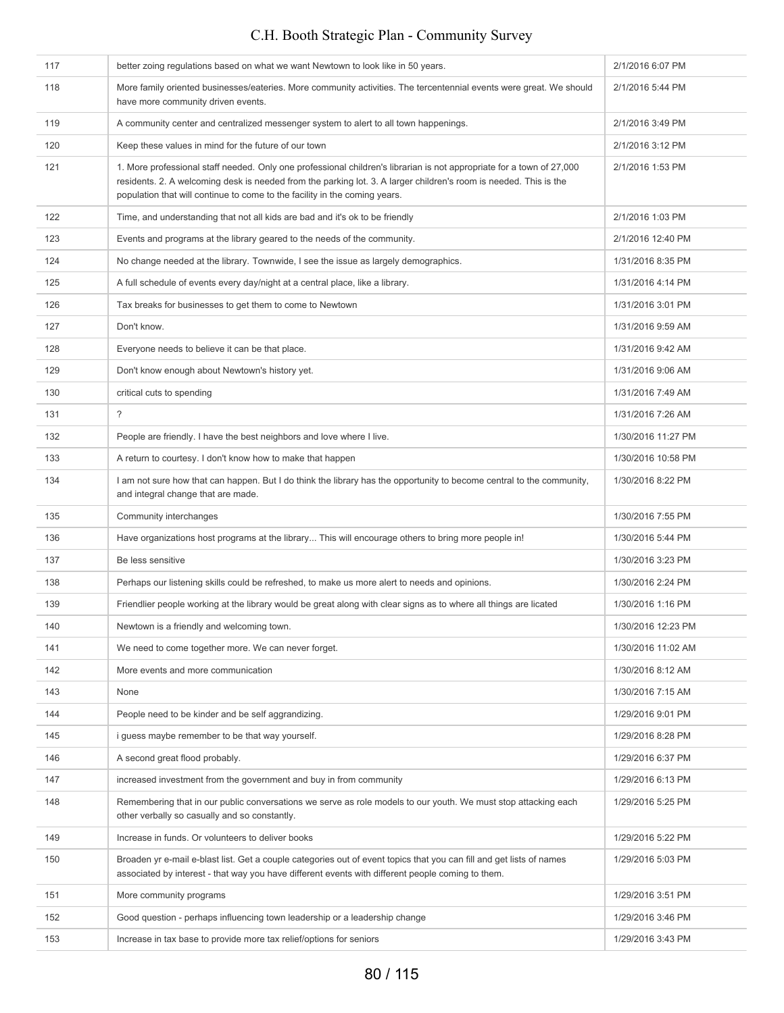## 117 better zoing regulations based on what we want Newtown to look like in 50 years. 2/1/2016 6:07 PM 118 More family oriented businesses/eateries. More community activities. The tercentennial events were great. We should have more community driven events. 2/1/2016 5:44 PM 119 A community center and centralized messenger system to alert to all town happenings. 2/1/2016 3:49 PM 120 Keep these values in mind for the future of our town 2/1/2016 3:12 PM 121 1. More professional staff needed. Only one professional children's librarian is not appropriate for a town of 27,000 residents. 2. A welcoming desk is needed from the parking lot. 3. A larger children's room is needed. This is the population that will continue to come to the facility in the coming years. 2/1/2016 1:53 PM 122 Time, and understanding that not all kids are bad and it's ok to be friendly 2001 2001 2012 2016 1:03 PM 123 Events and programs at the library geared to the needs of the community. 2/1/2016 12:40 PM 124 No change needed at the library. Townwide, I see the issue as largely demographics. 1/31/2016 8:35 PM 125 A full schedule of events every day/night at a central place, like a library. 1/31/2016 4:14 PM 126 Tax breaks for businesses to get them to come to Newtown 1/31/2016 3:01 PM 127 Don't know. 1/31/2016 9:59 AM 128 **Everyone needs to believe it can be that place.** 1/31/2016 9:42 AM 129 Don't know enough about Newtown's history yet. 1/31/2016 9:06 AM 130 critical cuts to spending 1131/2016 7:49 AM 131 2016 7:26 AM 132 People are friendly. I have the best neighbors and love where I live. 1/30/2016 11:27 PM 133 A return to courtesy. I don't know how to make that happen 1/30/2016 10:58 PM 134 I am not sure how that can happen. But I do think the library has the opportunity to become central to the community, and integral change that are made. 1/30/2016 8:22 PM 135 Community interchanges **1/30/2016 7:55 PM** 136 Have organizations host programs at the library... This will encourage others to bring more people in! 1/30/2016 5:44 PM 137 Be less sensitive 1200 and the sensitive 1130/2016 3:23 PM 138 Perhaps our listening skills could be refreshed, to make us more alert to needs and opinions. 1/30/2016 2:24 PM 139 Friendlier people working at the library would be great along with clear signs as to where all things are licated 1/30/2016 1:16 PM 140 Newtown is a friendly and welcoming town. 1/30/2016 12:23 PM Newtown is a friendly and welcoming town. 141 We need to come together more. We can never forget. 1/30/2016 11:02 AM 1/30/2016 11:02 AM 142 More events and more communication 1/30/2016 8:12 AM 143 None 102016 7:15 AM 144 People need to be kinder and be self aggrandizing. 1/29/2016 9:01 PM 145 i guess maybe remember to be that way yourself. 1/29/2016 8:28 PM 146 A second great flood probably. The second great flood probably. 147 increased investment from the government and buy in from community 1/29/2016 6:13 PM 148 Remembering that in our public conversations we serve as role models to our youth. We must stop attacking each other verbally so casually and so constantly. 1/29/2016 5:25 PM C.H. Booth Strategic Plan - Community Survey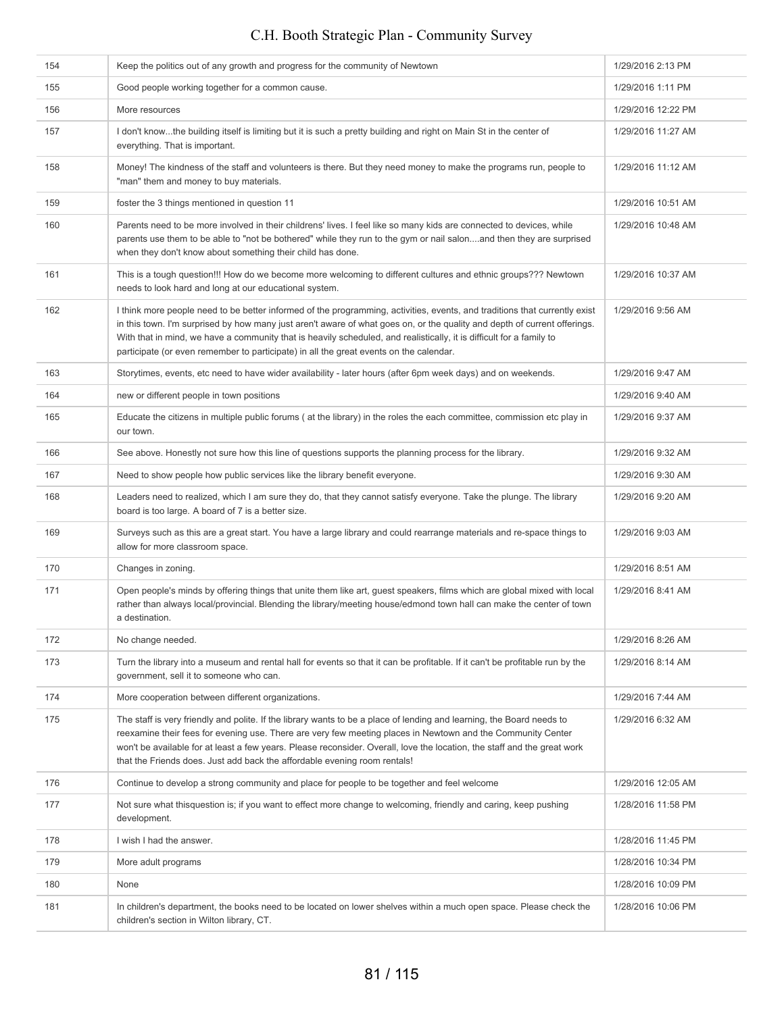| 154 | Keep the politics out of any growth and progress for the community of Newtown                                                                                                                                                                                                                                                                                                                                                                                             | 1/29/2016 2:13 PM  |
|-----|---------------------------------------------------------------------------------------------------------------------------------------------------------------------------------------------------------------------------------------------------------------------------------------------------------------------------------------------------------------------------------------------------------------------------------------------------------------------------|--------------------|
| 155 | Good people working together for a common cause.                                                                                                                                                                                                                                                                                                                                                                                                                          | 1/29/2016 1:11 PM  |
| 156 | More resources                                                                                                                                                                                                                                                                                                                                                                                                                                                            | 1/29/2016 12:22 PM |
| 157 | I don't knowthe building itself is limiting but it is such a pretty building and right on Main St in the center of<br>everything. That is important.                                                                                                                                                                                                                                                                                                                      | 1/29/2016 11:27 AM |
| 158 | Money! The kindness of the staff and volunteers is there. But they need money to make the programs run, people to<br>"man" them and money to buy materials.                                                                                                                                                                                                                                                                                                               | 1/29/2016 11:12 AM |
| 159 | foster the 3 things mentioned in question 11                                                                                                                                                                                                                                                                                                                                                                                                                              | 1/29/2016 10:51 AM |
| 160 | Parents need to be more involved in their childrens' lives. I feel like so many kids are connected to devices, while<br>parents use them to be able to "not be bothered" while they run to the gym or nail salonand then they are surprised<br>when they don't know about something their child has done.                                                                                                                                                                 | 1/29/2016 10:48 AM |
| 161 | This is a tough question!!! How do we become more welcoming to different cultures and ethnic groups??? Newtown<br>needs to look hard and long at our educational system.                                                                                                                                                                                                                                                                                                  | 1/29/2016 10:37 AM |
| 162 | I think more people need to be better informed of the programming, activities, events, and traditions that currently exist<br>in this town. I'm surprised by how many just aren't aware of what goes on, or the quality and depth of current offerings.<br>With that in mind, we have a community that is heavily scheduled, and realistically, it is difficult for a family to<br>participate (or even remember to participate) in all the great events on the calendar. | 1/29/2016 9:56 AM  |
| 163 | Storytimes, events, etc need to have wider availability - later hours (after 6pm week days) and on weekends.                                                                                                                                                                                                                                                                                                                                                              | 1/29/2016 9:47 AM  |
| 164 | new or different people in town positions                                                                                                                                                                                                                                                                                                                                                                                                                                 | 1/29/2016 9:40 AM  |
| 165 | Educate the citizens in multiple public forums (at the library) in the roles the each committee, commission etc play in<br>our town.                                                                                                                                                                                                                                                                                                                                      | 1/29/2016 9:37 AM  |
| 166 | See above. Honestly not sure how this line of questions supports the planning process for the library.                                                                                                                                                                                                                                                                                                                                                                    | 1/29/2016 9:32 AM  |
| 167 | Need to show people how public services like the library benefit everyone.                                                                                                                                                                                                                                                                                                                                                                                                | 1/29/2016 9:30 AM  |
| 168 | Leaders need to realized, which I am sure they do, that they cannot satisfy everyone. Take the plunge. The library<br>board is too large. A board of 7 is a better size.                                                                                                                                                                                                                                                                                                  | 1/29/2016 9:20 AM  |
| 169 | Surveys such as this are a great start. You have a large library and could rearrange materials and re-space things to<br>allow for more classroom space.                                                                                                                                                                                                                                                                                                                  | 1/29/2016 9:03 AM  |
| 170 | Changes in zoning.                                                                                                                                                                                                                                                                                                                                                                                                                                                        | 1/29/2016 8:51 AM  |
| 171 | Open people's minds by offering things that unite them like art, guest speakers, films which are global mixed with local<br>rather than always local/provincial. Blending the library/meeting house/edmond town hall can make the center of town<br>a destination.                                                                                                                                                                                                        | 1/29/2016 8:41 AM  |
| 172 | No change needed.                                                                                                                                                                                                                                                                                                                                                                                                                                                         | 1/29/2016 8:26 AM  |
| 173 | Turn the library into a museum and rental hall for events so that it can be profitable. If it can't be profitable run by the<br>government, sell it to someone who can.                                                                                                                                                                                                                                                                                                   | 1/29/2016 8:14 AM  |
| 174 | More cooperation between different organizations.                                                                                                                                                                                                                                                                                                                                                                                                                         | 1/29/2016 7:44 AM  |
| 175 | The staff is very friendly and polite. If the library wants to be a place of lending and learning, the Board needs to<br>reexamine their fees for evening use. There are very few meeting places in Newtown and the Community Center<br>won't be available for at least a few years. Please reconsider. Overall, love the location, the staff and the great work<br>that the Friends does. Just add back the affordable evening room rentals!                             | 1/29/2016 6:32 AM  |
| 176 | Continue to develop a strong community and place for people to be together and feel welcome                                                                                                                                                                                                                                                                                                                                                                               | 1/29/2016 12:05 AM |
| 177 | Not sure what this question is; if you want to effect more change to welcoming, friendly and caring, keep pushing<br>development.                                                                                                                                                                                                                                                                                                                                         | 1/28/2016 11:58 PM |
| 178 | I wish I had the answer.                                                                                                                                                                                                                                                                                                                                                                                                                                                  | 1/28/2016 11:45 PM |
| 179 | More adult programs                                                                                                                                                                                                                                                                                                                                                                                                                                                       | 1/28/2016 10:34 PM |
| 180 | None                                                                                                                                                                                                                                                                                                                                                                                                                                                                      | 1/28/2016 10:09 PM |
| 181 | In children's department, the books need to be located on lower shelves within a much open space. Please check the<br>children's section in Wilton library, CT.                                                                                                                                                                                                                                                                                                           | 1/28/2016 10:06 PM |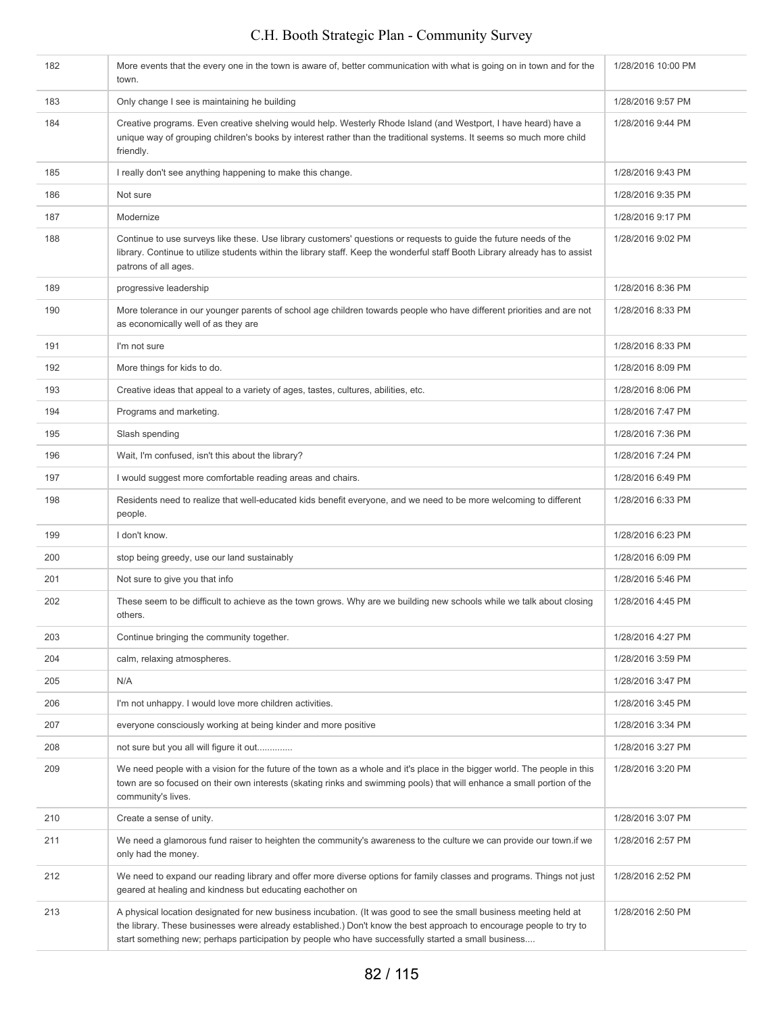| 182 | More events that the every one in the town is aware of, better communication with what is going on in town and for the<br>town.                                                                                                                                                                                                                  | 1/28/2016 10:00 PM |
|-----|--------------------------------------------------------------------------------------------------------------------------------------------------------------------------------------------------------------------------------------------------------------------------------------------------------------------------------------------------|--------------------|
| 183 | Only change I see is maintaining he building                                                                                                                                                                                                                                                                                                     | 1/28/2016 9:57 PM  |
| 184 | Creative programs. Even creative shelving would help. Westerly Rhode Island (and Westport, I have heard) have a<br>unique way of grouping children's books by interest rather than the traditional systems. It seems so much more child<br>friendly.                                                                                             | 1/28/2016 9:44 PM  |
| 185 | I really don't see anything happening to make this change.                                                                                                                                                                                                                                                                                       | 1/28/2016 9:43 PM  |
| 186 | Not sure                                                                                                                                                                                                                                                                                                                                         | 1/28/2016 9:35 PM  |
| 187 | Modernize                                                                                                                                                                                                                                                                                                                                        | 1/28/2016 9:17 PM  |
| 188 | Continue to use surveys like these. Use library customers' questions or requests to guide the future needs of the<br>library. Continue to utilize students within the library staff. Keep the wonderful staff Booth Library already has to assist<br>patrons of all ages.                                                                        | 1/28/2016 9:02 PM  |
| 189 | progressive leadership                                                                                                                                                                                                                                                                                                                           | 1/28/2016 8:36 PM  |
| 190 | More tolerance in our younger parents of school age children towards people who have different priorities and are not<br>as economically well of as they are                                                                                                                                                                                     | 1/28/2016 8:33 PM  |
| 191 | I'm not sure                                                                                                                                                                                                                                                                                                                                     | 1/28/2016 8:33 PM  |
| 192 | More things for kids to do.                                                                                                                                                                                                                                                                                                                      | 1/28/2016 8:09 PM  |
| 193 | Creative ideas that appeal to a variety of ages, tastes, cultures, abilities, etc.                                                                                                                                                                                                                                                               | 1/28/2016 8:06 PM  |
| 194 | Programs and marketing.                                                                                                                                                                                                                                                                                                                          | 1/28/2016 7:47 PM  |
| 195 | Slash spending                                                                                                                                                                                                                                                                                                                                   | 1/28/2016 7:36 PM  |
| 196 | Wait, I'm confused, isn't this about the library?                                                                                                                                                                                                                                                                                                | 1/28/2016 7:24 PM  |
| 197 | I would suggest more comfortable reading areas and chairs.                                                                                                                                                                                                                                                                                       | 1/28/2016 6:49 PM  |
| 198 | Residents need to realize that well-educated kids benefit everyone, and we need to be more welcoming to different<br>people.                                                                                                                                                                                                                     | 1/28/2016 6:33 PM  |
| 199 | I don't know.                                                                                                                                                                                                                                                                                                                                    | 1/28/2016 6:23 PM  |
| 200 | stop being greedy, use our land sustainably                                                                                                                                                                                                                                                                                                      | 1/28/2016 6:09 PM  |
| 201 | Not sure to give you that info                                                                                                                                                                                                                                                                                                                   | 1/28/2016 5:46 PM  |
| 202 | These seem to be difficult to achieve as the town grows. Why are we building new schools while we talk about closing<br>others.                                                                                                                                                                                                                  | 1/28/2016 4:45 PM  |
| 203 | Continue bringing the community together.                                                                                                                                                                                                                                                                                                        | 1/28/2016 4:27 PM  |
| 204 | calm, relaxing atmospheres.                                                                                                                                                                                                                                                                                                                      | 1/28/2016 3:59 PM  |
| 205 | N/A                                                                                                                                                                                                                                                                                                                                              | 1/28/2016 3:47 PM  |
| 206 | I'm not unhappy. I would love more children activities.                                                                                                                                                                                                                                                                                          | 1/28/2016 3:45 PM  |
| 207 | everyone consciously working at being kinder and more positive                                                                                                                                                                                                                                                                                   | 1/28/2016 3:34 PM  |
| 208 | not sure but you all will figure it out                                                                                                                                                                                                                                                                                                          | 1/28/2016 3:27 PM  |
| 209 | We need people with a vision for the future of the town as a whole and it's place in the bigger world. The people in this<br>town are so focused on their own interests (skating rinks and swimming pools) that will enhance a small portion of the<br>community's lives.                                                                        | 1/28/2016 3:20 PM  |
| 210 | Create a sense of unity.                                                                                                                                                                                                                                                                                                                         | 1/28/2016 3:07 PM  |
| 211 | We need a glamorous fund raiser to heighten the community's awareness to the culture we can provide our town if we<br>only had the money.                                                                                                                                                                                                        | 1/28/2016 2:57 PM  |
| 212 | We need to expand our reading library and offer more diverse options for family classes and programs. Things not just<br>geared at healing and kindness but educating eachother on                                                                                                                                                               | 1/28/2016 2:52 PM  |
| 213 | A physical location designated for new business incubation. (It was good to see the small business meeting held at<br>the library. These businesses were already established.) Don't know the best approach to encourage people to try to<br>start something new; perhaps participation by people who have successfully started a small business | 1/28/2016 2:50 PM  |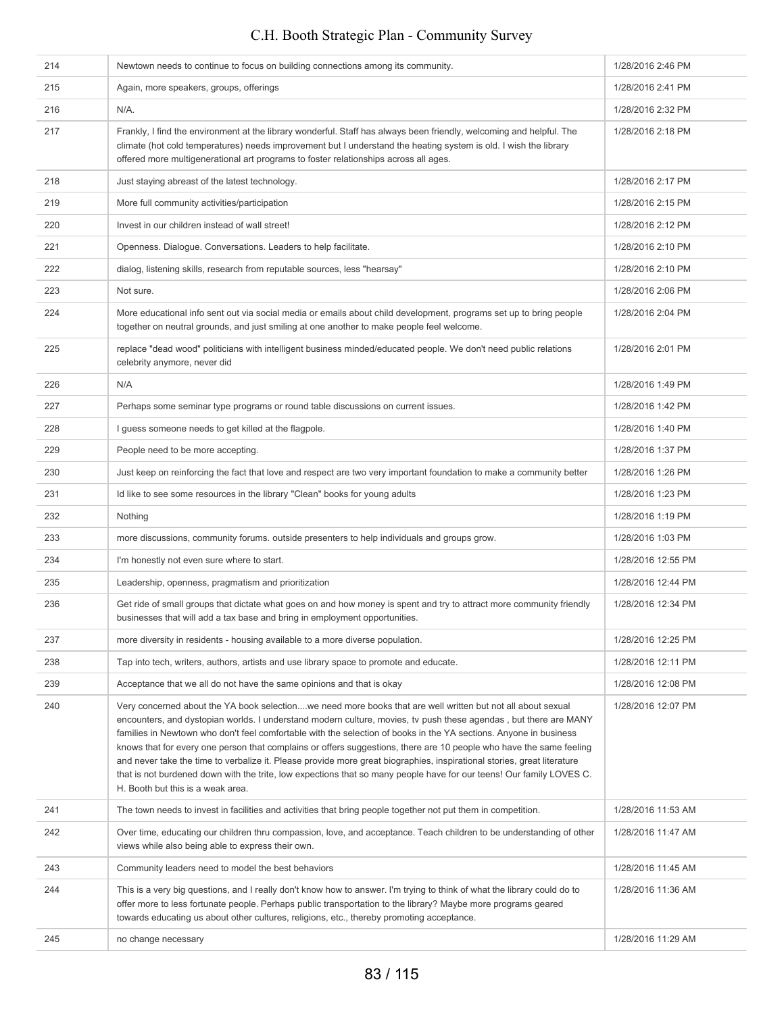| 214 | Newtown needs to continue to focus on building connections among its community.                                                                                                                                                                                                                                                                                                                                                                                                                                                                                                                                                                                                                                                                                     | 1/28/2016 2:46 PM  |
|-----|---------------------------------------------------------------------------------------------------------------------------------------------------------------------------------------------------------------------------------------------------------------------------------------------------------------------------------------------------------------------------------------------------------------------------------------------------------------------------------------------------------------------------------------------------------------------------------------------------------------------------------------------------------------------------------------------------------------------------------------------------------------------|--------------------|
| 215 | Again, more speakers, groups, offerings                                                                                                                                                                                                                                                                                                                                                                                                                                                                                                                                                                                                                                                                                                                             | 1/28/2016 2:41 PM  |
| 216 | N/A.                                                                                                                                                                                                                                                                                                                                                                                                                                                                                                                                                                                                                                                                                                                                                                | 1/28/2016 2:32 PM  |
| 217 | Frankly, I find the environment at the library wonderful. Staff has always been friendly, welcoming and helpful. The<br>climate (hot cold temperatures) needs improvement but I understand the heating system is old. I wish the library<br>offered more multigenerational art programs to foster relationships across all ages.                                                                                                                                                                                                                                                                                                                                                                                                                                    | 1/28/2016 2:18 PM  |
| 218 | Just staying abreast of the latest technology.                                                                                                                                                                                                                                                                                                                                                                                                                                                                                                                                                                                                                                                                                                                      | 1/28/2016 2:17 PM  |
| 219 | More full community activities/participation                                                                                                                                                                                                                                                                                                                                                                                                                                                                                                                                                                                                                                                                                                                        | 1/28/2016 2:15 PM  |
| 220 | Invest in our children instead of wall street!                                                                                                                                                                                                                                                                                                                                                                                                                                                                                                                                                                                                                                                                                                                      | 1/28/2016 2:12 PM  |
| 221 | Openness. Dialogue. Conversations. Leaders to help facilitate.                                                                                                                                                                                                                                                                                                                                                                                                                                                                                                                                                                                                                                                                                                      | 1/28/2016 2:10 PM  |
| 222 | dialog, listening skills, research from reputable sources, less "hearsay"                                                                                                                                                                                                                                                                                                                                                                                                                                                                                                                                                                                                                                                                                           | 1/28/2016 2:10 PM  |
| 223 | Not sure.                                                                                                                                                                                                                                                                                                                                                                                                                                                                                                                                                                                                                                                                                                                                                           | 1/28/2016 2:06 PM  |
| 224 | More educational info sent out via social media or emails about child development, programs set up to bring people<br>together on neutral grounds, and just smiling at one another to make people feel welcome.                                                                                                                                                                                                                                                                                                                                                                                                                                                                                                                                                     | 1/28/2016 2:04 PM  |
| 225 | replace "dead wood" politicians with intelligent business minded/educated people. We don't need public relations<br>celebrity anymore, never did                                                                                                                                                                                                                                                                                                                                                                                                                                                                                                                                                                                                                    | 1/28/2016 2:01 PM  |
| 226 | N/A                                                                                                                                                                                                                                                                                                                                                                                                                                                                                                                                                                                                                                                                                                                                                                 | 1/28/2016 1:49 PM  |
| 227 | Perhaps some seminar type programs or round table discussions on current issues.                                                                                                                                                                                                                                                                                                                                                                                                                                                                                                                                                                                                                                                                                    | 1/28/2016 1:42 PM  |
| 228 | I guess someone needs to get killed at the flagpole.                                                                                                                                                                                                                                                                                                                                                                                                                                                                                                                                                                                                                                                                                                                | 1/28/2016 1:40 PM  |
| 229 | People need to be more accepting.                                                                                                                                                                                                                                                                                                                                                                                                                                                                                                                                                                                                                                                                                                                                   | 1/28/2016 1:37 PM  |
| 230 | Just keep on reinforcing the fact that love and respect are two very important foundation to make a community better                                                                                                                                                                                                                                                                                                                                                                                                                                                                                                                                                                                                                                                | 1/28/2016 1:26 PM  |
| 231 | Id like to see some resources in the library "Clean" books for young adults                                                                                                                                                                                                                                                                                                                                                                                                                                                                                                                                                                                                                                                                                         | 1/28/2016 1:23 PM  |
| 232 | Nothing                                                                                                                                                                                                                                                                                                                                                                                                                                                                                                                                                                                                                                                                                                                                                             | 1/28/2016 1:19 PM  |
| 233 | more discussions, community forums. outside presenters to help individuals and groups grow.                                                                                                                                                                                                                                                                                                                                                                                                                                                                                                                                                                                                                                                                         | 1/28/2016 1:03 PM  |
| 234 | I'm honestly not even sure where to start.                                                                                                                                                                                                                                                                                                                                                                                                                                                                                                                                                                                                                                                                                                                          | 1/28/2016 12:55 PM |
| 235 | Leadership, openness, pragmatism and prioritization                                                                                                                                                                                                                                                                                                                                                                                                                                                                                                                                                                                                                                                                                                                 | 1/28/2016 12:44 PM |
| 236 | Get ride of small groups that dictate what goes on and how money is spent and try to attract more community friendly<br>businesses that will add a tax base and bring in employment opportunities.                                                                                                                                                                                                                                                                                                                                                                                                                                                                                                                                                                  | 1/28/2016 12:34 PM |
| 237 | more diversity in residents - housing available to a more diverse population.                                                                                                                                                                                                                                                                                                                                                                                                                                                                                                                                                                                                                                                                                       | 1/28/2016 12:25 PM |
| 238 | Tap into tech, writers, authors, artists and use library space to promote and educate.                                                                                                                                                                                                                                                                                                                                                                                                                                                                                                                                                                                                                                                                              | 1/28/2016 12:11 PM |
| 239 | Acceptance that we all do not have the same opinions and that is okay                                                                                                                                                                                                                                                                                                                                                                                                                                                                                                                                                                                                                                                                                               | 1/28/2016 12:08 PM |
| 240 | Very concerned about the YA book selectionwe need more books that are well written but not all about sexual<br>encounters, and dystopian worlds. I understand modern culture, movies, tv push these agendas, but there are MANY<br>families in Newtown who don't feel comfortable with the selection of books in the YA sections. Anyone in business<br>knows that for every one person that complains or offers suggestions, there are 10 people who have the same feeling<br>and never take the time to verbalize it. Please provide more great biographies, inspirational stories, great literature<br>that is not burdened down with the trite, low expections that so many people have for our teens! Our family LOVES C.<br>H. Booth but this is a weak area. | 1/28/2016 12:07 PM |
| 241 | The town needs to invest in facilities and activities that bring people together not put them in competition.                                                                                                                                                                                                                                                                                                                                                                                                                                                                                                                                                                                                                                                       | 1/28/2016 11:53 AM |
| 242 | Over time, educating our children thru compassion, love, and acceptance. Teach children to be understanding of other<br>views while also being able to express their own.                                                                                                                                                                                                                                                                                                                                                                                                                                                                                                                                                                                           | 1/28/2016 11:47 AM |
| 243 | Community leaders need to model the best behaviors                                                                                                                                                                                                                                                                                                                                                                                                                                                                                                                                                                                                                                                                                                                  | 1/28/2016 11:45 AM |
| 244 | This is a very big questions, and I really don't know how to answer. I'm trying to think of what the library could do to<br>offer more to less fortunate people. Perhaps public transportation to the library? Maybe more programs geared<br>towards educating us about other cultures, religions, etc., thereby promoting acceptance.                                                                                                                                                                                                                                                                                                                                                                                                                              | 1/28/2016 11:36 AM |
| 245 | no change necessary                                                                                                                                                                                                                                                                                                                                                                                                                                                                                                                                                                                                                                                                                                                                                 | 1/28/2016 11:29 AM |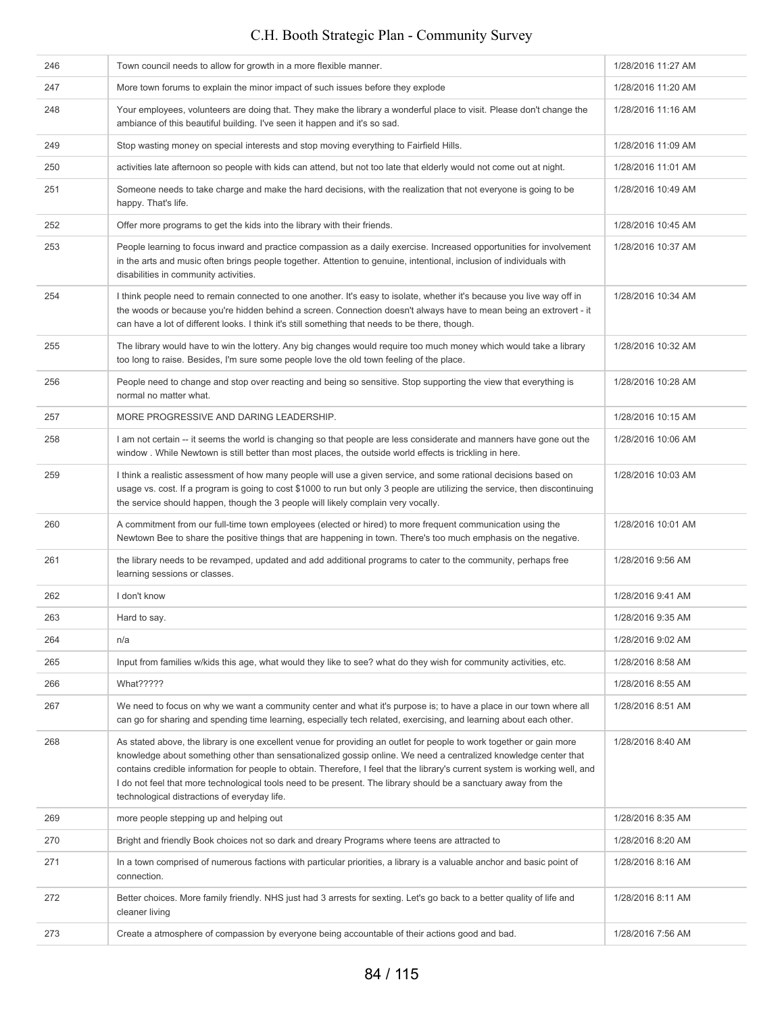| 246 | Town council needs to allow for growth in a more flexible manner.                                                                                                                                                                                                                                                                                                                                                                                                                                                                          | 1/28/2016 11:27 AM |
|-----|--------------------------------------------------------------------------------------------------------------------------------------------------------------------------------------------------------------------------------------------------------------------------------------------------------------------------------------------------------------------------------------------------------------------------------------------------------------------------------------------------------------------------------------------|--------------------|
| 247 | More town forums to explain the minor impact of such issues before they explode                                                                                                                                                                                                                                                                                                                                                                                                                                                            | 1/28/2016 11:20 AM |
| 248 | Your employees, volunteers are doing that. They make the library a wonderful place to visit. Please don't change the<br>ambiance of this beautiful building. I've seen it happen and it's so sad.                                                                                                                                                                                                                                                                                                                                          | 1/28/2016 11:16 AM |
| 249 | Stop wasting money on special interests and stop moving everything to Fairfield Hills.                                                                                                                                                                                                                                                                                                                                                                                                                                                     | 1/28/2016 11:09 AM |
| 250 | activities late afternoon so people with kids can attend, but not too late that elderly would not come out at night.                                                                                                                                                                                                                                                                                                                                                                                                                       | 1/28/2016 11:01 AM |
| 251 | Someone needs to take charge and make the hard decisions, with the realization that not everyone is going to be<br>happy. That's life.                                                                                                                                                                                                                                                                                                                                                                                                     | 1/28/2016 10:49 AM |
| 252 | Offer more programs to get the kids into the library with their friends.                                                                                                                                                                                                                                                                                                                                                                                                                                                                   | 1/28/2016 10:45 AM |
| 253 | People learning to focus inward and practice compassion as a daily exercise. Increased opportunities for involvement<br>in the arts and music often brings people together. Attention to genuine, intentional, inclusion of individuals with<br>disabilities in community activities.                                                                                                                                                                                                                                                      | 1/28/2016 10:37 AM |
| 254 | I think people need to remain connected to one another. It's easy to isolate, whether it's because you live way off in<br>the woods or because you're hidden behind a screen. Connection doesn't always have to mean being an extrovert - it<br>can have a lot of different looks. I think it's still something that needs to be there, though.                                                                                                                                                                                            | 1/28/2016 10:34 AM |
| 255 | The library would have to win the lottery. Any big changes would require too much money which would take a library<br>too long to raise. Besides, I'm sure some people love the old town feeling of the place.                                                                                                                                                                                                                                                                                                                             | 1/28/2016 10:32 AM |
| 256 | People need to change and stop over reacting and being so sensitive. Stop supporting the view that everything is<br>normal no matter what.                                                                                                                                                                                                                                                                                                                                                                                                 | 1/28/2016 10:28 AM |
| 257 | MORE PROGRESSIVE AND DARING LEADERSHIP.                                                                                                                                                                                                                                                                                                                                                                                                                                                                                                    | 1/28/2016 10:15 AM |
| 258 | I am not certain -- it seems the world is changing so that people are less considerate and manners have gone out the<br>window. While Newtown is still better than most places, the outside world effects is trickling in here.                                                                                                                                                                                                                                                                                                            | 1/28/2016 10:06 AM |
| 259 | I think a realistic assessment of how many people will use a given service, and some rational decisions based on<br>usage vs. cost. If a program is going to cost \$1000 to run but only 3 people are utilizing the service, then discontinuing<br>the service should happen, though the 3 people will likely complain very vocally.                                                                                                                                                                                                       | 1/28/2016 10:03 AM |
| 260 | A commitment from our full-time town employees (elected or hired) to more frequent communication using the<br>Newtown Bee to share the positive things that are happening in town. There's too much emphasis on the negative.                                                                                                                                                                                                                                                                                                              | 1/28/2016 10:01 AM |
| 261 | the library needs to be revamped, updated and add additional programs to cater to the community, perhaps free<br>learning sessions or classes.                                                                                                                                                                                                                                                                                                                                                                                             | 1/28/2016 9:56 AM  |
| 262 | I don't know                                                                                                                                                                                                                                                                                                                                                                                                                                                                                                                               | 1/28/2016 9:41 AM  |
| 263 | Hard to say.                                                                                                                                                                                                                                                                                                                                                                                                                                                                                                                               | 1/28/2016 9:35 AM  |
| 264 | n/a                                                                                                                                                                                                                                                                                                                                                                                                                                                                                                                                        | 1/28/2016 9:02 AM  |
| 265 | Input from families w/kids this age, what would they like to see? what do they wish for community activities, etc.                                                                                                                                                                                                                                                                                                                                                                                                                         | 1/28/2016 8:58 AM  |
| 266 | What?????                                                                                                                                                                                                                                                                                                                                                                                                                                                                                                                                  | 1/28/2016 8:55 AM  |
| 267 | We need to focus on why we want a community center and what it's purpose is; to have a place in our town where all<br>can go for sharing and spending time learning, especially tech related, exercising, and learning about each other.                                                                                                                                                                                                                                                                                                   | 1/28/2016 8:51 AM  |
| 268 | As stated above, the library is one excellent venue for providing an outlet for people to work together or gain more<br>knowledge about something other than sensationalized gossip online. We need a centralized knowledge center that<br>contains credible information for people to obtain. Therefore, I feel that the library's current system is working well, and<br>I do not feel that more technological tools need to be present. The library should be a sanctuary away from the<br>technological distractions of everyday life. | 1/28/2016 8:40 AM  |
| 269 | more people stepping up and helping out                                                                                                                                                                                                                                                                                                                                                                                                                                                                                                    | 1/28/2016 8:35 AM  |
| 270 | Bright and friendly Book choices not so dark and dreary Programs where teens are attracted to                                                                                                                                                                                                                                                                                                                                                                                                                                              | 1/28/2016 8:20 AM  |
| 271 | In a town comprised of numerous factions with particular priorities, a library is a valuable anchor and basic point of<br>connection.                                                                                                                                                                                                                                                                                                                                                                                                      | 1/28/2016 8:16 AM  |
| 272 | Better choices. More family friendly. NHS just had 3 arrests for sexting. Let's go back to a better quality of life and<br>cleaner living                                                                                                                                                                                                                                                                                                                                                                                                  | 1/28/2016 8:11 AM  |
| 273 | Create a atmosphere of compassion by everyone being accountable of their actions good and bad.                                                                                                                                                                                                                                                                                                                                                                                                                                             | 1/28/2016 7:56 AM  |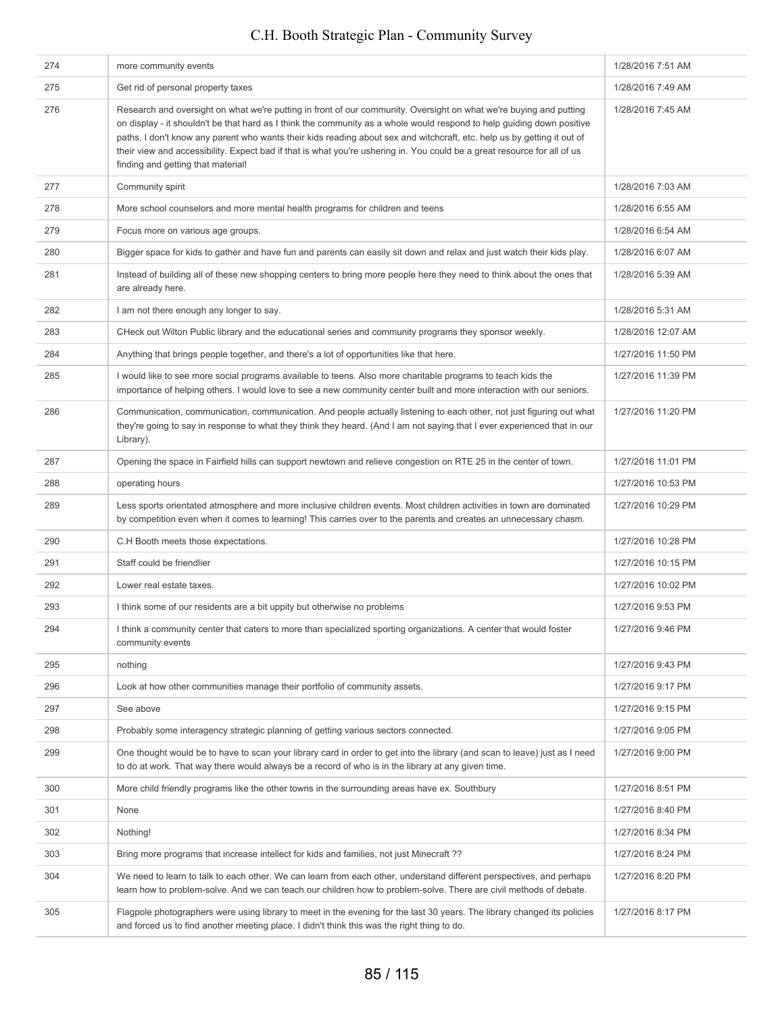#### 274 more community events 274 more community events 275 Get rid of personal property taxes 1/28/2016 7:49 AM 276 Research and oversight on what we're putting in front of our community. Oversight on what we're buying and putting on display - it shouldn't be that hard as I think the community as a whole would respond to help guiding down positive paths. I don't know any parent who wants their kids reading about sex and witchcraft, etc. help us by getting it out of their view and accessibility. Expect bad if that is what you're ushering in. You could be a great resource for all of us finding and getting that material! 1/28/2016 7:45 AM 277 Community spirit 2002 Community spirit 278 More school counselors and more mental health programs for children and teens 1/28/2016 6:55 AM 279 Focus more on various age groups. 1/28/2016 6:54 AM 280 Bigger space for kids to gather and have fun and parents can easily sit down and relax and just watch their kids play. 1/28/2016 6:07 AM 281 Instead of building all of these new shopping centers to bring more people here they need to think about the ones that are already here. 1/28/2016 5:39 AM 1/28/2016 5:31 AM and there enough any longer to say. 1/28/2016 5:31 AM and the same same same say in the same say in the same say in the same say in the same say in the same say in the same say in the same say in the same 283 CHeck out Wilton Public library and the educational series and community programs they sponsor weekly. 1/28/2016 12:07 AM 284 Anything that brings people together, and there's a lot of opportunities like that here. 1/27/2016 11:50 PM 285 I would like to see more social programs available to teens. Also more charitable programs to teach kids the importance of helping others. I would love to see a new community center built and more interaction with our seniors. 1/27/2016 11:39 PM 286 Communication, communication, communication. And people actually listening to each other, not just figuring out what they're going to say in response to what they think they heard. (And I am not saying that I ever experienced that in our Library). 1/27/2016 11:20 PM 287 Opening the space in Fairfield hills can support newtown and relieve congestion on RTE 25 in the center of town. 1/27/2016 11:01 PM 288 operating hours in the control of the control of the control of the control of the control of the control of the control of the control of the control of the control of the control of the control of the control of the 289 Less sports orientated atmosphere and more inclusive children events. Most children activities in town are dominated by competition even when it comes to learning! This carries over to the parents and creates an unnecessary chasm. 1/27/2016 10:29 PM 290 C.H Booth meets those expectations. 1/27/2016 10:28 PM 291 Staff could be friendlier **1/27/2016** 10:15 PM 292 Lower real estate taxes. 1/27/2016 10:02 PM 293 I think some of our residents are a bit uppity but otherwise no problems 1/27/2016 9:53 PM 294 I think a community center that caters to more than specialized sporting organizations. A center that would foster community events 1/27/2016 9:46 PM 295 nothing 1/27/2016 9:43 PM 296 Look at how other communities manage their portfolio of community assets. 1/27/2016 9:17 PM 297 See above 2007 See above 2012 1/27/2016 9:15 PM 298 Probably some interagency strategic planning of getting various sectors connected. 1/27/2016 9:05 PM 299 One thought would be to have to scan your library card in order to get into the library (and scan to leave) just as I need to do at work. That way there would always be a record of who is in the library at any given time. 1/27/2016 9:00 PM 300 More child friendly programs like the other towns in the surrounding areas have ex. Southbury 1/27/2016 8:51 PM 301 None 2012 None 2012 1/27/2016 8:40 PM 302 Nothing! 1/27/2016 8:34 PM 303 Bring more programs that increase intellect for kids and families, not just Minecraft ?? 1/27/2016 8:24 PM 304 We need to learn to talk to each other. We can learn from each other, understand different perspectives, and perhaps learn how to problem-solve. And we can teach our children how to problem-solve. There are civil methods of debate. 1/27/2016 8:20 PM 305 Flagpole photographers were using library to meet in the evening for the last 30 years. The library changed its policies and forced us to find another meeting place. I didn't think this was the right thing to do. 1/27/2016 8:17 PM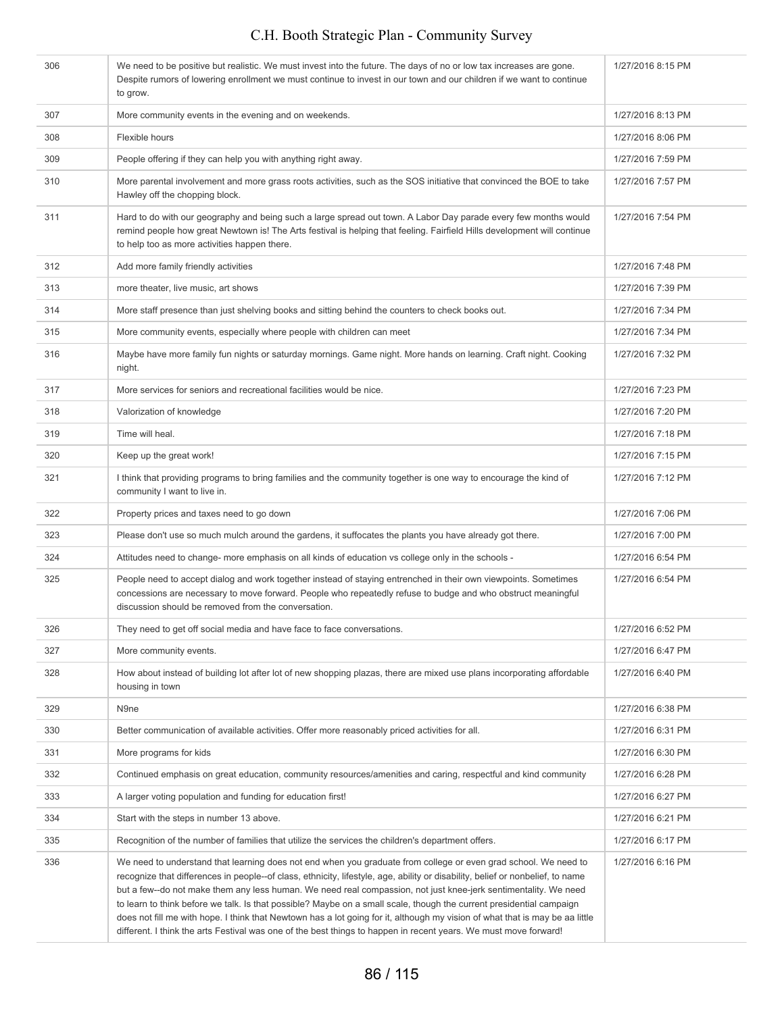| 306 | We need to be positive but realistic. We must invest into the future. The days of no or low tax increases are gone.<br>Despite rumors of lowering enrollment we must continue to invest in our town and our children if we want to continue<br>to grow.                                                                                                                                                                                                                                                                                                                                                                                                                                                                                          | 1/27/2016 8:15 PM |
|-----|--------------------------------------------------------------------------------------------------------------------------------------------------------------------------------------------------------------------------------------------------------------------------------------------------------------------------------------------------------------------------------------------------------------------------------------------------------------------------------------------------------------------------------------------------------------------------------------------------------------------------------------------------------------------------------------------------------------------------------------------------|-------------------|
| 307 | More community events in the evening and on weekends.                                                                                                                                                                                                                                                                                                                                                                                                                                                                                                                                                                                                                                                                                            | 1/27/2016 8:13 PM |
| 308 | Flexible hours                                                                                                                                                                                                                                                                                                                                                                                                                                                                                                                                                                                                                                                                                                                                   | 1/27/2016 8:06 PM |
| 309 | People offering if they can help you with anything right away.                                                                                                                                                                                                                                                                                                                                                                                                                                                                                                                                                                                                                                                                                   | 1/27/2016 7:59 PM |
| 310 | More parental involvement and more grass roots activities, such as the SOS initiative that convinced the BOE to take<br>Hawley off the chopping block.                                                                                                                                                                                                                                                                                                                                                                                                                                                                                                                                                                                           | 1/27/2016 7:57 PM |
| 311 | Hard to do with our geography and being such a large spread out town. A Labor Day parade every few months would<br>remind people how great Newtown is! The Arts festival is helping that feeling. Fairfield Hills development will continue<br>to help too as more activities happen there.                                                                                                                                                                                                                                                                                                                                                                                                                                                      | 1/27/2016 7:54 PM |
| 312 | Add more family friendly activities                                                                                                                                                                                                                                                                                                                                                                                                                                                                                                                                                                                                                                                                                                              | 1/27/2016 7:48 PM |
| 313 | more theater, live music, art shows                                                                                                                                                                                                                                                                                                                                                                                                                                                                                                                                                                                                                                                                                                              | 1/27/2016 7:39 PM |
| 314 | More staff presence than just shelving books and sitting behind the counters to check books out.                                                                                                                                                                                                                                                                                                                                                                                                                                                                                                                                                                                                                                                 | 1/27/2016 7:34 PM |
| 315 | More community events, especially where people with children can meet                                                                                                                                                                                                                                                                                                                                                                                                                                                                                                                                                                                                                                                                            | 1/27/2016 7:34 PM |
| 316 | Maybe have more family fun nights or saturday mornings. Game night. More hands on learning. Craft night. Cooking<br>night.                                                                                                                                                                                                                                                                                                                                                                                                                                                                                                                                                                                                                       | 1/27/2016 7:32 PM |
| 317 | More services for seniors and recreational facilities would be nice.                                                                                                                                                                                                                                                                                                                                                                                                                                                                                                                                                                                                                                                                             | 1/27/2016 7:23 PM |
| 318 | Valorization of knowledge                                                                                                                                                                                                                                                                                                                                                                                                                                                                                                                                                                                                                                                                                                                        | 1/27/2016 7:20 PM |
| 319 | Time will heal.                                                                                                                                                                                                                                                                                                                                                                                                                                                                                                                                                                                                                                                                                                                                  | 1/27/2016 7:18 PM |
| 320 | Keep up the great work!                                                                                                                                                                                                                                                                                                                                                                                                                                                                                                                                                                                                                                                                                                                          | 1/27/2016 7:15 PM |
| 321 | I think that providing programs to bring families and the community together is one way to encourage the kind of<br>community I want to live in.                                                                                                                                                                                                                                                                                                                                                                                                                                                                                                                                                                                                 | 1/27/2016 7:12 PM |
| 322 | Property prices and taxes need to go down                                                                                                                                                                                                                                                                                                                                                                                                                                                                                                                                                                                                                                                                                                        | 1/27/2016 7:06 PM |
| 323 | Please don't use so much mulch around the gardens, it suffocates the plants you have already got there.                                                                                                                                                                                                                                                                                                                                                                                                                                                                                                                                                                                                                                          | 1/27/2016 7:00 PM |
| 324 | Attitudes need to change- more emphasis on all kinds of education vs college only in the schools -                                                                                                                                                                                                                                                                                                                                                                                                                                                                                                                                                                                                                                               | 1/27/2016 6:54 PM |
| 325 | People need to accept dialog and work together instead of staying entrenched in their own viewpoints. Sometimes<br>concessions are necessary to move forward. People who repeatedly refuse to budge and who obstruct meaningful<br>discussion should be removed from the conversation.                                                                                                                                                                                                                                                                                                                                                                                                                                                           | 1/27/2016 6:54 PM |
| 326 | They need to get off social media and have face to face conversations.                                                                                                                                                                                                                                                                                                                                                                                                                                                                                                                                                                                                                                                                           | 1/27/2016 6:52 PM |
| 327 | More community events.                                                                                                                                                                                                                                                                                                                                                                                                                                                                                                                                                                                                                                                                                                                           | 1/27/2016 6:47 PM |
| 328 | How about instead of building lot after lot of new shopping plazas, there are mixed use plans incorporating affordable<br>housing in town                                                                                                                                                                                                                                                                                                                                                                                                                                                                                                                                                                                                        | 1/27/2016 6:40 PM |
| 329 | N9ne                                                                                                                                                                                                                                                                                                                                                                                                                                                                                                                                                                                                                                                                                                                                             | 1/27/2016 6:38 PM |
| 330 | Better communication of available activities. Offer more reasonably priced activities for all.                                                                                                                                                                                                                                                                                                                                                                                                                                                                                                                                                                                                                                                   | 1/27/2016 6:31 PM |
| 331 | More programs for kids                                                                                                                                                                                                                                                                                                                                                                                                                                                                                                                                                                                                                                                                                                                           | 1/27/2016 6:30 PM |
| 332 | Continued emphasis on great education, community resources/amenities and caring, respectful and kind community                                                                                                                                                                                                                                                                                                                                                                                                                                                                                                                                                                                                                                   | 1/27/2016 6:28 PM |
| 333 | A larger voting population and funding for education first!                                                                                                                                                                                                                                                                                                                                                                                                                                                                                                                                                                                                                                                                                      | 1/27/2016 6:27 PM |
| 334 | Start with the steps in number 13 above.                                                                                                                                                                                                                                                                                                                                                                                                                                                                                                                                                                                                                                                                                                         | 1/27/2016 6:21 PM |
| 335 | Recognition of the number of families that utilize the services the children's department offers.                                                                                                                                                                                                                                                                                                                                                                                                                                                                                                                                                                                                                                                | 1/27/2016 6:17 PM |
| 336 | We need to understand that learning does not end when you graduate from college or even grad school. We need to<br>recognize that differences in people--of class, ethnicity, lifestyle, age, ability or disability, belief or nonbelief, to name<br>but a few--do not make them any less human. We need real compassion, not just knee-jerk sentimentality. We need<br>to learn to think before we talk. Is that possible? Maybe on a small scale, though the current presidential campaign<br>does not fill me with hope. I think that Newtown has a lot going for it, although my vision of what that is may be aa little<br>different. I think the arts Festival was one of the best things to happen in recent years. We must move forward! | 1/27/2016 6:16 PM |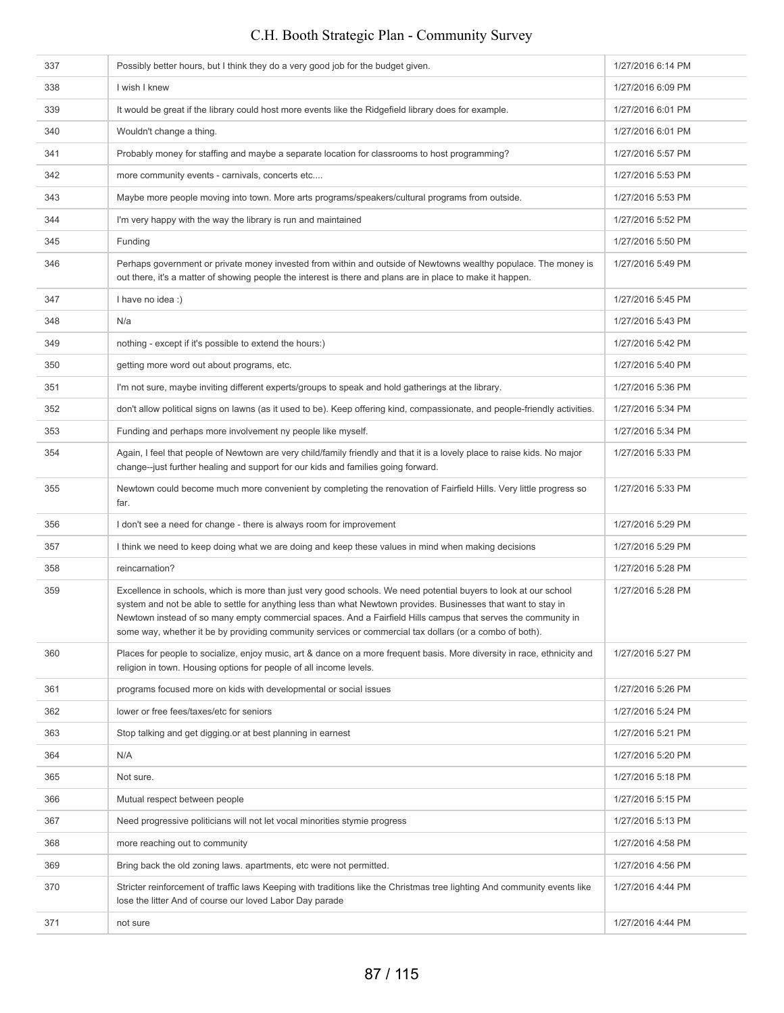| 337 | Possibly better hours, but I think they do a very good job for the budget given.                                                                                                                                                                                                                                                                                                                                                                               | 1/27/2016 6:14 PM |
|-----|----------------------------------------------------------------------------------------------------------------------------------------------------------------------------------------------------------------------------------------------------------------------------------------------------------------------------------------------------------------------------------------------------------------------------------------------------------------|-------------------|
| 338 | I wish I knew                                                                                                                                                                                                                                                                                                                                                                                                                                                  | 1/27/2016 6:09 PM |
| 339 | It would be great if the library could host more events like the Ridgefield library does for example.                                                                                                                                                                                                                                                                                                                                                          | 1/27/2016 6:01 PM |
| 340 | Wouldn't change a thing.                                                                                                                                                                                                                                                                                                                                                                                                                                       | 1/27/2016 6:01 PM |
| 341 | Probably money for staffing and maybe a separate location for classrooms to host programming?                                                                                                                                                                                                                                                                                                                                                                  | 1/27/2016 5:57 PM |
| 342 | more community events - carnivals, concerts etc                                                                                                                                                                                                                                                                                                                                                                                                                | 1/27/2016 5:53 PM |
| 343 | Maybe more people moving into town. More arts programs/speakers/cultural programs from outside.                                                                                                                                                                                                                                                                                                                                                                | 1/27/2016 5:53 PM |
| 344 | I'm very happy with the way the library is run and maintained                                                                                                                                                                                                                                                                                                                                                                                                  | 1/27/2016 5:52 PM |
| 345 | Funding                                                                                                                                                                                                                                                                                                                                                                                                                                                        | 1/27/2016 5:50 PM |
| 346 | Perhaps government or private money invested from within and outside of Newtowns wealthy populace. The money is<br>out there, it's a matter of showing people the interest is there and plans are in place to make it happen.                                                                                                                                                                                                                                  | 1/27/2016 5:49 PM |
| 347 | I have no idea :)                                                                                                                                                                                                                                                                                                                                                                                                                                              | 1/27/2016 5:45 PM |
| 348 | N/a                                                                                                                                                                                                                                                                                                                                                                                                                                                            | 1/27/2016 5:43 PM |
| 349 | nothing - except if it's possible to extend the hours:)                                                                                                                                                                                                                                                                                                                                                                                                        | 1/27/2016 5:42 PM |
| 350 | getting more word out about programs, etc.                                                                                                                                                                                                                                                                                                                                                                                                                     | 1/27/2016 5:40 PM |
| 351 | I'm not sure, maybe inviting different experts/groups to speak and hold gatherings at the library.                                                                                                                                                                                                                                                                                                                                                             | 1/27/2016 5:36 PM |
| 352 | don't allow political signs on lawns (as it used to be). Keep offering kind, compassionate, and people-friendly activities.                                                                                                                                                                                                                                                                                                                                    | 1/27/2016 5:34 PM |
| 353 | Funding and perhaps more involvement ny people like myself.                                                                                                                                                                                                                                                                                                                                                                                                    | 1/27/2016 5:34 PM |
| 354 | Again, I feel that people of Newtown are very child/family friendly and that it is a lovely place to raise kids. No major<br>change--just further healing and support for our kids and families going forward.                                                                                                                                                                                                                                                 | 1/27/2016 5:33 PM |
| 355 | Newtown could become much more convenient by completing the renovation of Fairfield Hills. Very little progress so<br>far.                                                                                                                                                                                                                                                                                                                                     | 1/27/2016 5:33 PM |
| 356 | I don't see a need for change - there is always room for improvement                                                                                                                                                                                                                                                                                                                                                                                           | 1/27/2016 5:29 PM |
| 357 | I think we need to keep doing what we are doing and keep these values in mind when making decisions                                                                                                                                                                                                                                                                                                                                                            | 1/27/2016 5:29 PM |
| 358 | reincarnation?                                                                                                                                                                                                                                                                                                                                                                                                                                                 | 1/27/2016 5:28 PM |
| 359 | Excellence in schools, which is more than just very good schools. We need potential buyers to look at our school<br>system and not be able to settle for anything less than what Newtown provides. Businesses that want to stay in<br>Newtown instead of so many empty commercial spaces. And a Fairfield Hills campus that serves the community in<br>some way, whether it be by providing community services or commercial tax dollars (or a combo of both). | 1/27/2016 5:28 PM |
| 360 | Places for people to socialize, enjoy music, art & dance on a more frequent basis. More diversity in race, ethnicity and<br>religion in town. Housing options for people of all income levels.                                                                                                                                                                                                                                                                 | 1/27/2016 5:27 PM |
| 361 | programs focused more on kids with developmental or social issues                                                                                                                                                                                                                                                                                                                                                                                              | 1/27/2016 5:26 PM |
| 362 | lower or free fees/taxes/etc for seniors                                                                                                                                                                                                                                                                                                                                                                                                                       | 1/27/2016 5:24 PM |
| 363 | Stop talking and get digging or at best planning in earnest                                                                                                                                                                                                                                                                                                                                                                                                    | 1/27/2016 5:21 PM |
| 364 | N/A                                                                                                                                                                                                                                                                                                                                                                                                                                                            | 1/27/2016 5:20 PM |
| 365 | Not sure.                                                                                                                                                                                                                                                                                                                                                                                                                                                      | 1/27/2016 5:18 PM |
| 366 | Mutual respect between people                                                                                                                                                                                                                                                                                                                                                                                                                                  | 1/27/2016 5:15 PM |
| 367 | Need progressive politicians will not let vocal minorities stymie progress                                                                                                                                                                                                                                                                                                                                                                                     | 1/27/2016 5:13 PM |
| 368 | more reaching out to community                                                                                                                                                                                                                                                                                                                                                                                                                                 | 1/27/2016 4:58 PM |
| 369 | Bring back the old zoning laws, apartments, etc were not permitted.                                                                                                                                                                                                                                                                                                                                                                                            | 1/27/2016 4:56 PM |
| 370 | Stricter reinforcement of traffic laws Keeping with traditions like the Christmas tree lighting And community events like<br>lose the litter And of course our loved Labor Day parade                                                                                                                                                                                                                                                                          | 1/27/2016 4:44 PM |
| 371 | not sure                                                                                                                                                                                                                                                                                                                                                                                                                                                       | 1/27/2016 4:44 PM |
|     |                                                                                                                                                                                                                                                                                                                                                                                                                                                                |                   |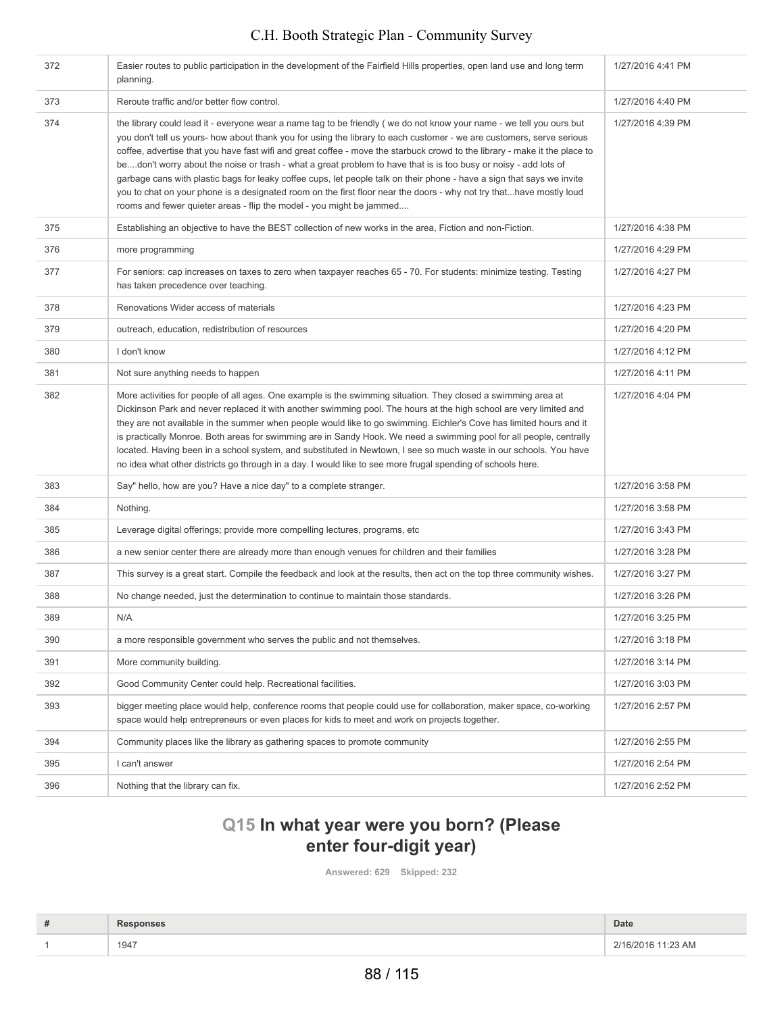| 372 | Easier routes to public participation in the development of the Fairfield Hills properties, open land use and long term<br>planning.                                                                                                                                                                                                                                                                                                                                                                                                                                                                                                                                                                                                                                                                                     | 1/27/2016 4:41 PM |
|-----|--------------------------------------------------------------------------------------------------------------------------------------------------------------------------------------------------------------------------------------------------------------------------------------------------------------------------------------------------------------------------------------------------------------------------------------------------------------------------------------------------------------------------------------------------------------------------------------------------------------------------------------------------------------------------------------------------------------------------------------------------------------------------------------------------------------------------|-------------------|
| 373 | Reroute traffic and/or better flow control.                                                                                                                                                                                                                                                                                                                                                                                                                                                                                                                                                                                                                                                                                                                                                                              | 1/27/2016 4:40 PM |
| 374 | the library could lead it - everyone wear a name tag to be friendly (we do not know your name - we tell you ours but<br>you don't tell us yours- how about thank you for using the library to each customer - we are customers, serve serious<br>coffee, advertise that you have fast wifi and great coffee - move the starbuck crowd to the library - make it the place to<br>bedon't worry about the noise or trash - what a great problem to have that is is too busy or noisy - add lots of<br>garbage cans with plastic bags for leaky coffee cups, let people talk on their phone - have a sign that says we invite<br>you to chat on your phone is a designated room on the first floor near the doors - why not try thathave mostly loud<br>rooms and fewer quieter areas - flip the model - you might be jammed | 1/27/2016 4:39 PM |
| 375 | Establishing an objective to have the BEST collection of new works in the area, Fiction and non-Fiction.                                                                                                                                                                                                                                                                                                                                                                                                                                                                                                                                                                                                                                                                                                                 | 1/27/2016 4:38 PM |
| 376 | more programming                                                                                                                                                                                                                                                                                                                                                                                                                                                                                                                                                                                                                                                                                                                                                                                                         | 1/27/2016 4:29 PM |
| 377 | For seniors: cap increases on taxes to zero when taxpayer reaches 65 - 70. For students: minimize testing. Testing<br>has taken precedence over teaching.                                                                                                                                                                                                                                                                                                                                                                                                                                                                                                                                                                                                                                                                | 1/27/2016 4:27 PM |
| 378 | Renovations Wider access of materials                                                                                                                                                                                                                                                                                                                                                                                                                                                                                                                                                                                                                                                                                                                                                                                    | 1/27/2016 4:23 PM |
| 379 | outreach, education, redistribution of resources                                                                                                                                                                                                                                                                                                                                                                                                                                                                                                                                                                                                                                                                                                                                                                         | 1/27/2016 4:20 PM |
| 380 | I don't know                                                                                                                                                                                                                                                                                                                                                                                                                                                                                                                                                                                                                                                                                                                                                                                                             | 1/27/2016 4:12 PM |
| 381 | Not sure anything needs to happen                                                                                                                                                                                                                                                                                                                                                                                                                                                                                                                                                                                                                                                                                                                                                                                        | 1/27/2016 4:11 PM |
| 382 | More activities for people of all ages. One example is the swimming situation. They closed a swimming area at<br>Dickinson Park and never replaced it with another swimming pool. The hours at the high school are very limited and<br>they are not available in the summer when people would like to go swimming. Eichler's Cove has limited hours and it<br>is practically Monroe. Both areas for swimming are in Sandy Hook. We need a swimming pool for all people, centrally<br>located. Having been in a school system, and substituted in Newtown, I see so much waste in our schools. You have<br>no idea what other districts go through in a day. I would like to see more frugal spending of schools here.                                                                                                    | 1/27/2016 4:04 PM |
| 383 | Say" hello, how are you? Have a nice day" to a complete stranger.                                                                                                                                                                                                                                                                                                                                                                                                                                                                                                                                                                                                                                                                                                                                                        | 1/27/2016 3:58 PM |
| 384 | Nothing.                                                                                                                                                                                                                                                                                                                                                                                                                                                                                                                                                                                                                                                                                                                                                                                                                 | 1/27/2016 3:58 PM |
| 385 | Leverage digital offerings; provide more compelling lectures, programs, etc                                                                                                                                                                                                                                                                                                                                                                                                                                                                                                                                                                                                                                                                                                                                              | 1/27/2016 3:43 PM |
| 386 | a new senior center there are already more than enough venues for children and their families                                                                                                                                                                                                                                                                                                                                                                                                                                                                                                                                                                                                                                                                                                                            | 1/27/2016 3:28 PM |
| 387 | This survey is a great start. Compile the feedback and look at the results, then act on the top three community wishes.                                                                                                                                                                                                                                                                                                                                                                                                                                                                                                                                                                                                                                                                                                  | 1/27/2016 3:27 PM |
| 388 | No change needed, just the determination to continue to maintain those standards.                                                                                                                                                                                                                                                                                                                                                                                                                                                                                                                                                                                                                                                                                                                                        | 1/27/2016 3:26 PM |
| 389 | N/A                                                                                                                                                                                                                                                                                                                                                                                                                                                                                                                                                                                                                                                                                                                                                                                                                      | 1/27/2016 3:25 PM |
| 390 | a more responsible government who serves the public and not themselves.                                                                                                                                                                                                                                                                                                                                                                                                                                                                                                                                                                                                                                                                                                                                                  | 1/27/2016 3:18 PM |
| 391 | More community building.                                                                                                                                                                                                                                                                                                                                                                                                                                                                                                                                                                                                                                                                                                                                                                                                 | 1/27/2016 3:14 PM |
| 392 | Good Community Center could help. Recreational facilities.                                                                                                                                                                                                                                                                                                                                                                                                                                                                                                                                                                                                                                                                                                                                                               | 1/27/2016 3:03 PM |
| 393 | bigger meeting place would help, conference rooms that people could use for collaboration, maker space, co-working<br>space would help entrepreneurs or even places for kids to meet and work on projects together.                                                                                                                                                                                                                                                                                                                                                                                                                                                                                                                                                                                                      | 1/27/2016 2:57 PM |
| 394 | Community places like the library as gathering spaces to promote community                                                                                                                                                                                                                                                                                                                                                                                                                                                                                                                                                                                                                                                                                                                                               | 1/27/2016 2:55 PM |
| 395 | I can't answer                                                                                                                                                                                                                                                                                                                                                                                                                                                                                                                                                                                                                                                                                                                                                                                                           | 1/27/2016 2:54 PM |
| 396 | Nothing that the library can fix.                                                                                                                                                                                                                                                                                                                                                                                                                                                                                                                                                                                                                                                                                                                                                                                        | 1/27/2016 2:52 PM |

# **Q15 In what year were you born? (Please enter four-digit year)**

**Answered: 629 Skipped: 232**

| # | sponses | Date               |
|---|---------|--------------------|
|   | 1947    | 2/16/2016 11:23 AM |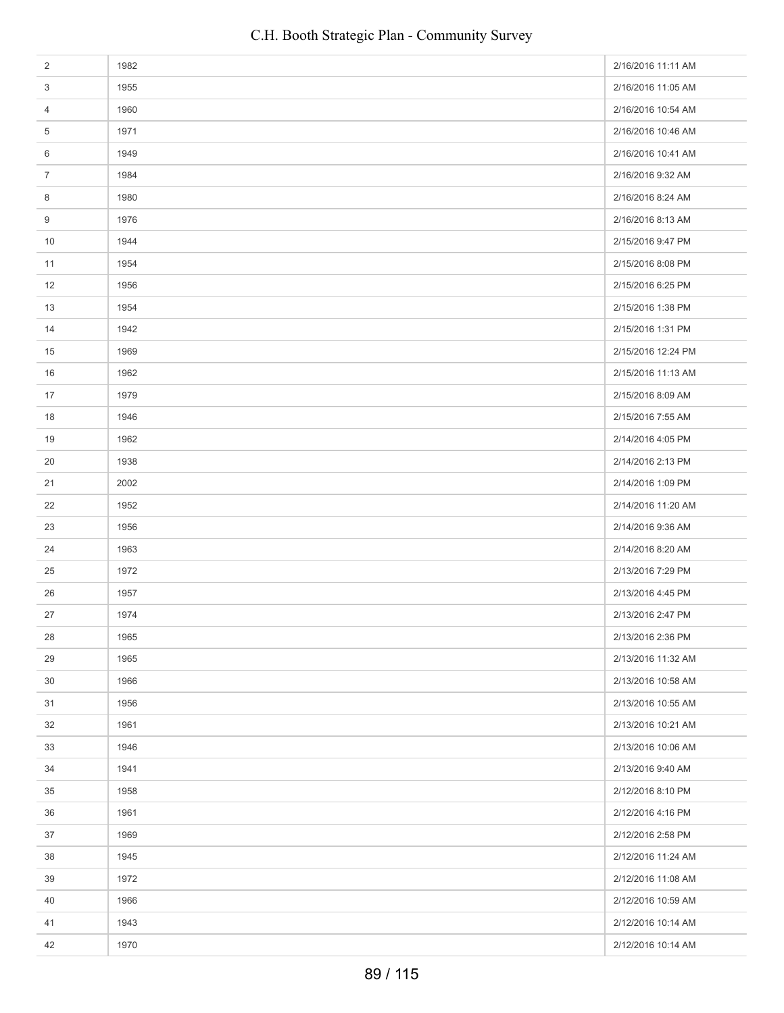| $\overline{2}$ | 1982 | 2/16/2016 11:11 AM |
|----------------|------|--------------------|
| 3              | 1955 | 2/16/2016 11:05 AM |
| 4              | 1960 | 2/16/2016 10:54 AM |
| 5              | 1971 | 2/16/2016 10:46 AM |
| 6              | 1949 | 2/16/2016 10:41 AM |
| $\overline{7}$ | 1984 | 2/16/2016 9:32 AM  |
| 8              | 1980 | 2/16/2016 8:24 AM  |
| 9              | 1976 | 2/16/2016 8:13 AM  |
| 10             | 1944 | 2/15/2016 9:47 PM  |
| 11             | 1954 | 2/15/2016 8:08 PM  |
| 12             | 1956 | 2/15/2016 6:25 PM  |
| 13             | 1954 | 2/15/2016 1:38 PM  |
| 14             | 1942 | 2/15/2016 1:31 PM  |
| 15             | 1969 | 2/15/2016 12:24 PM |
| 16             | 1962 | 2/15/2016 11:13 AM |
| 17             | 1979 | 2/15/2016 8:09 AM  |
| 18             | 1946 | 2/15/2016 7:55 AM  |
| 19             | 1962 | 2/14/2016 4:05 PM  |
| 20             | 1938 | 2/14/2016 2:13 PM  |
| 21             | 2002 | 2/14/2016 1:09 PM  |
| 22             | 1952 | 2/14/2016 11:20 AM |
| 23             | 1956 | 2/14/2016 9:36 AM  |
| 24             | 1963 | 2/14/2016 8:20 AM  |
| 25             | 1972 | 2/13/2016 7:29 PM  |
| 26             | 1957 | 2/13/2016 4:45 PM  |
| 27             | 1974 | 2/13/2016 2:47 PM  |
| 28             | 1965 | 2/13/2016 2:36 PM  |
| 29             | 1965 | 2/13/2016 11:32 AM |
| 30             | 1966 | 2/13/2016 10:58 AM |
| 31             | 1956 | 2/13/2016 10:55 AM |
| 32             | 1961 | 2/13/2016 10:21 AM |
| 33             | 1946 | 2/13/2016 10:06 AM |
| 34             | 1941 | 2/13/2016 9:40 AM  |
| 35             | 1958 | 2/12/2016 8:10 PM  |
| 36             | 1961 | 2/12/2016 4:16 PM  |
| 37             | 1969 | 2/12/2016 2:58 PM  |
| 38             | 1945 | 2/12/2016 11:24 AM |
| 39             | 1972 | 2/12/2016 11:08 AM |
| 40             | 1966 | 2/12/2016 10:59 AM |
| 41             | 1943 | 2/12/2016 10:14 AM |
| 42             | 1970 | 2/12/2016 10:14 AM |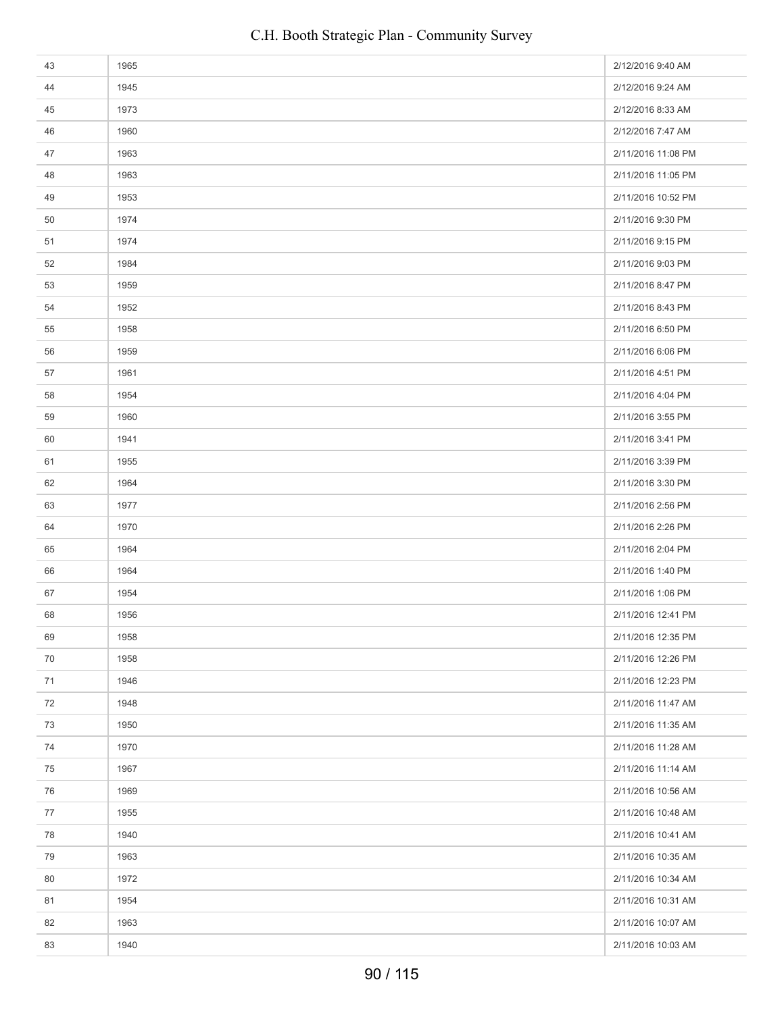| 43 | 1965 | 2/12/2016 9:40 AM  |
|----|------|--------------------|
| 44 | 1945 | 2/12/2016 9:24 AM  |
| 45 | 1973 | 2/12/2016 8:33 AM  |
| 46 | 1960 | 2/12/2016 7:47 AM  |
| 47 | 1963 | 2/11/2016 11:08 PM |
| 48 | 1963 | 2/11/2016 11:05 PM |
| 49 | 1953 | 2/11/2016 10:52 PM |
| 50 | 1974 | 2/11/2016 9:30 PM  |
| 51 | 1974 | 2/11/2016 9:15 PM  |
| 52 | 1984 | 2/11/2016 9:03 PM  |
| 53 | 1959 | 2/11/2016 8:47 PM  |
| 54 | 1952 | 2/11/2016 8:43 PM  |
| 55 | 1958 | 2/11/2016 6:50 PM  |
| 56 | 1959 | 2/11/2016 6:06 PM  |
| 57 | 1961 | 2/11/2016 4:51 PM  |
| 58 | 1954 | 2/11/2016 4:04 PM  |
| 59 | 1960 | 2/11/2016 3:55 PM  |
| 60 | 1941 | 2/11/2016 3:41 PM  |
| 61 | 1955 | 2/11/2016 3:39 PM  |
| 62 | 1964 | 2/11/2016 3:30 PM  |
| 63 | 1977 | 2/11/2016 2:56 PM  |
| 64 | 1970 | 2/11/2016 2:26 PM  |
| 65 | 1964 | 2/11/2016 2:04 PM  |
| 66 | 1964 | 2/11/2016 1:40 PM  |
| 67 | 1954 | 2/11/2016 1:06 PM  |
| 68 | 1956 | 2/11/2016 12:41 PM |
| 69 | 1958 | 2/11/2016 12:35 PM |
| 70 | 1958 | 2/11/2016 12:26 PM |
| 71 | 1946 | 2/11/2016 12:23 PM |
| 72 | 1948 | 2/11/2016 11:47 AM |
| 73 | 1950 | 2/11/2016 11:35 AM |
| 74 | 1970 | 2/11/2016 11:28 AM |
| 75 | 1967 | 2/11/2016 11:14 AM |
| 76 | 1969 | 2/11/2016 10:56 AM |
| 77 | 1955 | 2/11/2016 10:48 AM |
| 78 | 1940 | 2/11/2016 10:41 AM |
| 79 | 1963 | 2/11/2016 10:35 AM |
| 80 | 1972 | 2/11/2016 10:34 AM |
| 81 | 1954 | 2/11/2016 10:31 AM |
| 82 | 1963 | 2/11/2016 10:07 AM |
| 83 | 1940 | 2/11/2016 10:03 AM |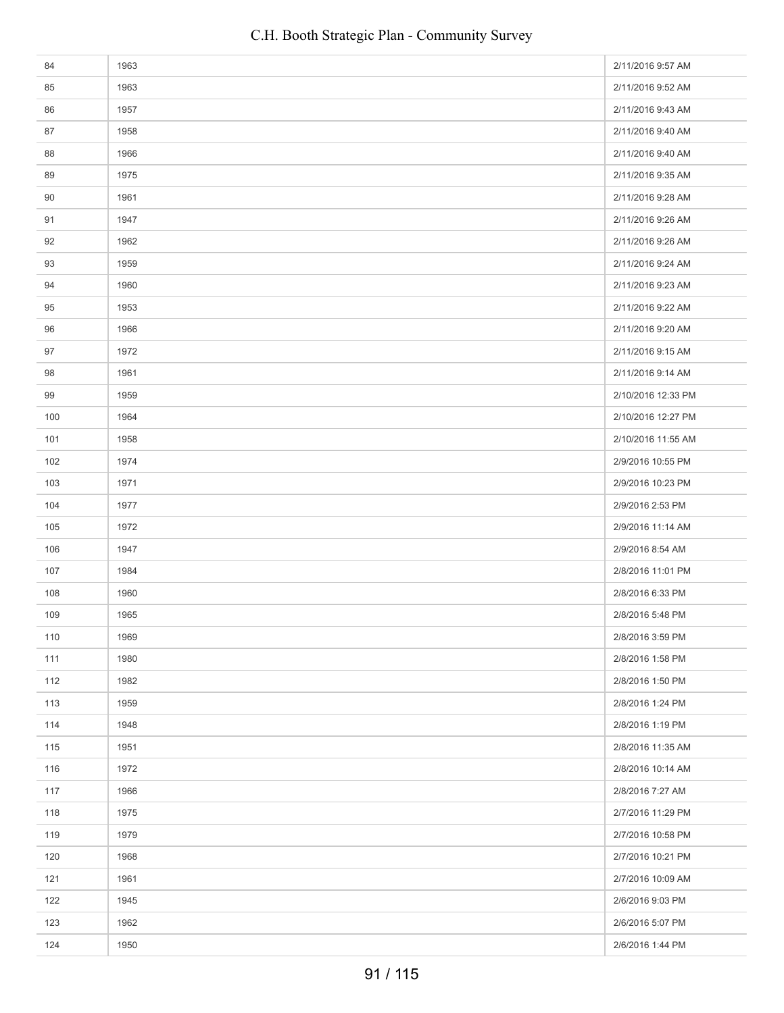| 84  | 1963 | 2/11/2016 9:57 AM  |
|-----|------|--------------------|
| 85  | 1963 | 2/11/2016 9:52 AM  |
| 86  | 1957 | 2/11/2016 9:43 AM  |
| 87  | 1958 | 2/11/2016 9:40 AM  |
| 88  | 1966 | 2/11/2016 9:40 AM  |
| 89  | 1975 | 2/11/2016 9:35 AM  |
| 90  | 1961 | 2/11/2016 9:28 AM  |
| 91  | 1947 | 2/11/2016 9:26 AM  |
| 92  | 1962 | 2/11/2016 9:26 AM  |
| 93  | 1959 | 2/11/2016 9:24 AM  |
| 94  | 1960 | 2/11/2016 9:23 AM  |
| 95  | 1953 | 2/11/2016 9:22 AM  |
| 96  | 1966 | 2/11/2016 9:20 AM  |
| 97  | 1972 | 2/11/2016 9:15 AM  |
| 98  | 1961 | 2/11/2016 9:14 AM  |
| 99  | 1959 | 2/10/2016 12:33 PM |
| 100 | 1964 | 2/10/2016 12:27 PM |
| 101 | 1958 | 2/10/2016 11:55 AM |
| 102 | 1974 | 2/9/2016 10:55 PM  |
| 103 | 1971 | 2/9/2016 10:23 PM  |
| 104 | 1977 | 2/9/2016 2:53 PM   |
| 105 | 1972 | 2/9/2016 11:14 AM  |
| 106 | 1947 | 2/9/2016 8:54 AM   |
| 107 | 1984 | 2/8/2016 11:01 PM  |
| 108 | 1960 | 2/8/2016 6:33 PM   |
| 109 | 1965 | 2/8/2016 5:48 PM   |
| 110 | 1969 | 2/8/2016 3:59 PM   |
| 111 | 1980 | 2/8/2016 1:58 PM   |
| 112 | 1982 | 2/8/2016 1:50 PM   |
| 113 | 1959 | 2/8/2016 1:24 PM   |
| 114 | 1948 | 2/8/2016 1:19 PM   |
| 115 | 1951 | 2/8/2016 11:35 AM  |
| 116 | 1972 | 2/8/2016 10:14 AM  |
| 117 | 1966 | 2/8/2016 7:27 AM   |
| 118 | 1975 | 2/7/2016 11:29 PM  |
| 119 | 1979 | 2/7/2016 10:58 PM  |
| 120 | 1968 | 2/7/2016 10:21 PM  |
| 121 | 1961 | 2/7/2016 10:09 AM  |
| 122 | 1945 | 2/6/2016 9:03 PM   |
| 123 | 1962 | 2/6/2016 5:07 PM   |
| 124 | 1950 | 2/6/2016 1:44 PM   |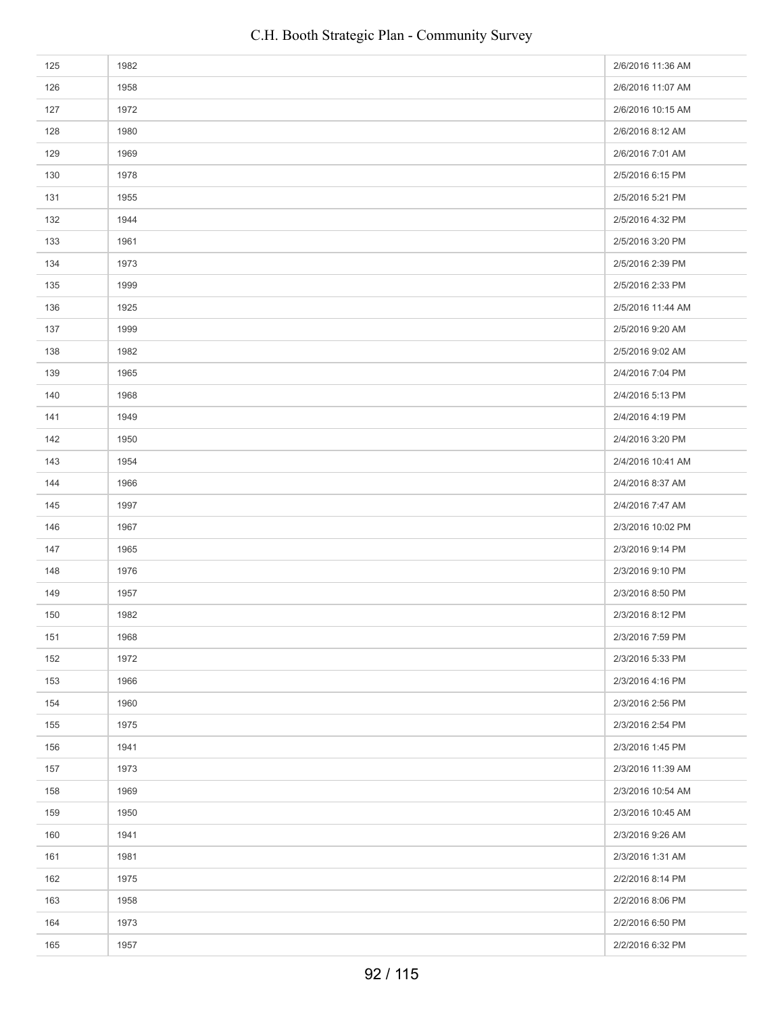| 125 | 1982 | 2/6/2016 11:36 AM |
|-----|------|-------------------|
| 126 | 1958 | 2/6/2016 11:07 AM |
| 127 | 1972 | 2/6/2016 10:15 AM |
| 128 | 1980 | 2/6/2016 8:12 AM  |
| 129 | 1969 | 2/6/2016 7:01 AM  |
| 130 | 1978 | 2/5/2016 6:15 PM  |
| 131 | 1955 | 2/5/2016 5:21 PM  |
| 132 | 1944 | 2/5/2016 4:32 PM  |
| 133 | 1961 | 2/5/2016 3:20 PM  |
| 134 | 1973 | 2/5/2016 2:39 PM  |
| 135 | 1999 | 2/5/2016 2:33 PM  |
| 136 | 1925 | 2/5/2016 11:44 AM |
| 137 | 1999 | 2/5/2016 9:20 AM  |
| 138 | 1982 | 2/5/2016 9:02 AM  |
| 139 | 1965 | 2/4/2016 7:04 PM  |
| 140 | 1968 | 2/4/2016 5:13 PM  |
| 141 | 1949 | 2/4/2016 4:19 PM  |
| 142 | 1950 | 2/4/2016 3:20 PM  |
| 143 | 1954 | 2/4/2016 10:41 AM |
| 144 | 1966 | 2/4/2016 8:37 AM  |
| 145 | 1997 | 2/4/2016 7:47 AM  |
| 146 | 1967 | 2/3/2016 10:02 PM |
| 147 | 1965 | 2/3/2016 9:14 PM  |
| 148 | 1976 | 2/3/2016 9:10 PM  |
| 149 | 1957 | 2/3/2016 8:50 PM  |
| 150 | 1982 | 2/3/2016 8:12 PM  |
| 151 | 1968 | 2/3/2016 7:59 PM  |
| 152 | 1972 | 2/3/2016 5:33 PM  |
| 153 | 1966 | 2/3/2016 4:16 PM  |
| 154 | 1960 | 2/3/2016 2:56 PM  |
| 155 | 1975 | 2/3/2016 2:54 PM  |
| 156 | 1941 | 2/3/2016 1:45 PM  |
| 157 | 1973 | 2/3/2016 11:39 AM |
| 158 | 1969 | 2/3/2016 10:54 AM |
| 159 | 1950 | 2/3/2016 10:45 AM |
| 160 | 1941 | 2/3/2016 9:26 AM  |
| 161 | 1981 | 2/3/2016 1:31 AM  |
| 162 | 1975 | 2/2/2016 8:14 PM  |
| 163 | 1958 | 2/2/2016 8:06 PM  |
| 164 | 1973 | 2/2/2016 6:50 PM  |
| 165 | 1957 | 2/2/2016 6:32 PM  |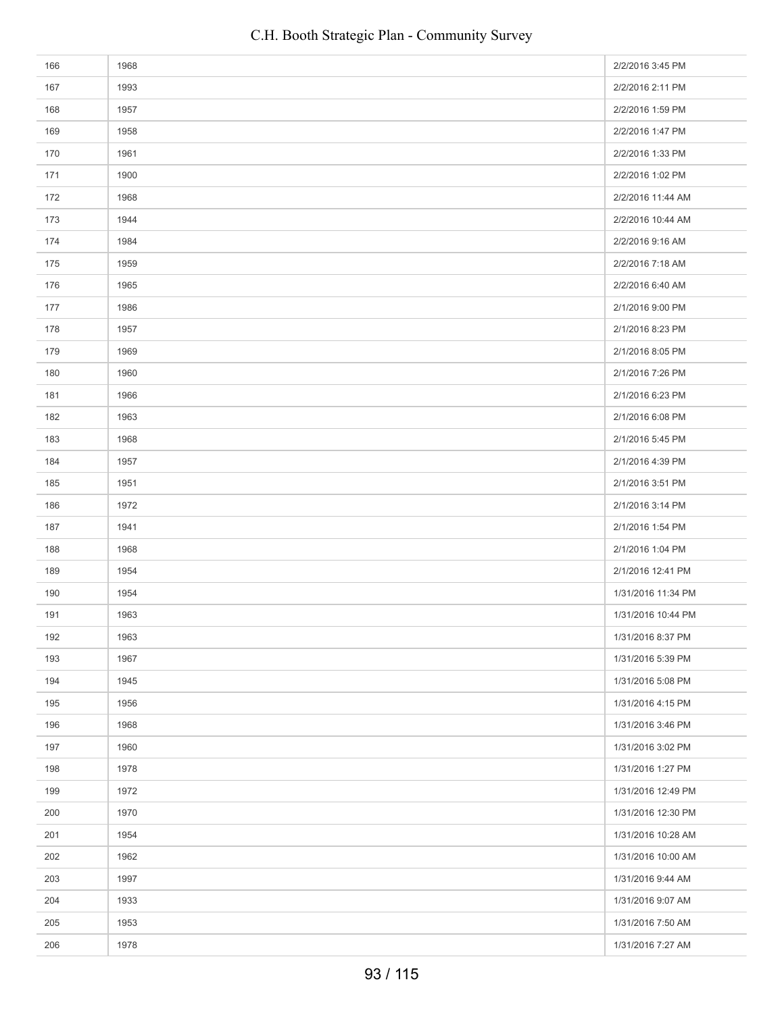| 166 | 1968 | 2/2/2016 3:45 PM   |
|-----|------|--------------------|
| 167 | 1993 | 2/2/2016 2:11 PM   |
| 168 | 1957 | 2/2/2016 1:59 PM   |
| 169 | 1958 | 2/2/2016 1:47 PM   |
| 170 | 1961 | 2/2/2016 1:33 PM   |
| 171 | 1900 | 2/2/2016 1:02 PM   |
| 172 | 1968 | 2/2/2016 11:44 AM  |
| 173 | 1944 | 2/2/2016 10:44 AM  |
| 174 | 1984 | 2/2/2016 9:16 AM   |
| 175 | 1959 | 2/2/2016 7:18 AM   |
| 176 | 1965 | 2/2/2016 6:40 AM   |
| 177 | 1986 | 2/1/2016 9:00 PM   |
| 178 | 1957 | 2/1/2016 8:23 PM   |
| 179 | 1969 | 2/1/2016 8:05 PM   |
| 180 | 1960 | 2/1/2016 7:26 PM   |
| 181 | 1966 | 2/1/2016 6:23 PM   |
| 182 | 1963 | 2/1/2016 6:08 PM   |
| 183 | 1968 | 2/1/2016 5:45 PM   |
| 184 | 1957 | 2/1/2016 4:39 PM   |
| 185 | 1951 | 2/1/2016 3:51 PM   |
| 186 | 1972 | 2/1/2016 3:14 PM   |
| 187 | 1941 | 2/1/2016 1:54 PM   |
| 188 | 1968 | 2/1/2016 1:04 PM   |
| 189 | 1954 | 2/1/2016 12:41 PM  |
| 190 | 1954 | 1/31/2016 11:34 PM |
| 191 | 1963 | 1/31/2016 10:44 PM |
| 192 | 1963 | 1/31/2016 8:37 PM  |
| 193 | 1967 | 1/31/2016 5:39 PM  |
| 194 | 1945 | 1/31/2016 5:08 PM  |
| 195 | 1956 | 1/31/2016 4:15 PM  |
| 196 | 1968 | 1/31/2016 3:46 PM  |
| 197 | 1960 | 1/31/2016 3:02 PM  |
| 198 | 1978 | 1/31/2016 1:27 PM  |
| 199 | 1972 | 1/31/2016 12:49 PM |
| 200 | 1970 | 1/31/2016 12:30 PM |
| 201 | 1954 | 1/31/2016 10:28 AM |
| 202 | 1962 | 1/31/2016 10:00 AM |
| 203 | 1997 | 1/31/2016 9:44 AM  |
| 204 | 1933 | 1/31/2016 9:07 AM  |
| 205 | 1953 | 1/31/2016 7:50 AM  |
| 206 | 1978 | 1/31/2016 7:27 AM  |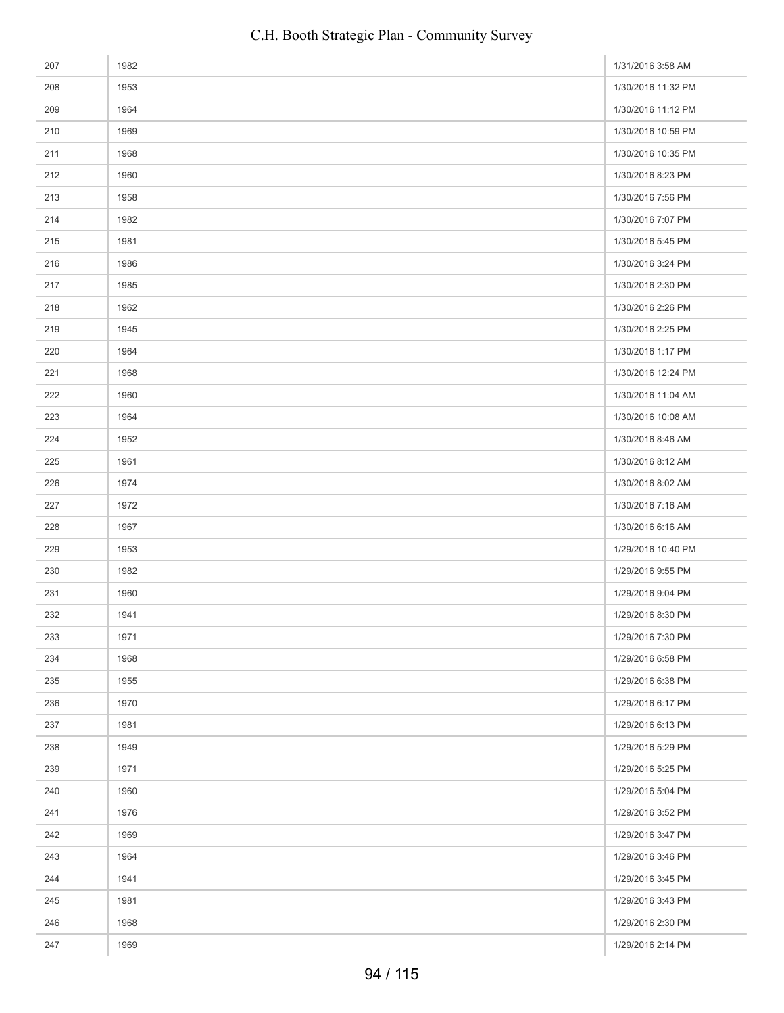| 207 | 1982 | 1/31/2016 3:58 AM  |
|-----|------|--------------------|
| 208 | 1953 | 1/30/2016 11:32 PM |
| 209 | 1964 | 1/30/2016 11:12 PM |
| 210 | 1969 | 1/30/2016 10:59 PM |
| 211 | 1968 | 1/30/2016 10:35 PM |
| 212 | 1960 | 1/30/2016 8:23 PM  |
| 213 | 1958 | 1/30/2016 7:56 PM  |
| 214 | 1982 | 1/30/2016 7:07 PM  |
| 215 | 1981 | 1/30/2016 5:45 PM  |
| 216 | 1986 | 1/30/2016 3:24 PM  |
| 217 | 1985 | 1/30/2016 2:30 PM  |
| 218 | 1962 | 1/30/2016 2:26 PM  |
| 219 | 1945 | 1/30/2016 2:25 PM  |
| 220 | 1964 | 1/30/2016 1:17 PM  |
| 221 | 1968 | 1/30/2016 12:24 PM |
| 222 | 1960 | 1/30/2016 11:04 AM |
| 223 | 1964 | 1/30/2016 10:08 AM |
| 224 | 1952 | 1/30/2016 8:46 AM  |
| 225 | 1961 | 1/30/2016 8:12 AM  |
| 226 | 1974 | 1/30/2016 8:02 AM  |
| 227 | 1972 | 1/30/2016 7:16 AM  |
| 228 | 1967 | 1/30/2016 6:16 AM  |
| 229 | 1953 | 1/29/2016 10:40 PM |
| 230 | 1982 | 1/29/2016 9:55 PM  |
| 231 | 1960 | 1/29/2016 9:04 PM  |
| 232 | 1941 | 1/29/2016 8:30 PM  |
| 233 | 1971 | 1/29/2016 7:30 PM  |
| 234 | 1968 | 1/29/2016 6:58 PM  |
| 235 | 1955 | 1/29/2016 6:38 PM  |
| 236 | 1970 | 1/29/2016 6:17 PM  |
| 237 | 1981 | 1/29/2016 6:13 PM  |
| 238 | 1949 | 1/29/2016 5:29 PM  |
| 239 | 1971 | 1/29/2016 5:25 PM  |
| 240 | 1960 | 1/29/2016 5:04 PM  |
| 241 | 1976 | 1/29/2016 3:52 PM  |
| 242 | 1969 | 1/29/2016 3:47 PM  |
| 243 | 1964 | 1/29/2016 3:46 PM  |
| 244 | 1941 | 1/29/2016 3:45 PM  |
| 245 | 1981 | 1/29/2016 3:43 PM  |
| 246 | 1968 | 1/29/2016 2:30 PM  |
| 247 | 1969 | 1/29/2016 2:14 PM  |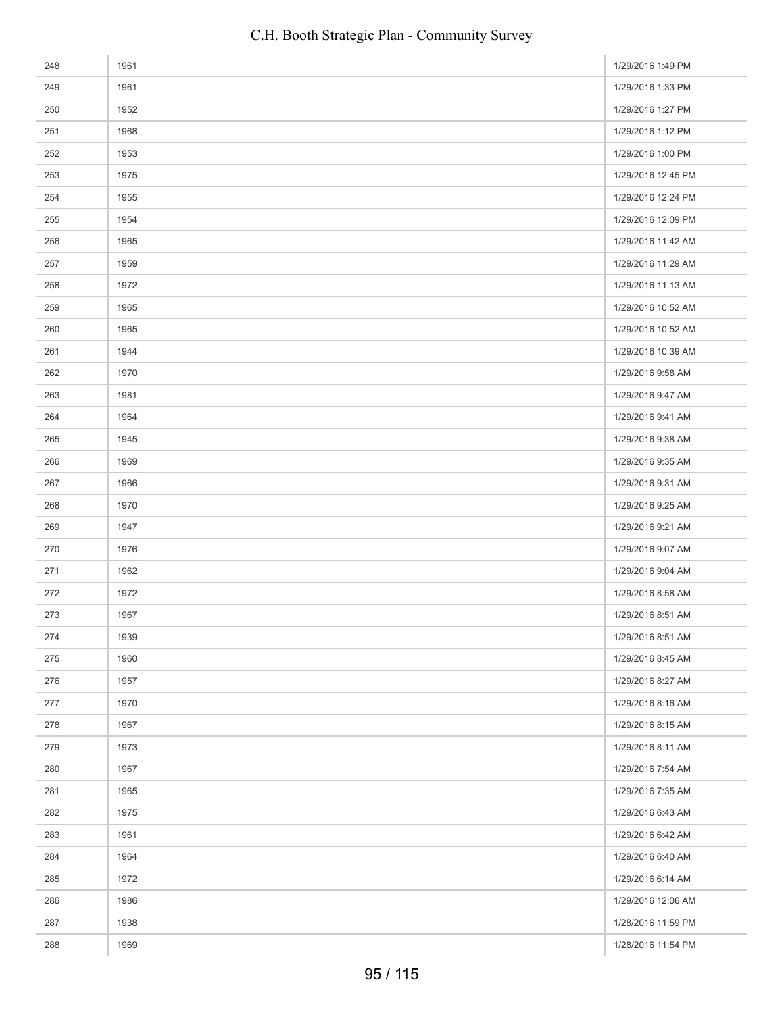| 248 | 1961 | 1/29/2016 1:49 PM  |
|-----|------|--------------------|
| 249 | 1961 | 1/29/2016 1:33 PM  |
| 250 | 1952 | 1/29/2016 1:27 PM  |
| 251 | 1968 | 1/29/2016 1:12 PM  |
| 252 | 1953 | 1/29/2016 1:00 PM  |
| 253 | 1975 | 1/29/2016 12:45 PM |
| 254 | 1955 | 1/29/2016 12:24 PM |
| 255 | 1954 | 1/29/2016 12:09 PM |
| 256 | 1965 | 1/29/2016 11:42 AM |
| 257 | 1959 | 1/29/2016 11:29 AM |
| 258 | 1972 | 1/29/2016 11:13 AM |
| 259 | 1965 | 1/29/2016 10:52 AM |
| 260 | 1965 | 1/29/2016 10:52 AM |
| 261 | 1944 | 1/29/2016 10:39 AM |
| 262 | 1970 | 1/29/2016 9:58 AM  |
| 263 | 1981 | 1/29/2016 9:47 AM  |
| 264 | 1964 | 1/29/2016 9:41 AM  |
| 265 | 1945 | 1/29/2016 9:38 AM  |
| 266 | 1969 | 1/29/2016 9:35 AM  |
| 267 | 1966 | 1/29/2016 9:31 AM  |
| 268 | 1970 | 1/29/2016 9:25 AM  |
| 269 | 1947 | 1/29/2016 9:21 AM  |
| 270 | 1976 | 1/29/2016 9:07 AM  |
| 271 | 1962 | 1/29/2016 9:04 AM  |
| 272 | 1972 | 1/29/2016 8:58 AM  |
| 273 | 1967 | 1/29/2016 8:51 AM  |
| 274 | 1939 | 1/29/2016 8:51 AM  |
| 275 | 1960 | 1/29/2016 8:45 AM  |
| 276 | 1957 | 1/29/2016 8:27 AM  |
| 277 | 1970 | 1/29/2016 8:16 AM  |
| 278 | 1967 | 1/29/2016 8:15 AM  |
| 279 | 1973 | 1/29/2016 8:11 AM  |
| 280 | 1967 | 1/29/2016 7:54 AM  |
| 281 | 1965 | 1/29/2016 7:35 AM  |
| 282 | 1975 | 1/29/2016 6:43 AM  |
| 283 | 1961 | 1/29/2016 6:42 AM  |
| 284 | 1964 | 1/29/2016 6:40 AM  |
| 285 | 1972 | 1/29/2016 6:14 AM  |
| 286 | 1986 | 1/29/2016 12:06 AM |
| 287 | 1938 | 1/28/2016 11:59 PM |
| 288 | 1969 | 1/28/2016 11:54 PM |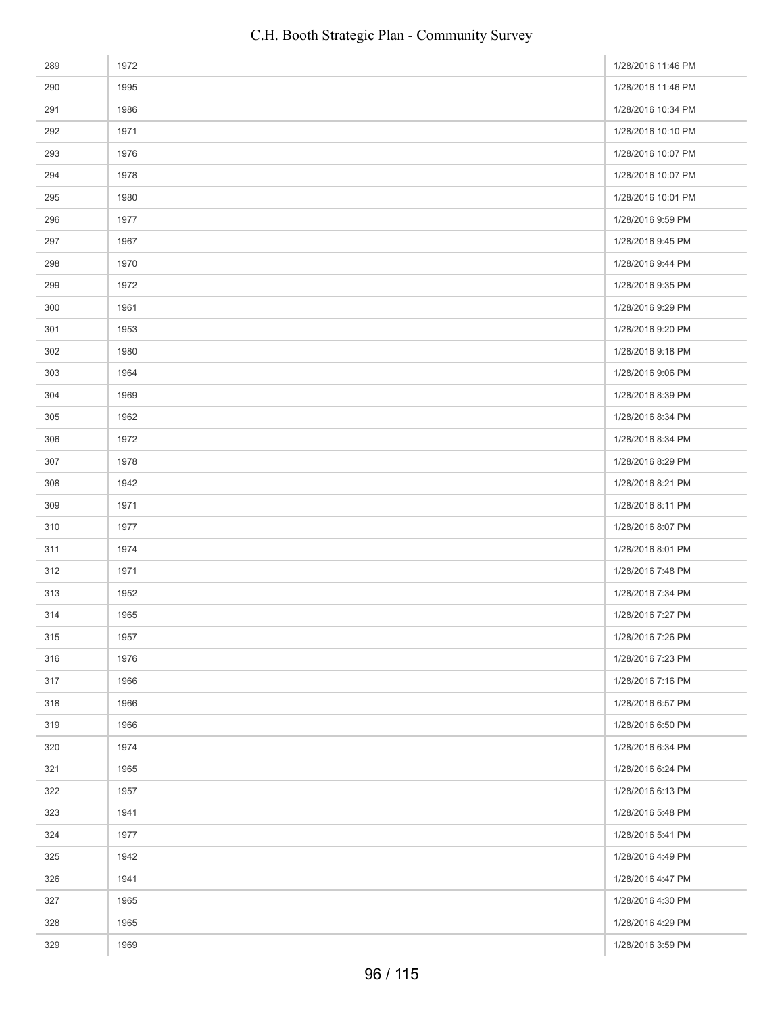| 289 | 1972 | 1/28/2016 11:46 PM |
|-----|------|--------------------|
| 290 | 1995 | 1/28/2016 11:46 PM |
| 291 | 1986 | 1/28/2016 10:34 PM |
| 292 | 1971 | 1/28/2016 10:10 PM |
| 293 | 1976 | 1/28/2016 10:07 PM |
| 294 | 1978 | 1/28/2016 10:07 PM |
| 295 | 1980 | 1/28/2016 10:01 PM |
| 296 | 1977 | 1/28/2016 9:59 PM  |
| 297 | 1967 | 1/28/2016 9:45 PM  |
| 298 | 1970 | 1/28/2016 9:44 PM  |
| 299 | 1972 | 1/28/2016 9:35 PM  |
| 300 | 1961 | 1/28/2016 9:29 PM  |
| 301 | 1953 | 1/28/2016 9:20 PM  |
| 302 | 1980 | 1/28/2016 9:18 PM  |
| 303 | 1964 | 1/28/2016 9:06 PM  |
| 304 | 1969 | 1/28/2016 8:39 PM  |
| 305 | 1962 | 1/28/2016 8:34 PM  |
| 306 | 1972 | 1/28/2016 8:34 PM  |
| 307 | 1978 | 1/28/2016 8:29 PM  |
| 308 | 1942 | 1/28/2016 8:21 PM  |
| 309 | 1971 | 1/28/2016 8:11 PM  |
| 310 | 1977 | 1/28/2016 8:07 PM  |
| 311 | 1974 | 1/28/2016 8:01 PM  |
| 312 | 1971 | 1/28/2016 7:48 PM  |
| 313 | 1952 | 1/28/2016 7:34 PM  |
| 314 | 1965 | 1/28/2016 7:27 PM  |
| 315 | 1957 | 1/28/2016 7:26 PM  |
| 316 | 1976 | 1/28/2016 7:23 PM  |
| 317 | 1966 | 1/28/2016 7:16 PM  |
| 318 | 1966 | 1/28/2016 6:57 PM  |
| 319 | 1966 | 1/28/2016 6:50 PM  |
| 320 | 1974 | 1/28/2016 6:34 PM  |
| 321 | 1965 | 1/28/2016 6:24 PM  |
| 322 | 1957 | 1/28/2016 6:13 PM  |
| 323 | 1941 | 1/28/2016 5:48 PM  |
| 324 | 1977 | 1/28/2016 5:41 PM  |
| 325 | 1942 | 1/28/2016 4:49 PM  |
| 326 | 1941 | 1/28/2016 4:47 PM  |
| 327 | 1965 | 1/28/2016 4:30 PM  |
| 328 | 1965 | 1/28/2016 4:29 PM  |
| 329 | 1969 | 1/28/2016 3:59 PM  |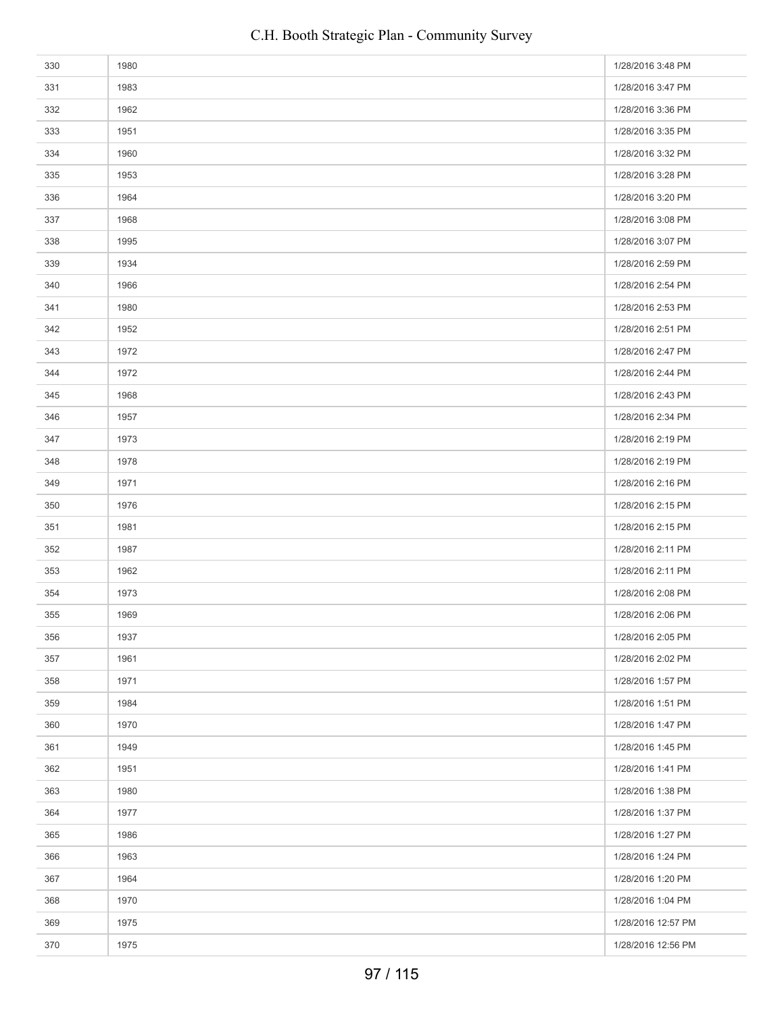| 330 | 1980 | 1/28/2016 3:48 PM  |
|-----|------|--------------------|
| 331 | 1983 | 1/28/2016 3:47 PM  |
| 332 | 1962 | 1/28/2016 3:36 PM  |
| 333 | 1951 | 1/28/2016 3:35 PM  |
| 334 | 1960 | 1/28/2016 3:32 PM  |
| 335 | 1953 | 1/28/2016 3:28 PM  |
| 336 | 1964 | 1/28/2016 3:20 PM  |
| 337 | 1968 | 1/28/2016 3:08 PM  |
| 338 | 1995 | 1/28/2016 3:07 PM  |
| 339 | 1934 | 1/28/2016 2:59 PM  |
| 340 | 1966 | 1/28/2016 2:54 PM  |
| 341 | 1980 | 1/28/2016 2:53 PM  |
| 342 | 1952 | 1/28/2016 2:51 PM  |
| 343 | 1972 | 1/28/2016 2:47 PM  |
| 344 | 1972 | 1/28/2016 2:44 PM  |
| 345 | 1968 | 1/28/2016 2:43 PM  |
| 346 | 1957 | 1/28/2016 2:34 PM  |
| 347 | 1973 | 1/28/2016 2:19 PM  |
| 348 | 1978 | 1/28/2016 2:19 PM  |
| 349 | 1971 | 1/28/2016 2:16 PM  |
| 350 | 1976 | 1/28/2016 2:15 PM  |
| 351 | 1981 | 1/28/2016 2:15 PM  |
| 352 | 1987 | 1/28/2016 2:11 PM  |
| 353 | 1962 | 1/28/2016 2:11 PM  |
| 354 | 1973 | 1/28/2016 2:08 PM  |
| 355 | 1969 | 1/28/2016 2:06 PM  |
| 356 | 1937 | 1/28/2016 2:05 PM  |
| 357 | 1961 | 1/28/2016 2:02 PM  |
| 358 | 1971 | 1/28/2016 1:57 PM  |
| 359 | 1984 | 1/28/2016 1:51 PM  |
| 360 | 1970 | 1/28/2016 1:47 PM  |
| 361 | 1949 | 1/28/2016 1:45 PM  |
| 362 | 1951 | 1/28/2016 1:41 PM  |
| 363 | 1980 | 1/28/2016 1:38 PM  |
| 364 | 1977 | 1/28/2016 1:37 PM  |
| 365 | 1986 | 1/28/2016 1:27 PM  |
| 366 | 1963 | 1/28/2016 1:24 PM  |
| 367 | 1964 | 1/28/2016 1:20 PM  |
| 368 | 1970 | 1/28/2016 1:04 PM  |
| 369 | 1975 | 1/28/2016 12:57 PM |
| 370 | 1975 | 1/28/2016 12:56 PM |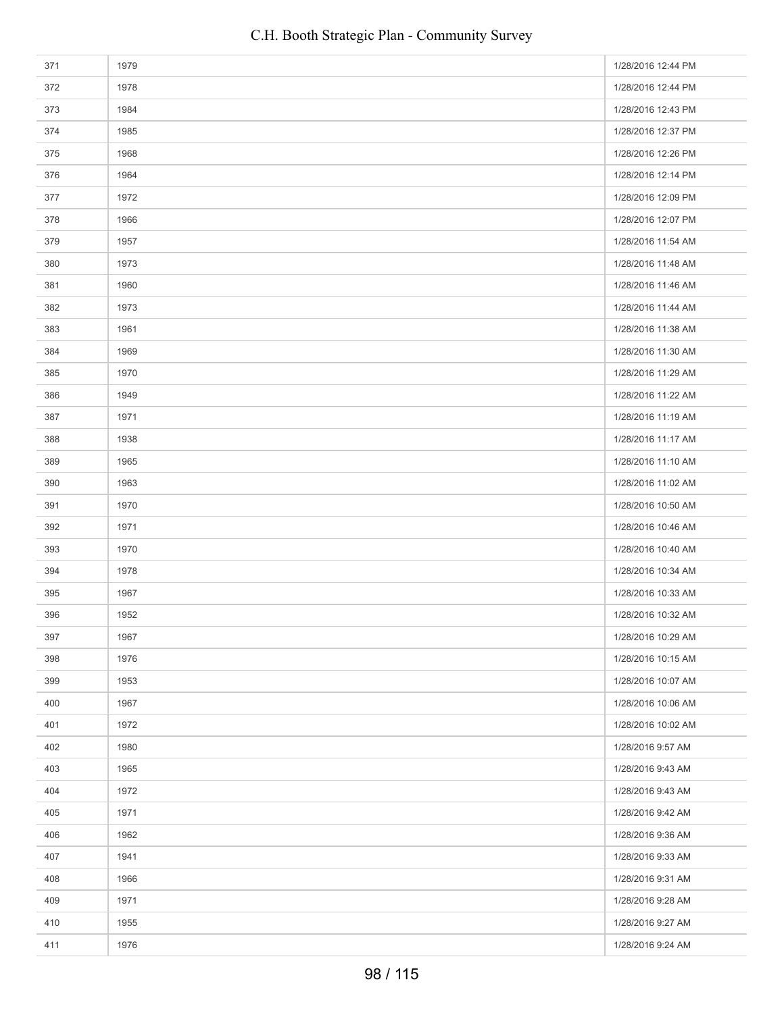| 371 | 1979 | 1/28/2016 12:44 PM |
|-----|------|--------------------|
| 372 | 1978 | 1/28/2016 12:44 PM |
| 373 | 1984 | 1/28/2016 12:43 PM |
| 374 | 1985 | 1/28/2016 12:37 PM |
| 375 | 1968 | 1/28/2016 12:26 PM |
| 376 | 1964 | 1/28/2016 12:14 PM |
| 377 | 1972 | 1/28/2016 12:09 PM |
| 378 | 1966 | 1/28/2016 12:07 PM |
| 379 | 1957 | 1/28/2016 11:54 AM |
| 380 | 1973 | 1/28/2016 11:48 AM |
| 381 | 1960 | 1/28/2016 11:46 AM |
| 382 | 1973 | 1/28/2016 11:44 AM |
| 383 | 1961 | 1/28/2016 11:38 AM |
| 384 | 1969 | 1/28/2016 11:30 AM |
| 385 | 1970 | 1/28/2016 11:29 AM |
| 386 | 1949 | 1/28/2016 11:22 AM |
| 387 | 1971 | 1/28/2016 11:19 AM |
| 388 | 1938 | 1/28/2016 11:17 AM |
| 389 | 1965 | 1/28/2016 11:10 AM |
| 390 | 1963 | 1/28/2016 11:02 AM |
| 391 | 1970 | 1/28/2016 10:50 AM |
| 392 | 1971 | 1/28/2016 10:46 AM |
| 393 | 1970 | 1/28/2016 10:40 AM |
| 394 | 1978 | 1/28/2016 10:34 AM |
| 395 | 1967 | 1/28/2016 10:33 AM |
| 396 | 1952 | 1/28/2016 10:32 AM |
| 397 | 1967 | 1/28/2016 10:29 AM |
| 398 | 1976 | 1/28/2016 10:15 AM |
| 399 | 1953 | 1/28/2016 10:07 AM |
| 400 | 1967 | 1/28/2016 10:06 AM |
| 401 | 1972 | 1/28/2016 10:02 AM |
| 402 | 1980 | 1/28/2016 9:57 AM  |
| 403 | 1965 | 1/28/2016 9:43 AM  |
| 404 | 1972 | 1/28/2016 9:43 AM  |
| 405 | 1971 | 1/28/2016 9:42 AM  |
| 406 | 1962 | 1/28/2016 9:36 AM  |
| 407 | 1941 | 1/28/2016 9:33 AM  |
| 408 | 1966 | 1/28/2016 9:31 AM  |
| 409 | 1971 | 1/28/2016 9:28 AM  |
| 410 | 1955 | 1/28/2016 9:27 AM  |
| 411 | 1976 | 1/28/2016 9:24 AM  |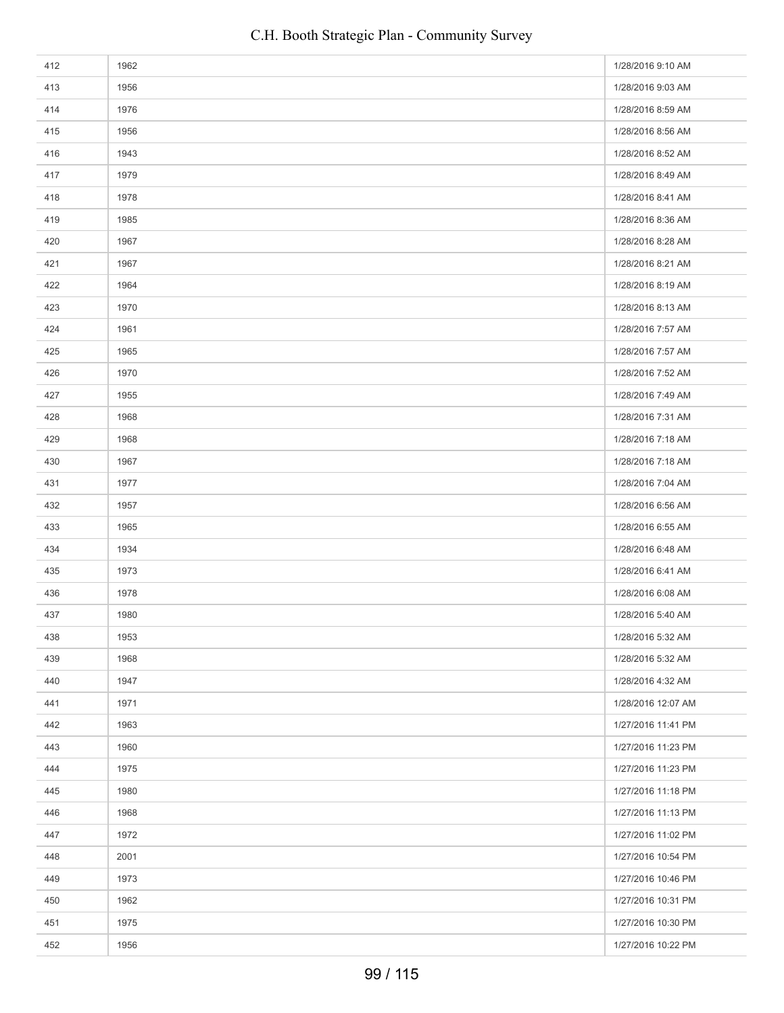| 412 | 1962 | 1/28/2016 9:10 AM  |
|-----|------|--------------------|
| 413 | 1956 | 1/28/2016 9:03 AM  |
| 414 | 1976 | 1/28/2016 8:59 AM  |
| 415 | 1956 | 1/28/2016 8:56 AM  |
| 416 | 1943 | 1/28/2016 8:52 AM  |
| 417 | 1979 | 1/28/2016 8:49 AM  |
| 418 | 1978 | 1/28/2016 8:41 AM  |
| 419 | 1985 | 1/28/2016 8:36 AM  |
| 420 | 1967 | 1/28/2016 8:28 AM  |
| 421 | 1967 | 1/28/2016 8:21 AM  |
| 422 | 1964 | 1/28/2016 8:19 AM  |
| 423 | 1970 | 1/28/2016 8:13 AM  |
| 424 | 1961 | 1/28/2016 7:57 AM  |
| 425 | 1965 | 1/28/2016 7:57 AM  |
| 426 | 1970 | 1/28/2016 7:52 AM  |
| 427 | 1955 | 1/28/2016 7:49 AM  |
| 428 | 1968 | 1/28/2016 7:31 AM  |
| 429 | 1968 | 1/28/2016 7:18 AM  |
| 430 | 1967 | 1/28/2016 7:18 AM  |
| 431 | 1977 | 1/28/2016 7:04 AM  |
| 432 | 1957 | 1/28/2016 6:56 AM  |
| 433 | 1965 | 1/28/2016 6:55 AM  |
| 434 | 1934 | 1/28/2016 6:48 AM  |
| 435 | 1973 | 1/28/2016 6:41 AM  |
| 436 | 1978 | 1/28/2016 6:08 AM  |
| 437 | 1980 | 1/28/2016 5:40 AM  |
| 438 | 1953 | 1/28/2016 5:32 AM  |
| 439 | 1968 | 1/28/2016 5:32 AM  |
| 440 | 1947 | 1/28/2016 4:32 AM  |
| 441 | 1971 | 1/28/2016 12:07 AM |
| 442 | 1963 | 1/27/2016 11:41 PM |
| 443 | 1960 | 1/27/2016 11:23 PM |
| 444 | 1975 | 1/27/2016 11:23 PM |
| 445 | 1980 | 1/27/2016 11:18 PM |
| 446 | 1968 | 1/27/2016 11:13 PM |
| 447 | 1972 | 1/27/2016 11:02 PM |
| 448 | 2001 | 1/27/2016 10:54 PM |
| 449 | 1973 | 1/27/2016 10:46 PM |
| 450 | 1962 | 1/27/2016 10:31 PM |
| 451 | 1975 | 1/27/2016 10:30 PM |
| 452 | 1956 | 1/27/2016 10:22 PM |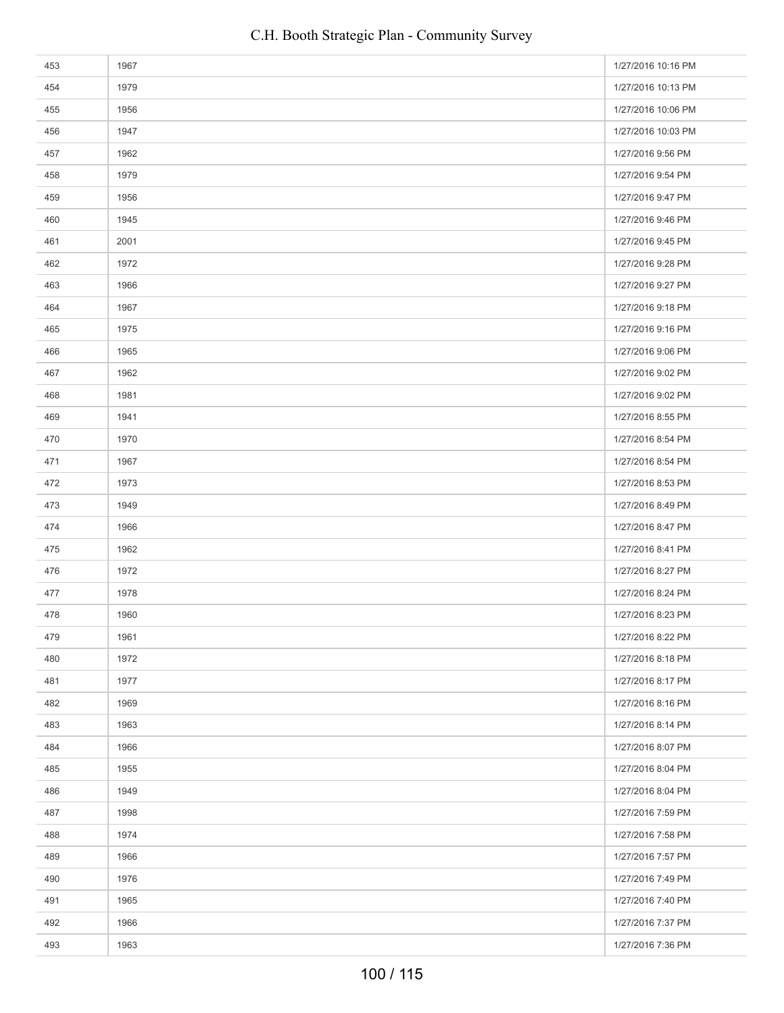| 453 | 1967 | 1/27/2016 10:16 PM |
|-----|------|--------------------|
| 454 | 1979 | 1/27/2016 10:13 PM |
| 455 | 1956 | 1/27/2016 10:06 PM |
| 456 | 1947 | 1/27/2016 10:03 PM |
| 457 | 1962 | 1/27/2016 9:56 PM  |
| 458 | 1979 | 1/27/2016 9:54 PM  |
| 459 | 1956 | 1/27/2016 9:47 PM  |
| 460 | 1945 | 1/27/2016 9:46 PM  |
| 461 | 2001 | 1/27/2016 9:45 PM  |
| 462 | 1972 | 1/27/2016 9:28 PM  |
| 463 | 1966 | 1/27/2016 9:27 PM  |
| 464 | 1967 | 1/27/2016 9:18 PM  |
| 465 | 1975 | 1/27/2016 9:16 PM  |
| 466 | 1965 | 1/27/2016 9:06 PM  |
| 467 | 1962 | 1/27/2016 9:02 PM  |
| 468 | 1981 | 1/27/2016 9:02 PM  |
| 469 | 1941 | 1/27/2016 8:55 PM  |
| 470 | 1970 | 1/27/2016 8:54 PM  |
| 471 | 1967 | 1/27/2016 8:54 PM  |
| 472 | 1973 | 1/27/2016 8:53 PM  |
| 473 | 1949 | 1/27/2016 8:49 PM  |
| 474 | 1966 | 1/27/2016 8:47 PM  |
| 475 | 1962 | 1/27/2016 8:41 PM  |
| 476 | 1972 | 1/27/2016 8:27 PM  |
| 477 | 1978 | 1/27/2016 8:24 PM  |
| 478 | 1960 | 1/27/2016 8:23 PM  |
| 479 | 1961 | 1/27/2016 8:22 PM  |
| 480 | 1972 | 1/27/2016 8:18 PM  |
| 481 | 1977 | 1/27/2016 8:17 PM  |
| 482 | 1969 | 1/27/2016 8:16 PM  |
| 483 | 1963 | 1/27/2016 8:14 PM  |
| 484 | 1966 | 1/27/2016 8:07 PM  |
| 485 | 1955 | 1/27/2016 8:04 PM  |
| 486 | 1949 | 1/27/2016 8:04 PM  |
| 487 | 1998 | 1/27/2016 7:59 PM  |
| 488 | 1974 | 1/27/2016 7:58 PM  |
| 489 | 1966 | 1/27/2016 7:57 PM  |
| 490 | 1976 | 1/27/2016 7:49 PM  |
| 491 | 1965 | 1/27/2016 7:40 PM  |
| 492 | 1966 | 1/27/2016 7:37 PM  |
| 493 | 1963 | 1/27/2016 7:36 PM  |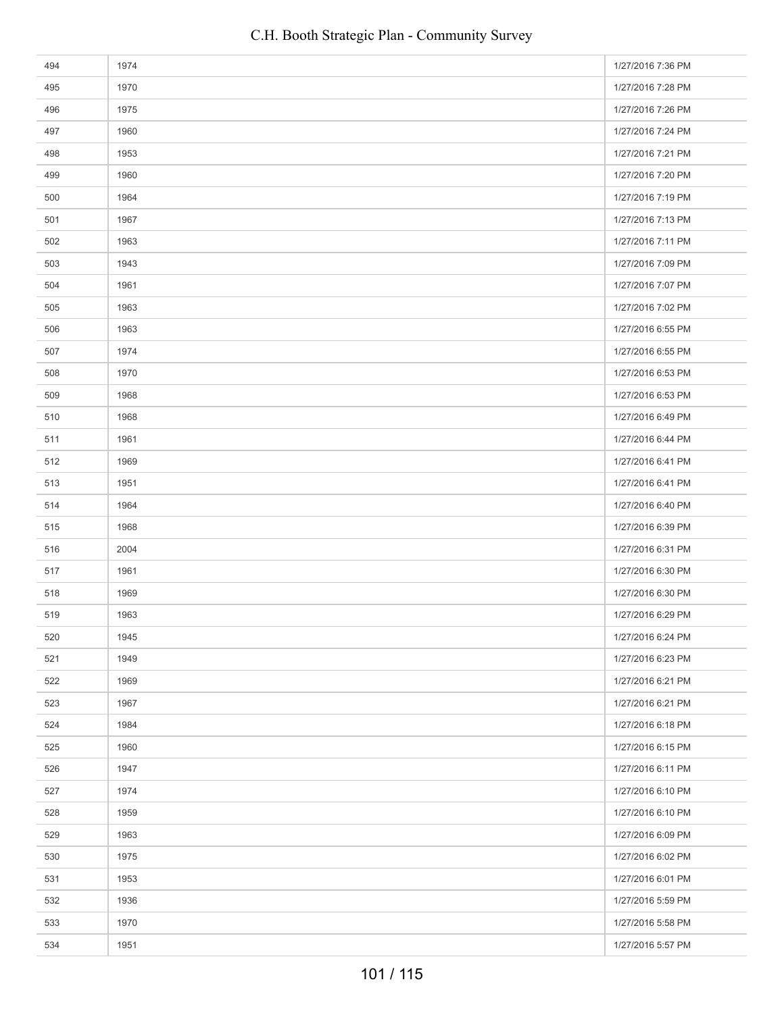| 494 | 1974 | 1/27/2016 7:36 PM |
|-----|------|-------------------|
| 495 | 1970 | 1/27/2016 7:28 PM |
| 496 | 1975 | 1/27/2016 7:26 PM |
| 497 | 1960 | 1/27/2016 7:24 PM |
| 498 | 1953 | 1/27/2016 7:21 PM |
| 499 | 1960 | 1/27/2016 7:20 PM |
| 500 | 1964 | 1/27/2016 7:19 PM |
| 501 | 1967 | 1/27/2016 7:13 PM |
| 502 | 1963 | 1/27/2016 7:11 PM |
| 503 | 1943 | 1/27/2016 7:09 PM |
| 504 | 1961 | 1/27/2016 7:07 PM |
| 505 | 1963 | 1/27/2016 7:02 PM |
| 506 | 1963 | 1/27/2016 6:55 PM |
| 507 | 1974 | 1/27/2016 6:55 PM |
| 508 | 1970 | 1/27/2016 6:53 PM |
| 509 | 1968 | 1/27/2016 6:53 PM |
| 510 | 1968 | 1/27/2016 6:49 PM |
| 511 | 1961 | 1/27/2016 6:44 PM |
| 512 | 1969 | 1/27/2016 6:41 PM |
| 513 | 1951 | 1/27/2016 6:41 PM |
| 514 | 1964 | 1/27/2016 6:40 PM |
| 515 | 1968 | 1/27/2016 6:39 PM |
| 516 | 2004 | 1/27/2016 6:31 PM |
| 517 | 1961 | 1/27/2016 6:30 PM |
| 518 | 1969 | 1/27/2016 6:30 PM |
| 519 | 1963 | 1/27/2016 6:29 PM |
| 520 | 1945 | 1/27/2016 6:24 PM |
| 521 | 1949 | 1/27/2016 6:23 PM |
| 522 | 1969 | 1/27/2016 6:21 PM |
| 523 | 1967 | 1/27/2016 6:21 PM |
| 524 | 1984 | 1/27/2016 6:18 PM |
| 525 | 1960 | 1/27/2016 6:15 PM |
| 526 | 1947 | 1/27/2016 6:11 PM |
| 527 | 1974 | 1/27/2016 6:10 PM |
| 528 | 1959 | 1/27/2016 6:10 PM |
| 529 | 1963 | 1/27/2016 6:09 PM |
| 530 | 1975 | 1/27/2016 6:02 PM |
| 531 | 1953 | 1/27/2016 6:01 PM |
| 532 | 1936 | 1/27/2016 5:59 PM |
| 533 | 1970 | 1/27/2016 5:58 PM |
| 534 | 1951 | 1/27/2016 5:57 PM |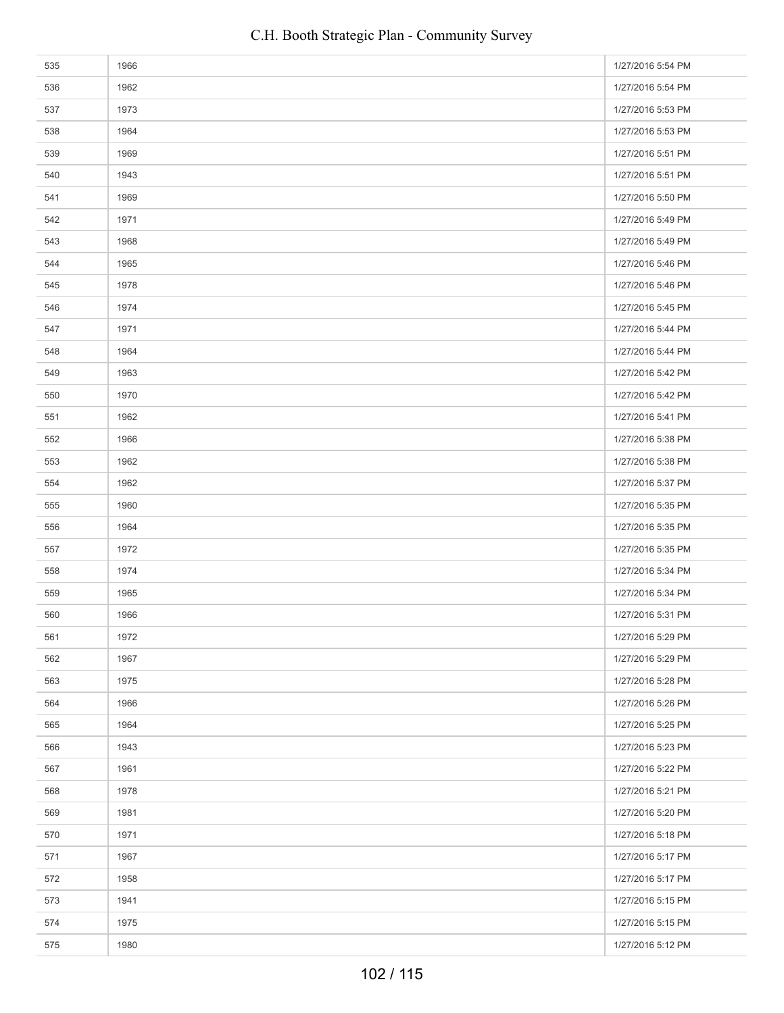| 535 | 1966 | 1/27/2016 5:54 PM |
|-----|------|-------------------|
| 536 | 1962 | 1/27/2016 5:54 PM |
| 537 | 1973 | 1/27/2016 5:53 PM |
| 538 | 1964 | 1/27/2016 5:53 PM |
| 539 | 1969 | 1/27/2016 5:51 PM |
| 540 | 1943 | 1/27/2016 5:51 PM |
| 541 | 1969 | 1/27/2016 5:50 PM |
| 542 | 1971 | 1/27/2016 5:49 PM |
| 543 | 1968 | 1/27/2016 5:49 PM |
| 544 | 1965 | 1/27/2016 5:46 PM |
| 545 | 1978 | 1/27/2016 5:46 PM |
| 546 | 1974 | 1/27/2016 5:45 PM |
| 547 | 1971 | 1/27/2016 5:44 PM |
| 548 | 1964 | 1/27/2016 5:44 PM |
| 549 | 1963 | 1/27/2016 5:42 PM |
| 550 | 1970 | 1/27/2016 5:42 PM |
| 551 | 1962 | 1/27/2016 5:41 PM |
| 552 | 1966 | 1/27/2016 5:38 PM |
| 553 | 1962 | 1/27/2016 5:38 PM |
| 554 | 1962 | 1/27/2016 5:37 PM |
| 555 | 1960 | 1/27/2016 5:35 PM |
| 556 | 1964 | 1/27/2016 5:35 PM |
| 557 | 1972 | 1/27/2016 5:35 PM |
| 558 | 1974 | 1/27/2016 5:34 PM |
| 559 | 1965 | 1/27/2016 5:34 PM |
| 560 | 1966 | 1/27/2016 5:31 PM |
| 561 | 1972 | 1/27/2016 5:29 PM |
| 562 | 1967 | 1/27/2016 5:29 PM |
| 563 | 1975 | 1/27/2016 5:28 PM |
| 564 | 1966 | 1/27/2016 5:26 PM |
| 565 | 1964 | 1/27/2016 5:25 PM |
| 566 | 1943 | 1/27/2016 5:23 PM |
| 567 | 1961 | 1/27/2016 5:22 PM |
| 568 | 1978 | 1/27/2016 5:21 PM |
| 569 | 1981 | 1/27/2016 5:20 PM |
| 570 | 1971 | 1/27/2016 5:18 PM |
| 571 | 1967 | 1/27/2016 5:17 PM |
| 572 | 1958 | 1/27/2016 5:17 PM |
| 573 | 1941 | 1/27/2016 5:15 PM |
| 574 | 1975 | 1/27/2016 5:15 PM |
| 575 | 1980 | 1/27/2016 5:12 PM |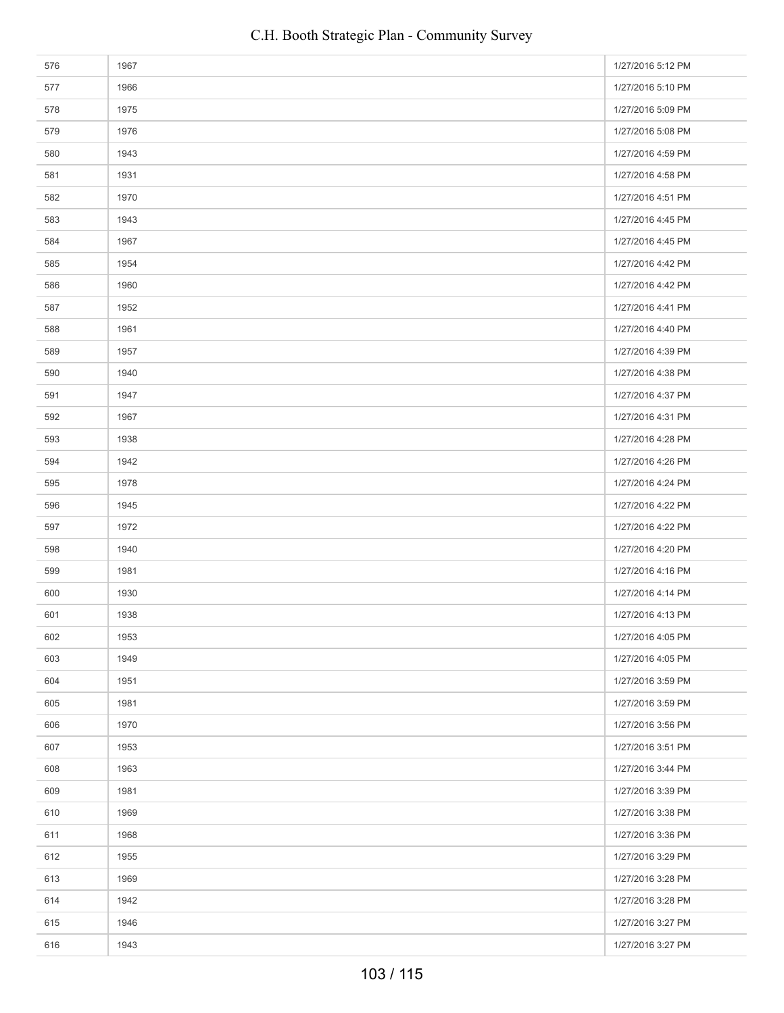| 576 | 1967 | 1/27/2016 5:12 PM |
|-----|------|-------------------|
| 577 | 1966 | 1/27/2016 5:10 PM |
| 578 | 1975 | 1/27/2016 5:09 PM |
| 579 | 1976 | 1/27/2016 5:08 PM |
| 580 | 1943 | 1/27/2016 4:59 PM |
| 581 | 1931 | 1/27/2016 4:58 PM |
| 582 | 1970 | 1/27/2016 4:51 PM |
| 583 | 1943 | 1/27/2016 4:45 PM |
| 584 | 1967 | 1/27/2016 4:45 PM |
| 585 | 1954 | 1/27/2016 4:42 PM |
| 586 | 1960 | 1/27/2016 4:42 PM |
| 587 | 1952 | 1/27/2016 4:41 PM |
| 588 | 1961 | 1/27/2016 4:40 PM |
| 589 | 1957 | 1/27/2016 4:39 PM |
| 590 | 1940 | 1/27/2016 4:38 PM |
| 591 | 1947 | 1/27/2016 4:37 PM |
| 592 | 1967 | 1/27/2016 4:31 PM |
| 593 | 1938 | 1/27/2016 4:28 PM |
| 594 | 1942 | 1/27/2016 4:26 PM |
| 595 | 1978 | 1/27/2016 4:24 PM |
| 596 | 1945 | 1/27/2016 4:22 PM |
| 597 | 1972 | 1/27/2016 4:22 PM |
| 598 | 1940 | 1/27/2016 4:20 PM |
| 599 | 1981 | 1/27/2016 4:16 PM |
| 600 | 1930 | 1/27/2016 4:14 PM |
| 601 | 1938 | 1/27/2016 4:13 PM |
| 602 | 1953 | 1/27/2016 4:05 PM |
| 603 | 1949 | 1/27/2016 4:05 PM |
| 604 | 1951 | 1/27/2016 3:59 PM |
| 605 | 1981 | 1/27/2016 3:59 PM |
| 606 | 1970 | 1/27/2016 3:56 PM |
| 607 | 1953 | 1/27/2016 3:51 PM |
| 608 | 1963 | 1/27/2016 3:44 PM |
| 609 | 1981 | 1/27/2016 3:39 PM |
| 610 | 1969 | 1/27/2016 3:38 PM |
| 611 | 1968 | 1/27/2016 3:36 PM |
| 612 | 1955 | 1/27/2016 3:29 PM |
| 613 | 1969 | 1/27/2016 3:28 PM |
| 614 | 1942 | 1/27/2016 3:28 PM |
| 615 | 1946 | 1/27/2016 3:27 PM |
| 616 | 1943 | 1/27/2016 3:27 PM |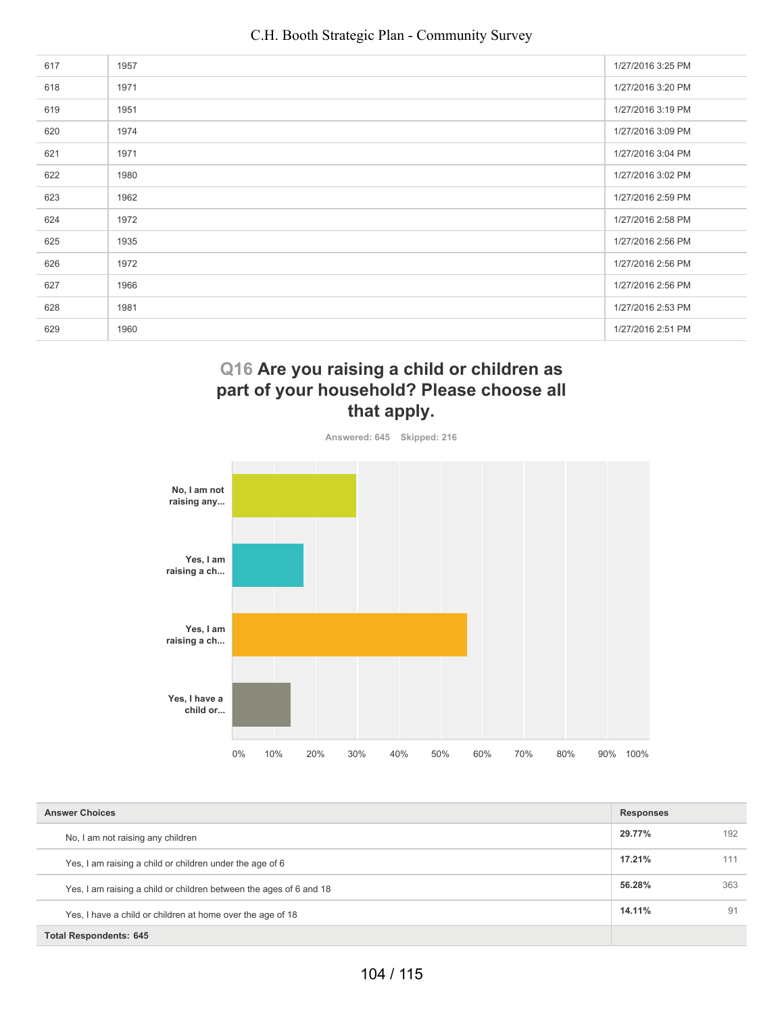| 617 | 1957 | 1/27/2016 3:25 PM |
|-----|------|-------------------|
| 618 | 1971 | 1/27/2016 3:20 PM |
| 619 | 1951 | 1/27/2016 3:19 PM |
| 620 | 1974 | 1/27/2016 3:09 PM |
| 621 | 1971 | 1/27/2016 3:04 PM |
| 622 | 1980 | 1/27/2016 3:02 PM |
| 623 | 1962 | 1/27/2016 2:59 PM |
| 624 | 1972 | 1/27/2016 2:58 PM |
| 625 | 1935 | 1/27/2016 2:56 PM |
| 626 | 1972 | 1/27/2016 2:56 PM |
| 627 | 1966 | 1/27/2016 2:56 PM |
| 628 | 1981 | 1/27/2016 2:53 PM |
| 629 | 1960 | 1/27/2016 2:51 PM |
|     |      |                   |

# **Q16 Are you raising a child or children as part of your household? Please choose all that apply.**



**Answered: 645 Skipped: 216**

| <b>Answer Choices</b>                                              |        |     |
|--------------------------------------------------------------------|--------|-----|
| No, I am not raising any children                                  | 29.77% | 192 |
| Yes, I am raising a child or children under the age of 6           | 17.21% | 111 |
| Yes, I am raising a child or children between the ages of 6 and 18 | 56.28% | 363 |
| Yes, I have a child or children at home over the age of 18         | 14.11% | 91  |
| <b>Total Respondents: 645</b>                                      |        |     |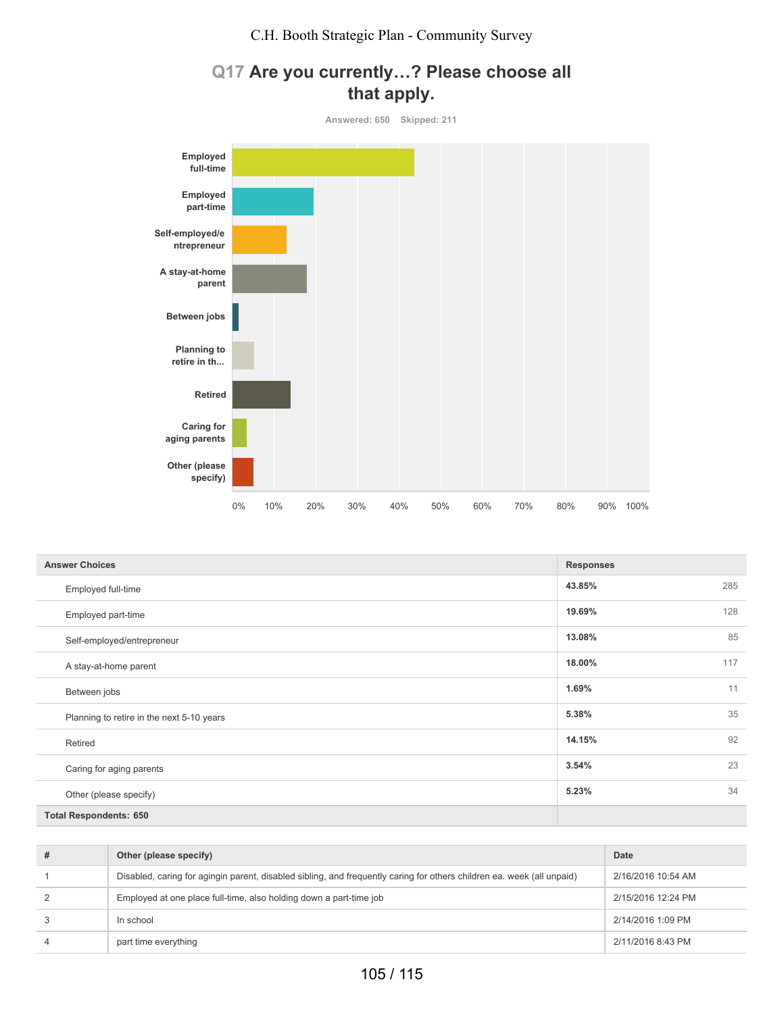# **Q17 Are you currently…? Please choose all that apply.**



| <b>Answer Choices</b>                     | <b>Responses</b> |     |
|-------------------------------------------|------------------|-----|
| Employed full-time                        | 43.85%           | 285 |
| Employed part-time                        | 19.69%           | 128 |
| Self-employed/entrepreneur                | 13.08%           | 85  |
| A stay-at-home parent                     | 18.00%           | 117 |
| Between jobs                              | 1.69%            | 11  |
| Planning to retire in the next 5-10 years | 5.38%            | 35  |
| Retired                                   | 14.15%           | 92  |
| Caring for aging parents                  | 3.54%            | 23  |
| Other (please specify)                    | 5.23%            | 34  |
| <b>Total Respondents: 650</b>             |                  |     |

| #              | Other (please specify)                                                                                                 | Date               |
|----------------|------------------------------------------------------------------------------------------------------------------------|--------------------|
|                | Disabled, caring for agingin parent, disabled sibling, and frequently caring for others children ea. week (all unpaid) | 2/16/2016 10:54 AM |
| 2              | Employed at one place full-time, also holding down a part-time job                                                     | 2/15/2016 12:24 PM |
| 3              | In school                                                                                                              | 2/14/2016 1:09 PM  |
| $\overline{4}$ | part time everything                                                                                                   | 2/11/2016 8:43 PM  |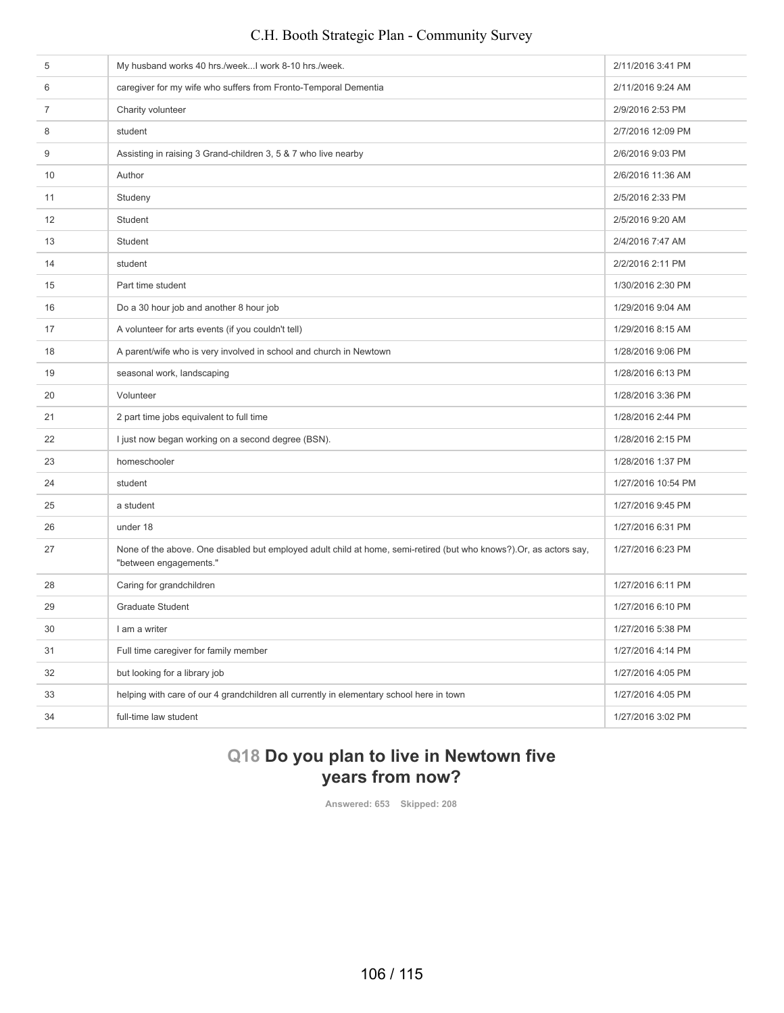| 6<br>caregiver for my wife who suffers from Fronto-Temporal Dementia<br>2/11/2016 9:24 AM<br>$\overline{7}$<br>Charity volunteer<br>2/9/2016 2:53 PM<br>8<br>student<br>2/7/2016 12:09 PM<br>9<br>Assisting in raising 3 Grand-children 3, 5 & 7 who live nearby<br>2/6/2016 9:03 PM<br>10<br>Author<br>2/6/2016 11:36 AM<br>2/5/2016 2:33 PM<br>11<br>Studeny<br>12<br>Student<br>2/5/2016 9:20 AM<br>13<br>Student<br>2/4/2016 7:47 AM<br>student<br>2/2/2016 2:11 PM<br>14<br>Part time student<br>1/30/2016 2:30 PM<br>15<br>Do a 30 hour job and another 8 hour job<br>1/29/2016 9:04 AM<br>16<br>17<br>A volunteer for arts events (if you couldn't tell)<br>1/29/2016 8:15 AM<br>A parent/wife who is very involved in school and church in Newtown<br>1/28/2016 9:06 PM<br>18<br>seasonal work, landscaping<br>1/28/2016 6:13 PM<br>19<br>20<br>Volunteer<br>1/28/2016 3:36 PM<br>21<br>2 part time jobs equivalent to full time<br>1/28/2016 2:44 PM<br>I just now began working on a second degree (BSN).<br>22<br>1/28/2016 2:15 PM<br>homeschooler<br>1/28/2016 1:37 PM<br>23<br>24<br>student<br>1/27/2016 10:54 PM<br>25<br>a student<br>1/27/2016 9:45 PM<br>26<br>under 18<br>1/27/2016 6:31 PM<br>27<br>None of the above. One disabled but employed adult child at home, semi-retired (but who knows?). Or, as actors say,<br>1/27/2016 6:23 PM<br>"between engagements."<br>28<br>Caring for grandchildren<br>1/27/2016 6:11 PM<br><b>Graduate Student</b><br>29<br>1/27/2016 6:10 PM<br>30<br>I am a writer<br>1/27/2016 5:38 PM<br>31<br>Full time caregiver for family member<br>1/27/2016 4:14 PM<br>32<br>but looking for a library job<br>1/27/2016 4:05 PM<br>helping with care of our 4 grandchildren all currently in elementary school here in town<br>33<br>1/27/2016 4:05 PM<br>34<br>full-time law student<br>1/27/2016 3:02 PM | 5 | My husband works 40 hrs./weekI work 8-10 hrs./week. | 2/11/2016 3:41 PM |
|-----------------------------------------------------------------------------------------------------------------------------------------------------------------------------------------------------------------------------------------------------------------------------------------------------------------------------------------------------------------------------------------------------------------------------------------------------------------------------------------------------------------------------------------------------------------------------------------------------------------------------------------------------------------------------------------------------------------------------------------------------------------------------------------------------------------------------------------------------------------------------------------------------------------------------------------------------------------------------------------------------------------------------------------------------------------------------------------------------------------------------------------------------------------------------------------------------------------------------------------------------------------------------------------------------------------------------------------------------------------------------------------------------------------------------------------------------------------------------------------------------------------------------------------------------------------------------------------------------------------------------------------------------------------------------------------------------------------------------------------------------------------------------------------------------------------------------------------------------------------|---|-----------------------------------------------------|-------------------|
|                                                                                                                                                                                                                                                                                                                                                                                                                                                                                                                                                                                                                                                                                                                                                                                                                                                                                                                                                                                                                                                                                                                                                                                                                                                                                                                                                                                                                                                                                                                                                                                                                                                                                                                                                                                                                                                                 |   |                                                     |                   |
|                                                                                                                                                                                                                                                                                                                                                                                                                                                                                                                                                                                                                                                                                                                                                                                                                                                                                                                                                                                                                                                                                                                                                                                                                                                                                                                                                                                                                                                                                                                                                                                                                                                                                                                                                                                                                                                                 |   |                                                     |                   |
|                                                                                                                                                                                                                                                                                                                                                                                                                                                                                                                                                                                                                                                                                                                                                                                                                                                                                                                                                                                                                                                                                                                                                                                                                                                                                                                                                                                                                                                                                                                                                                                                                                                                                                                                                                                                                                                                 |   |                                                     |                   |
|                                                                                                                                                                                                                                                                                                                                                                                                                                                                                                                                                                                                                                                                                                                                                                                                                                                                                                                                                                                                                                                                                                                                                                                                                                                                                                                                                                                                                                                                                                                                                                                                                                                                                                                                                                                                                                                                 |   |                                                     |                   |
|                                                                                                                                                                                                                                                                                                                                                                                                                                                                                                                                                                                                                                                                                                                                                                                                                                                                                                                                                                                                                                                                                                                                                                                                                                                                                                                                                                                                                                                                                                                                                                                                                                                                                                                                                                                                                                                                 |   |                                                     |                   |
|                                                                                                                                                                                                                                                                                                                                                                                                                                                                                                                                                                                                                                                                                                                                                                                                                                                                                                                                                                                                                                                                                                                                                                                                                                                                                                                                                                                                                                                                                                                                                                                                                                                                                                                                                                                                                                                                 |   |                                                     |                   |
|                                                                                                                                                                                                                                                                                                                                                                                                                                                                                                                                                                                                                                                                                                                                                                                                                                                                                                                                                                                                                                                                                                                                                                                                                                                                                                                                                                                                                                                                                                                                                                                                                                                                                                                                                                                                                                                                 |   |                                                     |                   |
|                                                                                                                                                                                                                                                                                                                                                                                                                                                                                                                                                                                                                                                                                                                                                                                                                                                                                                                                                                                                                                                                                                                                                                                                                                                                                                                                                                                                                                                                                                                                                                                                                                                                                                                                                                                                                                                                 |   |                                                     |                   |
|                                                                                                                                                                                                                                                                                                                                                                                                                                                                                                                                                                                                                                                                                                                                                                                                                                                                                                                                                                                                                                                                                                                                                                                                                                                                                                                                                                                                                                                                                                                                                                                                                                                                                                                                                                                                                                                                 |   |                                                     |                   |
|                                                                                                                                                                                                                                                                                                                                                                                                                                                                                                                                                                                                                                                                                                                                                                                                                                                                                                                                                                                                                                                                                                                                                                                                                                                                                                                                                                                                                                                                                                                                                                                                                                                                                                                                                                                                                                                                 |   |                                                     |                   |
|                                                                                                                                                                                                                                                                                                                                                                                                                                                                                                                                                                                                                                                                                                                                                                                                                                                                                                                                                                                                                                                                                                                                                                                                                                                                                                                                                                                                                                                                                                                                                                                                                                                                                                                                                                                                                                                                 |   |                                                     |                   |
|                                                                                                                                                                                                                                                                                                                                                                                                                                                                                                                                                                                                                                                                                                                                                                                                                                                                                                                                                                                                                                                                                                                                                                                                                                                                                                                                                                                                                                                                                                                                                                                                                                                                                                                                                                                                                                                                 |   |                                                     |                   |
|                                                                                                                                                                                                                                                                                                                                                                                                                                                                                                                                                                                                                                                                                                                                                                                                                                                                                                                                                                                                                                                                                                                                                                                                                                                                                                                                                                                                                                                                                                                                                                                                                                                                                                                                                                                                                                                                 |   |                                                     |                   |
|                                                                                                                                                                                                                                                                                                                                                                                                                                                                                                                                                                                                                                                                                                                                                                                                                                                                                                                                                                                                                                                                                                                                                                                                                                                                                                                                                                                                                                                                                                                                                                                                                                                                                                                                                                                                                                                                 |   |                                                     |                   |
|                                                                                                                                                                                                                                                                                                                                                                                                                                                                                                                                                                                                                                                                                                                                                                                                                                                                                                                                                                                                                                                                                                                                                                                                                                                                                                                                                                                                                                                                                                                                                                                                                                                                                                                                                                                                                                                                 |   |                                                     |                   |
|                                                                                                                                                                                                                                                                                                                                                                                                                                                                                                                                                                                                                                                                                                                                                                                                                                                                                                                                                                                                                                                                                                                                                                                                                                                                                                                                                                                                                                                                                                                                                                                                                                                                                                                                                                                                                                                                 |   |                                                     |                   |
|                                                                                                                                                                                                                                                                                                                                                                                                                                                                                                                                                                                                                                                                                                                                                                                                                                                                                                                                                                                                                                                                                                                                                                                                                                                                                                                                                                                                                                                                                                                                                                                                                                                                                                                                                                                                                                                                 |   |                                                     |                   |
|                                                                                                                                                                                                                                                                                                                                                                                                                                                                                                                                                                                                                                                                                                                                                                                                                                                                                                                                                                                                                                                                                                                                                                                                                                                                                                                                                                                                                                                                                                                                                                                                                                                                                                                                                                                                                                                                 |   |                                                     |                   |
|                                                                                                                                                                                                                                                                                                                                                                                                                                                                                                                                                                                                                                                                                                                                                                                                                                                                                                                                                                                                                                                                                                                                                                                                                                                                                                                                                                                                                                                                                                                                                                                                                                                                                                                                                                                                                                                                 |   |                                                     |                   |
|                                                                                                                                                                                                                                                                                                                                                                                                                                                                                                                                                                                                                                                                                                                                                                                                                                                                                                                                                                                                                                                                                                                                                                                                                                                                                                                                                                                                                                                                                                                                                                                                                                                                                                                                                                                                                                                                 |   |                                                     |                   |
|                                                                                                                                                                                                                                                                                                                                                                                                                                                                                                                                                                                                                                                                                                                                                                                                                                                                                                                                                                                                                                                                                                                                                                                                                                                                                                                                                                                                                                                                                                                                                                                                                                                                                                                                                                                                                                                                 |   |                                                     |                   |
|                                                                                                                                                                                                                                                                                                                                                                                                                                                                                                                                                                                                                                                                                                                                                                                                                                                                                                                                                                                                                                                                                                                                                                                                                                                                                                                                                                                                                                                                                                                                                                                                                                                                                                                                                                                                                                                                 |   |                                                     |                   |
|                                                                                                                                                                                                                                                                                                                                                                                                                                                                                                                                                                                                                                                                                                                                                                                                                                                                                                                                                                                                                                                                                                                                                                                                                                                                                                                                                                                                                                                                                                                                                                                                                                                                                                                                                                                                                                                                 |   |                                                     |                   |
|                                                                                                                                                                                                                                                                                                                                                                                                                                                                                                                                                                                                                                                                                                                                                                                                                                                                                                                                                                                                                                                                                                                                                                                                                                                                                                                                                                                                                                                                                                                                                                                                                                                                                                                                                                                                                                                                 |   |                                                     |                   |
|                                                                                                                                                                                                                                                                                                                                                                                                                                                                                                                                                                                                                                                                                                                                                                                                                                                                                                                                                                                                                                                                                                                                                                                                                                                                                                                                                                                                                                                                                                                                                                                                                                                                                                                                                                                                                                                                 |   |                                                     |                   |
|                                                                                                                                                                                                                                                                                                                                                                                                                                                                                                                                                                                                                                                                                                                                                                                                                                                                                                                                                                                                                                                                                                                                                                                                                                                                                                                                                                                                                                                                                                                                                                                                                                                                                                                                                                                                                                                                 |   |                                                     |                   |
|                                                                                                                                                                                                                                                                                                                                                                                                                                                                                                                                                                                                                                                                                                                                                                                                                                                                                                                                                                                                                                                                                                                                                                                                                                                                                                                                                                                                                                                                                                                                                                                                                                                                                                                                                                                                                                                                 |   |                                                     |                   |
|                                                                                                                                                                                                                                                                                                                                                                                                                                                                                                                                                                                                                                                                                                                                                                                                                                                                                                                                                                                                                                                                                                                                                                                                                                                                                                                                                                                                                                                                                                                                                                                                                                                                                                                                                                                                                                                                 |   |                                                     |                   |
|                                                                                                                                                                                                                                                                                                                                                                                                                                                                                                                                                                                                                                                                                                                                                                                                                                                                                                                                                                                                                                                                                                                                                                                                                                                                                                                                                                                                                                                                                                                                                                                                                                                                                                                                                                                                                                                                 |   |                                                     |                   |

# **Q18 Do you plan to live in Newtown five years from now?**

**Answered: 653 Skipped: 208**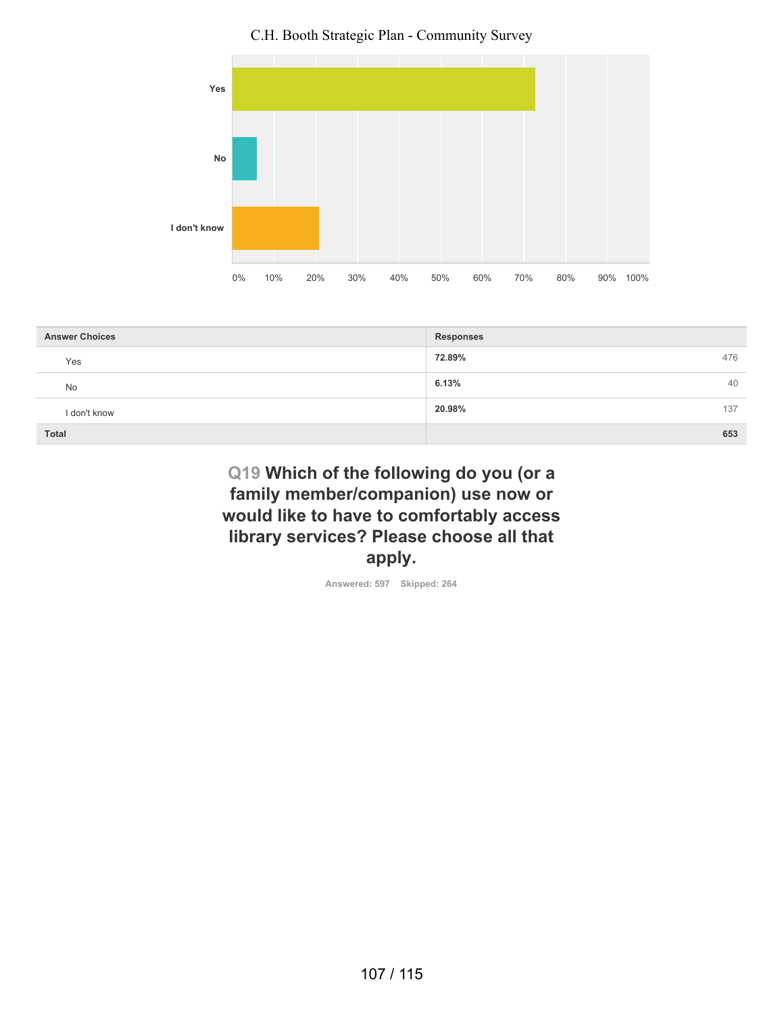

| <b>Answer Choices</b> | <b>Responses</b> |
|-----------------------|------------------|
| Yes                   | 72.89%<br>476    |
| <b>No</b>             | 6.13%<br>40      |
| I don't know          | 20.98%<br>137    |
| <b>Total</b>          | 653              |

# **Q19 Which of the following do you (or a family member/companion) use now or would like to have to comfortably access library services? Please choose all that apply.**

**Answered: 597 Skipped: 264**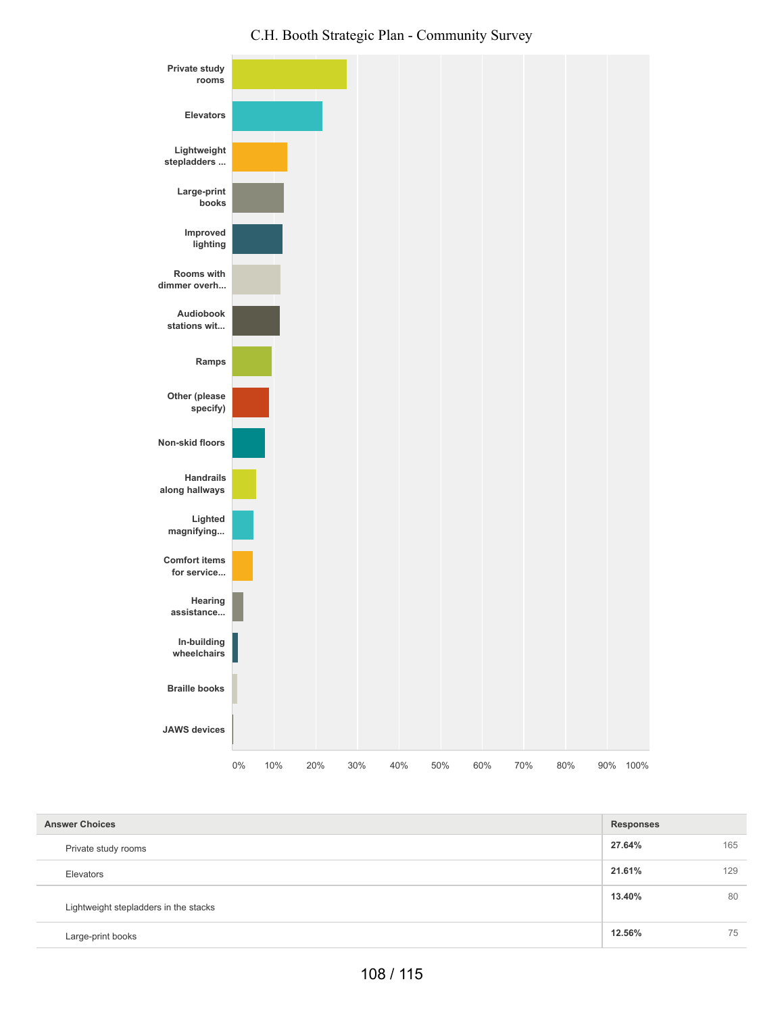

| <b>Answer Choices</b>                 | <b>Responses</b> |     |
|---------------------------------------|------------------|-----|
| Private study rooms                   | 27.64%           | 165 |
| Elevators                             | 21.61%           | 129 |
| Lightweight stepladders in the stacks | 13.40%           | 80  |
| Large-print books                     | 12.56%           | 75  |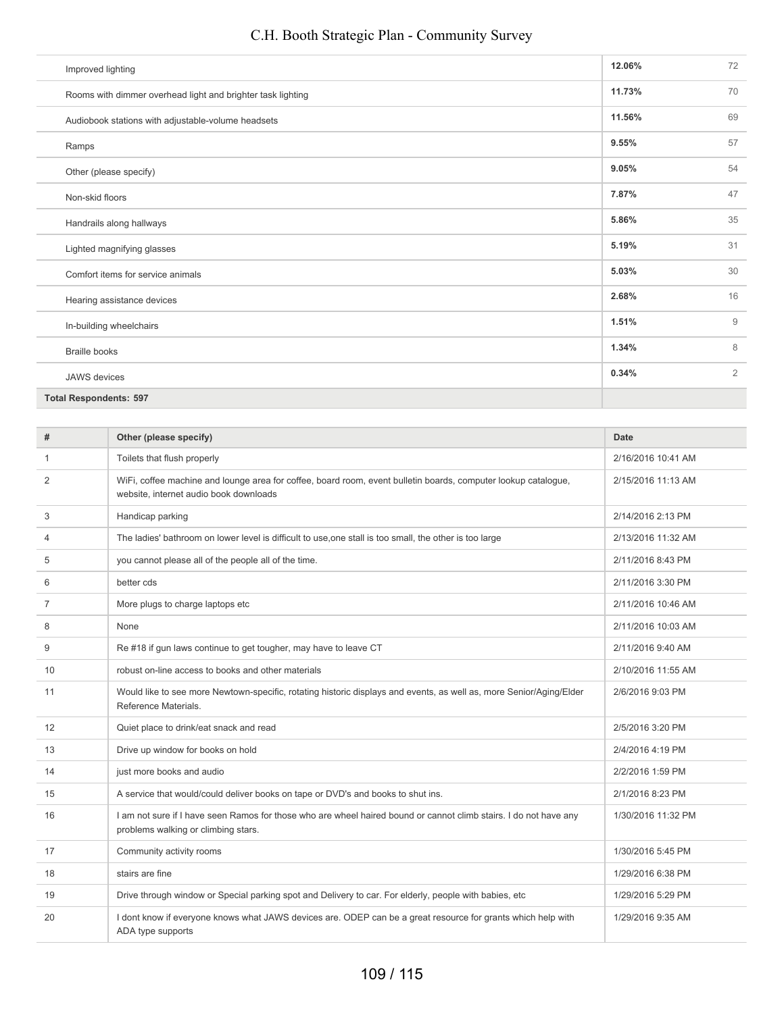| Improved lighting                                           | 12.06% | 72             |
|-------------------------------------------------------------|--------|----------------|
| Rooms with dimmer overhead light and brighter task lighting | 11.73% | 70             |
| Audiobook stations with adjustable-volume headsets          | 11.56% | 69             |
| Ramps                                                       | 9.55%  | 57             |
| Other (please specify)                                      | 9.05%  | 54             |
| Non-skid floors                                             | 7.87%  | 47             |
| Handrails along hallways                                    | 5.86%  | 35             |
| Lighted magnifying glasses                                  | 5.19%  | 31             |
| Comfort items for service animals                           | 5.03%  | 30             |
| Hearing assistance devices                                  | 2.68%  | 16             |
| In-building wheelchairs                                     | 1.51%  | 9              |
| <b>Braille books</b>                                        | 1.34%  | 8              |
| <b>JAWS</b> devices                                         | 0.34%  | $\overline{2}$ |
| <b>Total Respondents: 597</b>                               |        |                |

| #              | Other (please specify)                                                                                                                                   | <b>Date</b>        |
|----------------|----------------------------------------------------------------------------------------------------------------------------------------------------------|--------------------|
| 1              | Toilets that flush properly                                                                                                                              | 2/16/2016 10:41 AM |
| 2              | WiFi, coffee machine and lounge area for coffee, board room, event bulletin boards, computer lookup catalogue,<br>website, internet audio book downloads | 2/15/2016 11:13 AM |
| 3              | Handicap parking                                                                                                                                         | 2/14/2016 2:13 PM  |
| $\overline{4}$ | The ladies' bathroom on lower level is difficult to use, one stall is too small, the other is too large                                                  | 2/13/2016 11:32 AM |
| 5              | you cannot please all of the people all of the time.                                                                                                     | 2/11/2016 8:43 PM  |
| 6              | better cds                                                                                                                                               | 2/11/2016 3:30 PM  |
| $\overline{7}$ | More plugs to charge laptops etc                                                                                                                         | 2/11/2016 10:46 AM |
| 8              | None                                                                                                                                                     | 2/11/2016 10:03 AM |
| 9              | Re #18 if gun laws continue to get tougher, may have to leave CT                                                                                         | 2/11/2016 9:40 AM  |
| 10             | robust on-line access to books and other materials                                                                                                       | 2/10/2016 11:55 AM |
| 11             | Would like to see more Newtown-specific, rotating historic displays and events, as well as, more Senior/Aging/Elder<br>Reference Materials.              | 2/6/2016 9:03 PM   |
| 12             | Quiet place to drink/eat snack and read                                                                                                                  | 2/5/2016 3:20 PM   |
| 13             | Drive up window for books on hold                                                                                                                        | 2/4/2016 4:19 PM   |
| 14             | just more books and audio                                                                                                                                | 2/2/2016 1:59 PM   |
| 15             | A service that would/could deliver books on tape or DVD's and books to shut ins.                                                                         | 2/1/2016 8:23 PM   |
| 16             | I am not sure if I have seen Ramos for those who are wheel haired bound or cannot climb stairs. I do not have any<br>problems walking or climbing stars. | 1/30/2016 11:32 PM |
| 17             | Community activity rooms                                                                                                                                 | 1/30/2016 5:45 PM  |
| 18             | stairs are fine                                                                                                                                          | 1/29/2016 6:38 PM  |
| 19             | Drive through window or Special parking spot and Delivery to car. For elderly, people with babies, etc.                                                  | 1/29/2016 5:29 PM  |
| 20             | I dont know if everyone knows what JAWS devices are. ODEP can be a great resource for grants which help with<br>ADA type supports                        | 1/29/2016 9:35 AM  |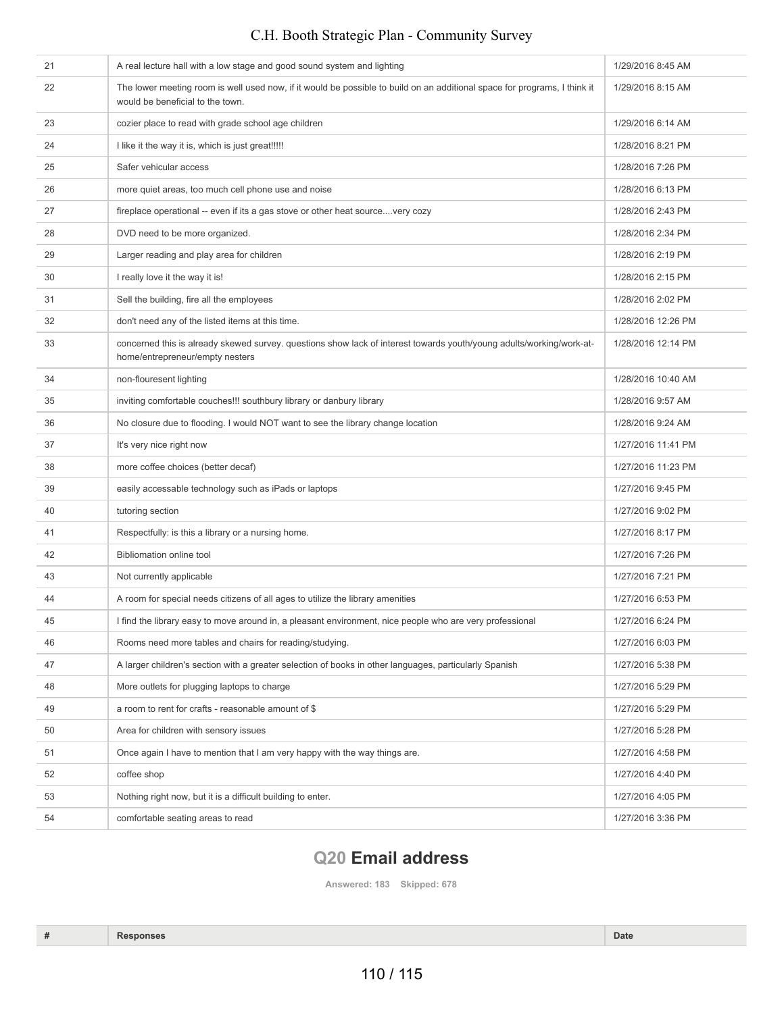| 21 | A real lecture hall with a low stage and good sound system and lighting                                                                                       | 1/29/2016 8:45 AM  |
|----|---------------------------------------------------------------------------------------------------------------------------------------------------------------|--------------------|
| 22 | The lower meeting room is well used now, if it would be possible to build on an additional space for programs, I think it<br>would be beneficial to the town. | 1/29/2016 8:15 AM  |
| 23 | cozier place to read with grade school age children                                                                                                           | 1/29/2016 6:14 AM  |
| 24 | I like it the way it is, which is just great!!!!!                                                                                                             | 1/28/2016 8:21 PM  |
| 25 | Safer vehicular access                                                                                                                                        | 1/28/2016 7:26 PM  |
| 26 | more quiet areas, too much cell phone use and noise                                                                                                           | 1/28/2016 6:13 PM  |
| 27 | fireplace operational -- even if its a gas stove or other heat sourcevery cozy                                                                                | 1/28/2016 2:43 PM  |
| 28 | DVD need to be more organized.                                                                                                                                | 1/28/2016 2:34 PM  |
| 29 | Larger reading and play area for children                                                                                                                     | 1/28/2016 2:19 PM  |
| 30 | I really love it the way it is!                                                                                                                               | 1/28/2016 2:15 PM  |
| 31 | Sell the building, fire all the employees                                                                                                                     | 1/28/2016 2:02 PM  |
| 32 | don't need any of the listed items at this time.                                                                                                              | 1/28/2016 12:26 PM |
| 33 | concerned this is already skewed survey. questions show lack of interest towards youth/young adults/working/work-at-<br>home/entrepreneur/empty nesters       | 1/28/2016 12:14 PM |
| 34 | non-flouresent lighting                                                                                                                                       | 1/28/2016 10:40 AM |
| 35 | inviting comfortable couches!!! southbury library or danbury library                                                                                          | 1/28/2016 9:57 AM  |
| 36 | No closure due to flooding. I would NOT want to see the library change location                                                                               | 1/28/2016 9:24 AM  |
| 37 | It's very nice right now                                                                                                                                      | 1/27/2016 11:41 PM |
| 38 | more coffee choices (better decaf)                                                                                                                            | 1/27/2016 11:23 PM |
| 39 | easily accessable technology such as iPads or laptops                                                                                                         | 1/27/2016 9:45 PM  |
| 40 | tutoring section                                                                                                                                              | 1/27/2016 9:02 PM  |
| 41 | Respectfully: is this a library or a nursing home.                                                                                                            | 1/27/2016 8:17 PM  |
| 42 | <b>Bibliomation online tool</b>                                                                                                                               | 1/27/2016 7:26 PM  |
| 43 | Not currently applicable                                                                                                                                      | 1/27/2016 7:21 PM  |
| 44 | A room for special needs citizens of all ages to utilize the library amenities                                                                                | 1/27/2016 6:53 PM  |
| 45 | I find the library easy to move around in, a pleasant environment, nice people who are very professional                                                      | 1/27/2016 6:24 PM  |
| 46 | Rooms need more tables and chairs for reading/studying.                                                                                                       | 1/27/2016 6:03 PM  |
| 47 | A larger children's section with a greater selection of books in other languages, particularly Spanish                                                        | 1/27/2016 5:38 PM  |
| 48 | More outlets for plugging laptops to charge                                                                                                                   | 1/27/2016 5:29 PM  |
| 49 | a room to rent for crafts - reasonable amount of \$                                                                                                           | 1/27/2016 5:29 PM  |
| 50 | Area for children with sensory issues                                                                                                                         | 1/27/2016 5:28 PM  |
| 51 | Once again I have to mention that I am very happy with the way things are.                                                                                    | 1/27/2016 4:58 PM  |
| 52 | coffee shop                                                                                                                                                   | 1/27/2016 4:40 PM  |
| 53 | Nothing right now, but it is a difficult building to enter.                                                                                                   | 1/27/2016 4:05 PM  |
| 54 | comfortable seating areas to read                                                                                                                             | 1/27/2016 3:36 PM  |

# **Q20 Email address**

**Answered: 183 Skipped: 678**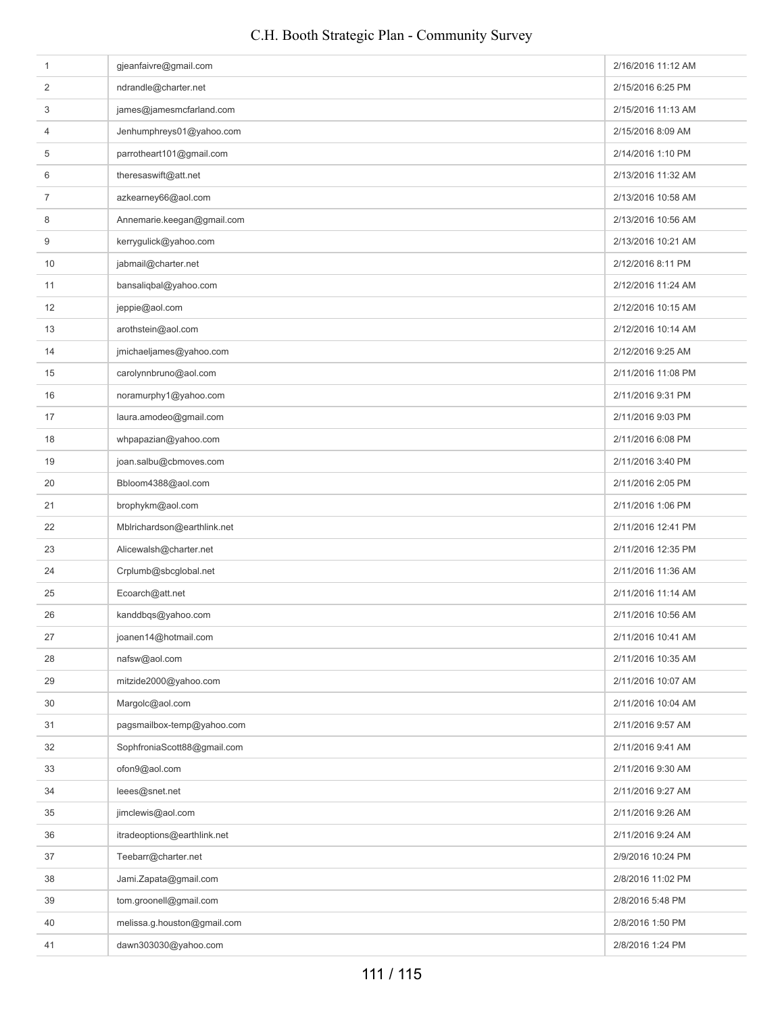| 1  | gjeanfaivre@gmail.com       | 2/16/2016 11:12 AM |
|----|-----------------------------|--------------------|
| 2  | ndrandle@charter.net        | 2/15/2016 6:25 PM  |
| 3  | james@jamesmcfarland.com    | 2/15/2016 11:13 AM |
| 4  | Jenhumphreys01@yahoo.com    | 2/15/2016 8:09 AM  |
| 5  | parrotheart101@gmail.com    | 2/14/2016 1:10 PM  |
| 6  | theresaswift@att.net        | 2/13/2016 11:32 AM |
| 7  | azkearney66@aol.com         | 2/13/2016 10:58 AM |
| 8  | Annemarie.keegan@gmail.com  | 2/13/2016 10:56 AM |
| 9  | kerrygulick@yahoo.com       | 2/13/2016 10:21 AM |
| 10 | jabmail@charter.net         | 2/12/2016 8:11 PM  |
| 11 | bansaliqbal@yahoo.com       | 2/12/2016 11:24 AM |
| 12 | jeppie@aol.com              | 2/12/2016 10:15 AM |
| 13 | arothstein@aol.com          | 2/12/2016 10:14 AM |
| 14 | jmichaeljames@yahoo.com     | 2/12/2016 9:25 AM  |
| 15 | carolynnbruno@aol.com       | 2/11/2016 11:08 PM |
| 16 | noramurphy1@yahoo.com       | 2/11/2016 9:31 PM  |
| 17 | laura.amodeo@gmail.com      | 2/11/2016 9:03 PM  |
| 18 | whpapazian@yahoo.com        | 2/11/2016 6:08 PM  |
| 19 | joan.salbu@cbmoves.com      | 2/11/2016 3:40 PM  |
| 20 | Bbloom4388@aol.com          | 2/11/2016 2:05 PM  |
| 21 | brophykm@aol.com            | 2/11/2016 1:06 PM  |
| 22 | Mblrichardson@earthlink.net | 2/11/2016 12:41 PM |
| 23 | Alicewalsh@charter.net      | 2/11/2016 12:35 PM |
| 24 | Crplumb@sbcglobal.net       | 2/11/2016 11:36 AM |
| 25 | Ecoarch@att.net             | 2/11/2016 11:14 AM |
| 26 | kanddbqs@yahoo.com          | 2/11/2016 10:56 AM |
| 27 | joanen14@hotmail.com        | 2/11/2016 10:41 AM |
| 28 | nafsw@aol.com               | 2/11/2016 10:35 AM |
| 29 | mitzide2000@yahoo.com       | 2/11/2016 10:07 AM |
| 30 | Margolc@aol.com             | 2/11/2016 10:04 AM |
| 31 | pagsmailbox-temp@yahoo.com  | 2/11/2016 9:57 AM  |
| 32 | SophfroniaScott88@gmail.com | 2/11/2016 9:41 AM  |
| 33 | ofon9@aol.com               | 2/11/2016 9:30 AM  |
| 34 | leees@snet.net              | 2/11/2016 9:27 AM  |
| 35 | jimclewis@aol.com           | 2/11/2016 9:26 AM  |
| 36 | itradeoptions@earthlink.net | 2/11/2016 9:24 AM  |
| 37 | Teebarr@charter.net         | 2/9/2016 10:24 PM  |
| 38 | Jami.Zapata@gmail.com       | 2/8/2016 11:02 PM  |
| 39 | tom.groonell@gmail.com      | 2/8/2016 5:48 PM   |
| 40 | melissa.g.houston@gmail.com | 2/8/2016 1:50 PM   |
| 41 | dawn303030@yahoo.com        | 2/8/2016 1:24 PM   |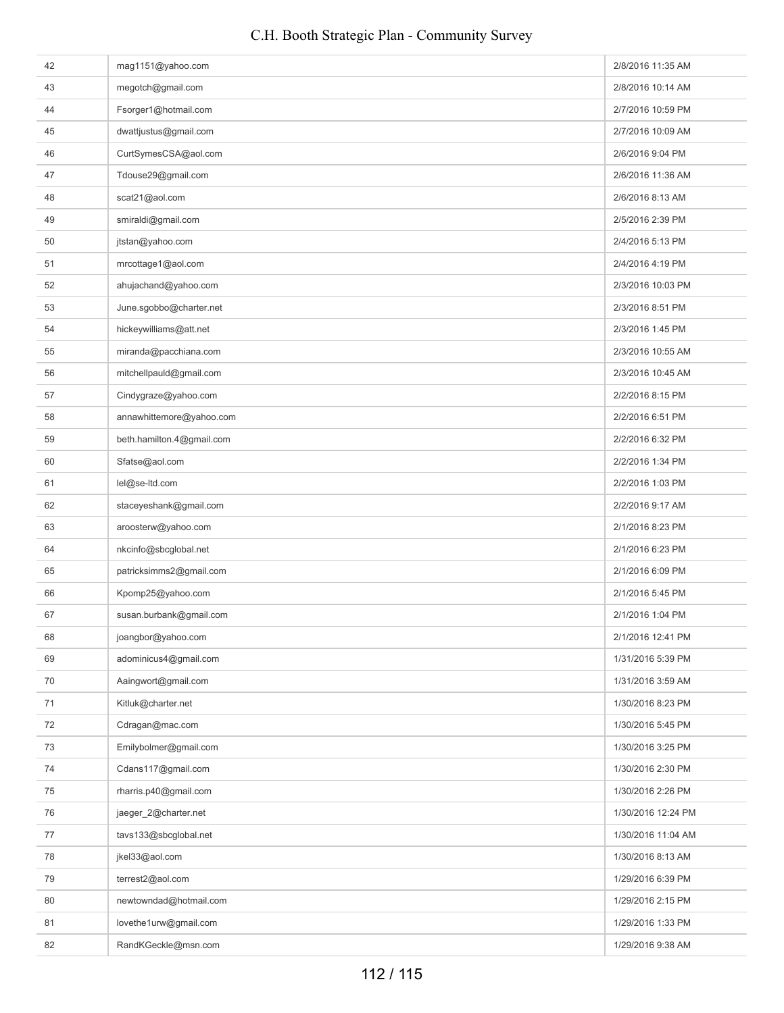| 42 | mag1151@yahoo.com         | 2/8/2016 11:35 AM  |
|----|---------------------------|--------------------|
| 43 | megotch@gmail.com         | 2/8/2016 10:14 AM  |
| 44 | Fsorger1@hotmail.com      | 2/7/2016 10:59 PM  |
| 45 | dwattjustus@gmail.com     | 2/7/2016 10:09 AM  |
| 46 | CurtSymesCSA@aol.com      | 2/6/2016 9:04 PM   |
| 47 | Tdouse29@gmail.com        | 2/6/2016 11:36 AM  |
| 48 | scat21@aol.com            | 2/6/2016 8:13 AM   |
| 49 | smiraldi@gmail.com        | 2/5/2016 2:39 PM   |
| 50 | jtstan@yahoo.com          | 2/4/2016 5:13 PM   |
| 51 | mrcottage1@aol.com        | 2/4/2016 4:19 PM   |
| 52 | ahujachand@yahoo.com      | 2/3/2016 10:03 PM  |
| 53 | June.sgobbo@charter.net   | 2/3/2016 8:51 PM   |
| 54 | hickeywilliams@att.net    | 2/3/2016 1:45 PM   |
| 55 | miranda@pacchiana.com     | 2/3/2016 10:55 AM  |
| 56 | mitchellpauld@gmail.com   | 2/3/2016 10:45 AM  |
| 57 | Cindygraze@yahoo.com      | 2/2/2016 8:15 PM   |
| 58 | annawhittemore@yahoo.com  | 2/2/2016 6:51 PM   |
| 59 | beth.hamilton.4@gmail.com | 2/2/2016 6:32 PM   |
| 60 | Sfatse@aol.com            | 2/2/2016 1:34 PM   |
| 61 | lel@se-ltd.com            | 2/2/2016 1:03 PM   |
| 62 | staceyeshank@gmail.com    | 2/2/2016 9:17 AM   |
| 63 | aroosterw@yahoo.com       | 2/1/2016 8:23 PM   |
| 64 | nkcinfo@sbcglobal.net     | 2/1/2016 6:23 PM   |
| 65 | patricksimms2@gmail.com   | 2/1/2016 6:09 PM   |
| 66 | Kpomp25@yahoo.com         | 2/1/2016 5:45 PM   |
| 67 | susan.burbank@gmail.com   | 2/1/2016 1:04 PM   |
| 68 | joangbor@yahoo.com        | 2/1/2016 12:41 PM  |
| 69 | adominicus4@gmail.com     | 1/31/2016 5:39 PM  |
| 70 | Aaingwort@gmail.com       | 1/31/2016 3:59 AM  |
| 71 | Kitluk@charter.net        | 1/30/2016 8:23 PM  |
| 72 | Cdragan@mac.com           | 1/30/2016 5:45 PM  |
| 73 | Emilybolmer@gmail.com     | 1/30/2016 3:25 PM  |
| 74 | Cdans117@gmail.com        | 1/30/2016 2:30 PM  |
| 75 | rharris.p40@gmail.com     | 1/30/2016 2:26 PM  |
| 76 | jaeger_2@charter.net      | 1/30/2016 12:24 PM |
| 77 | tavs133@sbcglobal.net     | 1/30/2016 11:04 AM |
| 78 | jkel33@aol.com            | 1/30/2016 8:13 AM  |
| 79 | terrest2@aol.com          | 1/29/2016 6:39 PM  |
| 80 | newtowndad@hotmail.com    | 1/29/2016 2:15 PM  |
| 81 | lovethe1urw@gmail.com     | 1/29/2016 1:33 PM  |
| 82 | RandKGeckle@msn.com       | 1/29/2016 9:38 AM  |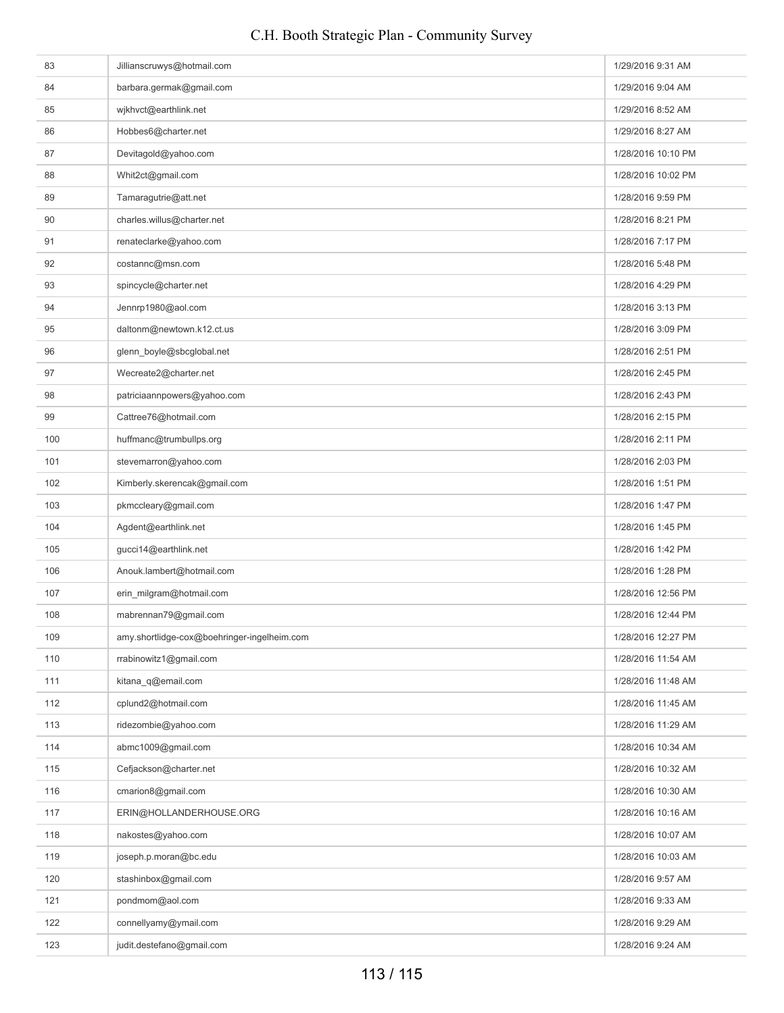| 83  | Jillianscruwys@hotmail.com                  | 1/29/2016 9:31 AM  |
|-----|---------------------------------------------|--------------------|
| 84  | barbara.germak@gmail.com                    | 1/29/2016 9:04 AM  |
| 85  | wjkhvct@earthlink.net                       | 1/29/2016 8:52 AM  |
| 86  | Hobbes6@charter.net                         | 1/29/2016 8:27 AM  |
| 87  | Devitagold@yahoo.com                        | 1/28/2016 10:10 PM |
| 88  | Whit2ct@gmail.com                           | 1/28/2016 10:02 PM |
| 89  | Tamaragutrie@att.net                        | 1/28/2016 9:59 PM  |
| 90  | charles.willus@charter.net                  | 1/28/2016 8:21 PM  |
| 91  | renateclarke@yahoo.com                      | 1/28/2016 7:17 PM  |
| 92  | costannc@msn.com                            | 1/28/2016 5:48 PM  |
| 93  | spincycle@charter.net                       | 1/28/2016 4:29 PM  |
| 94  | Jennrp1980@aol.com                          | 1/28/2016 3:13 PM  |
| 95  | daltonm@newtown.k12.ct.us                   | 1/28/2016 3:09 PM  |
| 96  | glenn_boyle@sbcglobal.net                   | 1/28/2016 2:51 PM  |
| 97  | Wecreate2@charter.net                       | 1/28/2016 2:45 PM  |
| 98  | patriciaannpowers@yahoo.com                 | 1/28/2016 2:43 PM  |
| 99  | Cattree76@hotmail.com                       | 1/28/2016 2:15 PM  |
| 100 | huffmanc@trumbullps.org                     | 1/28/2016 2:11 PM  |
| 101 | stevemarron@yahoo.com                       | 1/28/2016 2:03 PM  |
| 102 | Kimberly.skerencak@gmail.com                | 1/28/2016 1:51 PM  |
| 103 | pkmccleary@gmail.com                        | 1/28/2016 1:47 PM  |
| 104 | Agdent@earthlink.net                        | 1/28/2016 1:45 PM  |
| 105 | gucci14@earthlink.net                       | 1/28/2016 1:42 PM  |
| 106 | Anouk.lambert@hotmail.com                   | 1/28/2016 1:28 PM  |
| 107 | erin_milgram@hotmail.com                    | 1/28/2016 12:56 PM |
| 108 | mabrennan79@gmail.com                       | 1/28/2016 12:44 PM |
| 109 | amy.shortlidge-cox@boehringer-ingelheim.com | 1/28/2016 12:27 PM |
| 110 | rrabinowitz1@gmail.com                      | 1/28/2016 11:54 AM |
| 111 | kitana_q@email.com                          | 1/28/2016 11:48 AM |
| 112 | cplund2@hotmail.com                         | 1/28/2016 11:45 AM |
| 113 | ridezombie@yahoo.com                        | 1/28/2016 11:29 AM |
| 114 | abmc1009@gmail.com                          | 1/28/2016 10:34 AM |
| 115 | Cefjackson@charter.net                      | 1/28/2016 10:32 AM |
| 116 | cmarion8@gmail.com                          | 1/28/2016 10:30 AM |
| 117 | ERIN@HOLLANDERHOUSE.ORG                     | 1/28/2016 10:16 AM |
| 118 | nakostes@yahoo.com                          | 1/28/2016 10:07 AM |
| 119 | joseph.p.moran@bc.edu                       | 1/28/2016 10:03 AM |
| 120 | stashinbox@gmail.com                        | 1/28/2016 9:57 AM  |
| 121 | pondmom@aol.com                             | 1/28/2016 9:33 AM  |
| 122 | connellyamy@ymail.com                       | 1/28/2016 9:29 AM  |
| 123 | judit.destefano@gmail.com                   | 1/28/2016 9:24 AM  |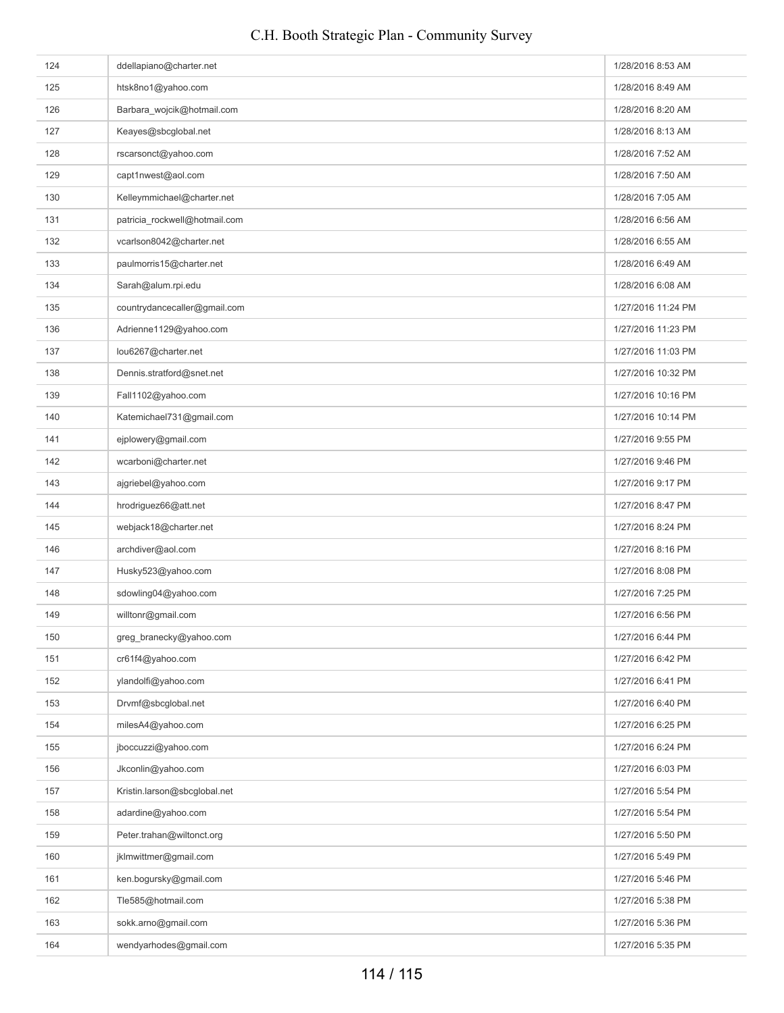# 124 ddellapiano@charter.net 1/28/2016 8:53 AM htsk8no1@yahoo.com intervention of the community of the community of the community of the community of the community of the community of the community of the community of the community of the community of the community of 126 Barbara\_wojcik@hotmail.com 1/28/2016 8:20 AM 127 Keayes@sbcglobal.net 1/28/2016 8:13 AM 128 rscarsonct@yahoo.com **1/28/2016 7:52 AM** 129 capt1nwest@aol.com com in the community of the community of the community of the community of the community of the community of the community of the community of the community of the community of the community of the c 130 Kelleymmichael@charter.net 1/28/2016 7:05 AM 131 patricia\_rockwell@hotmail.com 1/28/2016 6:56 AM 132 vcarlson8042@charter.net 1/28/2016 6:55 AM paulmorris15@charter.net 1/28/2016 6:49 AM 134 Sarah@alum.rpi.edu 1/28/2016 6:08 AM and the state of the state of the state of the state of the state of the state of the state of the state of the state of the state of the state of the state of the state of the stat 135 countrydancecaller@gmail.com 1/27/2016 11:24 PM 136 Adrienne1129@yahoo.com 1/27/2016 11:23 PM 137 lou6267@charter.net 1/27/2016 11:03 PM 138 Dennis.stratford@snet.net 1/27/2016 10:32 PM 139 Fall1102@yahoo.com 1/27/2016 10:16 PM 140 Katemichael731@gmail.com 1/27/2016 10:14 PM 141 eiplowery@gmail.com entertainment of the state of the state of the state of the state of the state of the state of the state of the state of the state of the state of the state of the state of the state of the state of 142 wcarboni@charter.net 1/27/2016 9:46 PM 143 ajgriebel@yahoo.com and the state of the state of the state of the state of the state of the state of the state of the state of the state of the state of the state of the state of the state of the state of the state of 144 hrodriguez66@att.net 1/27/2016 8:47 PM 145 webjack18@charter.net 1/27/2016 8:24 PM 146 archdiver@aol.com and the community of the community of the community of the community of the community of the PM 147 Husky523@yahoo.com 1/27/2016 8:08 PM 148 sdowling04@yahoo.com and the state of the state of the state of the state of the state of the state of the state of the state of the state of the state of the state of the state of the state of the state of the state o 149 willtonr@gmail.com com 1/27/2016 6:56 PM 150 greg\_branecky@yahoo.com **1/27/2016 6:44 PM** and the state of the state of the state of the state of the state of the state of the state of the state of the state of the state of the state of the state of the state of t 151 cr61f4@yahoo.com com 1/27/2016 6:42 PM 152 ylandolfi@yahoo.com and the set of the set of the set of the set of the set of the set of the set of the set of the set of the set of the set of the set of the set of the set of the set of the set of the set of the set 153 Drvmf@sbcglobal.net 1/27/2016 6:40 PM 154 milesA4@yahoo.com 1/27/2016 6:25 PM 155 jboccuzzi@yahoo.com **1/27/2016 6:24 PM** is a set of the set of the set of the set of the set of the set of the set of the set of the set of the set of the set of the set of the set of the set of the set of the set of t 156 Jkconlin@yahoo.com 1/27/2016 6:03 PM 157 Kristin.larson@sbcglobal.net 1/27/2016 5:54 PM 158 adardine@yahoo.com **1/27/2016 5:54 PM** 159 Peter.trahan@wiltonct.org 1/27/2016 5:50 PM 160 iklmwittmer@gmail.com 1/27/2016 5:49 PM 161 ken.bogursky@gmail.com **1/27/2016 5:46 PM** 162 Tle585@hotmail.com 102 Tube 3538 PM 1/27/2016 5:38 PM 163 sokk.arno@gmail.com 1/27/2016 5:36 PM 164 wendyarhodes@gmail.com 169 wendyarhodes@gmail.com 1/27/2016 5:35 PM